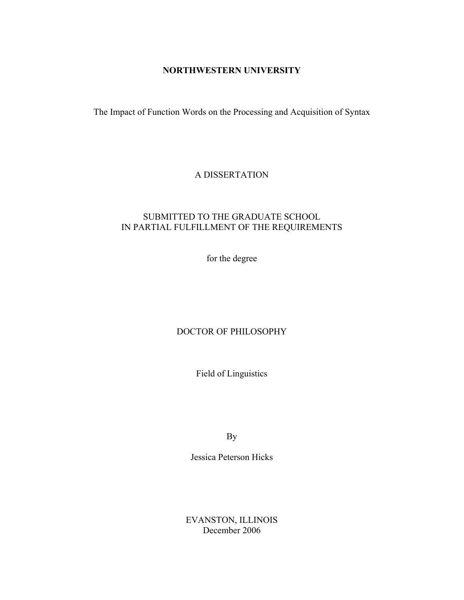## **NORTHWESTERN UNIVERSITY**

The Impact of Function Words on the Processing and Acquisition of Syntax

## A DISSERTATION

## SUBMITTED TO THE GRADUATE SCHOOL IN PARTIAL FULFILLMENT OF THE REQUIREMENTS

for the degree

# DOCTOR OF PHILOSOPHY

Field of Linguistics

By

Jessica Peterson Hicks

EVANSTON, ILLINOIS December 2006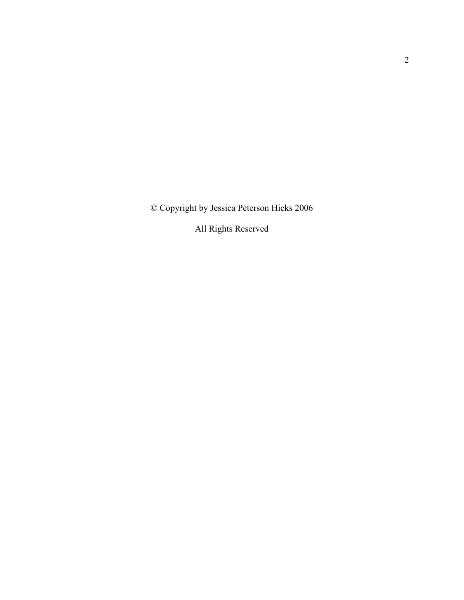© Copyright by Jessica Peterson Hicks 2006

All Rights Reserved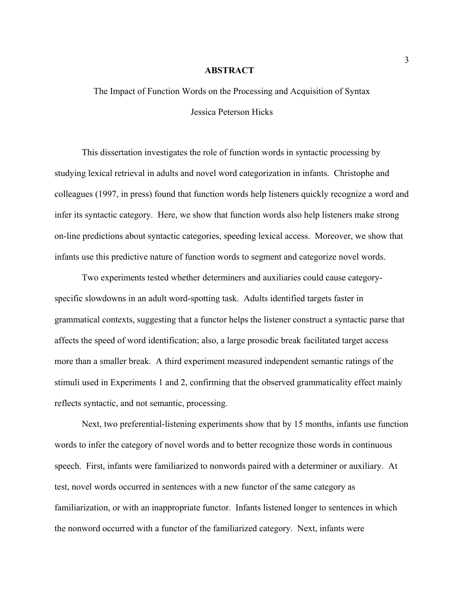#### **ABSTRACT**

The Impact of Function Words on the Processing and Acquisition of Syntax Jessica Peterson Hicks

This dissertation investigates the role of function words in syntactic processing by studying lexical retrieval in adults and novel word categorization in infants. Christophe and colleagues (1997, in press) found that function words help listeners quickly recognize a word and infer its syntactic category. Here, we show that function words also help listeners make strong on-line predictions about syntactic categories, speeding lexical access. Moreover, we show that infants use this predictive nature of function words to segment and categorize novel words.

Two experiments tested whether determiners and auxiliaries could cause categoryspecific slowdowns in an adult word-spotting task. Adults identified targets faster in grammatical contexts, suggesting that a functor helps the listener construct a syntactic parse that affects the speed of word identification; also, a large prosodic break facilitated target access more than a smaller break. A third experiment measured independent semantic ratings of the stimuli used in Experiments 1 and 2, confirming that the observed grammaticality effect mainly reflects syntactic, and not semantic, processing.

Next, two preferential-listening experiments show that by 15 months, infants use function words to infer the category of novel words and to better recognize those words in continuous speech. First, infants were familiarized to nonwords paired with a determiner or auxiliary. At test, novel words occurred in sentences with a new functor of the same category as familiarization, or with an inappropriate functor. Infants listened longer to sentences in which the nonword occurred with a functor of the familiarized category. Next, infants were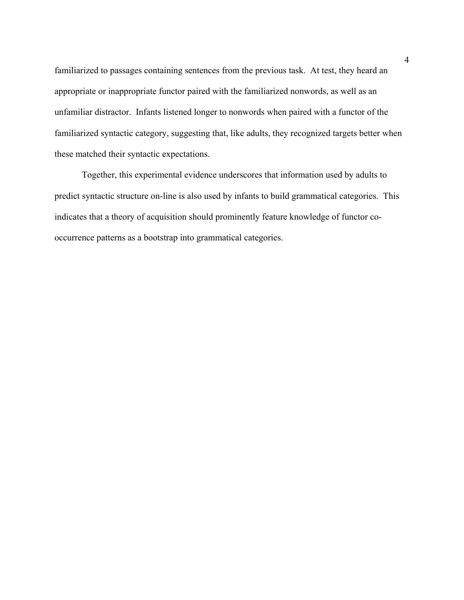familiarized to passages containing sentences from the previous task. At test, they heard an appropriate or inappropriate functor paired with the familiarized nonwords, as well as an unfamiliar distractor. Infants listened longer to nonwords when paired with a functor of the familiarized syntactic category, suggesting that, like adults, they recognized targets better when these matched their syntactic expectations.

Together, this experimental evidence underscores that information used by adults to predict syntactic structure on-line is also used by infants to build grammatical categories. This indicates that a theory of acquisition should prominently feature knowledge of functor cooccurrence patterns as a bootstrap into grammatical categories.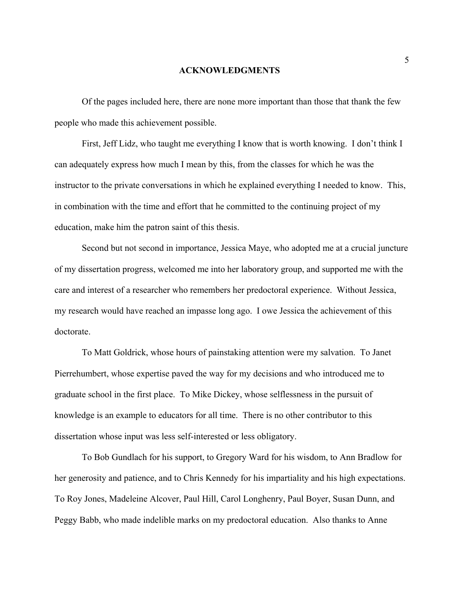#### **ACKNOWLEDGMENTS**

Of the pages included here, there are none more important than those that thank the few people who made this achievement possible.

 First, Jeff Lidz, who taught me everything I know that is worth knowing. I don't think I can adequately express how much I mean by this, from the classes for which he was the instructor to the private conversations in which he explained everything I needed to know. This, in combination with the time and effort that he committed to the continuing project of my education, make him the patron saint of this thesis.

 Second but not second in importance, Jessica Maye, who adopted me at a crucial juncture of my dissertation progress, welcomed me into her laboratory group, and supported me with the care and interest of a researcher who remembers her predoctoral experience. Without Jessica, my research would have reached an impasse long ago. I owe Jessica the achievement of this doctorate.

 To Matt Goldrick, whose hours of painstaking attention were my salvation. To Janet Pierrehumbert, whose expertise paved the way for my decisions and who introduced me to graduate school in the first place. To Mike Dickey, whose selflessness in the pursuit of knowledge is an example to educators for all time. There is no other contributor to this dissertation whose input was less self-interested or less obligatory.

To Bob Gundlach for his support, to Gregory Ward for his wisdom, to Ann Bradlow for her generosity and patience, and to Chris Kennedy for his impartiality and his high expectations. To Roy Jones, Madeleine Alcover, Paul Hill, Carol Longhenry, Paul Boyer, Susan Dunn, and Peggy Babb, who made indelible marks on my predoctoral education. Also thanks to Anne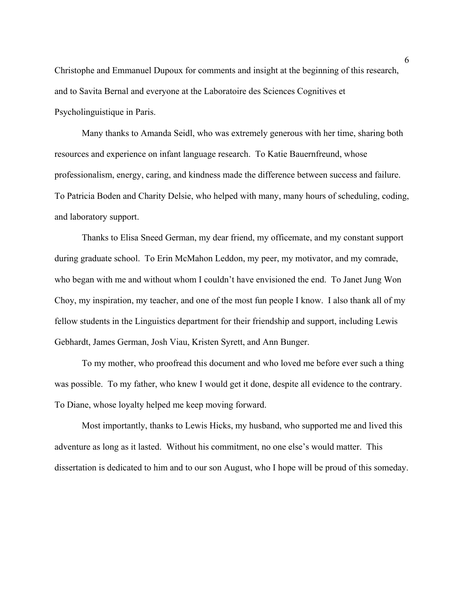Christophe and Emmanuel Dupoux for comments and insight at the beginning of this research, and to Savita Bernal and everyone at the Laboratoire des Sciences Cognitives et Psycholinguistique in Paris.

Many thanks to Amanda Seidl, who was extremely generous with her time, sharing both resources and experience on infant language research. To Katie Bauernfreund, whose professionalism, energy, caring, and kindness made the difference between success and failure. To Patricia Boden and Charity Delsie, who helped with many, many hours of scheduling, coding, and laboratory support.

 Thanks to Elisa Sneed German, my dear friend, my officemate, and my constant support during graduate school. To Erin McMahon Leddon, my peer, my motivator, and my comrade, who began with me and without whom I couldn't have envisioned the end. To Janet Jung Won Choy, my inspiration, my teacher, and one of the most fun people I know. I also thank all of my fellow students in the Linguistics department for their friendship and support, including Lewis Gebhardt, James German, Josh Viau, Kristen Syrett, and Ann Bunger.

 To my mother, who proofread this document and who loved me before ever such a thing was possible. To my father, who knew I would get it done, despite all evidence to the contrary. To Diane, whose loyalty helped me keep moving forward.

 Most importantly, thanks to Lewis Hicks, my husband, who supported me and lived this adventure as long as it lasted. Without his commitment, no one else's would matter. This dissertation is dedicated to him and to our son August, who I hope will be proud of this someday.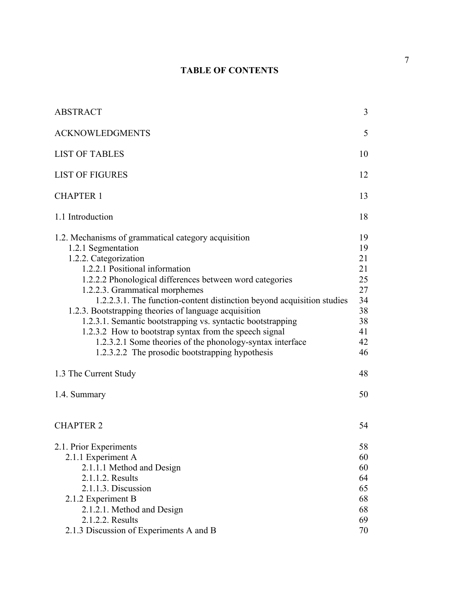# **TABLE OF CONTENTS**

| <b>ABSTRACT</b>                                                                                                                                                                                                                                                                                                                                                                                                                                                                                                                                                                                                | 3                                                                    |
|----------------------------------------------------------------------------------------------------------------------------------------------------------------------------------------------------------------------------------------------------------------------------------------------------------------------------------------------------------------------------------------------------------------------------------------------------------------------------------------------------------------------------------------------------------------------------------------------------------------|----------------------------------------------------------------------|
| <b>ACKNOWLEDGMENTS</b>                                                                                                                                                                                                                                                                                                                                                                                                                                                                                                                                                                                         | 5                                                                    |
| <b>LIST OF TABLES</b>                                                                                                                                                                                                                                                                                                                                                                                                                                                                                                                                                                                          | 10                                                                   |
| <b>LIST OF FIGURES</b>                                                                                                                                                                                                                                                                                                                                                                                                                                                                                                                                                                                         | 12                                                                   |
| <b>CHAPTER 1</b>                                                                                                                                                                                                                                                                                                                                                                                                                                                                                                                                                                                               | 13                                                                   |
| 1.1 Introduction                                                                                                                                                                                                                                                                                                                                                                                                                                                                                                                                                                                               | 18                                                                   |
| 1.2. Mechanisms of grammatical category acquisition<br>1.2.1 Segmentation<br>1.2.2. Categorization<br>1.2.2.1 Positional information<br>1.2.2.2 Phonological differences between word categories<br>1.2.2.3. Grammatical morphemes<br>1.2.2.3.1. The function-content distinction beyond acquisition studies<br>1.2.3. Bootstrapping theories of language acquisition<br>1.2.3.1. Semantic bootstrapping vs. syntactic bootstrapping<br>1.2.3.2 How to bootstrap syntax from the speech signal<br>1.2.3.2.1 Some theories of the phonology-syntax interface<br>1.2.3.2.2 The prosodic bootstrapping hypothesis | 19<br>19<br>21<br>21<br>25<br>27<br>34<br>38<br>38<br>41<br>42<br>46 |
| 1.3 The Current Study                                                                                                                                                                                                                                                                                                                                                                                                                                                                                                                                                                                          | 48                                                                   |
| 1.4. Summary                                                                                                                                                                                                                                                                                                                                                                                                                                                                                                                                                                                                   | 50                                                                   |
| <b>CHAPTER 2</b>                                                                                                                                                                                                                                                                                                                                                                                                                                                                                                                                                                                               | 54                                                                   |
| 2.1. Prior Experiments<br>2.1.1 Experiment A<br>2.1.1.1 Method and Design<br>2.1.1.2. Results<br>2.1.1.3. Discussion<br>2.1.2 Experiment B<br>2.1.2.1. Method and Design<br>2.1.2.2. Results                                                                                                                                                                                                                                                                                                                                                                                                                   | 58<br>60<br>60<br>64<br>65<br>68<br>68<br>69                         |
| 2.1.3 Discussion of Experiments A and B                                                                                                                                                                                                                                                                                                                                                                                                                                                                                                                                                                        | 70                                                                   |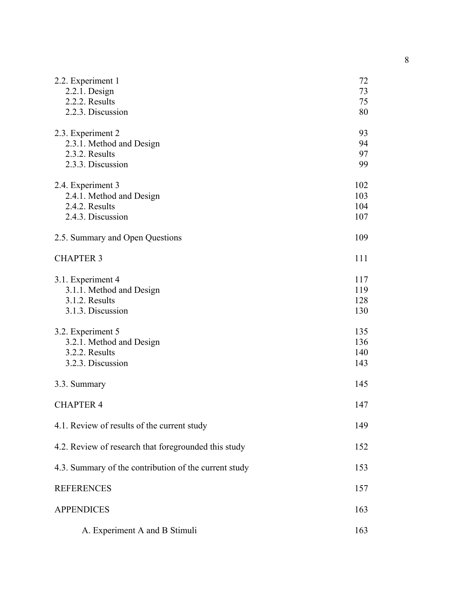| 2.2. Experiment 1                                     | 72  |
|-------------------------------------------------------|-----|
| $2.2.1.$ Design                                       | 73  |
| 2.2.2. Results                                        | 75  |
| 2.2.3. Discussion                                     | 80  |
|                                                       | 93  |
| 2.3. Experiment 2<br>2.3.1. Method and Design         | 94  |
| 2.3.2. Results                                        | 97  |
| 2.3.3. Discussion                                     | 99  |
|                                                       |     |
| 2.4. Experiment 3                                     | 102 |
| 2.4.1. Method and Design                              | 103 |
| 2.4.2. Results                                        | 104 |
| 2.4.3. Discussion                                     | 107 |
| 2.5. Summary and Open Questions                       | 109 |
|                                                       |     |
| <b>CHAPTER 3</b>                                      | 111 |
| 3.1. Experiment 4                                     | 117 |
| 3.1.1. Method and Design                              | 119 |
| 3.1.2. Results                                        | 128 |
| 3.1.3. Discussion                                     | 130 |
|                                                       |     |
| 3.2. Experiment 5                                     | 135 |
| 3.2.1. Method and Design                              | 136 |
| 3.2.2. Results                                        | 140 |
| 3.2.3. Discussion                                     | 143 |
|                                                       | 145 |
| 3.3. Summary                                          |     |
| <b>CHAPTER 4</b>                                      | 147 |
| 4.1. Review of results of the current study           | 149 |
| 4.2. Review of research that foregrounded this study  | 152 |
| 4.3. Summary of the contribution of the current study | 153 |
| <b>REFERENCES</b>                                     | 157 |
| <b>APPENDICES</b>                                     | 163 |
|                                                       |     |
| A. Experiment A and B Stimuli                         | 163 |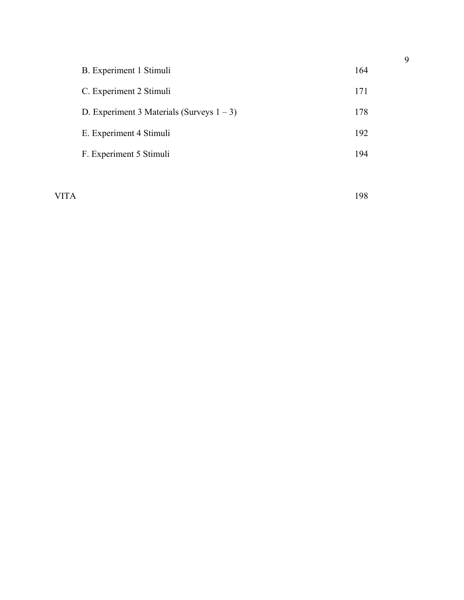| B. Experiment 1 Stimuli                      | 164 |
|----------------------------------------------|-----|
| C. Experiment 2 Stimuli                      | 171 |
| D. Experiment 3 Materials (Surveys $1 - 3$ ) | 178 |
| E. Experiment 4 Stimuli                      | 192 |
| F. Experiment 5 Stimuli                      | 194 |
|                                              |     |

VITA 198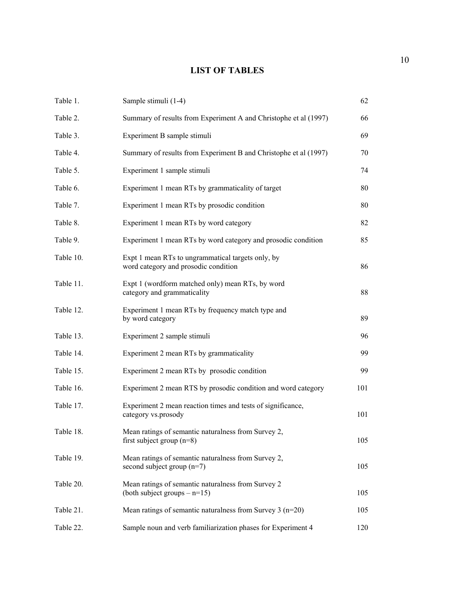## **LIST OF TABLES**

| Table 1.  | Sample stimuli (1-4)                                                                      | 62  |
|-----------|-------------------------------------------------------------------------------------------|-----|
| Table 2.  | Summary of results from Experiment A and Christophe et al (1997)                          | 66  |
| Table 3.  | Experiment B sample stimuli                                                               | 69  |
| Table 4.  | Summary of results from Experiment B and Christophe et al (1997)                          | 70  |
| Table 5.  | Experiment 1 sample stimuli                                                               | 74  |
| Table 6.  | Experiment 1 mean RTs by grammaticality of target                                         | 80  |
| Table 7.  | Experiment 1 mean RTs by prosodic condition                                               | 80  |
| Table 8.  | Experiment 1 mean RTs by word category                                                    | 82  |
| Table 9.  | Experiment 1 mean RTs by word category and prosodic condition                             | 85  |
| Table 10. | Expt 1 mean RTs to ungrammatical targets only, by<br>word category and prosodic condition | 86  |
| Table 11. | Expt 1 (wordform matched only) mean RTs, by word<br>category and grammaticality           | 88  |
| Table 12. | Experiment 1 mean RTs by frequency match type and<br>by word category                     | 89  |
| Table 13. | Experiment 2 sample stimuli                                                               | 96  |
| Table 14. | Experiment 2 mean RTs by grammaticality                                                   | 99  |
| Table 15. | Experiment 2 mean RTs by prosodic condition                                               | 99  |
| Table 16. | Experiment 2 mean RTS by prosodic condition and word category                             | 101 |
| Table 17. | Experiment 2 mean reaction times and tests of significance,<br>category vs.prosody        | 101 |
| Table 18. | Mean ratings of semantic naturalness from Survey 2,<br>first subject group $(n=8)$        | 105 |
| Table 19. | Mean ratings of semantic naturalness from Survey 2,<br>second subject group $(n=7)$       | 105 |
| Table 20. | Mean ratings of semantic naturalness from Survey 2<br>(both subject groups $- n=15$ )     | 105 |
| Table 21. | Mean ratings of semantic naturalness from Survey $3$ (n=20)                               | 105 |
| Table 22. | Sample noun and verb familiarization phases for Experiment 4                              | 120 |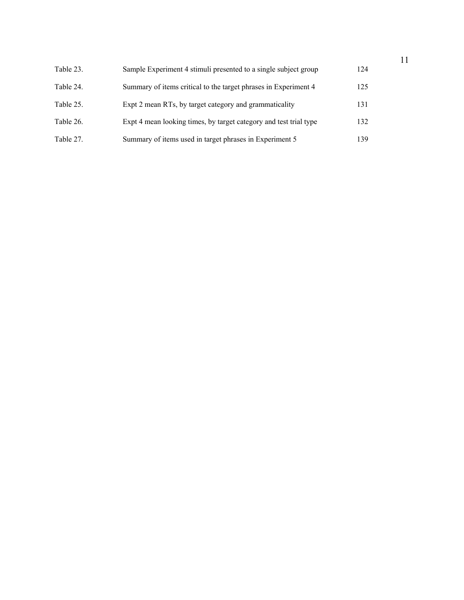| Table 23. | Sample Experiment 4 stimuli presented to a single subject group   | 124 |
|-----------|-------------------------------------------------------------------|-----|
| Table 24. | Summary of items critical to the target phrases in Experiment 4   | 125 |
| Table 25. | Expt 2 mean RTs, by target category and grammaticality            | 131 |
| Table 26. | Expt 4 mean looking times, by target category and test trial type | 132 |
| Table 27. | Summary of items used in target phrases in Experiment 5           | 139 |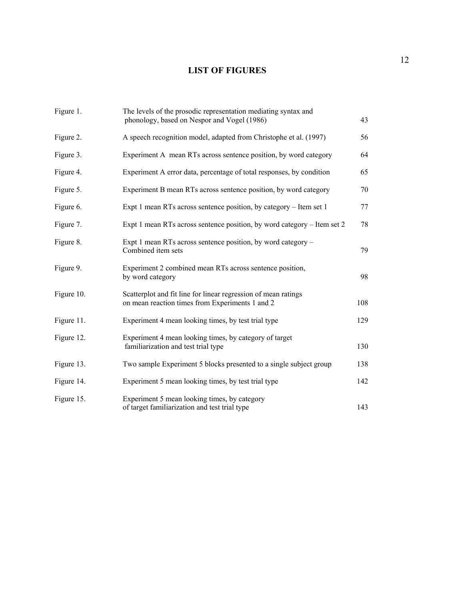# **LIST OF FIGURES**

| Figure 1.  | The levels of the prosodic representation mediating syntax and<br>phonology, based on Nespor and Vogel (1986)     | 43  |
|------------|-------------------------------------------------------------------------------------------------------------------|-----|
| Figure 2.  | A speech recognition model, adapted from Christophe et al. (1997)                                                 | 56  |
| Figure 3.  | Experiment A mean RTs across sentence position, by word category                                                  | 64  |
| Figure 4.  | Experiment A error data, percentage of total responses, by condition                                              | 65  |
| Figure 5.  | Experiment B mean RTs across sentence position, by word category                                                  | 70  |
| Figure 6.  | Expt 1 mean RTs across sentence position, by category – Item set 1                                                | 77  |
| Figure 7.  | Expt 1 mean RTs across sentence position, by word category – Item set 2                                           | 78  |
| Figure 8.  | Expt 1 mean RTs across sentence position, by word category -<br>Combined item sets                                | 79  |
| Figure 9.  | Experiment 2 combined mean RTs across sentence position,<br>by word category                                      | 98  |
| Figure 10. | Scatterplot and fit line for linear regression of mean ratings<br>on mean reaction times from Experiments 1 and 2 | 108 |
| Figure 11. | Experiment 4 mean looking times, by test trial type                                                               | 129 |
| Figure 12. | Experiment 4 mean looking times, by category of target<br>familiarization and test trial type                     | 130 |
| Figure 13. | Two sample Experiment 5 blocks presented to a single subject group                                                | 138 |
| Figure 14. | Experiment 5 mean looking times, by test trial type                                                               | 142 |
| Figure 15. | Experiment 5 mean looking times, by category<br>of target familiarization and test trial type                     | 143 |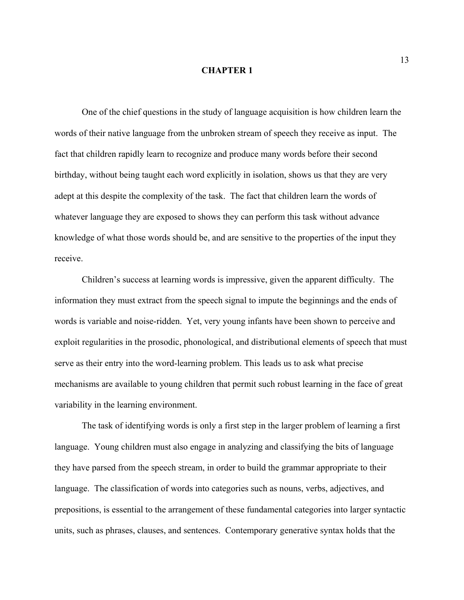#### **CHAPTER 1**

One of the chief questions in the study of language acquisition is how children learn the words of their native language from the unbroken stream of speech they receive as input. The fact that children rapidly learn to recognize and produce many words before their second birthday, without being taught each word explicitly in isolation, shows us that they are very adept at this despite the complexity of the task. The fact that children learn the words of whatever language they are exposed to shows they can perform this task without advance knowledge of what those words should be, and are sensitive to the properties of the input they receive.

Children's success at learning words is impressive, given the apparent difficulty. The information they must extract from the speech signal to impute the beginnings and the ends of words is variable and noise-ridden. Yet, very young infants have been shown to perceive and exploit regularities in the prosodic, phonological, and distributional elements of speech that must serve as their entry into the word-learning problem. This leads us to ask what precise mechanisms are available to young children that permit such robust learning in the face of great variability in the learning environment.

The task of identifying words is only a first step in the larger problem of learning a first language. Young children must also engage in analyzing and classifying the bits of language they have parsed from the speech stream, in order to build the grammar appropriate to their language. The classification of words into categories such as nouns, verbs, adjectives, and prepositions, is essential to the arrangement of these fundamental categories into larger syntactic units, such as phrases, clauses, and sentences. Contemporary generative syntax holds that the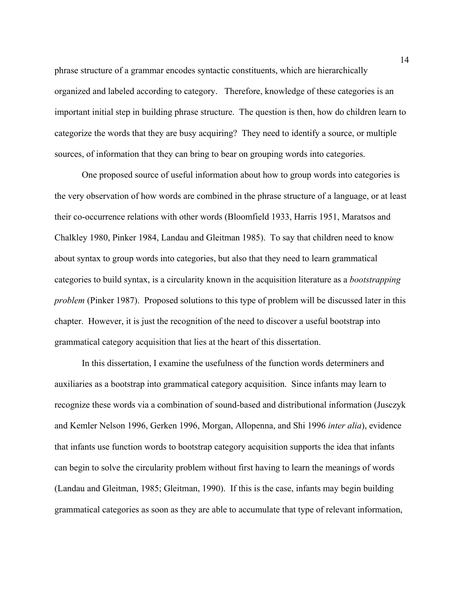phrase structure of a grammar encodes syntactic constituents, which are hierarchically organized and labeled according to category. Therefore, knowledge of these categories is an important initial step in building phrase structure. The question is then, how do children learn to categorize the words that they are busy acquiring? They need to identify a source, or multiple sources, of information that they can bring to bear on grouping words into categories.

One proposed source of useful information about how to group words into categories is the very observation of how words are combined in the phrase structure of a language, or at least their co-occurrence relations with other words (Bloomfield 1933, Harris 1951, Maratsos and Chalkley 1980, Pinker 1984, Landau and Gleitman 1985). To say that children need to know about syntax to group words into categories, but also that they need to learn grammatical categories to build syntax, is a circularity known in the acquisition literature as a *bootstrapping problem* (Pinker 1987). Proposed solutions to this type of problem will be discussed later in this chapter. However, it is just the recognition of the need to discover a useful bootstrap into grammatical category acquisition that lies at the heart of this dissertation.

In this dissertation, I examine the usefulness of the function words determiners and auxiliaries as a bootstrap into grammatical category acquisition. Since infants may learn to recognize these words via a combination of sound-based and distributional information (Jusczyk and Kemler Nelson 1996, Gerken 1996, Morgan, Allopenna, and Shi 1996 *inter alia*), evidence that infants use function words to bootstrap category acquisition supports the idea that infants can begin to solve the circularity problem without first having to learn the meanings of words (Landau and Gleitman, 1985; Gleitman, 1990). If this is the case, infants may begin building grammatical categories as soon as they are able to accumulate that type of relevant information,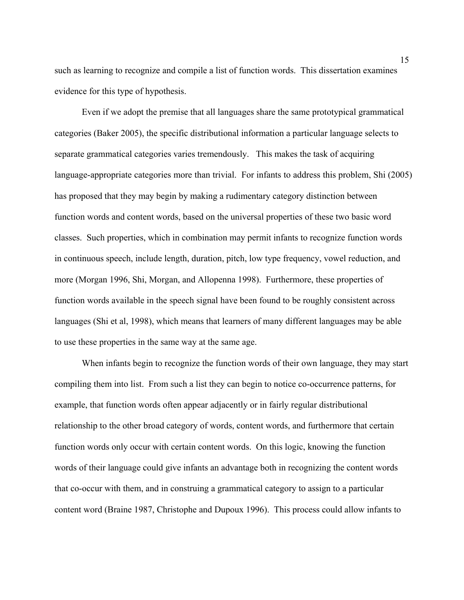such as learning to recognize and compile a list of function words. This dissertation examines evidence for this type of hypothesis.

Even if we adopt the premise that all languages share the same prototypical grammatical categories (Baker 2005), the specific distributional information a particular language selects to separate grammatical categories varies tremendously. This makes the task of acquiring language-appropriate categories more than trivial. For infants to address this problem, Shi (2005) has proposed that they may begin by making a rudimentary category distinction between function words and content words, based on the universal properties of these two basic word classes. Such properties, which in combination may permit infants to recognize function words in continuous speech, include length, duration, pitch, low type frequency, vowel reduction, and more (Morgan 1996, Shi, Morgan, and Allopenna 1998). Furthermore, these properties of function words available in the speech signal have been found to be roughly consistent across languages (Shi et al, 1998), which means that learners of many different languages may be able to use these properties in the same way at the same age.

When infants begin to recognize the function words of their own language, they may start compiling them into list. From such a list they can begin to notice co-occurrence patterns, for example, that function words often appear adjacently or in fairly regular distributional relationship to the other broad category of words, content words, and furthermore that certain function words only occur with certain content words. On this logic, knowing the function words of their language could give infants an advantage both in recognizing the content words that co-occur with them, and in construing a grammatical category to assign to a particular content word (Braine 1987, Christophe and Dupoux 1996). This process could allow infants to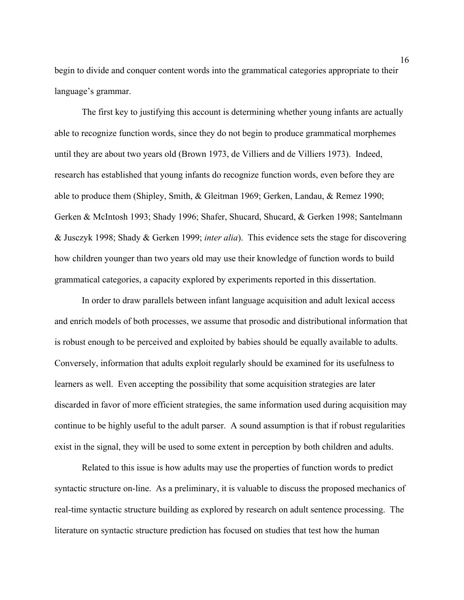begin to divide and conquer content words into the grammatical categories appropriate to their language's grammar.

The first key to justifying this account is determining whether young infants are actually able to recognize function words, since they do not begin to produce grammatical morphemes until they are about two years old (Brown 1973, de Villiers and de Villiers 1973). Indeed, research has established that young infants do recognize function words, even before they are able to produce them (Shipley, Smith, & Gleitman 1969; Gerken, Landau, & Remez 1990; Gerken & McIntosh 1993; Shady 1996; Shafer, Shucard, Shucard, & Gerken 1998; Santelmann & Jusczyk 1998; Shady & Gerken 1999; *inter alia*). This evidence sets the stage for discovering how children younger than two years old may use their knowledge of function words to build grammatical categories, a capacity explored by experiments reported in this dissertation.

In order to draw parallels between infant language acquisition and adult lexical access and enrich models of both processes, we assume that prosodic and distributional information that is robust enough to be perceived and exploited by babies should be equally available to adults. Conversely, information that adults exploit regularly should be examined for its usefulness to learners as well. Even accepting the possibility that some acquisition strategies are later discarded in favor of more efficient strategies, the same information used during acquisition may continue to be highly useful to the adult parser. A sound assumption is that if robust regularities exist in the signal, they will be used to some extent in perception by both children and adults.

Related to this issue is how adults may use the properties of function words to predict syntactic structure on-line. As a preliminary, it is valuable to discuss the proposed mechanics of real-time syntactic structure building as explored by research on adult sentence processing. The literature on syntactic structure prediction has focused on studies that test how the human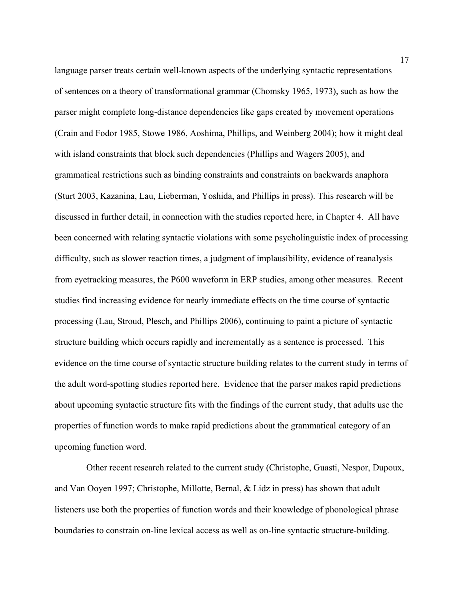language parser treats certain well-known aspects of the underlying syntactic representations of sentences on a theory of transformational grammar (Chomsky 1965, 1973), such as how the parser might complete long-distance dependencies like gaps created by movement operations (Crain and Fodor 1985, Stowe 1986, Aoshima, Phillips, and Weinberg 2004); how it might deal with island constraints that block such dependencies (Phillips and Wagers 2005), and grammatical restrictions such as binding constraints and constraints on backwards anaphora (Sturt 2003, Kazanina, Lau, Lieberman, Yoshida, and Phillips in press). This research will be discussed in further detail, in connection with the studies reported here, in Chapter 4. All have been concerned with relating syntactic violations with some psycholinguistic index of processing difficulty, such as slower reaction times, a judgment of implausibility, evidence of reanalysis from eyetracking measures, the P600 waveform in ERP studies, among other measures. Recent studies find increasing evidence for nearly immediate effects on the time course of syntactic processing (Lau, Stroud, Plesch, and Phillips 2006), continuing to paint a picture of syntactic structure building which occurs rapidly and incrementally as a sentence is processed. This evidence on the time course of syntactic structure building relates to the current study in terms of the adult word-spotting studies reported here. Evidence that the parser makes rapid predictions about upcoming syntactic structure fits with the findings of the current study, that adults use the properties of function words to make rapid predictions about the grammatical category of an upcoming function word.

 Other recent research related to the current study (Christophe, Guasti, Nespor, Dupoux, and Van Ooyen 1997; Christophe, Millotte, Bernal, & Lidz in press) has shown that adult listeners use both the properties of function words and their knowledge of phonological phrase boundaries to constrain on-line lexical access as well as on-line syntactic structure-building.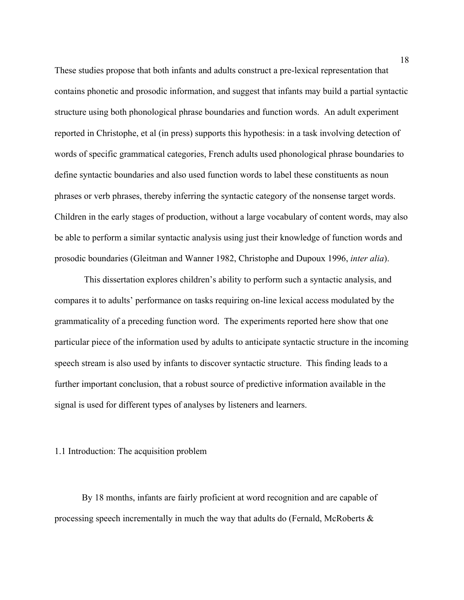These studies propose that both infants and adults construct a pre-lexical representation that contains phonetic and prosodic information, and suggest that infants may build a partial syntactic structure using both phonological phrase boundaries and function words. An adult experiment reported in Christophe, et al (in press) supports this hypothesis: in a task involving detection of words of specific grammatical categories, French adults used phonological phrase boundaries to define syntactic boundaries and also used function words to label these constituents as noun phrases or verb phrases, thereby inferring the syntactic category of the nonsense target words. Children in the early stages of production, without a large vocabulary of content words, may also be able to perform a similar syntactic analysis using just their knowledge of function words and prosodic boundaries (Gleitman and Wanner 1982, Christophe and Dupoux 1996, *inter alia*).

 This dissertation explores children's ability to perform such a syntactic analysis, and compares it to adults' performance on tasks requiring on-line lexical access modulated by the grammaticality of a preceding function word. The experiments reported here show that one particular piece of the information used by adults to anticipate syntactic structure in the incoming speech stream is also used by infants to discover syntactic structure. This finding leads to a further important conclusion, that a robust source of predictive information available in the signal is used for different types of analyses by listeners and learners.

### 1.1 Introduction: The acquisition problem

By 18 months, infants are fairly proficient at word recognition and are capable of processing speech incrementally in much the way that adults do (Fernald, McRoberts  $\&$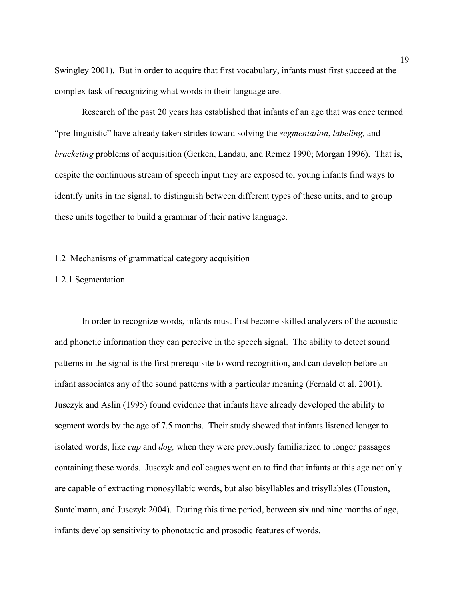Swingley 2001). But in order to acquire that first vocabulary, infants must first succeed at the complex task of recognizing what words in their language are.

Research of the past 20 years has established that infants of an age that was once termed "pre-linguistic" have already taken strides toward solving the *segmentation*, *labeling,* and *bracketing* problems of acquisition (Gerken, Landau, and Remez 1990; Morgan 1996). That is, despite the continuous stream of speech input they are exposed to, young infants find ways to identify units in the signal, to distinguish between different types of these units, and to group these units together to build a grammar of their native language.

### 1.2 Mechanisms of grammatical category acquisition

## 1.2.1 Segmentation

In order to recognize words, infants must first become skilled analyzers of the acoustic and phonetic information they can perceive in the speech signal. The ability to detect sound patterns in the signal is the first prerequisite to word recognition, and can develop before an infant associates any of the sound patterns with a particular meaning (Fernald et al. 2001). Jusczyk and Aslin (1995) found evidence that infants have already developed the ability to segment words by the age of 7.5 months. Their study showed that infants listened longer to isolated words, like *cup* and *dog,* when they were previously familiarized to longer passages containing these words. Jusczyk and colleagues went on to find that infants at this age not only are capable of extracting monosyllabic words, but also bisyllables and trisyllables (Houston, Santelmann, and Jusczyk 2004). During this time period, between six and nine months of age, infants develop sensitivity to phonotactic and prosodic features of words.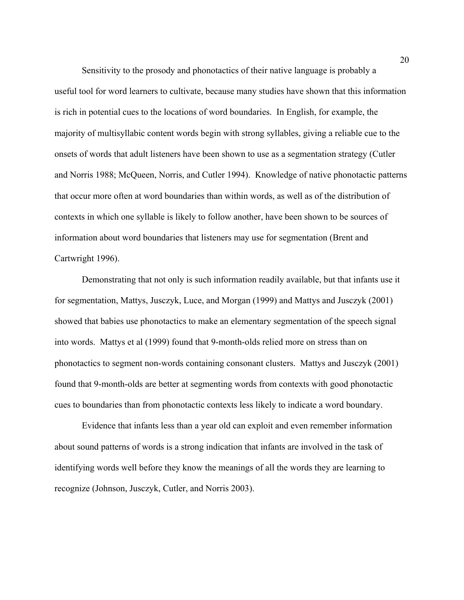Sensitivity to the prosody and phonotactics of their native language is probably a useful tool for word learners to cultivate, because many studies have shown that this information is rich in potential cues to the locations of word boundaries. In English, for example, the majority of multisyllabic content words begin with strong syllables, giving a reliable cue to the onsets of words that adult listeners have been shown to use as a segmentation strategy (Cutler and Norris 1988; McQueen, Norris, and Cutler 1994). Knowledge of native phonotactic patterns that occur more often at word boundaries than within words, as well as of the distribution of contexts in which one syllable is likely to follow another, have been shown to be sources of information about word boundaries that listeners may use for segmentation (Brent and Cartwright 1996).

Demonstrating that not only is such information readily available, but that infants use it for segmentation, Mattys, Jusczyk, Luce, and Morgan (1999) and Mattys and Jusczyk (2001) showed that babies use phonotactics to make an elementary segmentation of the speech signal into words. Mattys et al (1999) found that 9-month-olds relied more on stress than on phonotactics to segment non-words containing consonant clusters. Mattys and Jusczyk (2001) found that 9-month-olds are better at segmenting words from contexts with good phonotactic cues to boundaries than from phonotactic contexts less likely to indicate a word boundary.

Evidence that infants less than a year old can exploit and even remember information about sound patterns of words is a strong indication that infants are involved in the task of identifying words well before they know the meanings of all the words they are learning to recognize (Johnson, Jusczyk, Cutler, and Norris 2003).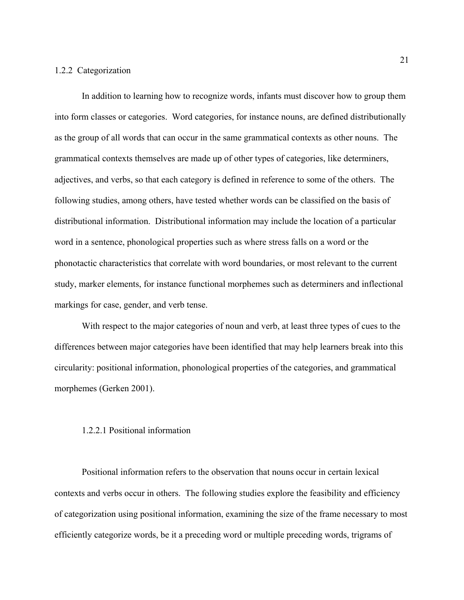### 1.2.2 Categorization

In addition to learning how to recognize words, infants must discover how to group them into form classes or categories. Word categories, for instance nouns, are defined distributionally as the group of all words that can occur in the same grammatical contexts as other nouns. The grammatical contexts themselves are made up of other types of categories, like determiners, adjectives, and verbs, so that each category is defined in reference to some of the others. The following studies, among others, have tested whether words can be classified on the basis of distributional information. Distributional information may include the location of a particular word in a sentence, phonological properties such as where stress falls on a word or the phonotactic characteristics that correlate with word boundaries, or most relevant to the current study, marker elements, for instance functional morphemes such as determiners and inflectional markings for case, gender, and verb tense.

With respect to the major categories of noun and verb, at least three types of cues to the differences between major categories have been identified that may help learners break into this circularity: positional information, phonological properties of the categories, and grammatical morphemes (Gerken 2001).

#### 1.2.2.1 Positional information

Positional information refers to the observation that nouns occur in certain lexical contexts and verbs occur in others. The following studies explore the feasibility and efficiency of categorization using positional information, examining the size of the frame necessary to most efficiently categorize words, be it a preceding word or multiple preceding words, trigrams of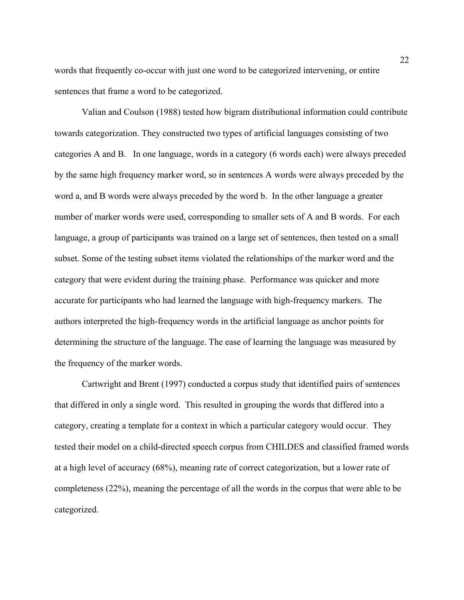words that frequently co-occur with just one word to be categorized intervening, or entire sentences that frame a word to be categorized.

Valian and Coulson (1988) tested how bigram distributional information could contribute towards categorization. They constructed two types of artificial languages consisting of two categories A and B. In one language, words in a category (6 words each) were always preceded by the same high frequency marker word, so in sentences A words were always preceded by the word a, and B words were always preceded by the word b. In the other language a greater number of marker words were used, corresponding to smaller sets of A and B words. For each language, a group of participants was trained on a large set of sentences, then tested on a small subset. Some of the testing subset items violated the relationships of the marker word and the category that were evident during the training phase. Performance was quicker and more accurate for participants who had learned the language with high-frequency markers. The authors interpreted the high-frequency words in the artificial language as anchor points for determining the structure of the language. The ease of learning the language was measured by the frequency of the marker words.

Cartwright and Brent (1997) conducted a corpus study that identified pairs of sentences that differed in only a single word. This resulted in grouping the words that differed into a category, creating a template for a context in which a particular category would occur. They tested their model on a child-directed speech corpus from CHILDES and classified framed words at a high level of accuracy (68%), meaning rate of correct categorization, but a lower rate of completeness (22%), meaning the percentage of all the words in the corpus that were able to be categorized.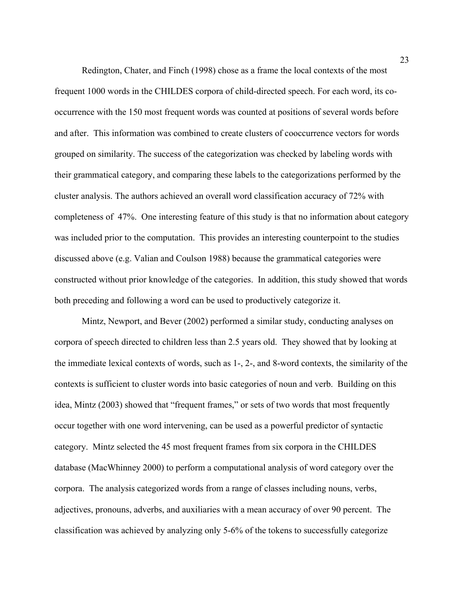Redington, Chater, and Finch (1998) chose as a frame the local contexts of the most frequent 1000 words in the CHILDES corpora of child-directed speech. For each word, its cooccurrence with the 150 most frequent words was counted at positions of several words before and after. This information was combined to create clusters of cooccurrence vectors for words grouped on similarity. The success of the categorization was checked by labeling words with their grammatical category, and comparing these labels to the categorizations performed by the cluster analysis. The authors achieved an overall word classification accuracy of 72% with completeness of 47%. One interesting feature of this study is that no information about category was included prior to the computation. This provides an interesting counterpoint to the studies discussed above (e.g. Valian and Coulson 1988) because the grammatical categories were constructed without prior knowledge of the categories. In addition, this study showed that words both preceding and following a word can be used to productively categorize it.

Mintz, Newport, and Bever (2002) performed a similar study, conducting analyses on corpora of speech directed to children less than 2.5 years old. They showed that by looking at the immediate lexical contexts of words, such as 1-, 2-, and 8-word contexts, the similarity of the contexts is sufficient to cluster words into basic categories of noun and verb. Building on this idea, Mintz (2003) showed that "frequent frames," or sets of two words that most frequently occur together with one word intervening, can be used as a powerful predictor of syntactic category. Mintz selected the 45 most frequent frames from six corpora in the CHILDES database (MacWhinney 2000) to perform a computational analysis of word category over the corpora. The analysis categorized words from a range of classes including nouns, verbs, adjectives, pronouns, adverbs, and auxiliaries with a mean accuracy of over 90 percent. The classification was achieved by analyzing only 5-6% of the tokens to successfully categorize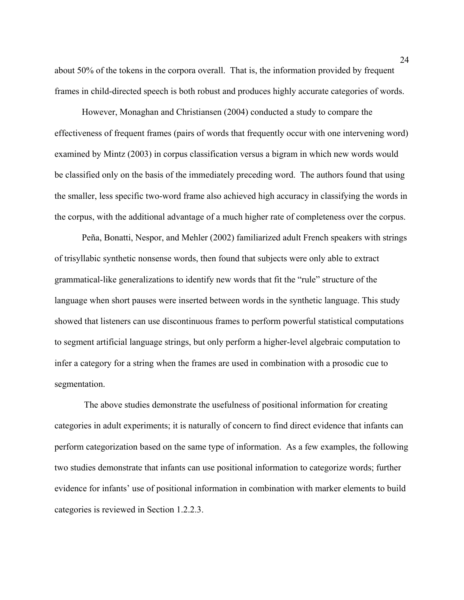about 50% of the tokens in the corpora overall. That is, the information provided by frequent frames in child-directed speech is both robust and produces highly accurate categories of words.

However, Monaghan and Christiansen (2004) conducted a study to compare the effectiveness of frequent frames (pairs of words that frequently occur with one intervening word) examined by Mintz (2003) in corpus classification versus a bigram in which new words would be classified only on the basis of the immediately preceding word. The authors found that using the smaller, less specific two-word frame also achieved high accuracy in classifying the words in the corpus, with the additional advantage of a much higher rate of completeness over the corpus.

Peña, Bonatti, Nespor, and Mehler (2002) familiarized adult French speakers with strings of trisyllabic synthetic nonsense words, then found that subjects were only able to extract grammatical-like generalizations to identify new words that fit the "rule" structure of the language when short pauses were inserted between words in the synthetic language. This study showed that listeners can use discontinuous frames to perform powerful statistical computations to segment artificial language strings, but only perform a higher-level algebraic computation to infer a category for a string when the frames are used in combination with a prosodic cue to segmentation.

 The above studies demonstrate the usefulness of positional information for creating categories in adult experiments; it is naturally of concern to find direct evidence that infants can perform categorization based on the same type of information. As a few examples, the following two studies demonstrate that infants can use positional information to categorize words; further evidence for infants' use of positional information in combination with marker elements to build categories is reviewed in Section 1.2.2.3.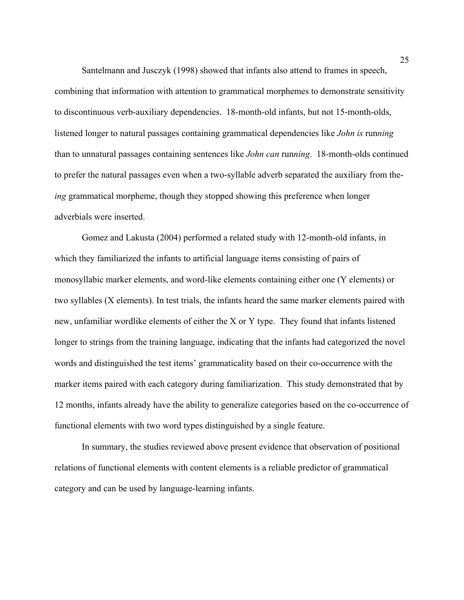Santelmann and Jusczyk (1998) showed that infants also attend to frames in speech, combining that information with attention to grammatical morphemes to demonstrate sensitivity to discontinuous verb-auxiliary dependencies. 18-month-old infants, but not 15-month-olds, listened longer to natural passages containing grammatical dependencies like *John is* run*ning*  than to unnatural passages containing sentences like *John can* run*ning*. 18-month-olds continued to prefer the natural passages even when a two-syllable adverb separated the auxiliary from the*ing* grammatical morpheme, though they stopped showing this preference when longer adverbials were inserted.

Gomez and Lakusta (2004) performed a related study with 12-month-old infants, in which they familiarized the infants to artificial language items consisting of pairs of monosyllabic marker elements, and word-like elements containing either one (Y elements) or two syllables (X elements). In test trials, the infants heard the same marker elements paired with new, unfamiliar wordlike elements of either the X or Y type. They found that infants listened longer to strings from the training language, indicating that the infants had categorized the novel words and distinguished the test items' grammaticality based on their co-occurrence with the marker items paired with each category during familiarization. This study demonstrated that by 12 months, infants already have the ability to generalize categories based on the co-occurrence of functional elements with two word types distinguished by a single feature.

In summary, the studies reviewed above present evidence that observation of positional relations of functional elements with content elements is a reliable predictor of grammatical category and can be used by language-learning infants.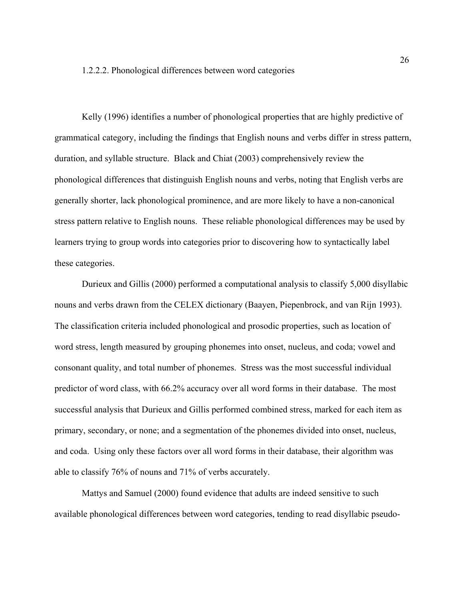Kelly (1996) identifies a number of phonological properties that are highly predictive of grammatical category, including the findings that English nouns and verbs differ in stress pattern, duration, and syllable structure. Black and Chiat (2003) comprehensively review the phonological differences that distinguish English nouns and verbs, noting that English verbs are generally shorter, lack phonological prominence, and are more likely to have a non-canonical stress pattern relative to English nouns. These reliable phonological differences may be used by learners trying to group words into categories prior to discovering how to syntactically label these categories.

Durieux and Gillis (2000) performed a computational analysis to classify 5,000 disyllabic nouns and verbs drawn from the CELEX dictionary (Baayen, Piepenbrock, and van Rijn 1993). The classification criteria included phonological and prosodic properties, such as location of word stress, length measured by grouping phonemes into onset, nucleus, and coda; vowel and consonant quality, and total number of phonemes. Stress was the most successful individual predictor of word class, with 66.2% accuracy over all word forms in their database. The most successful analysis that Durieux and Gillis performed combined stress, marked for each item as primary, secondary, or none; and a segmentation of the phonemes divided into onset, nucleus, and coda. Using only these factors over all word forms in their database, their algorithm was able to classify 76% of nouns and 71% of verbs accurately.

Mattys and Samuel (2000) found evidence that adults are indeed sensitive to such available phonological differences between word categories, tending to read disyllabic pseudo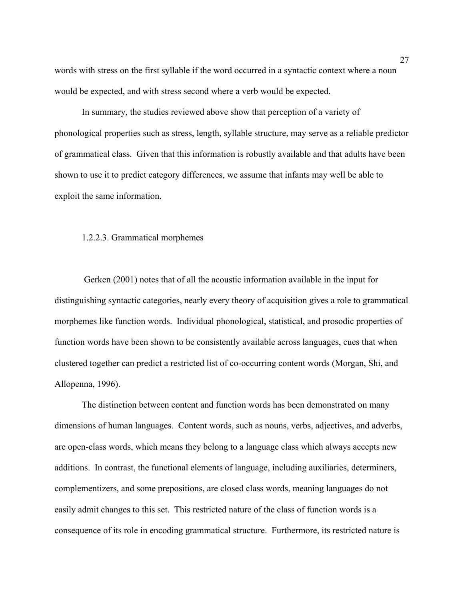words with stress on the first syllable if the word occurred in a syntactic context where a noun would be expected, and with stress second where a verb would be expected.

 In summary, the studies reviewed above show that perception of a variety of phonological properties such as stress, length, syllable structure, may serve as a reliable predictor of grammatical class. Given that this information is robustly available and that adults have been shown to use it to predict category differences, we assume that infants may well be able to exploit the same information.

#### 1.2.2.3. Grammatical morphemes

Gerken (2001) notes that of all the acoustic information available in the input for distinguishing syntactic categories, nearly every theory of acquisition gives a role to grammatical morphemes like function words. Individual phonological, statistical, and prosodic properties of function words have been shown to be consistently available across languages, cues that when clustered together can predict a restricted list of co-occurring content words (Morgan, Shi, and Allopenna, 1996).

The distinction between content and function words has been demonstrated on many dimensions of human languages. Content words, such as nouns, verbs, adjectives, and adverbs, are open-class words, which means they belong to a language class which always accepts new additions. In contrast, the functional elements of language, including auxiliaries, determiners, complementizers, and some prepositions, are closed class words, meaning languages do not easily admit changes to this set. This restricted nature of the class of function words is a consequence of its role in encoding grammatical structure. Furthermore, its restricted nature is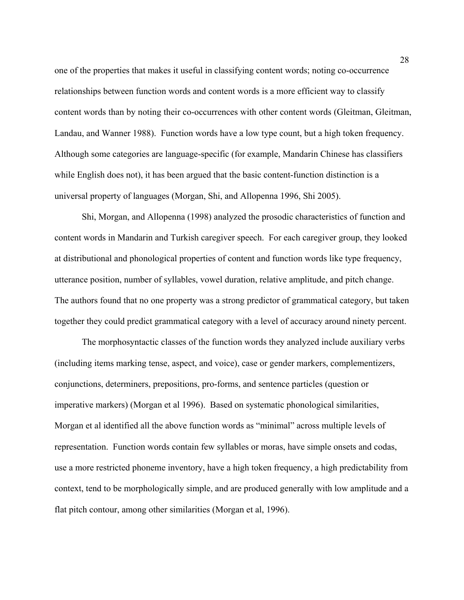one of the properties that makes it useful in classifying content words; noting co-occurrence relationships between function words and content words is a more efficient way to classify content words than by noting their co-occurrences with other content words (Gleitman, Gleitman, Landau, and Wanner 1988). Function words have a low type count, but a high token frequency. Although some categories are language-specific (for example, Mandarin Chinese has classifiers while English does not), it has been argued that the basic content-function distinction is a universal property of languages (Morgan, Shi, and Allopenna 1996, Shi 2005).

Shi, Morgan, and Allopenna (1998) analyzed the prosodic characteristics of function and content words in Mandarin and Turkish caregiver speech. For each caregiver group, they looked at distributional and phonological properties of content and function words like type frequency, utterance position, number of syllables, vowel duration, relative amplitude, and pitch change. The authors found that no one property was a strong predictor of grammatical category, but taken together they could predict grammatical category with a level of accuracy around ninety percent.

The morphosyntactic classes of the function words they analyzed include auxiliary verbs (including items marking tense, aspect, and voice), case or gender markers, complementizers, conjunctions, determiners, prepositions, pro-forms, and sentence particles (question or imperative markers) (Morgan et al 1996). Based on systematic phonological similarities, Morgan et al identified all the above function words as "minimal" across multiple levels of representation. Function words contain few syllables or moras, have simple onsets and codas, use a more restricted phoneme inventory, have a high token frequency, a high predictability from context, tend to be morphologically simple, and are produced generally with low amplitude and a flat pitch contour, among other similarities (Morgan et al, 1996).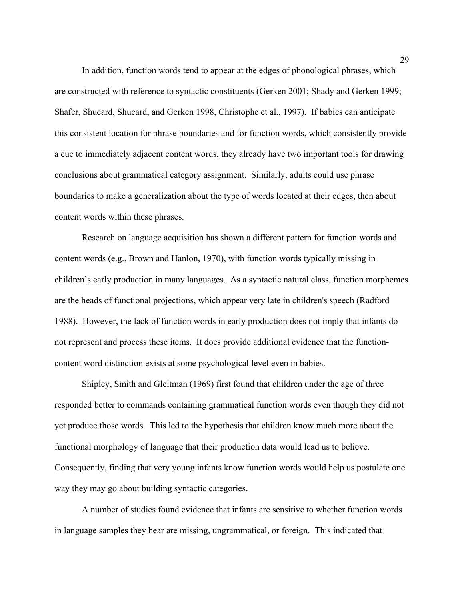In addition, function words tend to appear at the edges of phonological phrases, which are constructed with reference to syntactic constituents (Gerken 2001; Shady and Gerken 1999; Shafer, Shucard, Shucard, and Gerken 1998, Christophe et al., 1997). If babies can anticipate this consistent location for phrase boundaries and for function words, which consistently provide a cue to immediately adjacent content words, they already have two important tools for drawing conclusions about grammatical category assignment. Similarly, adults could use phrase boundaries to make a generalization about the type of words located at their edges, then about content words within these phrases.

Research on language acquisition has shown a different pattern for function words and content words (e.g., Brown and Hanlon, 1970), with function words typically missing in children's early production in many languages. As a syntactic natural class, function morphemes are the heads of functional projections, which appear very late in children's speech (Radford 1988). However, the lack of function words in early production does not imply that infants do not represent and process these items. It does provide additional evidence that the functioncontent word distinction exists at some psychological level even in babies.

Shipley, Smith and Gleitman (1969) first found that children under the age of three responded better to commands containing grammatical function words even though they did not yet produce those words. This led to the hypothesis that children know much more about the functional morphology of language that their production data would lead us to believe. Consequently, finding that very young infants know function words would help us postulate one way they may go about building syntactic categories.

A number of studies found evidence that infants are sensitive to whether function words in language samples they hear are missing, ungrammatical, or foreign. This indicated that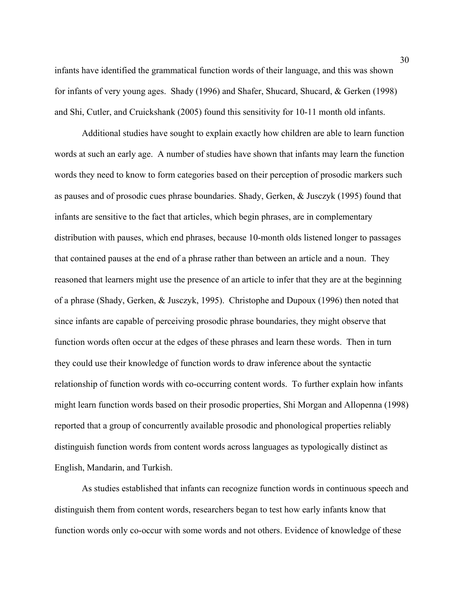infants have identified the grammatical function words of their language, and this was shown for infants of very young ages. Shady (1996) and Shafer, Shucard, Shucard, & Gerken (1998) and Shi, Cutler, and Cruickshank (2005) found this sensitivity for 10-11 month old infants.

Additional studies have sought to explain exactly how children are able to learn function words at such an early age. A number of studies have shown that infants may learn the function words they need to know to form categories based on their perception of prosodic markers such as pauses and of prosodic cues phrase boundaries. Shady, Gerken, & Jusczyk (1995) found that infants are sensitive to the fact that articles, which begin phrases, are in complementary distribution with pauses, which end phrases, because 10-month olds listened longer to passages that contained pauses at the end of a phrase rather than between an article and a noun. They reasoned that learners might use the presence of an article to infer that they are at the beginning of a phrase (Shady, Gerken, & Jusczyk, 1995). Christophe and Dupoux (1996) then noted that since infants are capable of perceiving prosodic phrase boundaries, they might observe that function words often occur at the edges of these phrases and learn these words. Then in turn they could use their knowledge of function words to draw inference about the syntactic relationship of function words with co-occurring content words. To further explain how infants might learn function words based on their prosodic properties, Shi Morgan and Allopenna (1998) reported that a group of concurrently available prosodic and phonological properties reliably distinguish function words from content words across languages as typologically distinct as English, Mandarin, and Turkish.

 As studies established that infants can recognize function words in continuous speech and distinguish them from content words, researchers began to test how early infants know that function words only co-occur with some words and not others. Evidence of knowledge of these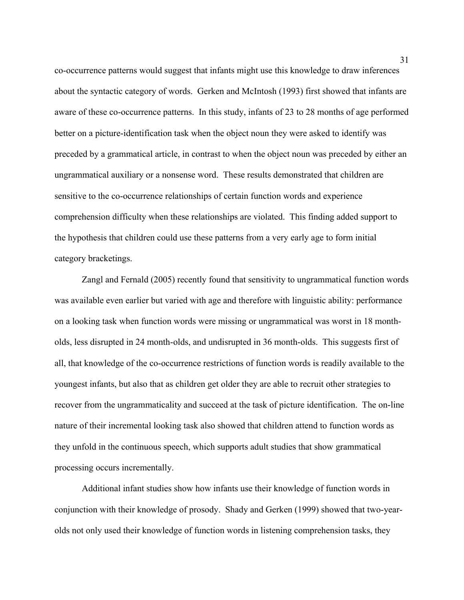co-occurrence patterns would suggest that infants might use this knowledge to draw inferences about the syntactic category of words. Gerken and McIntosh (1993) first showed that infants are aware of these co-occurrence patterns. In this study, infants of 23 to 28 months of age performed better on a picture-identification task when the object noun they were asked to identify was preceded by a grammatical article, in contrast to when the object noun was preceded by either an ungrammatical auxiliary or a nonsense word. These results demonstrated that children are sensitive to the co-occurrence relationships of certain function words and experience comprehension difficulty when these relationships are violated. This finding added support to the hypothesis that children could use these patterns from a very early age to form initial category bracketings.

Zangl and Fernald (2005) recently found that sensitivity to ungrammatical function words was available even earlier but varied with age and therefore with linguistic ability: performance on a looking task when function words were missing or ungrammatical was worst in 18 montholds, less disrupted in 24 month-olds, and undisrupted in 36 month-olds. This suggests first of all, that knowledge of the co-occurrence restrictions of function words is readily available to the youngest infants, but also that as children get older they are able to recruit other strategies to recover from the ungrammaticality and succeed at the task of picture identification. The on-line nature of their incremental looking task also showed that children attend to function words as they unfold in the continuous speech, which supports adult studies that show grammatical processing occurs incrementally.

Additional infant studies show how infants use their knowledge of function words in conjunction with their knowledge of prosody. Shady and Gerken (1999) showed that two-yearolds not only used their knowledge of function words in listening comprehension tasks, they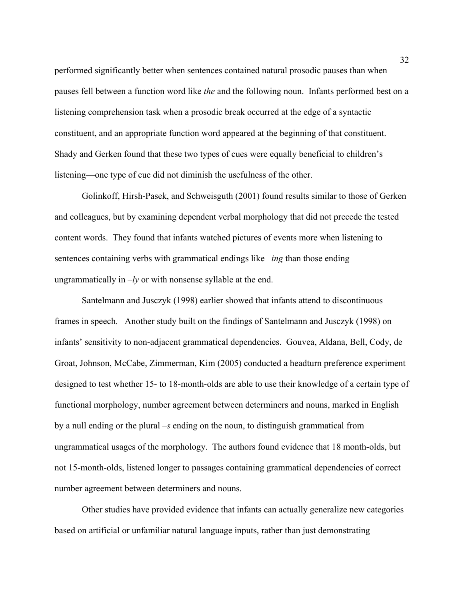performed significantly better when sentences contained natural prosodic pauses than when pauses fell between a function word like *the* and the following noun. Infants performed best on a listening comprehension task when a prosodic break occurred at the edge of a syntactic constituent, and an appropriate function word appeared at the beginning of that constituent. Shady and Gerken found that these two types of cues were equally beneficial to children's listening—one type of cue did not diminish the usefulness of the other.

Golinkoff, Hirsh-Pasek, and Schweisguth (2001) found results similar to those of Gerken and colleagues, but by examining dependent verbal morphology that did not precede the tested content words. They found that infants watched pictures of events more when listening to sentences containing verbs with grammatical endings like *–ing* than those ending ungrammatically in  $-ly$  or with nonsense syllable at the end.

 Santelmann and Jusczyk (1998) earlier showed that infants attend to discontinuous frames in speech. Another study built on the findings of Santelmann and Jusczyk (1998) on infants' sensitivity to non-adjacent grammatical dependencies. Gouvea, Aldana, Bell, Cody, de Groat, Johnson, McCabe, Zimmerman, Kim (2005) conducted a headturn preference experiment designed to test whether 15- to 18-month-olds are able to use their knowledge of a certain type of functional morphology, number agreement between determiners and nouns, marked in English by a null ending or the plural *–s* ending on the noun, to distinguish grammatical from ungrammatical usages of the morphology. The authors found evidence that 18 month-olds, but not 15-month-olds, listened longer to passages containing grammatical dependencies of correct number agreement between determiners and nouns.

Other studies have provided evidence that infants can actually generalize new categories based on artificial or unfamiliar natural language inputs, rather than just demonstrating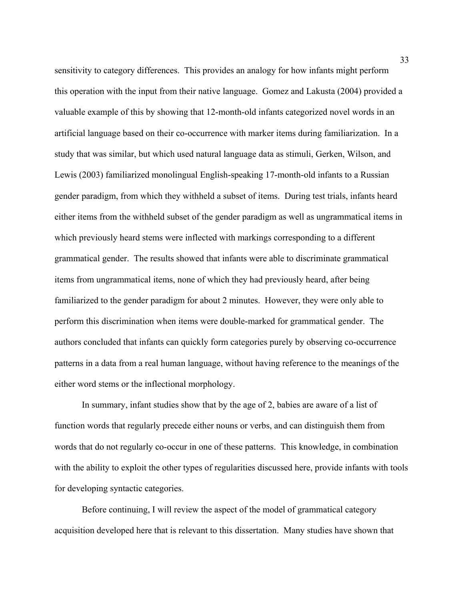sensitivity to category differences. This provides an analogy for how infants might perform this operation with the input from their native language. Gomez and Lakusta (2004) provided a valuable example of this by showing that 12-month-old infants categorized novel words in an artificial language based on their co-occurrence with marker items during familiarization. In a study that was similar, but which used natural language data as stimuli, Gerken, Wilson, and Lewis (2003) familiarized monolingual English-speaking 17-month-old infants to a Russian gender paradigm, from which they withheld a subset of items. During test trials, infants heard either items from the withheld subset of the gender paradigm as well as ungrammatical items in which previously heard stems were inflected with markings corresponding to a different grammatical gender. The results showed that infants were able to discriminate grammatical items from ungrammatical items, none of which they had previously heard, after being familiarized to the gender paradigm for about 2 minutes. However, they were only able to perform this discrimination when items were double-marked for grammatical gender. The authors concluded that infants can quickly form categories purely by observing co-occurrence patterns in a data from a real human language, without having reference to the meanings of the either word stems or the inflectional morphology.

In summary, infant studies show that by the age of 2, babies are aware of a list of function words that regularly precede either nouns or verbs, and can distinguish them from words that do not regularly co-occur in one of these patterns. This knowledge, in combination with the ability to exploit the other types of regularities discussed here, provide infants with tools for developing syntactic categories.

Before continuing, I will review the aspect of the model of grammatical category acquisition developed here that is relevant to this dissertation. Many studies have shown that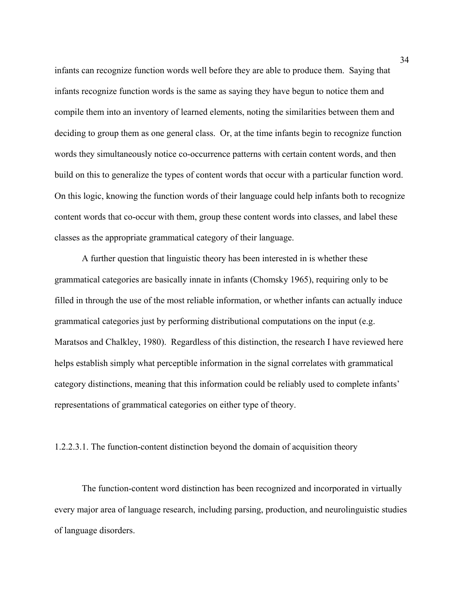infants can recognize function words well before they are able to produce them. Saying that infants recognize function words is the same as saying they have begun to notice them and compile them into an inventory of learned elements, noting the similarities between them and deciding to group them as one general class. Or, at the time infants begin to recognize function words they simultaneously notice co-occurrence patterns with certain content words, and then build on this to generalize the types of content words that occur with a particular function word. On this logic, knowing the function words of their language could help infants both to recognize content words that co-occur with them, group these content words into classes, and label these classes as the appropriate grammatical category of their language.

A further question that linguistic theory has been interested in is whether these grammatical categories are basically innate in infants (Chomsky 1965), requiring only to be filled in through the use of the most reliable information, or whether infants can actually induce grammatical categories just by performing distributional computations on the input (e.g. Maratsos and Chalkley, 1980). Regardless of this distinction, the research I have reviewed here helps establish simply what perceptible information in the signal correlates with grammatical category distinctions, meaning that this information could be reliably used to complete infants' representations of grammatical categories on either type of theory.

### 1.2.2.3.1. The function-content distinction beyond the domain of acquisition theory

The function-content word distinction has been recognized and incorporated in virtually every major area of language research, including parsing, production, and neurolinguistic studies of language disorders.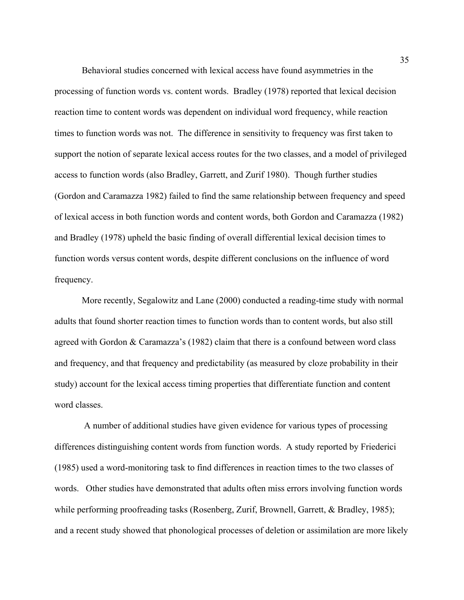Behavioral studies concerned with lexical access have found asymmetries in the processing of function words vs. content words. Bradley (1978) reported that lexical decision reaction time to content words was dependent on individual word frequency, while reaction times to function words was not. The difference in sensitivity to frequency was first taken to support the notion of separate lexical access routes for the two classes, and a model of privileged access to function words (also Bradley, Garrett, and Zurif 1980). Though further studies (Gordon and Caramazza 1982) failed to find the same relationship between frequency and speed of lexical access in both function words and content words, both Gordon and Caramazza (1982) and Bradley (1978) upheld the basic finding of overall differential lexical decision times to function words versus content words, despite different conclusions on the influence of word frequency.

More recently, Segalowitz and Lane (2000) conducted a reading-time study with normal adults that found shorter reaction times to function words than to content words, but also still agreed with Gordon & Caramazza's (1982) claim that there is a confound between word class and frequency, and that frequency and predictability (as measured by cloze probability in their study) account for the lexical access timing properties that differentiate function and content word classes.

 A number of additional studies have given evidence for various types of processing differences distinguishing content words from function words. A study reported by Friederici (1985) used a word-monitoring task to find differences in reaction times to the two classes of words. Other studies have demonstrated that adults often miss errors involving function words while performing proofreading tasks (Rosenberg, Zurif, Brownell, Garrett, & Bradley, 1985); and a recent study showed that phonological processes of deletion or assimilation are more likely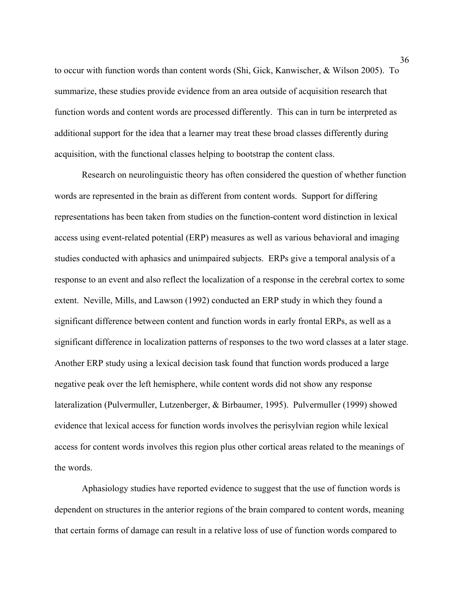to occur with function words than content words (Shi, Gick, Kanwischer, & Wilson 2005). To summarize, these studies provide evidence from an area outside of acquisition research that function words and content words are processed differently. This can in turn be interpreted as additional support for the idea that a learner may treat these broad classes differently during acquisition, with the functional classes helping to bootstrap the content class.

Research on neurolinguistic theory has often considered the question of whether function words are represented in the brain as different from content words. Support for differing representations has been taken from studies on the function-content word distinction in lexical access using event-related potential (ERP) measures as well as various behavioral and imaging studies conducted with aphasics and unimpaired subjects. ERPs give a temporal analysis of a response to an event and also reflect the localization of a response in the cerebral cortex to some extent. Neville, Mills, and Lawson (1992) conducted an ERP study in which they found a significant difference between content and function words in early frontal ERPs, as well as a significant difference in localization patterns of responses to the two word classes at a later stage. Another ERP study using a lexical decision task found that function words produced a large negative peak over the left hemisphere, while content words did not show any response lateralization (Pulvermuller, Lutzenberger, & Birbaumer, 1995). Pulvermuller (1999) showed evidence that lexical access for function words involves the perisylvian region while lexical access for content words involves this region plus other cortical areas related to the meanings of the words.

Aphasiology studies have reported evidence to suggest that the use of function words is dependent on structures in the anterior regions of the brain compared to content words, meaning that certain forms of damage can result in a relative loss of use of function words compared to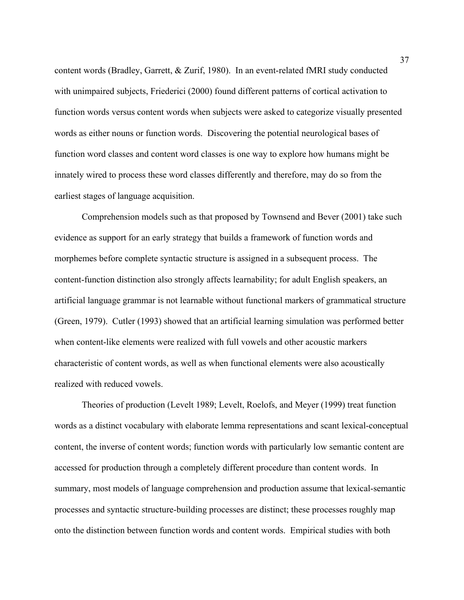content words (Bradley, Garrett, & Zurif, 1980). In an event-related fMRI study conducted with unimpaired subjects, Friederici (2000) found different patterns of cortical activation to function words versus content words when subjects were asked to categorize visually presented words as either nouns or function words. Discovering the potential neurological bases of function word classes and content word classes is one way to explore how humans might be innately wired to process these word classes differently and therefore, may do so from the earliest stages of language acquisition.

Comprehension models such as that proposed by Townsend and Bever (2001) take such evidence as support for an early strategy that builds a framework of function words and morphemes before complete syntactic structure is assigned in a subsequent process. The content-function distinction also strongly affects learnability; for adult English speakers, an artificial language grammar is not learnable without functional markers of grammatical structure (Green, 1979). Cutler (1993) showed that an artificial learning simulation was performed better when content-like elements were realized with full vowels and other acoustic markers characteristic of content words, as well as when functional elements were also acoustically realized with reduced vowels.

Theories of production (Levelt 1989; Levelt, Roelofs, and Meyer (1999) treat function words as a distinct vocabulary with elaborate lemma representations and scant lexical-conceptual content, the inverse of content words; function words with particularly low semantic content are accessed for production through a completely different procedure than content words. In summary, most models of language comprehension and production assume that lexical-semantic processes and syntactic structure-building processes are distinct; these processes roughly map onto the distinction between function words and content words. Empirical studies with both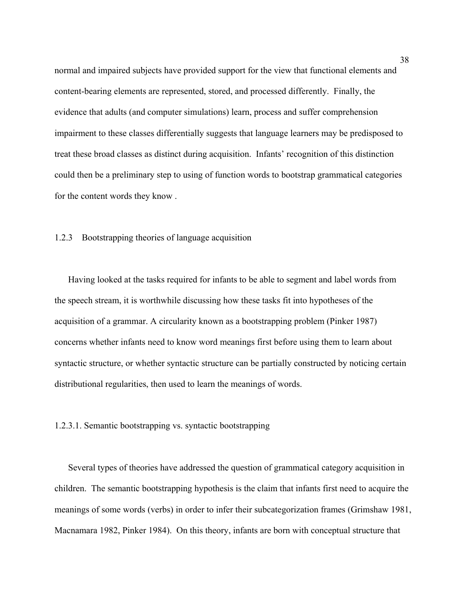normal and impaired subjects have provided support for the view that functional elements and content-bearing elements are represented, stored, and processed differently. Finally, the evidence that adults (and computer simulations) learn, process and suffer comprehension impairment to these classes differentially suggests that language learners may be predisposed to treat these broad classes as distinct during acquisition. Infants' recognition of this distinction could then be a preliminary step to using of function words to bootstrap grammatical categories for the content words they know .

# 1.2.3 Bootstrapping theories of language acquisition

Having looked at the tasks required for infants to be able to segment and label words from the speech stream, it is worthwhile discussing how these tasks fit into hypotheses of the acquisition of a grammar. A circularity known as a bootstrapping problem (Pinker 1987) concerns whether infants need to know word meanings first before using them to learn about syntactic structure, or whether syntactic structure can be partially constructed by noticing certain distributional regularities, then used to learn the meanings of words.

## 1.2.3.1. Semantic bootstrapping vs. syntactic bootstrapping

Several types of theories have addressed the question of grammatical category acquisition in children. The semantic bootstrapping hypothesis is the claim that infants first need to acquire the meanings of some words (verbs) in order to infer their subcategorization frames (Grimshaw 1981, Macnamara 1982, Pinker 1984). On this theory, infants are born with conceptual structure that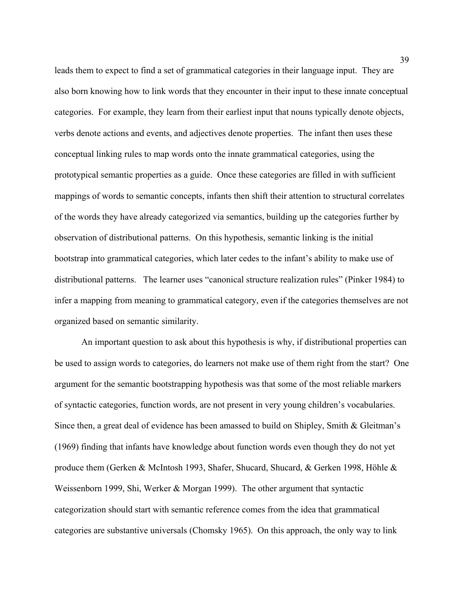leads them to expect to find a set of grammatical categories in their language input. They are also born knowing how to link words that they encounter in their input to these innate conceptual categories. For example, they learn from their earliest input that nouns typically denote objects, verbs denote actions and events, and adjectives denote properties. The infant then uses these conceptual linking rules to map words onto the innate grammatical categories, using the prototypical semantic properties as a guide. Once these categories are filled in with sufficient mappings of words to semantic concepts, infants then shift their attention to structural correlates of the words they have already categorized via semantics, building up the categories further by observation of distributional patterns. On this hypothesis, semantic linking is the initial bootstrap into grammatical categories, which later cedes to the infant's ability to make use of distributional patterns. The learner uses "canonical structure realization rules" (Pinker 1984) to infer a mapping from meaning to grammatical category, even if the categories themselves are not organized based on semantic similarity.

An important question to ask about this hypothesis is why, if distributional properties can be used to assign words to categories, do learners not make use of them right from the start? One argument for the semantic bootstrapping hypothesis was that some of the most reliable markers of syntactic categories, function words, are not present in very young children's vocabularies. Since then, a great deal of evidence has been amassed to build on Shipley, Smith & Gleitman's (1969) finding that infants have knowledge about function words even though they do not yet produce them (Gerken & McIntosh 1993, Shafer, Shucard, Shucard, & Gerken 1998, Höhle & Weissenborn 1999, Shi, Werker & Morgan 1999). The other argument that syntactic categorization should start with semantic reference comes from the idea that grammatical categories are substantive universals (Chomsky 1965). On this approach, the only way to link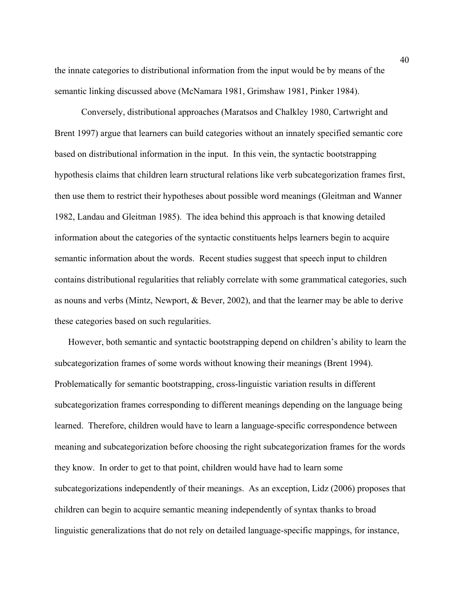the innate categories to distributional information from the input would be by means of the semantic linking discussed above (McNamara 1981, Grimshaw 1981, Pinker 1984).

Conversely, distributional approaches (Maratsos and Chalkley 1980, Cartwright and Brent 1997) argue that learners can build categories without an innately specified semantic core based on distributional information in the input. In this vein, the syntactic bootstrapping hypothesis claims that children learn structural relations like verb subcategorization frames first, then use them to restrict their hypotheses about possible word meanings (Gleitman and Wanner 1982, Landau and Gleitman 1985). The idea behind this approach is that knowing detailed information about the categories of the syntactic constituents helps learners begin to acquire semantic information about the words. Recent studies suggest that speech input to children contains distributional regularities that reliably correlate with some grammatical categories, such as nouns and verbs (Mintz, Newport, & Bever, 2002), and that the learner may be able to derive these categories based on such regularities.

However, both semantic and syntactic bootstrapping depend on children's ability to learn the subcategorization frames of some words without knowing their meanings (Brent 1994). Problematically for semantic bootstrapping, cross-linguistic variation results in different subcategorization frames corresponding to different meanings depending on the language being learned. Therefore, children would have to learn a language-specific correspondence between meaning and subcategorization before choosing the right subcategorization frames for the words they know. In order to get to that point, children would have had to learn some subcategorizations independently of their meanings. As an exception, Lidz (2006) proposes that children can begin to acquire semantic meaning independently of syntax thanks to broad linguistic generalizations that do not rely on detailed language-specific mappings, for instance,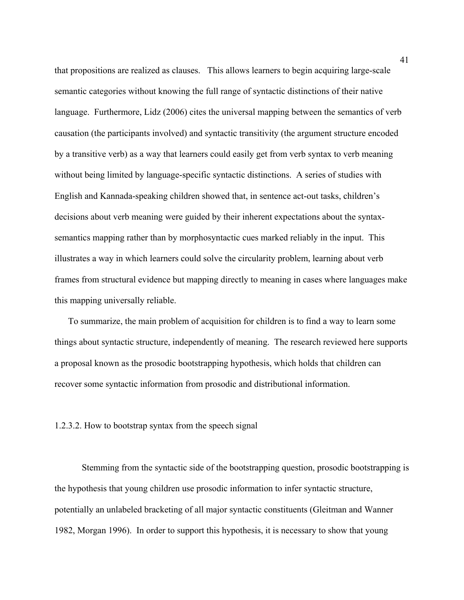that propositions are realized as clauses. This allows learners to begin acquiring large-scale semantic categories without knowing the full range of syntactic distinctions of their native language. Furthermore, Lidz (2006) cites the universal mapping between the semantics of verb causation (the participants involved) and syntactic transitivity (the argument structure encoded by a transitive verb) as a way that learners could easily get from verb syntax to verb meaning without being limited by language-specific syntactic distinctions. A series of studies with English and Kannada-speaking children showed that, in sentence act-out tasks, children's decisions about verb meaning were guided by their inherent expectations about the syntaxsemantics mapping rather than by morphosyntactic cues marked reliably in the input. This illustrates a way in which learners could solve the circularity problem, learning about verb frames from structural evidence but mapping directly to meaning in cases where languages make this mapping universally reliable.

To summarize, the main problem of acquisition for children is to find a way to learn some things about syntactic structure, independently of meaning. The research reviewed here supports a proposal known as the prosodic bootstrapping hypothesis, which holds that children can recover some syntactic information from prosodic and distributional information.

## 1.2.3.2. How to bootstrap syntax from the speech signal

Stemming from the syntactic side of the bootstrapping question, prosodic bootstrapping is the hypothesis that young children use prosodic information to infer syntactic structure, potentially an unlabeled bracketing of all major syntactic constituents (Gleitman and Wanner 1982, Morgan 1996). In order to support this hypothesis, it is necessary to show that young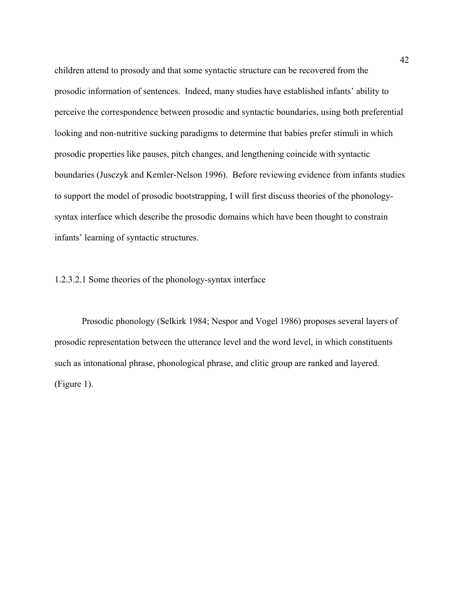children attend to prosody and that some syntactic structure can be recovered from the prosodic information of sentences. Indeed, many studies have established infants' ability to perceive the correspondence between prosodic and syntactic boundaries, using both preferential looking and non-nutritive sucking paradigms to determine that babies prefer stimuli in which prosodic properties like pauses, pitch changes, and lengthening coincide with syntactic boundaries (Jusczyk and Kemler-Nelson 1996). Before reviewing evidence from infants studies to support the model of prosodic bootstrapping, I will first discuss theories of the phonologysyntax interface which describe the prosodic domains which have been thought to constrain infants' learning of syntactic structures.

# 1.2.3.2.1 Some theories of the phonology-syntax interface

Prosodic phonology (Selkirk 1984; Nespor and Vogel 1986) proposes several layers of prosodic representation between the utterance level and the word level, in which constituents such as intonational phrase, phonological phrase, and clitic group are ranked and layered. (Figure 1).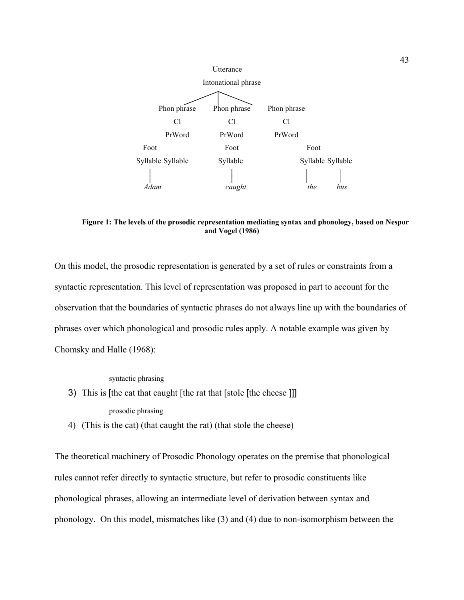

**Figure 1: The levels of the prosodic representation mediating syntax and phonology, based on Nespor and Vogel (1986)** 

On this model, the prosodic representation is generated by a set of rules or constraints from a syntactic representation. This level of representation was proposed in part to account for the observation that the boundaries of syntactic phrases do not always line up with the boundaries of phrases over which phonological and prosodic rules apply. A notable example was given by Chomsky and Halle (1968):

syntactic phrasing

- 3) This is [the cat that caught [the rat that [stole [the cheese ]]] prosodic phrasing
- 4) (This is the cat) (that caught the rat) (that stole the cheese)

The theoretical machinery of Prosodic Phonology operates on the premise that phonological rules cannot refer directly to syntactic structure, but refer to prosodic constituents like phonological phrases, allowing an intermediate level of derivation between syntax and phonology. On this model, mismatches like (3) and (4) due to non-isomorphism between the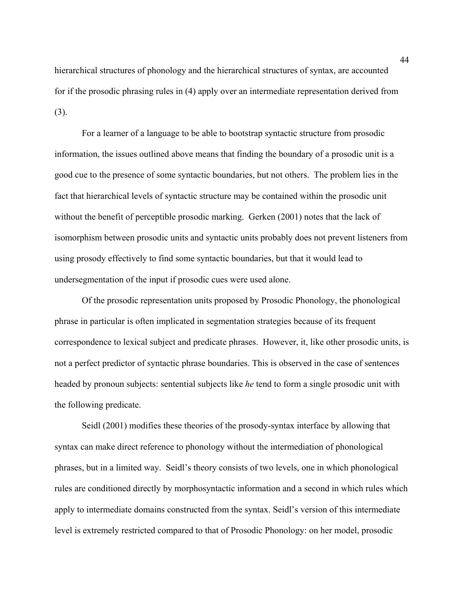hierarchical structures of phonology and the hierarchical structures of syntax, are accounted for if the prosodic phrasing rules in (4) apply over an intermediate representation derived from (3).

For a learner of a language to be able to bootstrap syntactic structure from prosodic information, the issues outlined above means that finding the boundary of a prosodic unit is a good cue to the presence of some syntactic boundaries, but not others. The problem lies in the fact that hierarchical levels of syntactic structure may be contained within the prosodic unit without the benefit of perceptible prosodic marking. Gerken (2001) notes that the lack of isomorphism between prosodic units and syntactic units probably does not prevent listeners from using prosody effectively to find some syntactic boundaries, but that it would lead to undersegmentation of the input if prosodic cues were used alone.

Of the prosodic representation units proposed by Prosodic Phonology, the phonological phrase in particular is often implicated in segmentation strategies because of its frequent correspondence to lexical subject and predicate phrases. However, it, like other prosodic units, is not a perfect predictor of syntactic phrase boundaries. This is observed in the case of sentences headed by pronoun subjects: sentential subjects like *he* tend to form a single prosodic unit with the following predicate.

Seidl (2001) modifies these theories of the prosody-syntax interface by allowing that syntax can make direct reference to phonology without the intermediation of phonological phrases, but in a limited way. Seidl's theory consists of two levels, one in which phonological rules are conditioned directly by morphosyntactic information and a second in which rules which apply to intermediate domains constructed from the syntax. Seidl's version of this intermediate level is extremely restricted compared to that of Prosodic Phonology: on her model, prosodic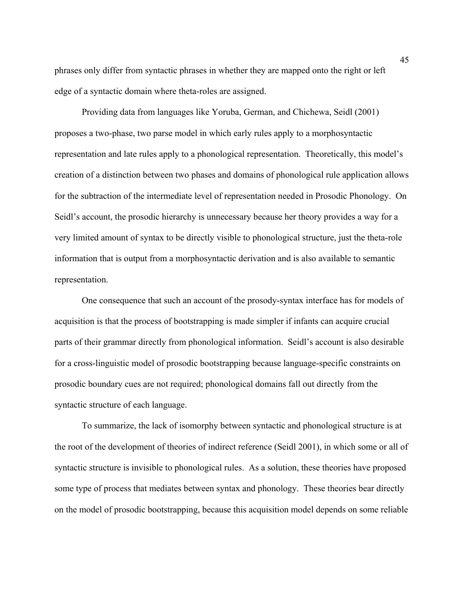phrases only differ from syntactic phrases in whether they are mapped onto the right or left edge of a syntactic domain where theta-roles are assigned.

Providing data from languages like Yoruba, German, and Chichewa, Seidl (2001) proposes a two-phase, two parse model in which early rules apply to a morphosyntactic representation and late rules apply to a phonological representation. Theoretically, this model's creation of a distinction between two phases and domains of phonological rule application allows for the subtraction of the intermediate level of representation needed in Prosodic Phonology. On Seidl's account, the prosodic hierarchy is unnecessary because her theory provides a way for a very limited amount of syntax to be directly visible to phonological structure, just the theta-role information that is output from a morphosyntactic derivation and is also available to semantic representation.

One consequence that such an account of the prosody-syntax interface has for models of acquisition is that the process of bootstrapping is made simpler if infants can acquire crucial parts of their grammar directly from phonological information. Seidl's account is also desirable for a cross-linguistic model of prosodic bootstrapping because language-specific constraints on prosodic boundary cues are not required; phonological domains fall out directly from the syntactic structure of each language.

To summarize, the lack of isomorphy between syntactic and phonological structure is at the root of the development of theories of indirect reference (Seidl 2001), in which some or all of syntactic structure is invisible to phonological rules. As a solution, these theories have proposed some type of process that mediates between syntax and phonology. These theories bear directly on the model of prosodic bootstrapping, because this acquisition model depends on some reliable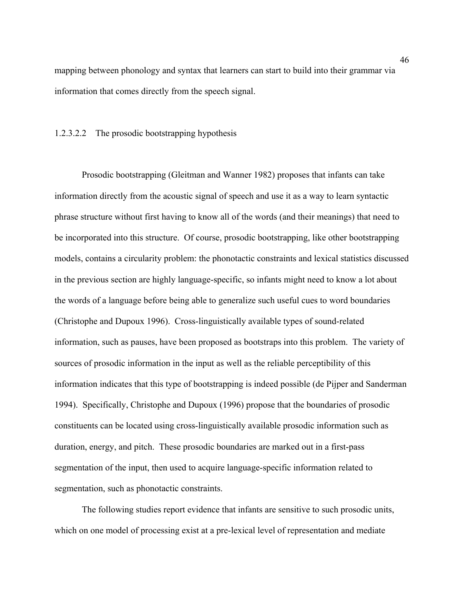mapping between phonology and syntax that learners can start to build into their grammar via information that comes directly from the speech signal.

# 1.2.3.2.2 The prosodic bootstrapping hypothesis

Prosodic bootstrapping (Gleitman and Wanner 1982) proposes that infants can take information directly from the acoustic signal of speech and use it as a way to learn syntactic phrase structure without first having to know all of the words (and their meanings) that need to be incorporated into this structure. Of course, prosodic bootstrapping, like other bootstrapping models, contains a circularity problem: the phonotactic constraints and lexical statistics discussed in the previous section are highly language-specific, so infants might need to know a lot about the words of a language before being able to generalize such useful cues to word boundaries (Christophe and Dupoux 1996). Cross-linguistically available types of sound-related information, such as pauses, have been proposed as bootstraps into this problem. The variety of sources of prosodic information in the input as well as the reliable perceptibility of this information indicates that this type of bootstrapping is indeed possible (de Pijper and Sanderman 1994). Specifically, Christophe and Dupoux (1996) propose that the boundaries of prosodic constituents can be located using cross-linguistically available prosodic information such as duration, energy, and pitch. These prosodic boundaries are marked out in a first-pass segmentation of the input, then used to acquire language-specific information related to segmentation, such as phonotactic constraints.

The following studies report evidence that infants are sensitive to such prosodic units, which on one model of processing exist at a pre-lexical level of representation and mediate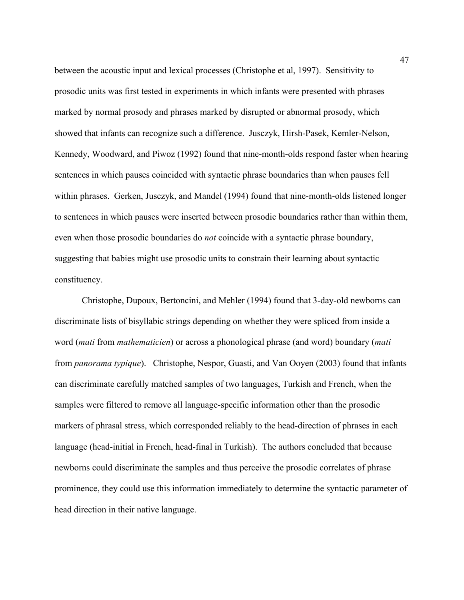between the acoustic input and lexical processes (Christophe et al, 1997). Sensitivity to prosodic units was first tested in experiments in which infants were presented with phrases marked by normal prosody and phrases marked by disrupted or abnormal prosody, which showed that infants can recognize such a difference. Jusczyk, Hirsh-Pasek, Kemler-Nelson, Kennedy, Woodward, and Piwoz (1992) found that nine-month-olds respond faster when hearing sentences in which pauses coincided with syntactic phrase boundaries than when pauses fell within phrases. Gerken, Jusczyk, and Mandel (1994) found that nine-month-olds listened longer to sentences in which pauses were inserted between prosodic boundaries rather than within them, even when those prosodic boundaries do *not* coincide with a syntactic phrase boundary, suggesting that babies might use prosodic units to constrain their learning about syntactic constituency.

Christophe, Dupoux, Bertoncini, and Mehler (1994) found that 3-day-old newborns can discriminate lists of bisyllabic strings depending on whether they were spliced from inside a word (*mati* from *mathematicien*) or across a phonological phrase (and word) boundary (*mati* from *panorama typique*). Christophe, Nespor, Guasti, and Van Ooyen (2003) found that infants can discriminate carefully matched samples of two languages, Turkish and French, when the samples were filtered to remove all language-specific information other than the prosodic markers of phrasal stress, which corresponded reliably to the head-direction of phrases in each language (head-initial in French, head-final in Turkish). The authors concluded that because newborns could discriminate the samples and thus perceive the prosodic correlates of phrase prominence, they could use this information immediately to determine the syntactic parameter of head direction in their native language.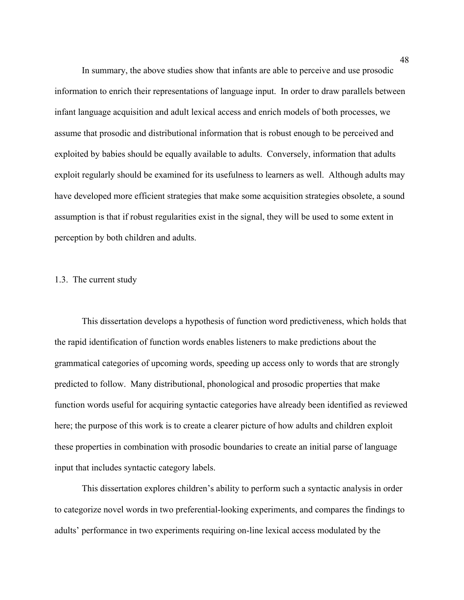In summary, the above studies show that infants are able to perceive and use prosodic information to enrich their representations of language input. In order to draw parallels between infant language acquisition and adult lexical access and enrich models of both processes, we assume that prosodic and distributional information that is robust enough to be perceived and exploited by babies should be equally available to adults. Conversely, information that adults exploit regularly should be examined for its usefulness to learners as well. Although adults may have developed more efficient strategies that make some acquisition strategies obsolete, a sound assumption is that if robust regularities exist in the signal, they will be used to some extent in perception by both children and adults.

## 1.3. The current study

This dissertation develops a hypothesis of function word predictiveness, which holds that the rapid identification of function words enables listeners to make predictions about the grammatical categories of upcoming words, speeding up access only to words that are strongly predicted to follow. Many distributional, phonological and prosodic properties that make function words useful for acquiring syntactic categories have already been identified as reviewed here; the purpose of this work is to create a clearer picture of how adults and children exploit these properties in combination with prosodic boundaries to create an initial parse of language input that includes syntactic category labels.

This dissertation explores children's ability to perform such a syntactic analysis in order to categorize novel words in two preferential-looking experiments, and compares the findings to adults' performance in two experiments requiring on-line lexical access modulated by the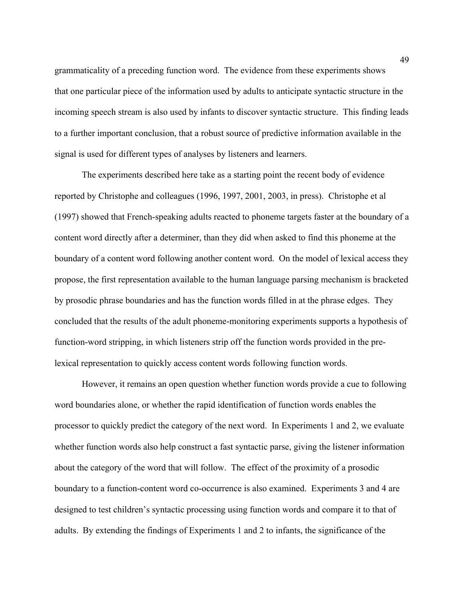grammaticality of a preceding function word. The evidence from these experiments shows that one particular piece of the information used by adults to anticipate syntactic structure in the incoming speech stream is also used by infants to discover syntactic structure. This finding leads to a further important conclusion, that a robust source of predictive information available in the signal is used for different types of analyses by listeners and learners.

The experiments described here take as a starting point the recent body of evidence reported by Christophe and colleagues (1996, 1997, 2001, 2003, in press). Christophe et al (1997) showed that French-speaking adults reacted to phoneme targets faster at the boundary of a content word directly after a determiner, than they did when asked to find this phoneme at the boundary of a content word following another content word. On the model of lexical access they propose, the first representation available to the human language parsing mechanism is bracketed by prosodic phrase boundaries and has the function words filled in at the phrase edges. They concluded that the results of the adult phoneme-monitoring experiments supports a hypothesis of function-word stripping, in which listeners strip off the function words provided in the prelexical representation to quickly access content words following function words.

However, it remains an open question whether function words provide a cue to following word boundaries alone, or whether the rapid identification of function words enables the processor to quickly predict the category of the next word. In Experiments 1 and 2, we evaluate whether function words also help construct a fast syntactic parse, giving the listener information about the category of the word that will follow. The effect of the proximity of a prosodic boundary to a function-content word co-occurrence is also examined. Experiments 3 and 4 are designed to test children's syntactic processing using function words and compare it to that of adults. By extending the findings of Experiments 1 and 2 to infants, the significance of the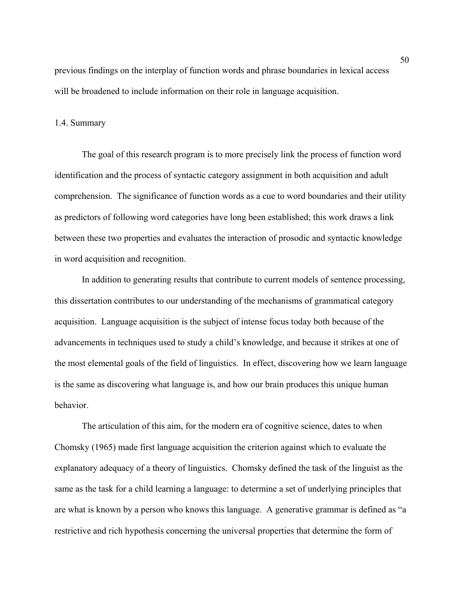previous findings on the interplay of function words and phrase boundaries in lexical access will be broadened to include information on their role in language acquisition.

#### 1.4. Summary

The goal of this research program is to more precisely link the process of function word identification and the process of syntactic category assignment in both acquisition and adult comprehension. The significance of function words as a cue to word boundaries and their utility as predictors of following word categories have long been established; this work draws a link between these two properties and evaluates the interaction of prosodic and syntactic knowledge in word acquisition and recognition.

In addition to generating results that contribute to current models of sentence processing, this dissertation contributes to our understanding of the mechanisms of grammatical category acquisition. Language acquisition is the subject of intense focus today both because of the advancements in techniques used to study a child's knowledge, and because it strikes at one of the most elemental goals of the field of linguistics. In effect, discovering how we learn language is the same as discovering what language is, and how our brain produces this unique human behavior.

The articulation of this aim, for the modern era of cognitive science, dates to when Chomsky (1965) made first language acquisition the criterion against which to evaluate the explanatory adequacy of a theory of linguistics. Chomsky defined the task of the linguist as the same as the task for a child learning a language: to determine a set of underlying principles that are what is known by a person who knows this language. A generative grammar is defined as "a restrictive and rich hypothesis concerning the universal properties that determine the form of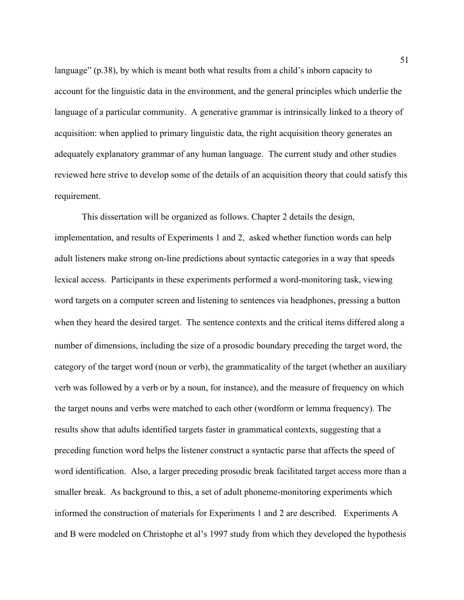language" (p.38), by which is meant both what results from a child's inborn capacity to account for the linguistic data in the environment, and the general principles which underlie the language of a particular community. A generative grammar is intrinsically linked to a theory of acquisition: when applied to primary linguistic data, the right acquisition theory generates an adequately explanatory grammar of any human language. The current study and other studies reviewed here strive to develop some of the details of an acquisition theory that could satisfy this requirement.

This dissertation will be organized as follows. Chapter 2 details the design, implementation, and results of Experiments 1 and 2, asked whether function words can help adult listeners make strong on-line predictions about syntactic categories in a way that speeds lexical access. Participants in these experiments performed a word-monitoring task, viewing word targets on a computer screen and listening to sentences via headphones, pressing a button when they heard the desired target. The sentence contexts and the critical items differed along a number of dimensions, including the size of a prosodic boundary preceding the target word, the category of the target word (noun or verb), the grammaticality of the target (whether an auxiliary verb was followed by a verb or by a noun, for instance), and the measure of frequency on which the target nouns and verbs were matched to each other (wordform or lemma frequency). The results show that adults identified targets faster in grammatical contexts, suggesting that a preceding function word helps the listener construct a syntactic parse that affects the speed of word identification. Also, a larger preceding prosodic break facilitated target access more than a smaller break. As background to this, a set of adult phoneme-monitoring experiments which informed the construction of materials for Experiments 1 and 2 are described. Experiments A and B were modeled on Christophe et al's 1997 study from which they developed the hypothesis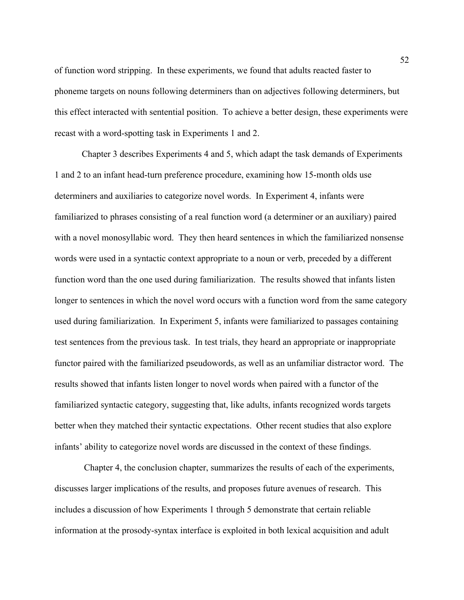of function word stripping. In these experiments, we found that adults reacted faster to phoneme targets on nouns following determiners than on adjectives following determiners, but this effect interacted with sentential position. To achieve a better design, these experiments were recast with a word-spotting task in Experiments 1 and 2.

Chapter 3 describes Experiments 4 and 5, which adapt the task demands of Experiments 1 and 2 to an infant head-turn preference procedure, examining how 15-month olds use determiners and auxiliaries to categorize novel words. In Experiment 4, infants were familiarized to phrases consisting of a real function word (a determiner or an auxiliary) paired with a novel monosyllabic word. They then heard sentences in which the familiarized nonsense words were used in a syntactic context appropriate to a noun or verb, preceded by a different function word than the one used during familiarization. The results showed that infants listen longer to sentences in which the novel word occurs with a function word from the same category used during familiarization. In Experiment 5, infants were familiarized to passages containing test sentences from the previous task. In test trials, they heard an appropriate or inappropriate functor paired with the familiarized pseudowords, as well as an unfamiliar distractor word. The results showed that infants listen longer to novel words when paired with a functor of the familiarized syntactic category, suggesting that, like adults, infants recognized words targets better when they matched their syntactic expectations. Other recent studies that also explore infants' ability to categorize novel words are discussed in the context of these findings.

 Chapter 4, the conclusion chapter, summarizes the results of each of the experiments, discusses larger implications of the results, and proposes future avenues of research. This includes a discussion of how Experiments 1 through 5 demonstrate that certain reliable information at the prosody-syntax interface is exploited in both lexical acquisition and adult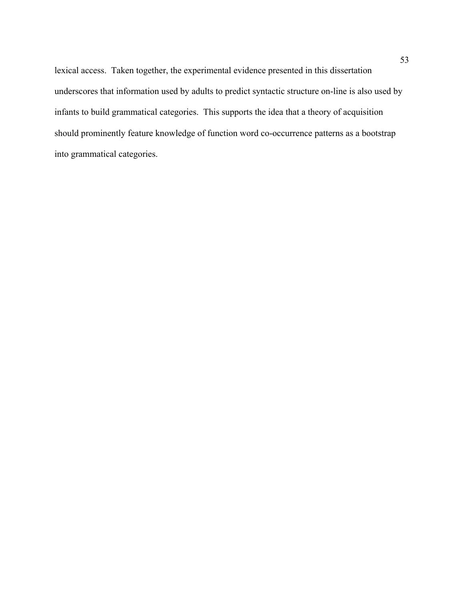lexical access. Taken together, the experimental evidence presented in this dissertation underscores that information used by adults to predict syntactic structure on-line is also used by infants to build grammatical categories. This supports the idea that a theory of acquisition should prominently feature knowledge of function word co-occurrence patterns as a bootstrap into grammatical categories.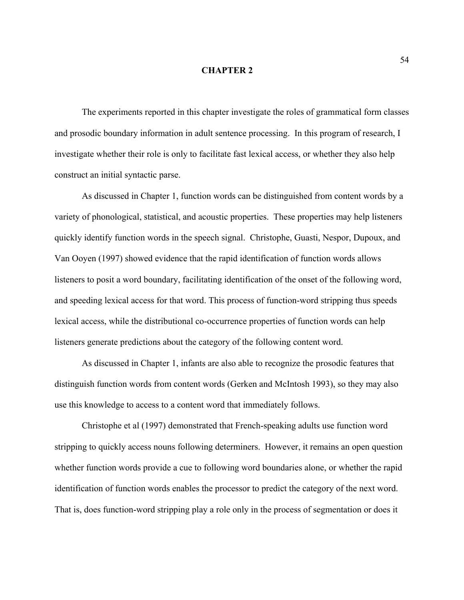#### **CHAPTER 2**

The experiments reported in this chapter investigate the roles of grammatical form classes and prosodic boundary information in adult sentence processing. In this program of research, I investigate whether their role is only to facilitate fast lexical access, or whether they also help construct an initial syntactic parse.

As discussed in Chapter 1, function words can be distinguished from content words by a variety of phonological, statistical, and acoustic properties. These properties may help listeners quickly identify function words in the speech signal. Christophe, Guasti, Nespor, Dupoux, and Van Ooyen (1997) showed evidence that the rapid identification of function words allows listeners to posit a word boundary, facilitating identification of the onset of the following word, and speeding lexical access for that word. This process of function-word stripping thus speeds lexical access, while the distributional co-occurrence properties of function words can help listeners generate predictions about the category of the following content word.

As discussed in Chapter 1, infants are also able to recognize the prosodic features that distinguish function words from content words (Gerken and McIntosh 1993), so they may also use this knowledge to access to a content word that immediately follows.

Christophe et al (1997) demonstrated that French-speaking adults use function word stripping to quickly access nouns following determiners. However, it remains an open question whether function words provide a cue to following word boundaries alone, or whether the rapid identification of function words enables the processor to predict the category of the next word. That is, does function-word stripping play a role only in the process of segmentation or does it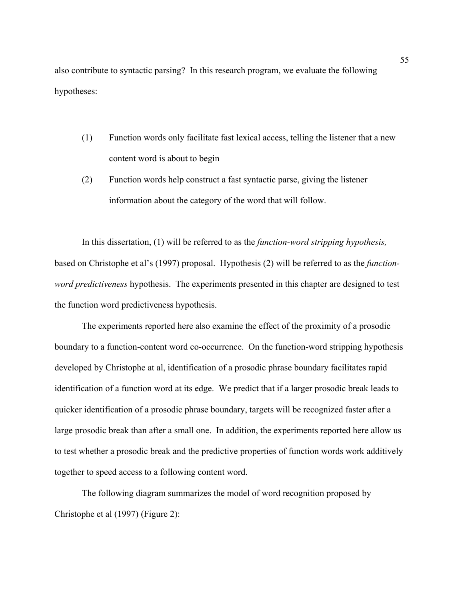also contribute to syntactic parsing? In this research program, we evaluate the following hypotheses:

- (1) Function words only facilitate fast lexical access, telling the listener that a new content word is about to begin
- (2) Function words help construct a fast syntactic parse, giving the listener information about the category of the word that will follow.

In this dissertation, (1) will be referred to as the *function-word stripping hypothesis,*  based on Christophe et al's (1997) proposal. Hypothesis (2) will be referred to as the *functionword predictiveness* hypothesis. The experiments presented in this chapter are designed to test the function word predictiveness hypothesis.

The experiments reported here also examine the effect of the proximity of a prosodic boundary to a function-content word co-occurrence. On the function-word stripping hypothesis developed by Christophe at al, identification of a prosodic phrase boundary facilitates rapid identification of a function word at its edge. We predict that if a larger prosodic break leads to quicker identification of a prosodic phrase boundary, targets will be recognized faster after a large prosodic break than after a small one. In addition, the experiments reported here allow us to test whether a prosodic break and the predictive properties of function words work additively together to speed access to a following content word.

The following diagram summarizes the model of word recognition proposed by Christophe et al (1997) (Figure 2):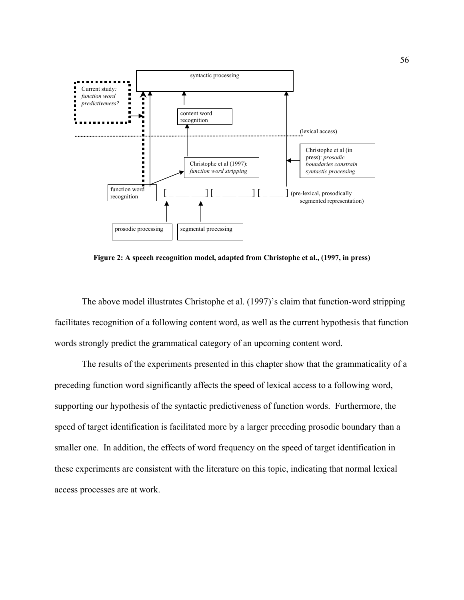

**Figure 2: A speech recognition model, adapted from Christophe et al., (1997, in press)** 

The above model illustrates Christophe et al. (1997)'s claim that function-word stripping facilitates recognition of a following content word, as well as the current hypothesis that function words strongly predict the grammatical category of an upcoming content word.

The results of the experiments presented in this chapter show that the grammaticality of a preceding function word significantly affects the speed of lexical access to a following word, supporting our hypothesis of the syntactic predictiveness of function words. Furthermore, the speed of target identification is facilitated more by a larger preceding prosodic boundary than a smaller one. In addition, the effects of word frequency on the speed of target identification in these experiments are consistent with the literature on this topic, indicating that normal lexical access processes are at work.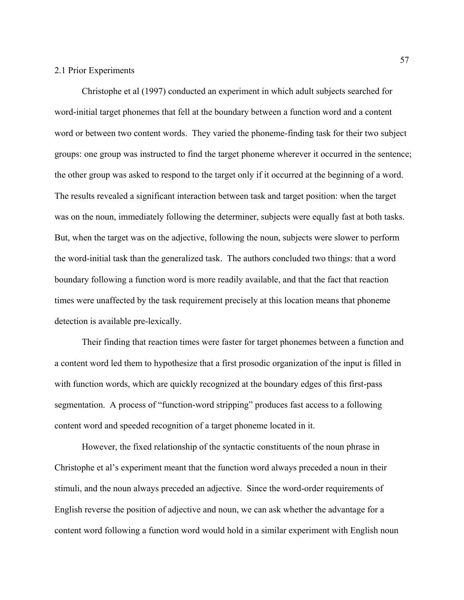## 2.1 Prior Experiments

Christophe et al (1997) conducted an experiment in which adult subjects searched for word-initial target phonemes that fell at the boundary between a function word and a content word or between two content words. They varied the phoneme-finding task for their two subject groups: one group was instructed to find the target phoneme wherever it occurred in the sentence; the other group was asked to respond to the target only if it occurred at the beginning of a word. The results revealed a significant interaction between task and target position: when the target was on the noun, immediately following the determiner, subjects were equally fast at both tasks. But, when the target was on the adjective, following the noun, subjects were slower to perform the word-initial task than the generalized task. The authors concluded two things: that a word boundary following a function word is more readily available, and that the fact that reaction times were unaffected by the task requirement precisely at this location means that phoneme detection is available pre-lexically.

Their finding that reaction times were faster for target phonemes between a function and a content word led them to hypothesize that a first prosodic organization of the input is filled in with function words, which are quickly recognized at the boundary edges of this first-pass segmentation. A process of "function-word stripping" produces fast access to a following content word and speeded recognition of a target phoneme located in it.

However, the fixed relationship of the syntactic constituents of the noun phrase in Christophe et al's experiment meant that the function word always preceded a noun in their stimuli, and the noun always preceded an adjective. Since the word-order requirements of English reverse the position of adjective and noun, we can ask whether the advantage for a content word following a function word would hold in a similar experiment with English noun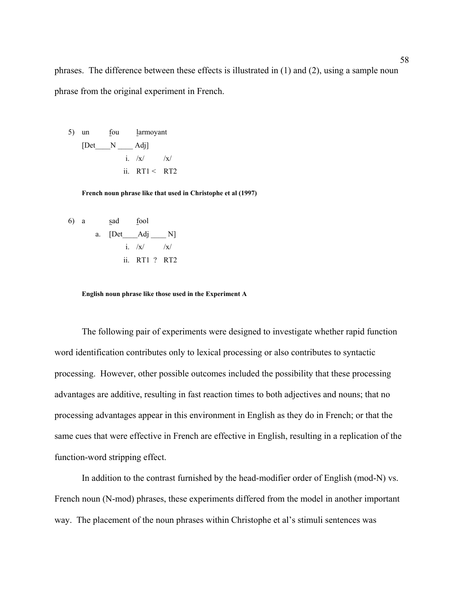phrases. The difference between these effects is illustrated in (1) and (2), using a sample noun phrase from the original experiment in French.

5) un four four  
\n
$$
[Det \t N \t Adj]
$$
\n
$$
i. /x / /x /
$$
\n
$$
ii. RT1 < RT2
$$

**French noun phrase like that used in Christophe et al (1997)** 

6) a 
$$
\underline{\text{sad}} \underline{\text{ fool}}
$$
  
a.  $\underline{\text{[Det}} \underline{\text{Adj}} \underline{\text{N}} \underline{\text{N}}$   
i. /x/ /x/  
ii. RT1 ? RT2

 **English noun phrase like those used in the Experiment A** 

 The following pair of experiments were designed to investigate whether rapid function word identification contributes only to lexical processing or also contributes to syntactic processing. However, other possible outcomes included the possibility that these processing advantages are additive, resulting in fast reaction times to both adjectives and nouns; that no processing advantages appear in this environment in English as they do in French; or that the same cues that were effective in French are effective in English, resulting in a replication of the function-word stripping effect.

In addition to the contrast furnished by the head-modifier order of English (mod-N) vs. French noun (N-mod) phrases, these experiments differed from the model in another important way. The placement of the noun phrases within Christophe et al's stimuli sentences was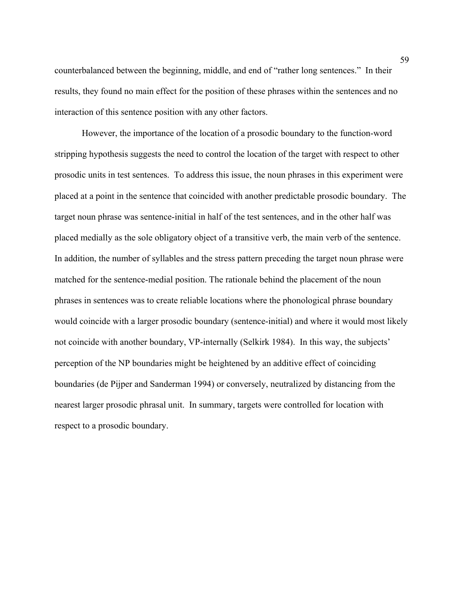counterbalanced between the beginning, middle, and end of "rather long sentences." In their results, they found no main effect for the position of these phrases within the sentences and no interaction of this sentence position with any other factors.

 However, the importance of the location of a prosodic boundary to the function-word stripping hypothesis suggests the need to control the location of the target with respect to other prosodic units in test sentences. To address this issue, the noun phrases in this experiment were placed at a point in the sentence that coincided with another predictable prosodic boundary. The target noun phrase was sentence-initial in half of the test sentences, and in the other half was placed medially as the sole obligatory object of a transitive verb, the main verb of the sentence. In addition, the number of syllables and the stress pattern preceding the target noun phrase were matched for the sentence-medial position. The rationale behind the placement of the noun phrases in sentences was to create reliable locations where the phonological phrase boundary would coincide with a larger prosodic boundary (sentence-initial) and where it would most likely not coincide with another boundary, VP-internally (Selkirk 1984). In this way, the subjects' perception of the NP boundaries might be heightened by an additive effect of coinciding boundaries (de Pijper and Sanderman 1994) or conversely, neutralized by distancing from the nearest larger prosodic phrasal unit. In summary, targets were controlled for location with respect to a prosodic boundary.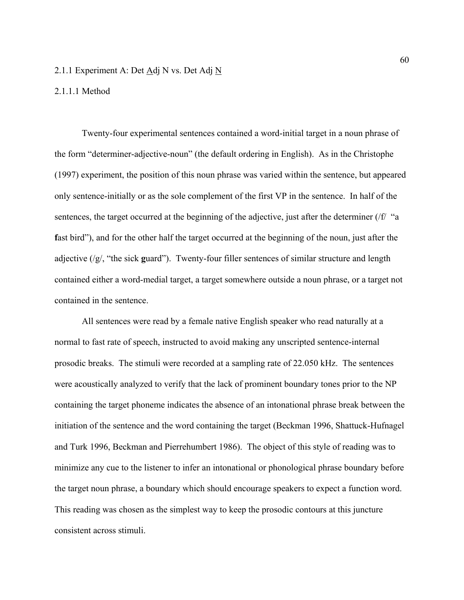## 2.1.1 Experiment A: Det Adj N vs. Det Adj N

## 2.1.1.1 Method

Twenty-four experimental sentences contained a word-initial target in a noun phrase of the form "determiner-adjective-noun" (the default ordering in English). As in the Christophe (1997) experiment, the position of this noun phrase was varied within the sentence, but appeared only sentence-initially or as the sole complement of the first VP in the sentence. In half of the sentences, the target occurred at the beginning of the adjective, just after the determiner (/f/ "a fast bird"), and for the other half the target occurred at the beginning of the noun, just after the adjective (/g/, "the sick **g**uard"). Twenty-four filler sentences of similar structure and length contained either a word-medial target, a target somewhere outside a noun phrase, or a target not contained in the sentence.

 All sentences were read by a female native English speaker who read naturally at a normal to fast rate of speech, instructed to avoid making any unscripted sentence-internal prosodic breaks. The stimuli were recorded at a sampling rate of 22.050 kHz. The sentences were acoustically analyzed to verify that the lack of prominent boundary tones prior to the NP containing the target phoneme indicates the absence of an intonational phrase break between the initiation of the sentence and the word containing the target (Beckman 1996, Shattuck-Hufnagel and Turk 1996, Beckman and Pierrehumbert 1986). The object of this style of reading was to minimize any cue to the listener to infer an intonational or phonological phrase boundary before the target noun phrase, a boundary which should encourage speakers to expect a function word. This reading was chosen as the simplest way to keep the prosodic contours at this juncture consistent across stimuli.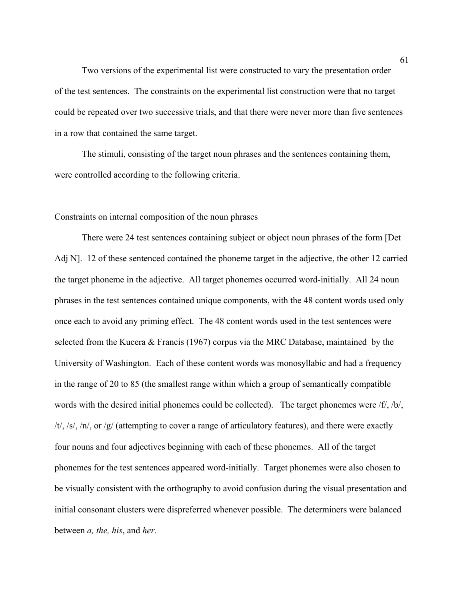Two versions of the experimental list were constructed to vary the presentation order of the test sentences. The constraints on the experimental list construction were that no target could be repeated over two successive trials, and that there were never more than five sentences in a row that contained the same target.

 The stimuli, consisting of the target noun phrases and the sentences containing them, were controlled according to the following criteria.

#### Constraints on internal composition of the noun phrases

There were 24 test sentences containing subject or object noun phrases of the form [Det Adj N]. 12 of these sentenced contained the phoneme target in the adjective, the other 12 carried the target phoneme in the adjective. All target phonemes occurred word-initially. All 24 noun phrases in the test sentences contained unique components, with the 48 content words used only once each to avoid any priming effect. The 48 content words used in the test sentences were selected from the Kucera & Francis (1967) corpus via the MRC Database, maintained by the University of Washington. Each of these content words was monosyllabic and had a frequency in the range of 20 to 85 (the smallest range within which a group of semantically compatible words with the desired initial phonemes could be collected). The target phonemes were /f/, /b/, /t/, /s/, /n/, or /g/ (attempting to cover a range of articulatory features), and there were exactly four nouns and four adjectives beginning with each of these phonemes. All of the target phonemes for the test sentences appeared word-initially. Target phonemes were also chosen to be visually consistent with the orthography to avoid confusion during the visual presentation and initial consonant clusters were dispreferred whenever possible. The determiners were balanced between *a, the, his*, and *her.*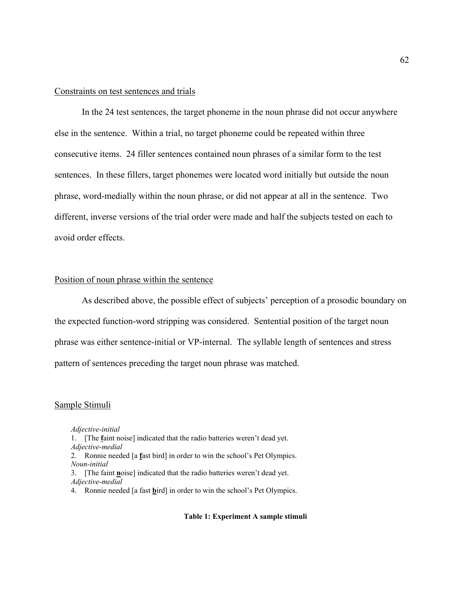## Constraints on test sentences and trials

 In the 24 test sentences, the target phoneme in the noun phrase did not occur anywhere else in the sentence. Within a trial, no target phoneme could be repeated within three consecutive items. 24 filler sentences contained noun phrases of a similar form to the test sentences. In these fillers, target phonemes were located word initially but outside the noun phrase, word-medially within the noun phrase, or did not appear at all in the sentence. Two different, inverse versions of the trial order were made and half the subjects tested on each to avoid order effects.

# Position of noun phrase within the sentence

As described above, the possible effect of subjects' perception of a prosodic boundary on the expected function-word stripping was considered. Sentential position of the target noun phrase was either sentence-initial or VP-internal. The syllable length of sentences and stress pattern of sentences preceding the target noun phrase was matched.

#### Sample Stimuli

*Adjective-initial*  1. [The **f**aint noise] indicated that the radio batteries weren't dead yet. *Adjective-medial*  2. Ronnie needed [a **f**ast bird] in order to win the school's Pet Olympics. *Noun-initial* 

3. [The faint **n**oise] indicated that the radio batteries weren't dead yet. *Adjective-medial* 

4. Ronnie needed [a fast **b**ird] in order to win the school's Pet Olympics.

#### **Table 1: Experiment A sample stimuli**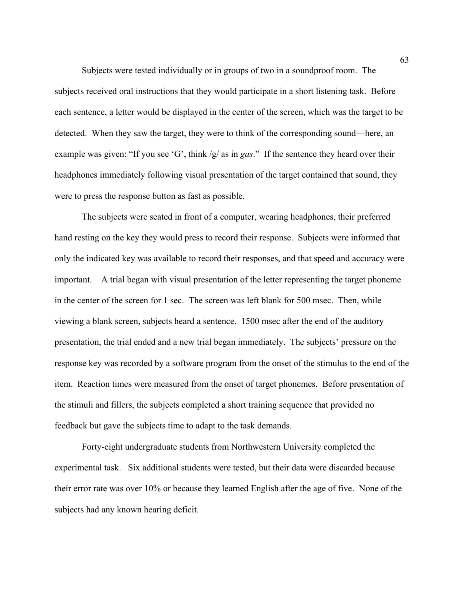Subjects were tested individually or in groups of two in a soundproof room. The subjects received oral instructions that they would participate in a short listening task. Before each sentence, a letter would be displayed in the center of the screen, which was the target to be detected. When they saw the target, they were to think of the corresponding sound—here, an example was given: "If you see 'G', think /g/ as in *gas*." If the sentence they heard over their headphones immediately following visual presentation of the target contained that sound, they were to press the response button as fast as possible.

 The subjects were seated in front of a computer, wearing headphones, their preferred hand resting on the key they would press to record their response. Subjects were informed that only the indicated key was available to record their responses, and that speed and accuracy were important. A trial began with visual presentation of the letter representing the target phoneme in the center of the screen for 1 sec. The screen was left blank for 500 msec. Then, while viewing a blank screen, subjects heard a sentence. 1500 msec after the end of the auditory presentation, the trial ended and a new trial began immediately. The subjects' pressure on the response key was recorded by a software program from the onset of the stimulus to the end of the item. Reaction times were measured from the onset of target phonemes. Before presentation of the stimuli and fillers, the subjects completed a short training sequence that provided no feedback but gave the subjects time to adapt to the task demands.

Forty-eight undergraduate students from Northwestern University completed the experimental task. Six additional students were tested, but their data were discarded because their error rate was over 10% or because they learned English after the age of five. None of the subjects had any known hearing deficit.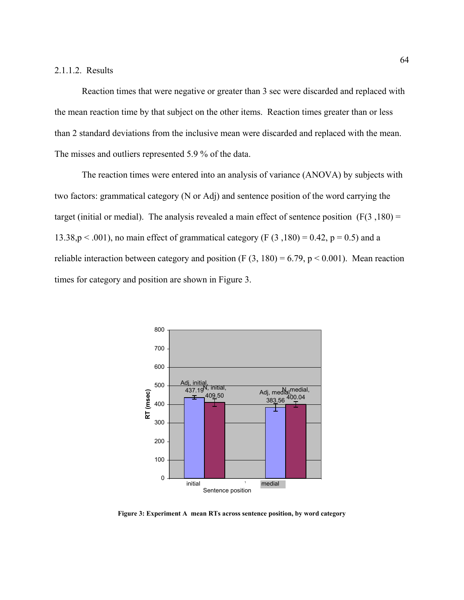### 2.1.1.2. Results

 Reaction times that were negative or greater than 3 sec were discarded and replaced with the mean reaction time by that subject on the other items. Reaction times greater than or less than 2 standard deviations from the inclusive mean were discarded and replaced with the mean. The misses and outliers represented 5.9 % of the data.

The reaction times were entered into an analysis of variance (ANOVA) by subjects with two factors: grammatical category (N or Adj) and sentence position of the word carrying the target (initial or medial). The analysis revealed a main effect of sentence position  $(F(3, 180) =$ 13.38,p  $\leq$  .001), no main effect of grammatical category (F (3,180) = 0.42, p = 0.5) and a reliable interaction between category and position (F  $(3, 180) = 6.79$ , p < 0.001). Mean reaction times for category and position are shown in Figure 3.



**Figure 3: Experiment A mean RTs across sentence position, by word category**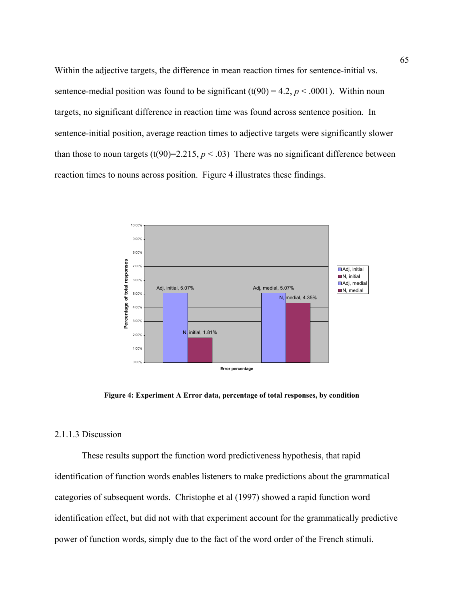Within the adjective targets, the difference in mean reaction times for sentence-initial vs. sentence-medial position was found to be significant  $(t(90) = 4.2, p < .0001)$ . Within noun targets, no significant difference in reaction time was found across sentence position. In sentence-initial position, average reaction times to adjective targets were significantly slower than those to noun targets  $(t(90)=2.215, p < .03)$  There was no significant difference between reaction times to nouns across position. Figure 4 illustrates these findings.



**Figure 4: Experiment A Error data, percentage of total responses, by condition**

## 2.1.1.3 Discussion

These results support the function word predictiveness hypothesis, that rapid identification of function words enables listeners to make predictions about the grammatical categories of subsequent words. Christophe et al (1997) showed a rapid function word identification effect, but did not with that experiment account for the grammatically predictive power of function words, simply due to the fact of the word order of the French stimuli.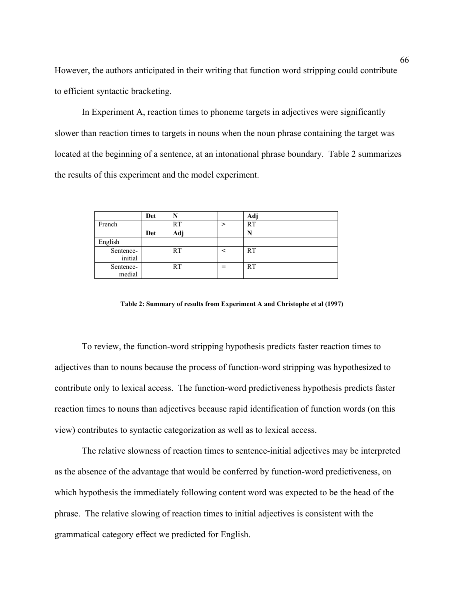However, the authors anticipated in their writing that function word stripping could contribute to efficient syntactic bracketing.

In Experiment A, reaction times to phoneme targets in adjectives were significantly slower than reaction times to targets in nouns when the noun phrase containing the target was located at the beginning of a sentence, at an intonational phrase boundary. Table 2 summarizes the results of this experiment and the model experiment.

|                      | Det | N         |   | Adj       |
|----------------------|-----|-----------|---|-----------|
| French               |     | <b>RT</b> |   | <b>RT</b> |
|                      | Det | Adj       |   | N         |
| English              |     |           |   |           |
| Sentence-<br>initial |     | <b>RT</b> | ╭ | <b>RT</b> |
| Sentence-<br>medial  |     | RT        | = | <b>RT</b> |

**Table 2: Summary of results from Experiment A and Christophe et al (1997)** 

To review, the function-word stripping hypothesis predicts faster reaction times to adjectives than to nouns because the process of function-word stripping was hypothesized to contribute only to lexical access. The function-word predictiveness hypothesis predicts faster reaction times to nouns than adjectives because rapid identification of function words (on this view) contributes to syntactic categorization as well as to lexical access.

The relative slowness of reaction times to sentence-initial adjectives may be interpreted as the absence of the advantage that would be conferred by function-word predictiveness, on which hypothesis the immediately following content word was expected to be the head of the phrase. The relative slowing of reaction times to initial adjectives is consistent with the grammatical category effect we predicted for English.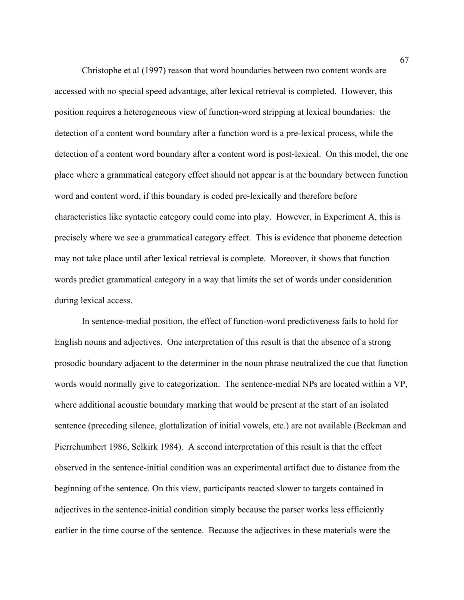Christophe et al (1997) reason that word boundaries between two content words are accessed with no special speed advantage, after lexical retrieval is completed. However, this position requires a heterogeneous view of function-word stripping at lexical boundaries: the detection of a content word boundary after a function word is a pre-lexical process, while the detection of a content word boundary after a content word is post-lexical. On this model, the one place where a grammatical category effect should not appear is at the boundary between function word and content word, if this boundary is coded pre-lexically and therefore before characteristics like syntactic category could come into play. However, in Experiment A, this is precisely where we see a grammatical category effect. This is evidence that phoneme detection may not take place until after lexical retrieval is complete. Moreover, it shows that function words predict grammatical category in a way that limits the set of words under consideration during lexical access.

In sentence-medial position, the effect of function-word predictiveness fails to hold for English nouns and adjectives. One interpretation of this result is that the absence of a strong prosodic boundary adjacent to the determiner in the noun phrase neutralized the cue that function words would normally give to categorization. The sentence-medial NPs are located within a VP, where additional acoustic boundary marking that would be present at the start of an isolated sentence (preceding silence, glottalization of initial vowels, etc.) are not available (Beckman and Pierrehumbert 1986, Selkirk 1984). A second interpretation of this result is that the effect observed in the sentence-initial condition was an experimental artifact due to distance from the beginning of the sentence. On this view, participants reacted slower to targets contained in adjectives in the sentence-initial condition simply because the parser works less efficiently earlier in the time course of the sentence. Because the adjectives in these materials were the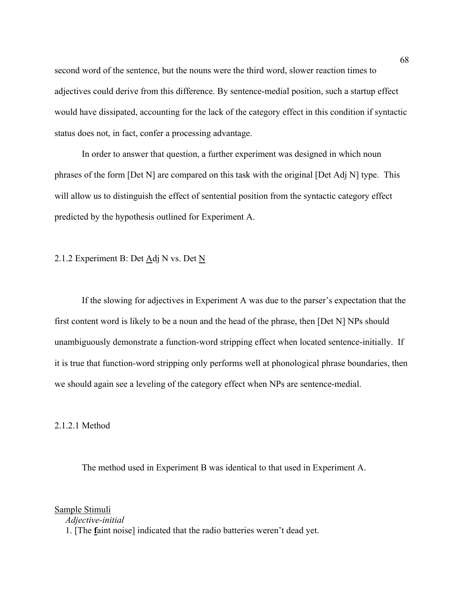second word of the sentence, but the nouns were the third word, slower reaction times to adjectives could derive from this difference. By sentence-medial position, such a startup effect would have dissipated, accounting for the lack of the category effect in this condition if syntactic status does not, in fact, confer a processing advantage.

In order to answer that question, a further experiment was designed in which noun phrases of the form [Det N] are compared on this task with the original [Det Adj N] type. This will allow us to distinguish the effect of sentential position from the syntactic category effect predicted by the hypothesis outlined for Experiment A.

## 2.1.2 Experiment B: Det Adj N vs. Det N

If the slowing for adjectives in Experiment A was due to the parser's expectation that the first content word is likely to be a noun and the head of the phrase, then [Det N] NPs should unambiguously demonstrate a function-word stripping effect when located sentence-initially. If it is true that function-word stripping only performs well at phonological phrase boundaries, then we should again see a leveling of the category effect when NPs are sentence-medial.

#### 2.1.2.1 Method

The method used in Experiment B was identical to that used in Experiment A.

Sample Stimuli

*Adjective-initial* 

1. [The **f**aint noise] indicated that the radio batteries weren't dead yet.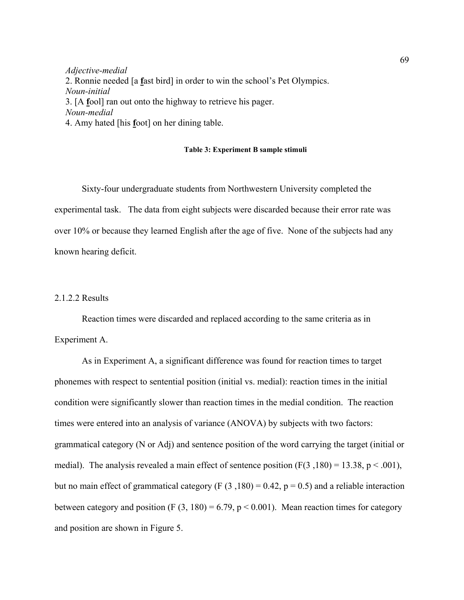*Adjective-medial*  2. Ronnie needed [a **f**ast bird] in order to win the school's Pet Olympics. *Noun-initial*  3. [A **f**ool] ran out onto the highway to retrieve his pager. *Noun-medial*  4. Amy hated [his **f**oot] on her dining table.

#### **Table 3: Experiment B sample stimuli**

Sixty-four undergraduate students from Northwestern University completed the experimental task. The data from eight subjects were discarded because their error rate was over 10% or because they learned English after the age of five. None of the subjects had any known hearing deficit.

### 2.1.2.2 Results

 Reaction times were discarded and replaced according to the same criteria as in Experiment A.

As in Experiment A, a significant difference was found for reaction times to target phonemes with respect to sentential position (initial vs. medial): reaction times in the initial condition were significantly slower than reaction times in the medial condition. The reaction times were entered into an analysis of variance (ANOVA) by subjects with two factors: grammatical category (N or Adj) and sentence position of the word carrying the target (initial or medial). The analysis revealed a main effect of sentence position  $(F(3, 180) = 13.38, p < .001)$ , but no main effect of grammatical category (F  $(3,180) = 0.42$ , p = 0.5) and a reliable interaction between category and position (F  $(3, 180) = 6.79$ , p < 0.001). Mean reaction times for category and position are shown in Figure 5.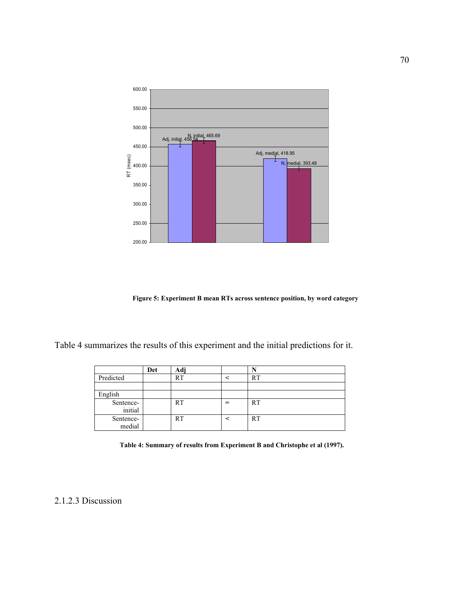

**Figure 5: Experiment B mean RTs across sentence position, by word category**

Table 4 summarizes the results of this experiment and the initial predictions for it.

|           | Det | Adj       |   |           |
|-----------|-----|-----------|---|-----------|
| Predicted |     | RT        |   | <b>RT</b> |
|           |     |           |   |           |
| English   |     |           |   |           |
| Sentence- |     | <b>RT</b> | = | <b>RT</b> |
| initial   |     |           |   |           |
| Sentence- |     | <b>RT</b> |   | <b>RT</b> |
| medial    |     |           |   |           |

| Table 4: Summary of results from Experiment B and Christophe et al (1997). |  |  |
|----------------------------------------------------------------------------|--|--|
|                                                                            |  |  |

2.1.2.3 Discussion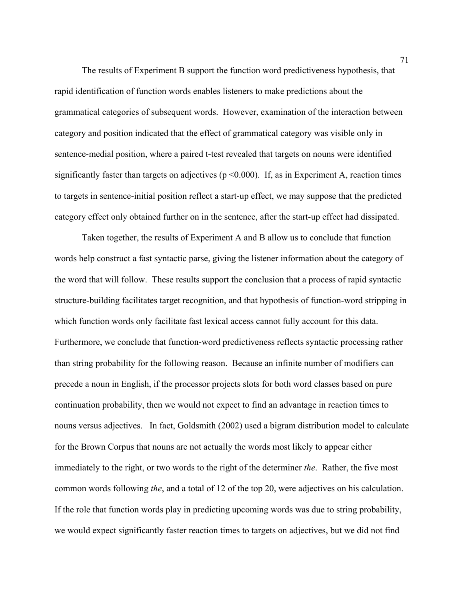The results of Experiment B support the function word predictiveness hypothesis, that rapid identification of function words enables listeners to make predictions about the grammatical categories of subsequent words. However, examination of the interaction between category and position indicated that the effect of grammatical category was visible only in sentence-medial position, where a paired t-test revealed that targets on nouns were identified significantly faster than targets on adjectives ( $p \le 0.000$ ). If, as in Experiment A, reaction times to targets in sentence-initial position reflect a start-up effect, we may suppose that the predicted category effect only obtained further on in the sentence, after the start-up effect had dissipated.

Taken together, the results of Experiment A and B allow us to conclude that function words help construct a fast syntactic parse, giving the listener information about the category of the word that will follow. These results support the conclusion that a process of rapid syntactic structure-building facilitates target recognition, and that hypothesis of function-word stripping in which function words only facilitate fast lexical access cannot fully account for this data. Furthermore, we conclude that function-word predictiveness reflects syntactic processing rather than string probability for the following reason. Because an infinite number of modifiers can precede a noun in English, if the processor projects slots for both word classes based on pure continuation probability, then we would not expect to find an advantage in reaction times to nouns versus adjectives. In fact, Goldsmith (2002) used a bigram distribution model to calculate for the Brown Corpus that nouns are not actually the words most likely to appear either immediately to the right, or two words to the right of the determiner *the*. Rather, the five most common words following *the*, and a total of 12 of the top 20, were adjectives on his calculation. If the role that function words play in predicting upcoming words was due to string probability, we would expect significantly faster reaction times to targets on adjectives, but we did not find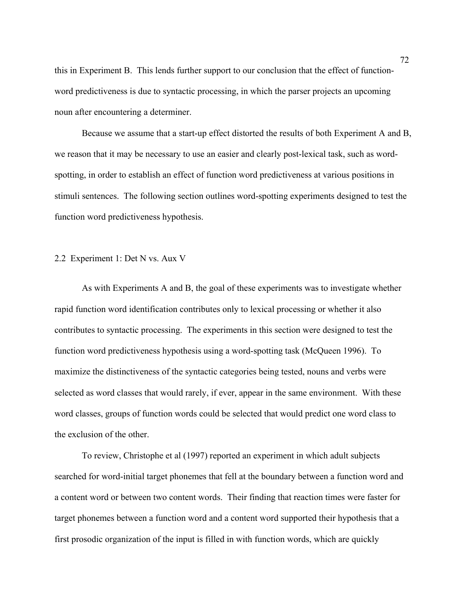this in Experiment B. This lends further support to our conclusion that the effect of functionword predictiveness is due to syntactic processing, in which the parser projects an upcoming noun after encountering a determiner.

Because we assume that a start-up effect distorted the results of both Experiment A and B, we reason that it may be necessary to use an easier and clearly post-lexical task, such as wordspotting, in order to establish an effect of function word predictiveness at various positions in stimuli sentences. The following section outlines word-spotting experiments designed to test the function word predictiveness hypothesis.

### 2.2 Experiment 1: Det N vs. Aux V

As with Experiments A and B, the goal of these experiments was to investigate whether rapid function word identification contributes only to lexical processing or whether it also contributes to syntactic processing. The experiments in this section were designed to test the function word predictiveness hypothesis using a word-spotting task (McQueen 1996). To maximize the distinctiveness of the syntactic categories being tested, nouns and verbs were selected as word classes that would rarely, if ever, appear in the same environment. With these word classes, groups of function words could be selected that would predict one word class to the exclusion of the other.

To review, Christophe et al (1997) reported an experiment in which adult subjects searched for word-initial target phonemes that fell at the boundary between a function word and a content word or between two content words. Their finding that reaction times were faster for target phonemes between a function word and a content word supported their hypothesis that a first prosodic organization of the input is filled in with function words, which are quickly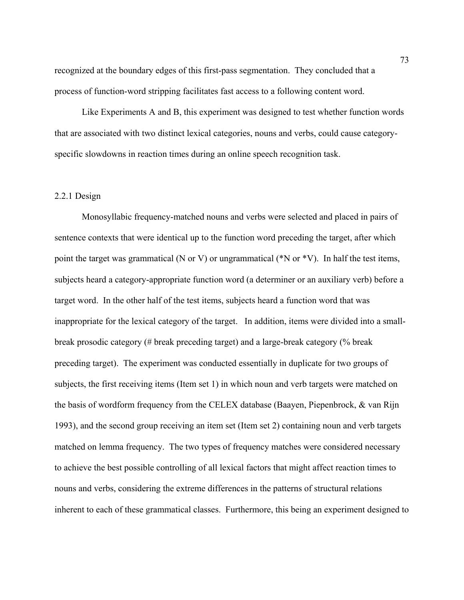recognized at the boundary edges of this first-pass segmentation. They concluded that a process of function-word stripping facilitates fast access to a following content word.

 Like Experiments A and B, this experiment was designed to test whether function words that are associated with two distinct lexical categories, nouns and verbs, could cause categoryspecific slowdowns in reaction times during an online speech recognition task.

# 2.2.1 Design

Monosyllabic frequency-matched nouns and verbs were selected and placed in pairs of sentence contexts that were identical up to the function word preceding the target, after which point the target was grammatical (N or V) or ungrammatical (\*N or \*V). In half the test items, subjects heard a category-appropriate function word (a determiner or an auxiliary verb) before a target word. In the other half of the test items, subjects heard a function word that was inappropriate for the lexical category of the target. In addition, items were divided into a smallbreak prosodic category (# break preceding target) and a large-break category (% break preceding target). The experiment was conducted essentially in duplicate for two groups of subjects, the first receiving items (Item set 1) in which noun and verb targets were matched on the basis of wordform frequency from the CELEX database (Baayen, Piepenbrock, & van Rijn 1993), and the second group receiving an item set (Item set 2) containing noun and verb targets matched on lemma frequency. The two types of frequency matches were considered necessary to achieve the best possible controlling of all lexical factors that might affect reaction times to nouns and verbs, considering the extreme differences in the patterns of structural relations inherent to each of these grammatical classes. Furthermore, this being an experiment designed to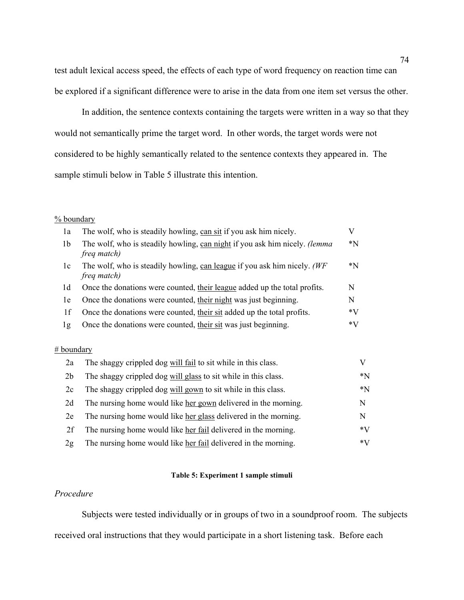test adult lexical access speed, the effects of each type of word frequency on reaction time can be explored if a significant difference were to arise in the data from one item set versus the other.

In addition, the sentence contexts containing the targets were written in a way so that they would not semantically prime the target word. In other words, the target words were not considered to be highly semantically related to the sentence contexts they appeared in. The sample stimuli below in Table 5 illustrate this intention.

#### % boundary

| 1a             | The wolf, who is steadily howling, can sit if you ask him nicely.                                          | V      |
|----------------|------------------------------------------------------------------------------------------------------------|--------|
| 1 <sub>b</sub> | The wolf, who is steadily howling, can night if you ask him nicely. <i>(lemma</i> )<br><i>freq match</i> ) | $^*$ N |
| 1c             | The wolf, who is steadily howling, can league if you ask him nicely. (WF<br>freq match)                    | *N     |
| 1 <sub>d</sub> | Once the donations were counted, their league added up the total profits.                                  | N      |
| 1e             | Once the donations were counted, their night was just beginning.                                           | N      |
| 1f             | Once the donations were counted, their sit added up the total profits.                                     | *V     |
| lg             | Once the donations were counted, their sit was just beginning.                                             | *V     |

### # boundary

| 2a             | The shaggy crippled dog will fail to sit while in this class.   |             |
|----------------|-----------------------------------------------------------------|-------------|
| 2 <sub>b</sub> | The shaggy crippled dog will glass to sit while in this class.  | $^*$ N      |
| 2c             | The shaggy crippled dog will gown to sit while in this class.   | $*_{\rm N}$ |
| 2d             | The nursing home would like her gown delivered in the morning.  | N           |
| 2e             | The nursing home would like her glass delivered in the morning. | N           |
| 2f             | The nursing home would like her fail delivered in the morning.  | $*V$        |
| 2g             | The nursing home would like her fail delivered in the morning.  | $*V$        |

## **Table 5: Experiment 1 sample stimuli**

## *Procedure*

Subjects were tested individually or in groups of two in a soundproof room. The subjects received oral instructions that they would participate in a short listening task. Before each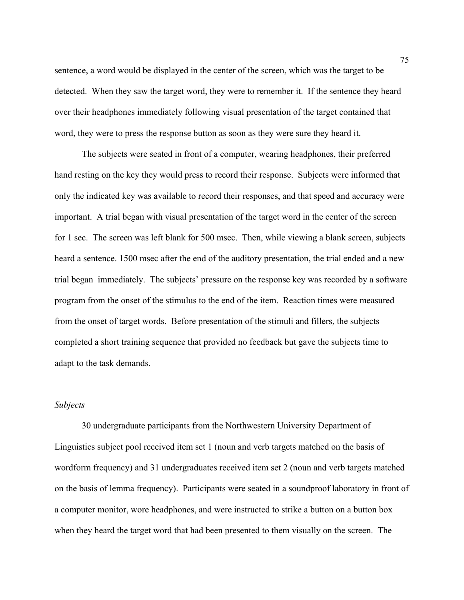sentence, a word would be displayed in the center of the screen, which was the target to be detected. When they saw the target word, they were to remember it. If the sentence they heard over their headphones immediately following visual presentation of the target contained that word, they were to press the response button as soon as they were sure they heard it.

 The subjects were seated in front of a computer, wearing headphones, their preferred hand resting on the key they would press to record their response. Subjects were informed that only the indicated key was available to record their responses, and that speed and accuracy were important. A trial began with visual presentation of the target word in the center of the screen for 1 sec. The screen was left blank for 500 msec. Then, while viewing a blank screen, subjects heard a sentence. 1500 msec after the end of the auditory presentation, the trial ended and a new trial began immediately. The subjects' pressure on the response key was recorded by a software program from the onset of the stimulus to the end of the item. Reaction times were measured from the onset of target words. Before presentation of the stimuli and fillers, the subjects completed a short training sequence that provided no feedback but gave the subjects time to adapt to the task demands.

# *Subjects*

30 undergraduate participants from the Northwestern University Department of Linguistics subject pool received item set 1 (noun and verb targets matched on the basis of wordform frequency) and 31 undergraduates received item set 2 (noun and verb targets matched on the basis of lemma frequency). Participants were seated in a soundproof laboratory in front of a computer monitor, wore headphones, and were instructed to strike a button on a button box when they heard the target word that had been presented to them visually on the screen. The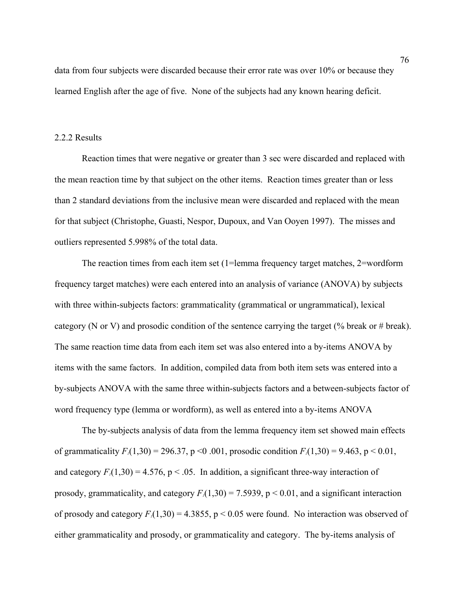data from four subjects were discarded because their error rate was over 10% or because they learned English after the age of five. None of the subjects had any known hearing deficit.

# 2.2.2 Results

Reaction times that were negative or greater than 3 sec were discarded and replaced with the mean reaction time by that subject on the other items. Reaction times greater than or less than 2 standard deviations from the inclusive mean were discarded and replaced with the mean for that subject (Christophe, Guasti, Nespor, Dupoux, and Van Ooyen 1997). The misses and outliers represented 5.998% of the total data.

The reaction times from each item set (1=lemma frequency target matches, 2=wordform frequency target matches) were each entered into an analysis of variance (ANOVA) by subjects with three within-subjects factors: grammaticality (grammatical or ungrammatical), lexical category (N or V) and prosodic condition of the sentence carrying the target (% break or # break). The same reaction time data from each item set was also entered into a by-items ANOVA by items with the same factors. In addition, compiled data from both item sets was entered into a by-subjects ANOVA with the same three within-subjects factors and a between-subjects factor of word frequency type (lemma or wordform), as well as entered into a by-items ANOVA

The by-subjects analysis of data from the lemma frequency item set showed main effects of grammaticality  $F_1(1,30) = 296.37$ , p < 0.001, prosodic condition  $F_1(1,30) = 9.463$ , p < 0.01, and category  $F_1(1,30) = 4.576$ ,  $p < .05$ . In addition, a significant three-way interaction of prosody, grammaticality, and category  $F_1(1,30) = 7.5939$ ,  $p < 0.01$ , and a significant interaction of prosody and category  $F_1(1,30) = 4.3855$ ,  $p \le 0.05$  were found. No interaction was observed of either grammaticality and prosody, or grammaticality and category. The by-items analysis of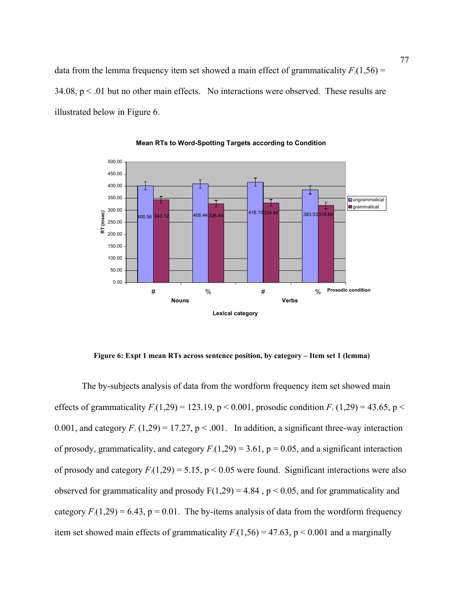data from the lemma frequency item set showed a main effect of grammaticality  $F_2(1,56)$  =  $34.08$ ,  $p < .01$  but no other main effects. No interactions were observed. These results are illustrated below in Figure 6.



**Mean RTs to Word-Spotting Targets according to Condition**

**Figure 6: Expt 1 mean RTs across sentence position, by category – Item set 1 (lemma)** 

The by-subjects analysis of data from the wordform frequency item set showed main effects of grammaticality  $F_1(1,29) = 123.19$ ,  $p < 0.001$ , prosodic condition  $F_1(1,29) = 43.65$ ,  $p <$ 0.001, and category  $F_1(1,29) = 17.27$ ,  $p < .001$ . In addition, a significant three-way interaction of prosody, grammaticality, and category  $F_1(1,29) = 3.61$ ,  $p = 0.05$ , and a significant interaction of prosody and category  $F_1(1,29) = 5.15$ ,  $p < 0.05$  were found. Significant interactions were also observed for grammaticality and prosody  $F(1,29) = 4.84$ ,  $p < 0.05$ , and for grammaticality and category  $F_1(1,29) = 6.43$ ,  $p = 0.01$ . The by-items analysis of data from the wordform frequency item set showed main effects of grammaticality  $F_2(1,56) = 47.63$ ,  $p < 0.001$  and a marginally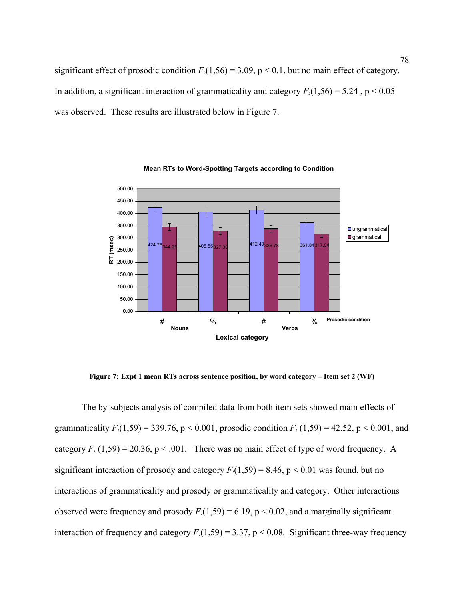significant effect of prosodic condition  $F_2(1,56) = 3.09$ ,  $p < 0.1$ , but no main effect of category. In addition, a significant interaction of grammaticality and category  $F_2(1,56) = 5.24$ ,  $p < 0.05$ was observed. These results are illustrated below in Figure 7.



**Mean RTs to Word-Spotting Targets according to Condition**

**Figure 7: Expt 1 mean RTs across sentence position, by word category – Item set 2 (WF)** 

The by-subjects analysis of compiled data from both item sets showed main effects of grammaticality  $F_1(1,59) = 339.76$ ,  $p < 0.001$ , prosodic condition  $F_1(1,59) = 42.52$ ,  $p < 0.001$ , and category  $F_1(1,59) = 20.36$ ,  $p < .001$ . There was no main effect of type of word frequency. A significant interaction of prosody and category  $F_1(1,59) = 8.46$ ,  $p < 0.01$  was found, but no interactions of grammaticality and prosody or grammaticality and category. Other interactions observed were frequency and prosody  $F_1(1,59) = 6.19$ ,  $p < 0.02$ , and a marginally significant interaction of frequency and category  $F_1(1,59) = 3.37$ ,  $p < 0.08$ . Significant three-way frequency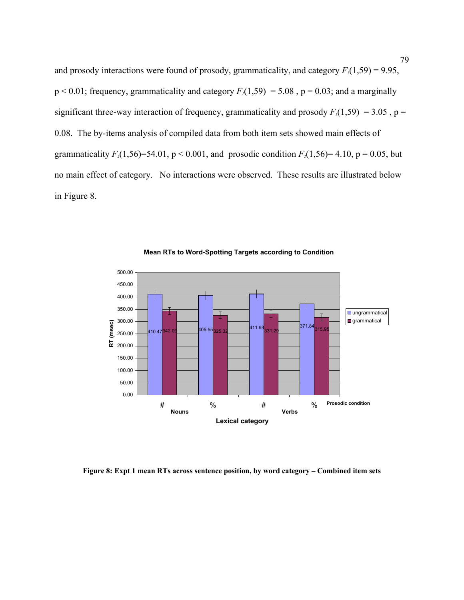and prosody interactions were found of prosody, grammaticality, and category  $F_1(1,59) = 9.95$ ,  $p < 0.01$ ; frequency, grammaticality and category  $F_1(1,59) = 5.08$ ,  $p = 0.03$ ; and a marginally significant three-way interaction of frequency, grammaticality and prosody  $F_1(1,59) = 3.05$ , p = 0.08. The by-items analysis of compiled data from both item sets showed main effects of grammaticality  $F_2(1,56)=54.01$ ,  $p < 0.001$ , and prosodic condition  $F_2(1,56)=4.10$ ,  $p = 0.05$ , but no main effect of category. No interactions were observed. These results are illustrated below in Figure 8.



**Mean RTs to Word-Spotting Targets according to Condition**

**Figure 8: Expt 1 mean RTs across sentence position, by word category – Combined item sets**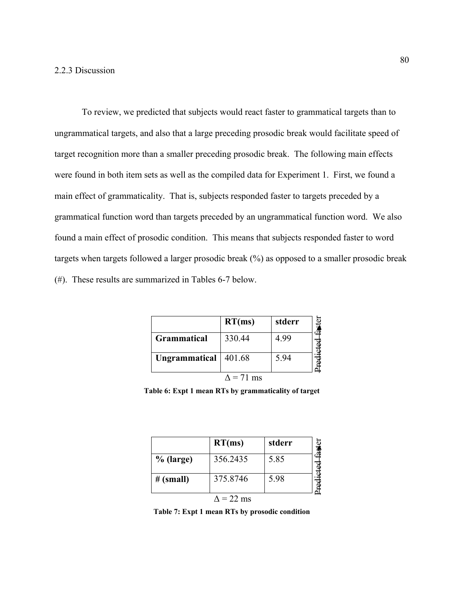To review, we predicted that subjects would react faster to grammatical targets than to ungrammatical targets, and also that a large preceding prosodic break would facilitate speed of target recognition more than a smaller preceding prosodic break. The following main effects were found in both item sets as well as the compiled data for Experiment 1. First, we found a main effect of grammaticality. That is, subjects responded faster to targets preceded by a grammatical function word than targets preceded by an ungrammatical function word. We also found a main effect of prosodic condition. This means that subjects responded faster to word targets when targets followed a larger prosodic break (%) as opposed to a smaller prosodic break (#). These results are summarized in Tables 6-7 below.

|                        | RT(ms) | stderr |  |
|------------------------|--------|--------|--|
| Grammatical            | 330.44 | 4.99   |  |
| Ungrammatical   401.68 |        | 5.94   |  |
|                        |        |        |  |

**Table 6: Expt 1 mean RTs by grammaticality of target** 

|             | RT(ms)            | stderr |  |
|-------------|-------------------|--------|--|
| $%$ (large) | 356.2435          | 5.85   |  |
| # (small)   | 375.8746          | 5.98   |  |
|             | $\Lambda$ = 22 ms |        |  |

**Table 7: Expt 1 mean RTs by prosodic condition**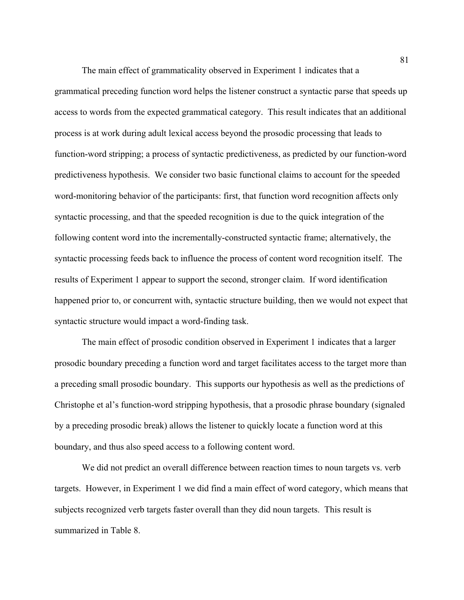The main effect of grammaticality observed in Experiment 1 indicates that a grammatical preceding function word helps the listener construct a syntactic parse that speeds up access to words from the expected grammatical category. This result indicates that an additional process is at work during adult lexical access beyond the prosodic processing that leads to function-word stripping; a process of syntactic predictiveness, as predicted by our function-word predictiveness hypothesis. We consider two basic functional claims to account for the speeded word-monitoring behavior of the participants: first, that function word recognition affects only syntactic processing, and that the speeded recognition is due to the quick integration of the following content word into the incrementally-constructed syntactic frame; alternatively, the syntactic processing feeds back to influence the process of content word recognition itself. The results of Experiment 1 appear to support the second, stronger claim. If word identification happened prior to, or concurrent with, syntactic structure building, then we would not expect that syntactic structure would impact a word-finding task.

The main effect of prosodic condition observed in Experiment 1 indicates that a larger prosodic boundary preceding a function word and target facilitates access to the target more than a preceding small prosodic boundary. This supports our hypothesis as well as the predictions of Christophe et al's function-word stripping hypothesis, that a prosodic phrase boundary (signaled by a preceding prosodic break) allows the listener to quickly locate a function word at this boundary, and thus also speed access to a following content word.

We did not predict an overall difference between reaction times to noun targets vs. verb targets. However, in Experiment 1 we did find a main effect of word category, which means that subjects recognized verb targets faster overall than they did noun targets. This result is summarized in Table 8.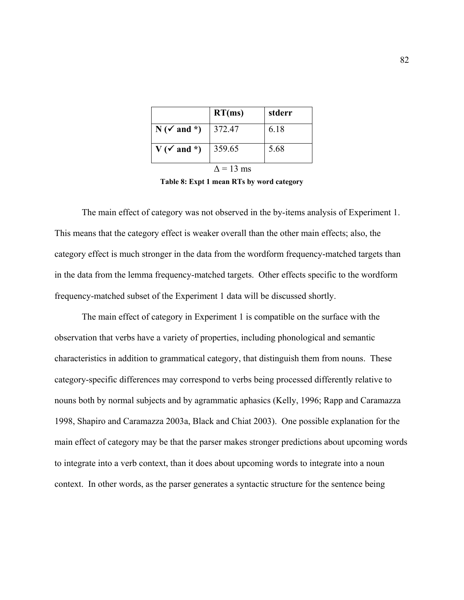|                        | RT(ms)           | stderr |
|------------------------|------------------|--------|
| $N(\check{v})$ and *)  | 372.47           | 6.18   |
| $V(\checkmark)$ and *) | 359.65           | 5.68   |
|                        | $\Delta$ = 13 ms |        |

**Table 8: Expt 1 mean RTs by word category** 

The main effect of category was not observed in the by-items analysis of Experiment 1. This means that the category effect is weaker overall than the other main effects; also, the category effect is much stronger in the data from the wordform frequency-matched targets than in the data from the lemma frequency-matched targets. Other effects specific to the wordform frequency-matched subset of the Experiment 1 data will be discussed shortly.

The main effect of category in Experiment 1 is compatible on the surface with the observation that verbs have a variety of properties, including phonological and semantic characteristics in addition to grammatical category, that distinguish them from nouns. These category-specific differences may correspond to verbs being processed differently relative to nouns both by normal subjects and by agrammatic aphasics (Kelly, 1996; Rapp and Caramazza 1998, Shapiro and Caramazza 2003a, Black and Chiat 2003). One possible explanation for the main effect of category may be that the parser makes stronger predictions about upcoming words to integrate into a verb context, than it does about upcoming words to integrate into a noun context. In other words, as the parser generates a syntactic structure for the sentence being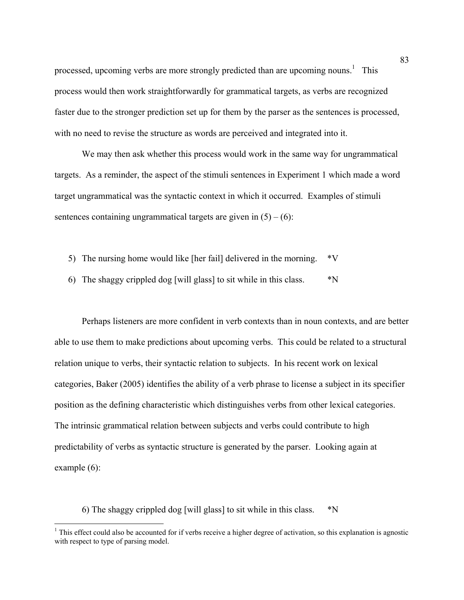processed, upcoming verbs are more strongly predicted than are upcoming nouns.<sup>1</sup> This process would then work straightforwardly for grammatical targets, as verbs are recognized faster due to the stronger prediction set up for them by the parser as the sentences is processed, with no need to revise the structure as words are perceived and integrated into it.

We may then ask whether this process would work in the same way for ungrammatical targets. As a reminder, the aspect of the stimuli sentences in Experiment 1 which made a word target ungrammatical was the syntactic context in which it occurred. Examples of stimuli sentences containing ungrammatical targets are given in  $(5) - (6)$ :

- 5) The nursing home would like [her fail] delivered in the morning. \*V
- 6) The shaggy crippled dog [will glass] to sit while in this class.  $*N$

Perhaps listeners are more confident in verb contexts than in noun contexts, and are better able to use them to make predictions about upcoming verbs. This could be related to a structural relation unique to verbs, their syntactic relation to subjects. In his recent work on lexical categories, Baker (2005) identifies the ability of a verb phrase to license a subject in its specifier position as the defining characteristic which distinguishes verbs from other lexical categories. The intrinsic grammatical relation between subjects and verbs could contribute to high predictability of verbs as syntactic structure is generated by the parser. Looking again at example (6):

6) The shaggy crippled dog [will glass] to sit while in this class. \*N

 1 This effect could also be accounted for if verbs receive a higher degree of activation, so this explanation is agnostic with respect to type of parsing model.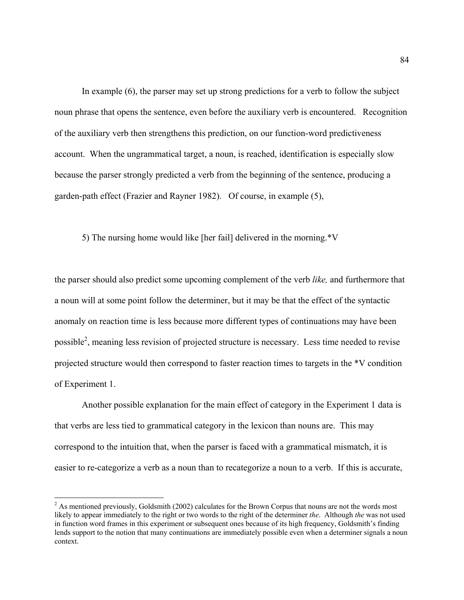In example (6), the parser may set up strong predictions for a verb to follow the subject noun phrase that opens the sentence, even before the auxiliary verb is encountered. Recognition of the auxiliary verb then strengthens this prediction, on our function-word predictiveness account. When the ungrammatical target, a noun, is reached, identification is especially slow because the parser strongly predicted a verb from the beginning of the sentence, producing a garden-path effect (Frazier and Rayner 1982). Of course, in example (5),

5) The nursing home would like [her fail] delivered in the morning. \*V

the parser should also predict some upcoming complement of the verb *like,* and furthermore that a noun will at some point follow the determiner, but it may be that the effect of the syntactic anomaly on reaction time is less because more different types of continuations may have been possible<sup>2</sup>, meaning less revision of projected structure is necessary. Less time needed to revise projected structure would then correspond to faster reaction times to targets in the \*V condition of Experiment 1.

Another possible explanation for the main effect of category in the Experiment 1 data is that verbs are less tied to grammatical category in the lexicon than nouns are. This may correspond to the intuition that, when the parser is faced with a grammatical mismatch, it is easier to re-categorize a verb as a noun than to recategorize a noun to a verb. If this is accurate,

 $\overline{a}$ 

 $2^{2}$  As mentioned previously, Goldsmith (2002) calculates for the Brown Corpus that nouns are not the words most likely to appear immediately to the right or two words to the right of the determiner *the*. Although *the* was not used in function word frames in this experiment or subsequent ones because of its high frequency, Goldsmith's finding lends support to the notion that many continuations are immediately possible even when a determiner signals a noun context.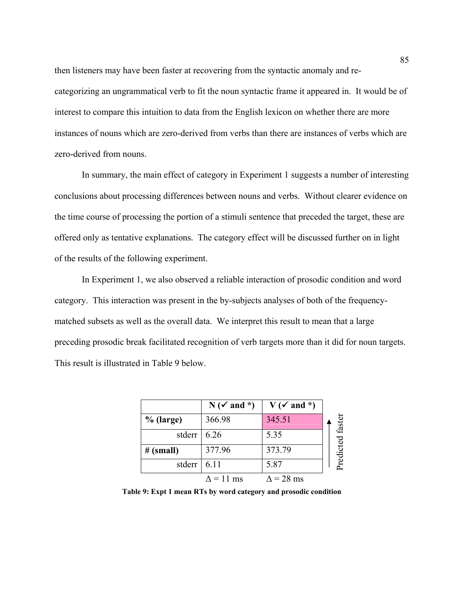then listeners may have been faster at recovering from the syntactic anomaly and recategorizing an ungrammatical verb to fit the noun syntactic frame it appeared in. It would be of interest to compare this intuition to data from the English lexicon on whether there are more instances of nouns which are zero-derived from verbs than there are instances of verbs which are zero-derived from nouns.

In summary, the main effect of category in Experiment 1 suggests a number of interesting conclusions about processing differences between nouns and verbs. Without clearer evidence on the time course of processing the portion of a stimuli sentence that preceded the target, these are offered only as tentative explanations. The category effect will be discussed further on in light of the results of the following experiment.

In Experiment 1, we also observed a reliable interaction of prosodic condition and word category. This interaction was present in the by-subjects analyses of both of the frequencymatched subsets as well as the overall data. We interpret this result to mean that a large preceding prosodic break facilitated recognition of verb targets more than it did for noun targets. This result is illustrated in Table 9 below.

|             | $N(\checkmark)$ and $*)$ | $V(\checkmark)$ and *)                                           |  |
|-------------|--------------------------|------------------------------------------------------------------|--|
| $%$ (large) | 366.98                   | 345.51                                                           |  |
| stderr      | 6.26                     | 5.35                                                             |  |
| # (small)   | 377.96                   | 373.79                                                           |  |
| stderr      | 6.11                     | 5.87                                                             |  |
|             | $\Delta$ = 11 ms         | $\Delta$ = 28 ms                                                 |  |
|             |                          | Table 9: Expt 1 mean RTs by word category and prosodic condition |  |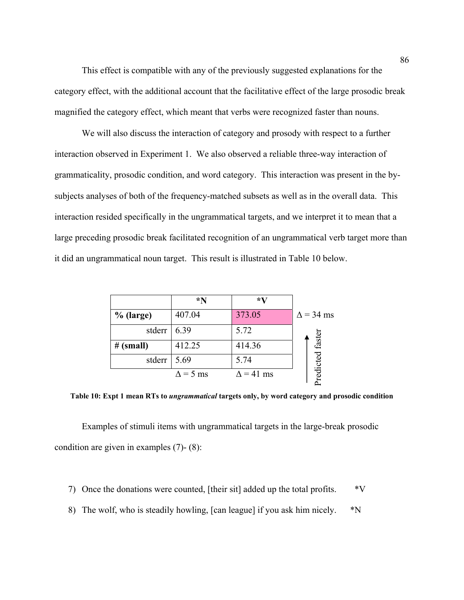This effect is compatible with any of the previously suggested explanations for the category effect, with the additional account that the facilitative effect of the large prosodic break magnified the category effect, which meant that verbs were recognized faster than nouns.

We will also discuss the interaction of category and prosody with respect to a further interaction observed in Experiment 1. We also observed a reliable three-way interaction of grammaticality, prosodic condition, and word category. This interaction was present in the bysubjects analyses of both of the frequency-matched subsets as well as in the overall data. This interaction resided specifically in the ungrammatical targets, and we interpret it to mean that a large preceding prosodic break facilitated recognition of an ungrammatical verb target more than it did an ungrammatical noun target. This result is illustrated in Table 10 below.

|             | $*_{\mathbf{N}}$ | *V               |                  |
|-------------|------------------|------------------|------------------|
| $%$ (large) | 407.04           | 373.05           | $\Delta$ = 34 ms |
| stderr      | 6.39             | 5.72             |                  |
| # (small)   | 412.25           | 414.36           |                  |
| stderr      | 5.69             | 5.74             | redicted faster  |
|             | $\Delta$ = 5 ms  | $\Delta$ = 41 ms |                  |

**Table 10: Expt 1 mean RTs to** *ungrammatical* **targets only, by word category and prosodic condition** 

Examples of stimuli items with ungrammatical targets in the large-break prosodic condition are given in examples (7)- (8):

- 7) Once the donations were counted, [their sit] added up the total profits. \*V
- 8) The wolf, who is steadily howling, [can league] if you ask him nicely.  $*N$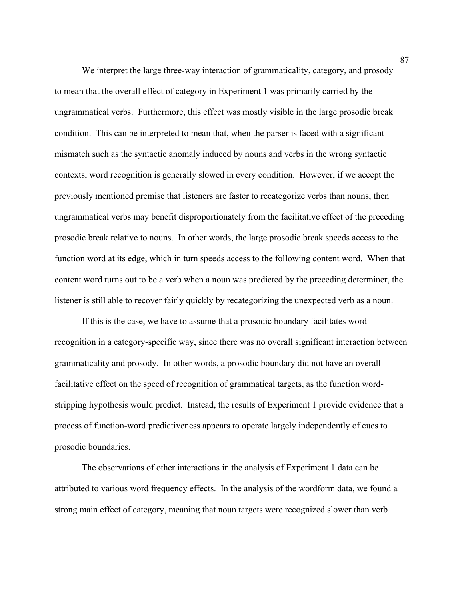We interpret the large three-way interaction of grammaticality, category, and prosody to mean that the overall effect of category in Experiment 1 was primarily carried by the ungrammatical verbs. Furthermore, this effect was mostly visible in the large prosodic break condition. This can be interpreted to mean that, when the parser is faced with a significant mismatch such as the syntactic anomaly induced by nouns and verbs in the wrong syntactic contexts, word recognition is generally slowed in every condition. However, if we accept the previously mentioned premise that listeners are faster to recategorize verbs than nouns, then ungrammatical verbs may benefit disproportionately from the facilitative effect of the preceding prosodic break relative to nouns. In other words, the large prosodic break speeds access to the function word at its edge, which in turn speeds access to the following content word. When that content word turns out to be a verb when a noun was predicted by the preceding determiner, the listener is still able to recover fairly quickly by recategorizing the unexpected verb as a noun.

If this is the case, we have to assume that a prosodic boundary facilitates word recognition in a category-specific way, since there was no overall significant interaction between grammaticality and prosody. In other words, a prosodic boundary did not have an overall facilitative effect on the speed of recognition of grammatical targets, as the function wordstripping hypothesis would predict. Instead, the results of Experiment 1 provide evidence that a process of function-word predictiveness appears to operate largely independently of cues to prosodic boundaries.

 The observations of other interactions in the analysis of Experiment 1 data can be attributed to various word frequency effects. In the analysis of the wordform data, we found a strong main effect of category, meaning that noun targets were recognized slower than verb

87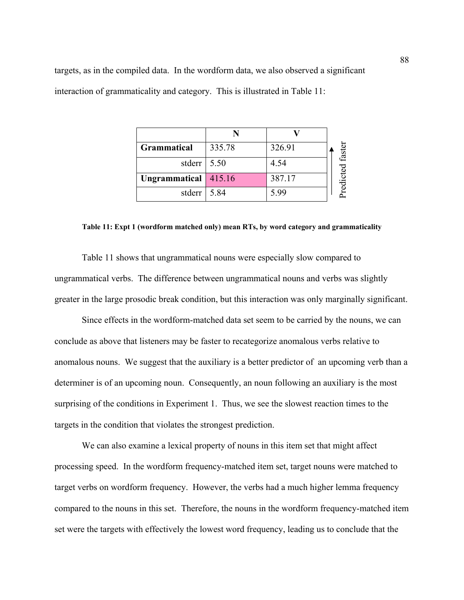| <b>Grammatical</b>          | 335.78 | 326.91 | ef<br>الأ |
|-----------------------------|--------|--------|-----------|
| stderr $\vert 5.50 \rangle$ |        | 4.54   | Ğ         |
| Ungrammatical 415.16        |        | 387.17 | red.      |
| stderr                      | 5.84   | 5.99   |           |

#### **Table 11: Expt 1 (wordform matched only) mean RTs, by word category and grammaticality**

Table 11 shows that ungrammatical nouns were especially slow compared to ungrammatical verbs. The difference between ungrammatical nouns and verbs was slightly greater in the large prosodic break condition, but this interaction was only marginally significant.

Since effects in the wordform-matched data set seem to be carried by the nouns, we can conclude as above that listeners may be faster to recategorize anomalous verbs relative to anomalous nouns. We suggest that the auxiliary is a better predictor of an upcoming verb than a determiner is of an upcoming noun. Consequently, an noun following an auxiliary is the most surprising of the conditions in Experiment 1. Thus, we see the slowest reaction times to the targets in the condition that violates the strongest prediction. **Examunatical**  $\begin{array}{r} \hline \textbf{Grammatical} & 335.78 & 326.91 \\ \hline \textbf{stiderr} & 5.50 & 4.54 & 387.17 \\ \hline \textbf{Ungrammaticical} & 316.16 & 387.17 \\ \hline \end{array}$ Table 11: Expt 1 (wordform matched only) mean RTs, by word category and grammaticality<br>
Table 11:

We can also examine a lexical property of nouns in this item set that might affect processing speed. In the wordform frequency-matched item set, target nouns were matched to target verbs on wordform frequency. However, the verbs had a much higher lemma frequency compared to the nouns in this set. Therefore, the nouns in the wordform frequency-matched item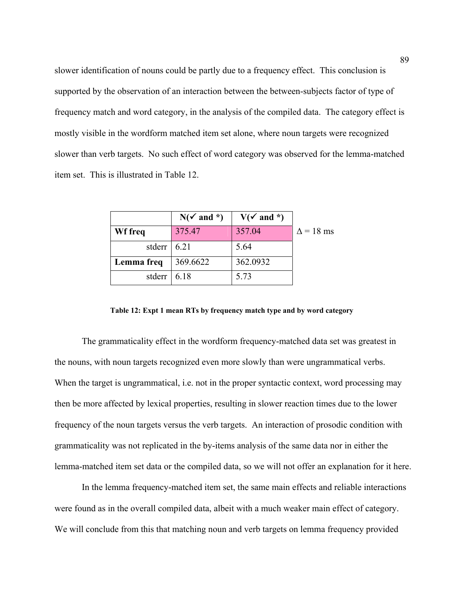slower identification of nouns could be partly due to a frequency effect. This conclusion is supported by the observation of an interaction between the between-subjects factor of type of frequency match and word category, in the analysis of the compiled data. The category effect is mostly visible in the wordform matched item set alone, where noun targets were recognized slower than verb targets. No such effect of word category was observed for the lemma-matched item set. This is illustrated in Table 12.

|                           | $N(\checkmark)$ and *) | $V(\checkmark)$ and *) |                  |
|---------------------------|------------------------|------------------------|------------------|
| Wf freq                   | 375.47                 | 357.04                 | $\Delta$ = 18 ms |
| stderr $\vert 6.21 \vert$ |                        | 5.64                   |                  |
| Lemma freq                | 369.6622               | 362.0932               |                  |
| stderr   $6.18$           |                        | 5.73                   |                  |

**Table 12: Expt 1 mean RTs by frequency match type and by word category** 

The grammaticality effect in the wordform frequency-matched data set was greatest in the nouns, with noun targets recognized even more slowly than were ungrammatical verbs. When the target is ungrammatical, i.e. not in the proper syntactic context, word processing may then be more affected by lexical properties, resulting in slower reaction times due to the lower frequency of the noun targets versus the verb targets. An interaction of prosodic condition with grammaticality was not replicated in the by-items analysis of the same data nor in either the lemma-matched item set data or the compiled data, so we will not offer an explanation for it here.

In the lemma frequency-matched item set, the same main effects and reliable interactions were found as in the overall compiled data, albeit with a much weaker main effect of category. We will conclude from this that matching noun and verb targets on lemma frequency provided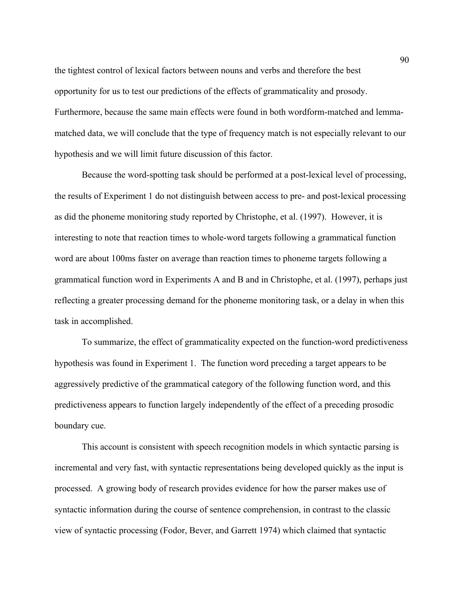the tightest control of lexical factors between nouns and verbs and therefore the best opportunity for us to test our predictions of the effects of grammaticality and prosody. Furthermore, because the same main effects were found in both wordform-matched and lemmamatched data, we will conclude that the type of frequency match is not especially relevant to our hypothesis and we will limit future discussion of this factor.

Because the word-spotting task should be performed at a post-lexical level of processing, the results of Experiment 1 do not distinguish between access to pre- and post-lexical processing as did the phoneme monitoring study reported by Christophe, et al. (1997). However, it is interesting to note that reaction times to whole-word targets following a grammatical function word are about 100ms faster on average than reaction times to phoneme targets following a grammatical function word in Experiments A and B and in Christophe, et al. (1997), perhaps just reflecting a greater processing demand for the phoneme monitoring task, or a delay in when this task in accomplished.

To summarize, the effect of grammaticality expected on the function-word predictiveness hypothesis was found in Experiment 1. The function word preceding a target appears to be aggressively predictive of the grammatical category of the following function word, and this predictiveness appears to function largely independently of the effect of a preceding prosodic boundary cue.

This account is consistent with speech recognition models in which syntactic parsing is incremental and very fast, with syntactic representations being developed quickly as the input is processed. A growing body of research provides evidence for how the parser makes use of syntactic information during the course of sentence comprehension, in contrast to the classic view of syntactic processing (Fodor, Bever, and Garrett 1974) which claimed that syntactic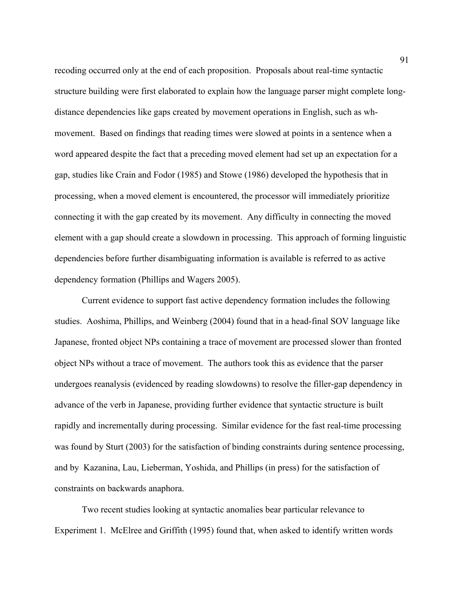recoding occurred only at the end of each proposition. Proposals about real-time syntactic structure building were first elaborated to explain how the language parser might complete longdistance dependencies like gaps created by movement operations in English, such as whmovement. Based on findings that reading times were slowed at points in a sentence when a word appeared despite the fact that a preceding moved element had set up an expectation for a gap, studies like Crain and Fodor (1985) and Stowe (1986) developed the hypothesis that in processing, when a moved element is encountered, the processor will immediately prioritize connecting it with the gap created by its movement. Any difficulty in connecting the moved element with a gap should create a slowdown in processing. This approach of forming linguistic dependencies before further disambiguating information is available is referred to as active dependency formation (Phillips and Wagers 2005).

Current evidence to support fast active dependency formation includes the following studies. Aoshima, Phillips, and Weinberg (2004) found that in a head-final SOV language like Japanese, fronted object NPs containing a trace of movement are processed slower than fronted object NPs without a trace of movement. The authors took this as evidence that the parser undergoes reanalysis (evidenced by reading slowdowns) to resolve the filler-gap dependency in advance of the verb in Japanese, providing further evidence that syntactic structure is built rapidly and incrementally during processing. Similar evidence for the fast real-time processing was found by Sturt (2003) for the satisfaction of binding constraints during sentence processing, and by Kazanina, Lau, Lieberman, Yoshida, and Phillips (in press) for the satisfaction of constraints on backwards anaphora.

Two recent studies looking at syntactic anomalies bear particular relevance to Experiment 1. McElree and Griffith (1995) found that, when asked to identify written words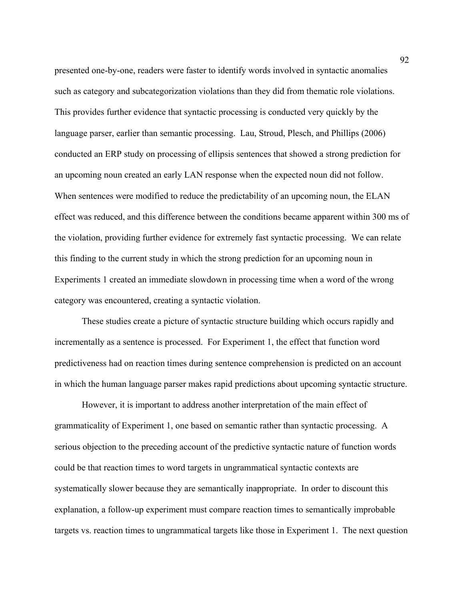presented one-by-one, readers were faster to identify words involved in syntactic anomalies such as category and subcategorization violations than they did from thematic role violations. This provides further evidence that syntactic processing is conducted very quickly by the language parser, earlier than semantic processing. Lau, Stroud, Plesch, and Phillips (2006) conducted an ERP study on processing of ellipsis sentences that showed a strong prediction for an upcoming noun created an early LAN response when the expected noun did not follow. When sentences were modified to reduce the predictability of an upcoming noun, the ELAN effect was reduced, and this difference between the conditions became apparent within 300 ms of the violation, providing further evidence for extremely fast syntactic processing. We can relate this finding to the current study in which the strong prediction for an upcoming noun in Experiments 1 created an immediate slowdown in processing time when a word of the wrong category was encountered, creating a syntactic violation.

These studies create a picture of syntactic structure building which occurs rapidly and incrementally as a sentence is processed. For Experiment 1, the effect that function word predictiveness had on reaction times during sentence comprehension is predicted on an account in which the human language parser makes rapid predictions about upcoming syntactic structure.

However, it is important to address another interpretation of the main effect of grammaticality of Experiment 1, one based on semantic rather than syntactic processing. A serious objection to the preceding account of the predictive syntactic nature of function words could be that reaction times to word targets in ungrammatical syntactic contexts are systematically slower because they are semantically inappropriate. In order to discount this explanation, a follow-up experiment must compare reaction times to semantically improbable targets vs. reaction times to ungrammatical targets like those in Experiment 1. The next question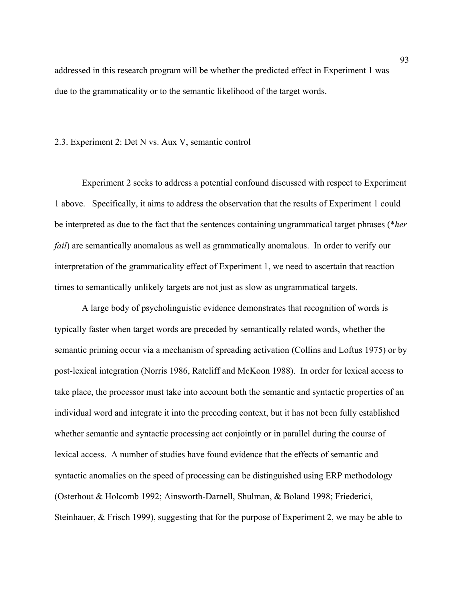addressed in this research program will be whether the predicted effect in Experiment 1 was due to the grammaticality or to the semantic likelihood of the target words.

#### 2.3. Experiment 2: Det N vs. Aux V, semantic control

Experiment 2 seeks to address a potential confound discussed with respect to Experiment 1 above. Specifically, it aims to address the observation that the results of Experiment 1 could be interpreted as due to the fact that the sentences containing ungrammatical target phrases (\**her fail*) are semantically anomalous as well as grammatically anomalous. In order to verify our interpretation of the grammaticality effect of Experiment 1, we need to ascertain that reaction times to semantically unlikely targets are not just as slow as ungrammatical targets.

A large body of psycholinguistic evidence demonstrates that recognition of words is typically faster when target words are preceded by semantically related words, whether the semantic priming occur via a mechanism of spreading activation (Collins and Loftus 1975) or by post-lexical integration (Norris 1986, Ratcliff and McKoon 1988). In order for lexical access to take place, the processor must take into account both the semantic and syntactic properties of an individual word and integrate it into the preceding context, but it has not been fully established whether semantic and syntactic processing act conjointly or in parallel during the course of lexical access. A number of studies have found evidence that the effects of semantic and syntactic anomalies on the speed of processing can be distinguished using ERP methodology (Osterhout & Holcomb 1992; Ainsworth-Darnell, Shulman, & Boland 1998; Friederici, Steinhauer, & Frisch 1999), suggesting that for the purpose of Experiment 2, we may be able to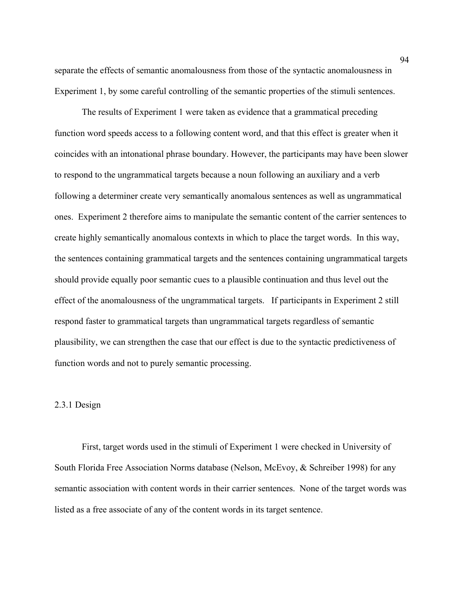separate the effects of semantic anomalousness from those of the syntactic anomalousness in Experiment 1, by some careful controlling of the semantic properties of the stimuli sentences.

The results of Experiment 1 were taken as evidence that a grammatical preceding function word speeds access to a following content word, and that this effect is greater when it coincides with an intonational phrase boundary. However, the participants may have been slower to respond to the ungrammatical targets because a noun following an auxiliary and a verb following a determiner create very semantically anomalous sentences as well as ungrammatical ones. Experiment 2 therefore aims to manipulate the semantic content of the carrier sentences to create highly semantically anomalous contexts in which to place the target words. In this way, the sentences containing grammatical targets and the sentences containing ungrammatical targets should provide equally poor semantic cues to a plausible continuation and thus level out the effect of the anomalousness of the ungrammatical targets. If participants in Experiment 2 still respond faster to grammatical targets than ungrammatical targets regardless of semantic plausibility, we can strengthen the case that our effect is due to the syntactic predictiveness of function words and not to purely semantic processing.

### 2.3.1 Design

First, target words used in the stimuli of Experiment 1 were checked in University of South Florida Free Association Norms database (Nelson, McEvoy, & Schreiber 1998) for any semantic association with content words in their carrier sentences. None of the target words was listed as a free associate of any of the content words in its target sentence.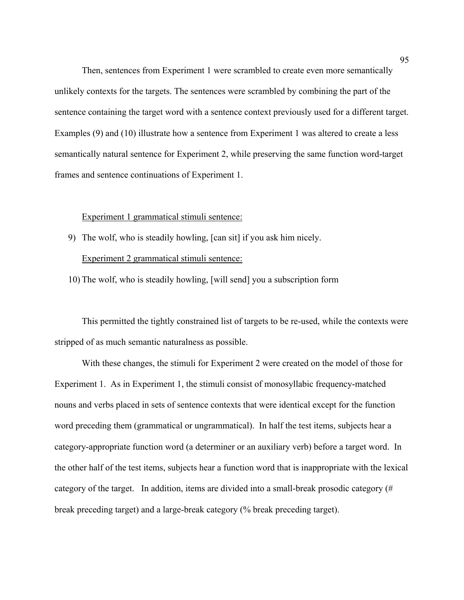Then, sentences from Experiment 1 were scrambled to create even more semantically unlikely contexts for the targets. The sentences were scrambled by combining the part of the sentence containing the target word with a sentence context previously used for a different target. Examples (9) and (10) illustrate how a sentence from Experiment 1 was altered to create a less semantically natural sentence for Experiment 2, while preserving the same function word-target frames and sentence continuations of Experiment 1.

#### Experiment 1 grammatical stimuli sentence:

9) The wolf, who is steadily howling, [can sit] if you ask him nicely. Experiment 2 grammatical stimuli sentence:

10) The wolf, who is steadily howling, [will send] you a subscription form

This permitted the tightly constrained list of targets to be re-used, while the contexts were stripped of as much semantic naturalness as possible.

With these changes, the stimuli for Experiment 2 were created on the model of those for Experiment 1. As in Experiment 1, the stimuli consist of monosyllabic frequency-matched nouns and verbs placed in sets of sentence contexts that were identical except for the function word preceding them (grammatical or ungrammatical). In half the test items, subjects hear a category-appropriate function word (a determiner or an auxiliary verb) before a target word. In the other half of the test items, subjects hear a function word that is inappropriate with the lexical category of the target. In addition, items are divided into a small-break prosodic category (# break preceding target) and a large-break category (% break preceding target).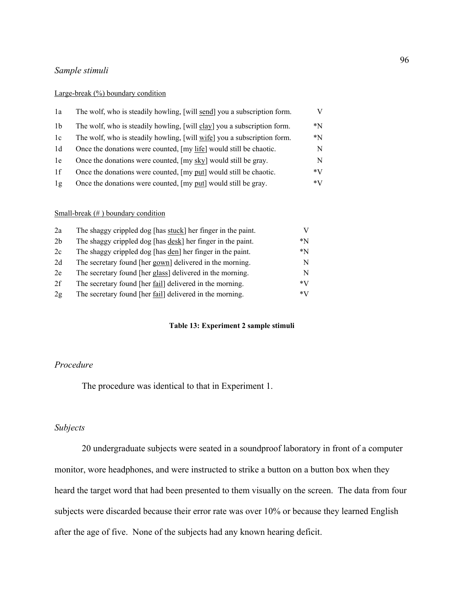#### *Sample stimuli*

#### Large-break (%) boundary condition

| 1a             | The wolf, who is steadily howling, [will send] you a subscription form. | V    |
|----------------|-------------------------------------------------------------------------|------|
| 1 <sub>b</sub> | The wolf, who is steadily howling, [will clay] you a subscription form. | *N   |
| 1c             | The wolf, who is steadily howling, [will wife] you a subscription form. | *N   |
| 1d             | Once the donations were counted, [my life] would still be chaotic.      | N    |
| 1e             | Once the donations were counted, [my sky] would still be gray.          | N    |
| 1f             | Once the donations were counted, [my put] would still be chaotic.       | $*V$ |
| 1g             | Once the donations were counted, [my put] would still be gray.          | $*V$ |

## Small-break (#) boundary condition

| 2a             | The shaggy crippled dog [has stuck] her finger in the paint.        | V    |
|----------------|---------------------------------------------------------------------|------|
| 2 <sub>b</sub> | The shaggy crippled dog [has <u>desk</u> ] her finger in the paint. | *N   |
| 2c             | The shaggy crippled dog [has <u>den</u> ] her finger in the paint.  | *N   |
| 2d             | The secretary found [her gown] delivered in the morning.            | N    |
| 2e             | The secretary found [her glass] delivered in the morning.           | N    |
| 2f             | The secretary found [her <u>fail</u> ] delivered in the morning.    | $*V$ |
| 2g             | The secretary found [her <u>fail</u> ] delivered in the morning.    | $*V$ |

## **Table 13: Experiment 2 sample stimuli**

# *Procedure*

The procedure was identical to that in Experiment 1.

#### *Subjects*

20 undergraduate subjects were seated in a soundproof laboratory in front of a computer monitor, wore headphones, and were instructed to strike a button on a button box when they heard the target word that had been presented to them visually on the screen. The data from four subjects were discarded because their error rate was over 10% or because they learned English after the age of five. None of the subjects had any known hearing deficit.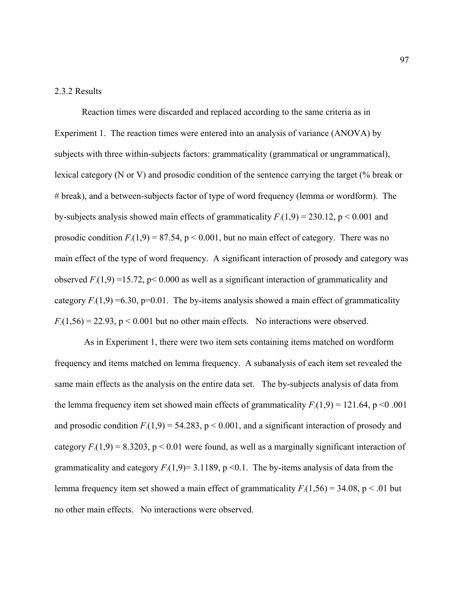# 2.3.2 Results

Reaction times were discarded and replaced according to the same criteria as in Experiment 1. The reaction times were entered into an analysis of variance (ANOVA) by subjects with three within-subjects factors: grammaticality (grammatical or ungrammatical), lexical category (N or V) and prosodic condition of the sentence carrying the target (% break or # break), and a between-subjects factor of type of word frequency (lemma or wordform). The by-subjects analysis showed main effects of grammaticality  $F_1(1,9) = 230.12$ ,  $p < 0.001$  and prosodic condition  $F_1(1,9) = 87.54$ ,  $p < 0.001$ , but no main effect of category. There was no main effect of the type of word frequency. A significant interaction of prosody and category was observed  $F_1(1,9) = 15.72$ , p< 0.000 as well as a significant interaction of grammaticality and category  $F_1(1,9) = 6.30$ , p=0.01. The by-items analysis showed a main effect of grammaticality  $F_2(1,56) = 22.93$ ,  $p < 0.001$  but no other main effects. No interactions were observed.

 As in Experiment 1, there were two item sets containing items matched on wordform frequency and items matched on lemma frequency. A subanalysis of each item set revealed the same main effects as the analysis on the entire data set. The by-subjects analysis of data from the lemma frequency item set showed main effects of grammaticality  $F_1(1,9) = 121.64$ , p < 0.001 and prosodic condition  $F_1(1,9) = 54.283$ ,  $p < 0.001$ , and a significant interaction of prosody and category  $F_1(1,9) = 8.3203$ ,  $p \le 0.01$  were found, as well as a marginally significant interaction of grammaticality and category  $F_1(1,9)=3.1189$ , p < 0.1. The by-items analysis of data from the lemma frequency item set showed a main effect of grammaticality  $F_2(1,56) = 34.08$ , p < .01 but no other main effects. No interactions were observed.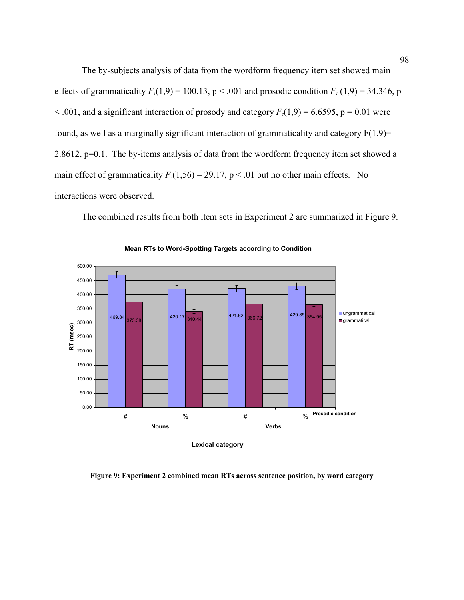The by-subjects analysis of data from the wordform frequency item set showed main effects of grammaticality  $F_1(1,9) = 100.13$ ,  $p < .001$  and prosodic condition  $F_1(1,9) = 34.346$ , p  $< .001$ , and a significant interaction of prosody and category  $F_2(1,9) = 6.6595$ ,  $p = 0.01$  were found, as well as a marginally significant interaction of grammaticality and category  $F(1.9)$ = 2.8612, p=0.1. The by-items analysis of data from the wordform frequency item set showed a main effect of grammaticality  $F_2(1,56) = 29.17$ ,  $p < .01$  but no other main effects. No interactions were observed.

The combined results from both item sets in Experiment 2 are summarized in Figure 9.



**Mean RTs to Word-Spotting Targets according to Condition**

**Figure 9: Experiment 2 combined mean RTs across sentence position, by word category**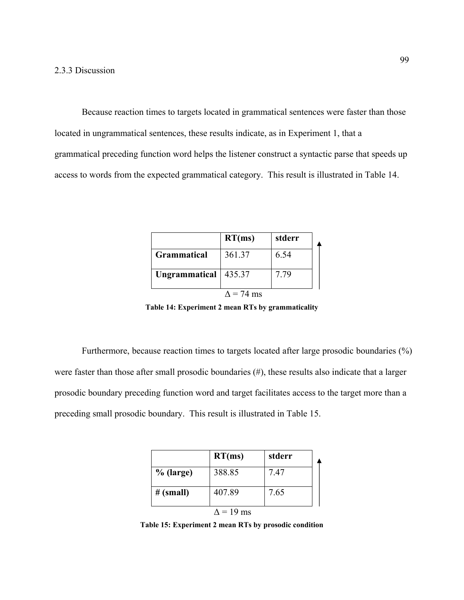Because reaction times to targets located in grammatical sentences were faster than those located in ungrammatical sentences, these results indicate, as in Experiment 1, that a grammatical preceding function word helps the listener construct a syntactic parse that speeds up access to words from the expected grammatical category. This result is illustrated in Table 14.

|                        | RT(ms)            | stderr |  |
|------------------------|-------------------|--------|--|
| <b>Grammatical</b>     | 361.37            | 6.54   |  |
| Ungrammatical   435.37 |                   | 7 79   |  |
|                        | $\Lambda$ = 74 ms |        |  |

**Table 14: Experiment 2 mean RTs by grammaticality** 

Furthermore, because reaction times to targets located after large prosodic boundaries (%) were faster than those after small prosodic boundaries (#), these results also indicate that a larger prosodic boundary preceding function word and target facilitates access to the target more than a preceding small prosodic boundary. This result is illustrated in Table 15.

|             | RT(ms)           | stderr |  |
|-------------|------------------|--------|--|
| $%$ (large) | 388.85           | 7.47   |  |
| # (small)   | 407.89           | 7.65   |  |
|             | $\Delta$ = 19 ms |        |  |

**Table 15: Experiment 2 mean RTs by prosodic condition**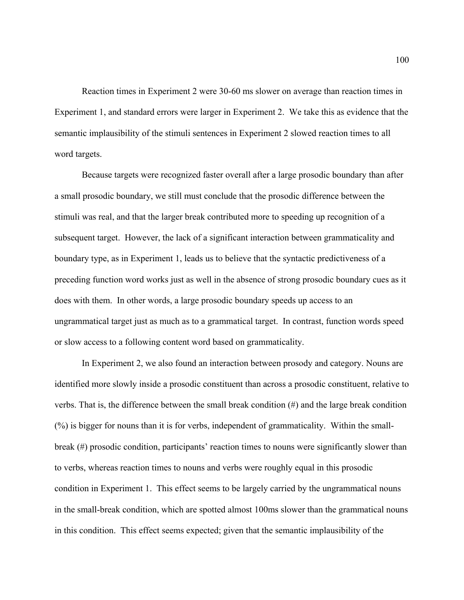Reaction times in Experiment 2 were 30-60 ms slower on average than reaction times in Experiment 1, and standard errors were larger in Experiment 2. We take this as evidence that the semantic implausibility of the stimuli sentences in Experiment 2 slowed reaction times to all word targets.

Because targets were recognized faster overall after a large prosodic boundary than after a small prosodic boundary, we still must conclude that the prosodic difference between the stimuli was real, and that the larger break contributed more to speeding up recognition of a subsequent target. However, the lack of a significant interaction between grammaticality and boundary type, as in Experiment 1, leads us to believe that the syntactic predictiveness of a preceding function word works just as well in the absence of strong prosodic boundary cues as it does with them. In other words, a large prosodic boundary speeds up access to an ungrammatical target just as much as to a grammatical target. In contrast, function words speed or slow access to a following content word based on grammaticality.

In Experiment 2, we also found an interaction between prosody and category. Nouns are identified more slowly inside a prosodic constituent than across a prosodic constituent, relative to verbs. That is, the difference between the small break condition (#) and the large break condition (%) is bigger for nouns than it is for verbs, independent of grammaticality. Within the smallbreak (#) prosodic condition, participants' reaction times to nouns were significantly slower than to verbs, whereas reaction times to nouns and verbs were roughly equal in this prosodic condition in Experiment 1. This effect seems to be largely carried by the ungrammatical nouns in the small-break condition, which are spotted almost 100ms slower than the grammatical nouns in this condition. This effect seems expected; given that the semantic implausibility of the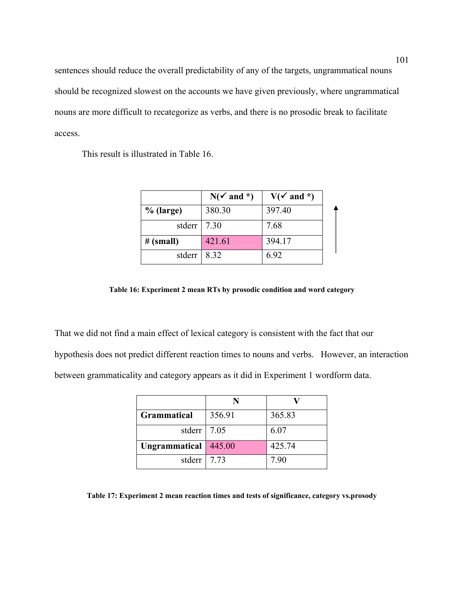sentences should reduce the overall predictability of any of the targets, ungrammatical nouns should be recognized slowest on the accounts we have given previously, where ungrammatical nouns are more difficult to recategorize as verbs, and there is no prosodic break to facilitate access.

This result is illustrated in Table 16.

|                 | $N(\checkmark)$ and *) | $V(\checkmark)$ and *) |  |
|-----------------|------------------------|------------------------|--|
| $%$ (large)     | 380.30                 | 397.40                 |  |
| stderr   $7.30$ |                        | 7.68                   |  |
| # (small)       | 421.61                 | 394.17                 |  |
| stderr          | 8.32                   | 6.92                   |  |

**Table 16: Experiment 2 mean RTs by prosodic condition and word category** 

That we did not find a main effect of lexical category is consistent with the fact that our hypothesis does not predict different reaction times to nouns and verbs. However, an interaction between grammaticality and category appears as it did in Experiment 1 wordform data.

| <b>Grammatical</b>   | 356.91 | 365.83 |
|----------------------|--------|--------|
| stderr   $7.05$      |        | 6.07   |
| <b>Ungrammatical</b> | 445.00 | 425.74 |
| stderr   $7.73$      |        | 7.90   |

**Table 17: Experiment 2 mean reaction times and tests of significance, category vs.prosody**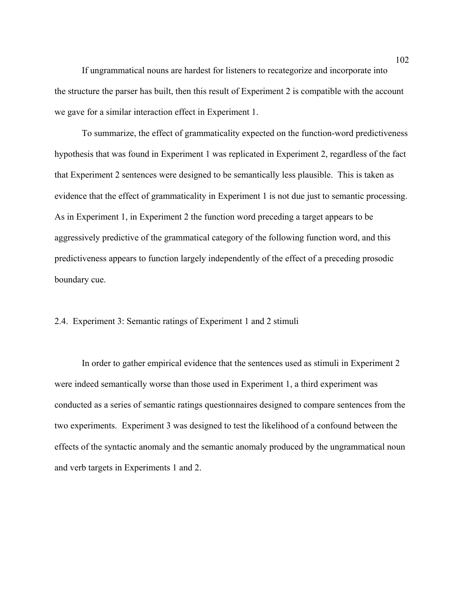If ungrammatical nouns are hardest for listeners to recategorize and incorporate into the structure the parser has built, then this result of Experiment 2 is compatible with the account we gave for a similar interaction effect in Experiment 1.

To summarize, the effect of grammaticality expected on the function-word predictiveness hypothesis that was found in Experiment 1 was replicated in Experiment 2, regardless of the fact that Experiment 2 sentences were designed to be semantically less plausible. This is taken as evidence that the effect of grammaticality in Experiment 1 is not due just to semantic processing. As in Experiment 1, in Experiment 2 the function word preceding a target appears to be aggressively predictive of the grammatical category of the following function word, and this predictiveness appears to function largely independently of the effect of a preceding prosodic boundary cue.

# 2.4. Experiment 3: Semantic ratings of Experiment 1 and 2 stimuli

In order to gather empirical evidence that the sentences used as stimuli in Experiment 2 were indeed semantically worse than those used in Experiment 1, a third experiment was conducted as a series of semantic ratings questionnaires designed to compare sentences from the two experiments. Experiment 3 was designed to test the likelihood of a confound between the effects of the syntactic anomaly and the semantic anomaly produced by the ungrammatical noun and verb targets in Experiments 1 and 2.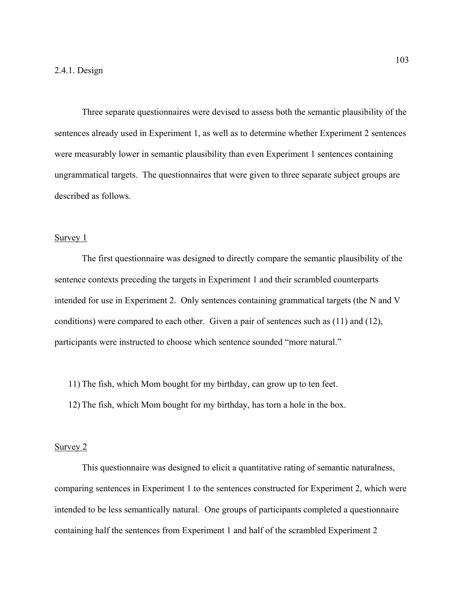Three separate questionnaires were devised to assess both the semantic plausibility of the sentences already used in Experiment 1, as well as to determine whether Experiment 2 sentences were measurably lower in semantic plausibility than even Experiment 1 sentences containing ungrammatical targets. The questionnaires that were given to three separate subject groups are described as follows.

#### Survey 1

The first questionnaire was designed to directly compare the semantic plausibility of the sentence contexts preceding the targets in Experiment 1 and their scrambled counterparts intended for use in Experiment 2. Only sentences containing grammatical targets (the N and V conditions) were compared to each other. Given a pair of sentences such as (11) and (12), participants were instructed to choose which sentence sounded "more natural."

11) The fish, which Mom bought for my birthday, can grow up to ten feet.

12) The fish, which Mom bought for my birthday, has torn a hole in the box.

#### Survey 2

This questionnaire was designed to elicit a quantitative rating of semantic naturalness, comparing sentences in Experiment 1 to the sentences constructed for Experiment 2, which were intended to be less semantically natural. One groups of participants completed a questionnaire containing half the sentences from Experiment 1 and half of the scrambled Experiment 2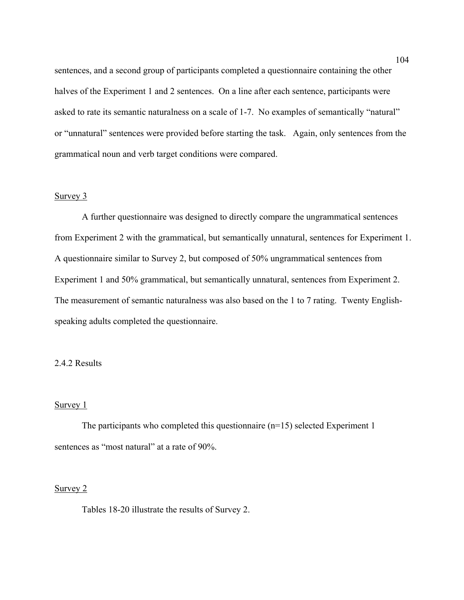sentences, and a second group of participants completed a questionnaire containing the other halves of the Experiment 1 and 2 sentences. On a line after each sentence, participants were asked to rate its semantic naturalness on a scale of 1-7. No examples of semantically "natural" or "unnatural" sentences were provided before starting the task. Again, only sentences from the grammatical noun and verb target conditions were compared.

# Survey 3

A further questionnaire was designed to directly compare the ungrammatical sentences from Experiment 2 with the grammatical, but semantically unnatural, sentences for Experiment 1. A questionnaire similar to Survey 2, but composed of 50% ungrammatical sentences from Experiment 1 and 50% grammatical, but semantically unnatural, sentences from Experiment 2. The measurement of semantic naturalness was also based on the 1 to 7 rating. Twenty Englishspeaking adults completed the questionnaire.

# 2.4.2 Results

# Survey 1

The participants who completed this questionnaire (n=15) selected Experiment 1 sentences as "most natural" at a rate of 90%.

### Survey 2

Tables 18-20 illustrate the results of Survey 2.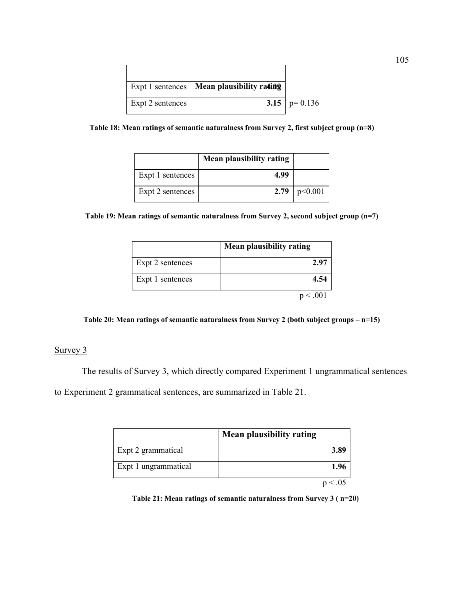|                  | Expt 1 sentences   Mean plausibility $\mathbf{r}$ ation |                  |
|------------------|---------------------------------------------------------|------------------|
| Expt 2 sentences |                                                         | 3.15   $p=0.136$ |

**Table 18: Mean ratings of semantic naturalness from Survey 2, first subject group (n=8)** 

|                  | Mean plausibility rating |                  |
|------------------|--------------------------|------------------|
| Expt 1 sentences | 4.99                     |                  |
| Expt 2 sentences |                          | 2.79   $p<0.001$ |

**Table 19: Mean ratings of semantic naturalness from Survey 2, second subject group (n=7)** 

|                  | <b>Mean plausibility rating</b> |
|------------------|---------------------------------|
| Expt 2 sentences | 2.97                            |
| Expt 1 sentences | 4.54                            |
|                  |                                 |



# Survey 3

The results of Survey 3, which directly compared Experiment 1 ungrammatical sentences

to Experiment 2 grammatical sentences, are summarized in Table 21.

|                      | <b>Mean plausibility rating</b> |
|----------------------|---------------------------------|
| Expt 2 grammatical   | 3.89                            |
| Expt 1 ungrammatical | 1.96                            |
|                      |                                 |

**Table 21: Mean ratings of semantic naturalness from Survey 3 ( n=20)**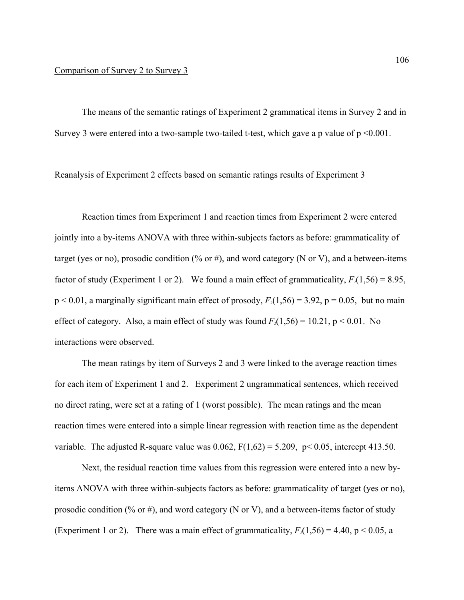The means of the semantic ratings of Experiment 2 grammatical items in Survey 2 and in Survey 3 were entered into a two-sample two-tailed t-test, which gave a p value of  $p \le 0.001$ .

# Reanalysis of Experiment 2 effects based on semantic ratings results of Experiment 3

Reaction times from Experiment 1 and reaction times from Experiment 2 were entered jointly into a by-items ANOVA with three within-subjects factors as before: grammaticality of target (yes or no), prosodic condition (% or #), and word category (N or V), and a between-items factor of study (Experiment 1 or 2). We found a main effect of grammaticality,  $F_2(1,56) = 8.95$ ,  $p < 0.01$ , a marginally significant main effect of prosody,  $F_2(1,56) = 3.92$ ,  $p = 0.05$ , but no main effect of category. Also, a main effect of study was found  $F_2(1,56) = 10.21$ , p < 0.01. No interactions were observed.

The mean ratings by item of Surveys 2 and 3 were linked to the average reaction times for each item of Experiment 1 and 2. Experiment 2 ungrammatical sentences, which received no direct rating, were set at a rating of 1 (worst possible). The mean ratings and the mean reaction times were entered into a simple linear regression with reaction time as the dependent variable. The adjusted R-square value was  $0.062$ ,  $F(1,62) = 5.209$ ,  $p < 0.05$ , intercept 413.50.

Next, the residual reaction time values from this regression were entered into a new byitems ANOVA with three within-subjects factors as before: grammaticality of target (yes or no), prosodic condition (% or #), and word category (N or V), and a between-items factor of study (Experiment 1 or 2). There was a main effect of grammaticality,  $F_2(1,56) = 4.40$ , p < 0.05, a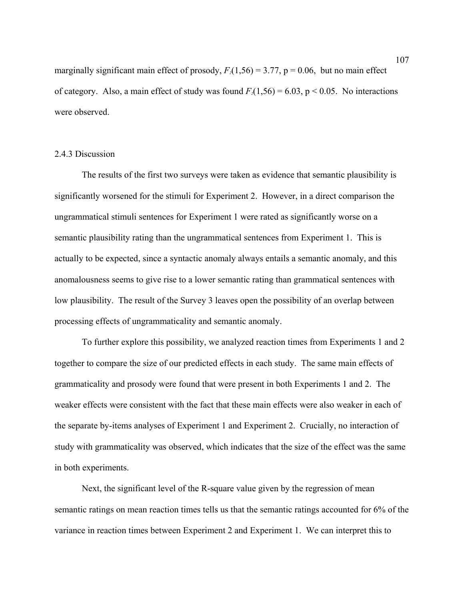marginally significant main effect of prosody,  $F_2(1,56) = 3.77$ ,  $p = 0.06$ , but no main effect of category. Also, a main effect of study was found  $F_2(1,56) = 6.03$ ,  $p < 0.05$ . No interactions were observed.

### 2.4.3 Discussion

The results of the first two surveys were taken as evidence that semantic plausibility is significantly worsened for the stimuli for Experiment 2. However, in a direct comparison the ungrammatical stimuli sentences for Experiment 1 were rated as significantly worse on a semantic plausibility rating than the ungrammatical sentences from Experiment 1. This is actually to be expected, since a syntactic anomaly always entails a semantic anomaly, and this anomalousness seems to give rise to a lower semantic rating than grammatical sentences with low plausibility. The result of the Survey 3 leaves open the possibility of an overlap between processing effects of ungrammaticality and semantic anomaly.

To further explore this possibility, we analyzed reaction times from Experiments 1 and 2 together to compare the size of our predicted effects in each study. The same main effects of grammaticality and prosody were found that were present in both Experiments 1 and 2. The weaker effects were consistent with the fact that these main effects were also weaker in each of the separate by-items analyses of Experiment 1 and Experiment 2. Crucially, no interaction of study with grammaticality was observed, which indicates that the size of the effect was the same in both experiments.

Next, the significant level of the R-square value given by the regression of mean semantic ratings on mean reaction times tells us that the semantic ratings accounted for 6% of the variance in reaction times between Experiment 2 and Experiment 1. We can interpret this to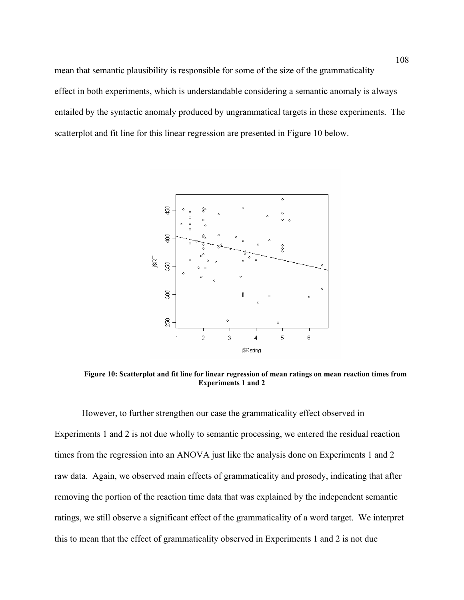mean that semantic plausibility is responsible for some of the size of the grammaticality effect in both experiments, which is understandable considering a semantic anomaly is always entailed by the syntactic anomaly produced by ungrammatical targets in these experiments. The scatterplot and fit line for this linear regression are presented in Figure 10 below.



**Figure 10: Scatterplot and fit line for linear regression of mean ratings on mean reaction times from Experiments 1 and 2** 

However, to further strengthen our case the grammaticality effect observed in Experiments 1 and 2 is not due wholly to semantic processing, we entered the residual reaction times from the regression into an ANOVA just like the analysis done on Experiments 1 and 2 raw data. Again, we observed main effects of grammaticality and prosody, indicating that after removing the portion of the reaction time data that was explained by the independent semantic ratings, we still observe a significant effect of the grammaticality of a word target. We interpret this to mean that the effect of grammaticality observed in Experiments 1 and 2 is not due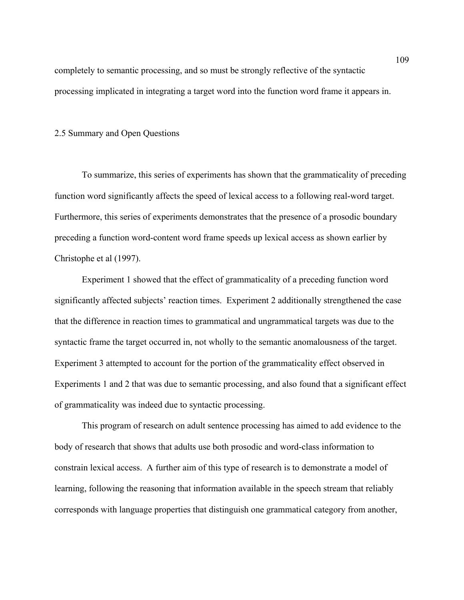completely to semantic processing, and so must be strongly reflective of the syntactic processing implicated in integrating a target word into the function word frame it appears in.

# 2.5 Summary and Open Questions

To summarize, this series of experiments has shown that the grammaticality of preceding function word significantly affects the speed of lexical access to a following real-word target. Furthermore, this series of experiments demonstrates that the presence of a prosodic boundary preceding a function word-content word frame speeds up lexical access as shown earlier by Christophe et al (1997).

Experiment 1 showed that the effect of grammaticality of a preceding function word significantly affected subjects' reaction times. Experiment 2 additionally strengthened the case that the difference in reaction times to grammatical and ungrammatical targets was due to the syntactic frame the target occurred in, not wholly to the semantic anomalousness of the target. Experiment 3 attempted to account for the portion of the grammaticality effect observed in Experiments 1 and 2 that was due to semantic processing, and also found that a significant effect of grammaticality was indeed due to syntactic processing.

This program of research on adult sentence processing has aimed to add evidence to the body of research that shows that adults use both prosodic and word-class information to constrain lexical access. A further aim of this type of research is to demonstrate a model of learning, following the reasoning that information available in the speech stream that reliably corresponds with language properties that distinguish one grammatical category from another,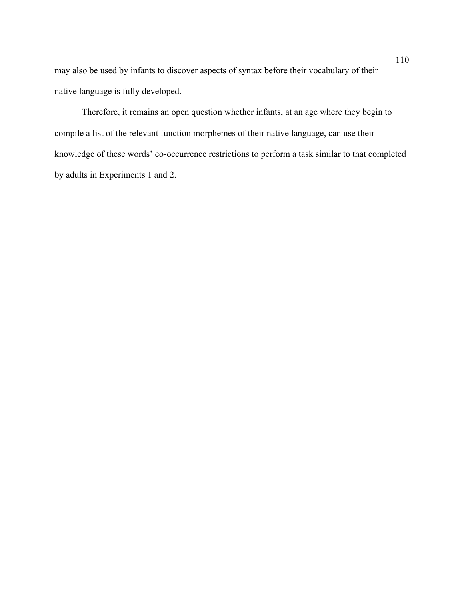may also be used by infants to discover aspects of syntax before their vocabulary of their native language is fully developed.

Therefore, it remains an open question whether infants, at an age where they begin to compile a list of the relevant function morphemes of their native language, can use their knowledge of these words' co-occurrence restrictions to perform a task similar to that completed by adults in Experiments 1 and 2.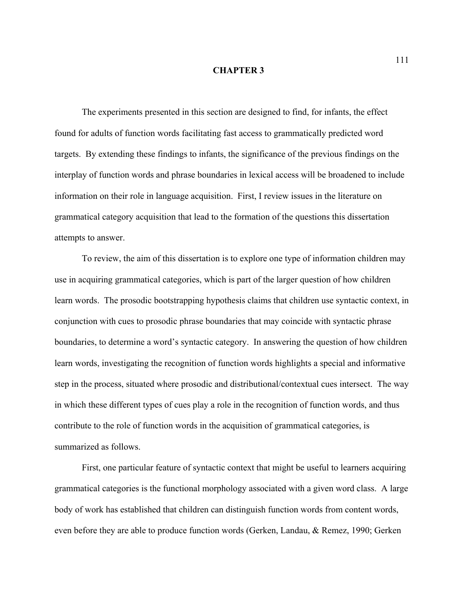### **CHAPTER 3**

The experiments presented in this section are designed to find, for infants, the effect found for adults of function words facilitating fast access to grammatically predicted word targets. By extending these findings to infants, the significance of the previous findings on the interplay of function words and phrase boundaries in lexical access will be broadened to include information on their role in language acquisition. First, I review issues in the literature on grammatical category acquisition that lead to the formation of the questions this dissertation attempts to answer.

To review, the aim of this dissertation is to explore one type of information children may use in acquiring grammatical categories, which is part of the larger question of how children learn words. The prosodic bootstrapping hypothesis claims that children use syntactic context, in conjunction with cues to prosodic phrase boundaries that may coincide with syntactic phrase boundaries, to determine a word's syntactic category. In answering the question of how children learn words, investigating the recognition of function words highlights a special and informative step in the process, situated where prosodic and distributional/contextual cues intersect. The way in which these different types of cues play a role in the recognition of function words, and thus contribute to the role of function words in the acquisition of grammatical categories, is summarized as follows.

First, one particular feature of syntactic context that might be useful to learners acquiring grammatical categories is the functional morphology associated with a given word class. A large body of work has established that children can distinguish function words from content words, even before they are able to produce function words (Gerken, Landau, & Remez, 1990; Gerken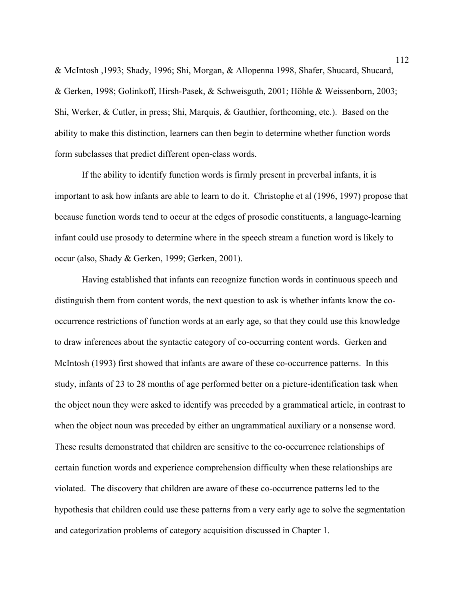& McIntosh ,1993; Shady, 1996; Shi, Morgan, & Allopenna 1998, Shafer, Shucard, Shucard, & Gerken, 1998; Golinkoff, Hirsh-Pasek, & Schweisguth, 2001; Höhle & Weissenborn, 2003; Shi, Werker, & Cutler, in press; Shi, Marquis, & Gauthier, forthcoming, etc.). Based on the ability to make this distinction, learners can then begin to determine whether function words form subclasses that predict different open-class words.

 If the ability to identify function words is firmly present in preverbal infants, it is important to ask how infants are able to learn to do it. Christophe et al (1996, 1997) propose that because function words tend to occur at the edges of prosodic constituents, a language-learning infant could use prosody to determine where in the speech stream a function word is likely to occur (also, Shady & Gerken, 1999; Gerken, 2001).

Having established that infants can recognize function words in continuous speech and distinguish them from content words, the next question to ask is whether infants know the cooccurrence restrictions of function words at an early age, so that they could use this knowledge to draw inferences about the syntactic category of co-occurring content words. Gerken and McIntosh (1993) first showed that infants are aware of these co-occurrence patterns. In this study, infants of 23 to 28 months of age performed better on a picture-identification task when the object noun they were asked to identify was preceded by a grammatical article, in contrast to when the object noun was preceded by either an ungrammatical auxiliary or a nonsense word. These results demonstrated that children are sensitive to the co-occurrence relationships of certain function words and experience comprehension difficulty when these relationships are violated. The discovery that children are aware of these co-occurrence patterns led to the hypothesis that children could use these patterns from a very early age to solve the segmentation and categorization problems of category acquisition discussed in Chapter 1.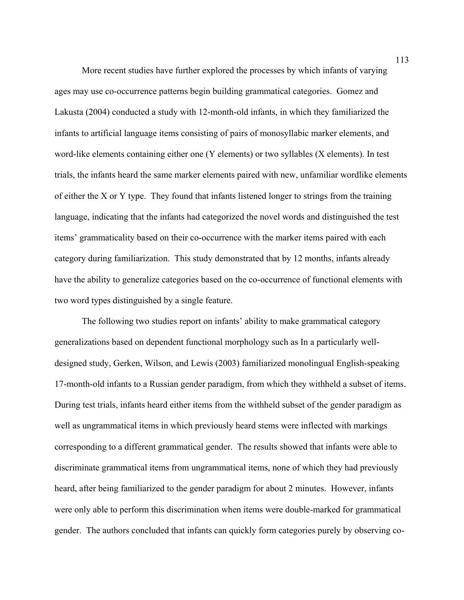More recent studies have further explored the processes by which infants of varying ages may use co-occurrence patterns begin building grammatical categories. Gomez and Lakusta (2004) conducted a study with 12-month-old infants, in which they familiarized the infants to artificial language items consisting of pairs of monosyllabic marker elements, and word-like elements containing either one (Y elements) or two syllables (X elements). In test trials, the infants heard the same marker elements paired with new, unfamiliar wordlike elements of either the X or Y type. They found that infants listened longer to strings from the training language, indicating that the infants had categorized the novel words and distinguished the test items' grammaticality based on their co-occurrence with the marker items paired with each category during familiarization. This study demonstrated that by 12 months, infants already have the ability to generalize categories based on the co-occurrence of functional elements with two word types distinguished by a single feature.

The following two studies report on infants' ability to make grammatical category generalizations based on dependent functional morphology such as In a particularly welldesigned study, Gerken, Wilson, and Lewis (2003) familiarized monolingual English-speaking 17-month-old infants to a Russian gender paradigm, from which they withheld a subset of items. During test trials, infants heard either items from the withheld subset of the gender paradigm as well as ungrammatical items in which previously heard stems were inflected with markings corresponding to a different grammatical gender. The results showed that infants were able to discriminate grammatical items from ungrammatical items, none of which they had previously heard, after being familiarized to the gender paradigm for about 2 minutes. However, infants were only able to perform this discrimination when items were double-marked for grammatical gender. The authors concluded that infants can quickly form categories purely by observing co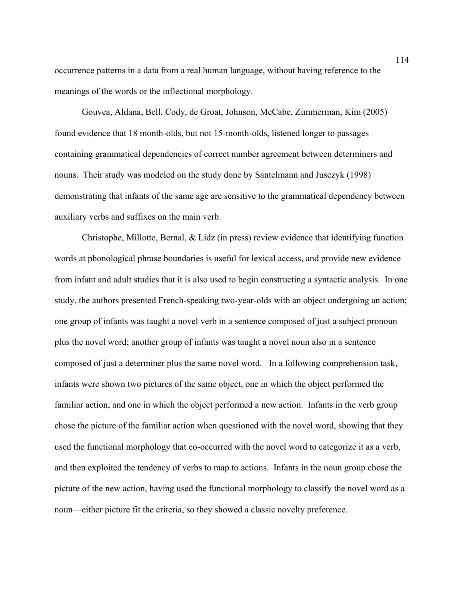occurrence patterns in a data from a real human language, without having reference to the meanings of the words or the inflectional morphology.

Gouvea, Aldana, Bell, Cody, de Groat, Johnson, McCabe, Zimmerman, Kim (2005) found evidence that 18 month-olds, but not 15-month-olds, listened longer to passages containing grammatical dependencies of correct number agreement between determiners and nouns. Their study was modeled on the study done by Santelmann and Jusczyk (1998) demonstrating that infants of the same age are sensitive to the grammatical dependency between auxiliary verbs and suffixes on the main verb.

Christophe, Millotte, Bernal, & Lidz (in press) review evidence that identifying function words at phonological phrase boundaries is useful for lexical access, and provide new evidence from infant and adult studies that it is also used to begin constructing a syntactic analysis. In one study, the authors presented French-speaking two-year-olds with an object undergoing an action; one group of infants was taught a novel verb in a sentence composed of just a subject pronoun plus the novel word; another group of infants was taught a novel noun also in a sentence composed of just a determiner plus the same novel word. In a following comprehension task, infants were shown two pictures of the same object, one in which the object performed the familiar action, and one in which the object performed a new action. Infants in the verb group chose the picture of the familiar action when questioned with the novel word, showing that they used the functional morphology that co-occurred with the novel word to categorize it as a verb, and then exploited the tendency of verbs to map to actions. Infants in the noun group chose the picture of the new action, having used the functional morphology to classify the novel word as a noun—either picture fit the criteria, so they showed a classic novelty preference.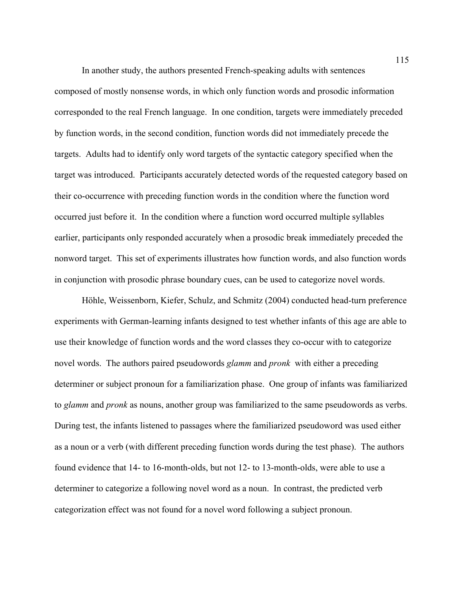In another study, the authors presented French-speaking adults with sentences composed of mostly nonsense words, in which only function words and prosodic information corresponded to the real French language. In one condition, targets were immediately preceded by function words, in the second condition, function words did not immediately precede the targets. Adults had to identify only word targets of the syntactic category specified when the target was introduced. Participants accurately detected words of the requested category based on their co-occurrence with preceding function words in the condition where the function word occurred just before it. In the condition where a function word occurred multiple syllables earlier, participants only responded accurately when a prosodic break immediately preceded the nonword target. This set of experiments illustrates how function words, and also function words in conjunction with prosodic phrase boundary cues, can be used to categorize novel words.

Höhle, Weissenborn, Kiefer, Schulz, and Schmitz (2004) conducted head-turn preference experiments with German-learning infants designed to test whether infants of this age are able to use their knowledge of function words and the word classes they co-occur with to categorize novel words. The authors paired pseudowords *glamm* and *pronk* with either a preceding determiner or subject pronoun for a familiarization phase. One group of infants was familiarized to *glamm* and *pronk* as nouns, another group was familiarized to the same pseudowords as verbs. During test, the infants listened to passages where the familiarized pseudoword was used either as a noun or a verb (with different preceding function words during the test phase). The authors found evidence that 14- to 16-month-olds, but not 12- to 13-month-olds, were able to use a determiner to categorize a following novel word as a noun. In contrast, the predicted verb categorization effect was not found for a novel word following a subject pronoun.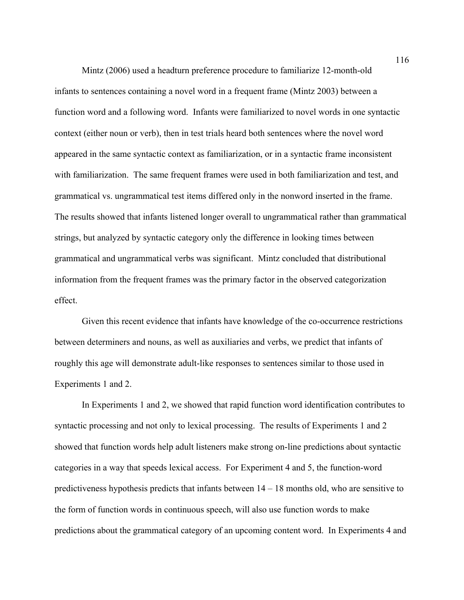Mintz (2006) used a headturn preference procedure to familiarize 12-month-old infants to sentences containing a novel word in a frequent frame (Mintz 2003) between a function word and a following word. Infants were familiarized to novel words in one syntactic context (either noun or verb), then in test trials heard both sentences where the novel word appeared in the same syntactic context as familiarization, or in a syntactic frame inconsistent with familiarization. The same frequent frames were used in both familiarization and test, and grammatical vs. ungrammatical test items differed only in the nonword inserted in the frame. The results showed that infants listened longer overall to ungrammatical rather than grammatical strings, but analyzed by syntactic category only the difference in looking times between grammatical and ungrammatical verbs was significant. Mintz concluded that distributional information from the frequent frames was the primary factor in the observed categorization effect.

Given this recent evidence that infants have knowledge of the co-occurrence restrictions between determiners and nouns, as well as auxiliaries and verbs, we predict that infants of roughly this age will demonstrate adult-like responses to sentences similar to those used in Experiments 1 and 2.

In Experiments 1 and 2, we showed that rapid function word identification contributes to syntactic processing and not only to lexical processing. The results of Experiments 1 and 2 showed that function words help adult listeners make strong on-line predictions about syntactic categories in a way that speeds lexical access. For Experiment 4 and 5, the function-word predictiveness hypothesis predicts that infants between 14 – 18 months old, who are sensitive to the form of function words in continuous speech, will also use function words to make predictions about the grammatical category of an upcoming content word. In Experiments 4 and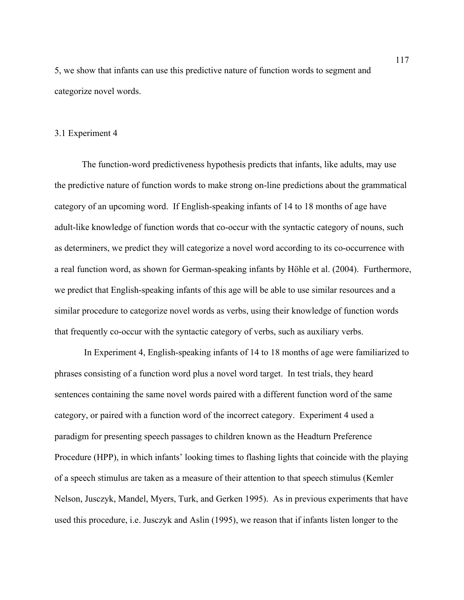5, we show that infants can use this predictive nature of function words to segment and categorize novel words.

# 3.1 Experiment 4

The function-word predictiveness hypothesis predicts that infants, like adults, may use the predictive nature of function words to make strong on-line predictions about the grammatical category of an upcoming word. If English-speaking infants of 14 to 18 months of age have adult-like knowledge of function words that co-occur with the syntactic category of nouns, such as determiners, we predict they will categorize a novel word according to its co-occurrence with a real function word, as shown for German-speaking infants by Höhle et al. (2004). Furthermore, we predict that English-speaking infants of this age will be able to use similar resources and a similar procedure to categorize novel words as verbs, using their knowledge of function words that frequently co-occur with the syntactic category of verbs, such as auxiliary verbs.

 In Experiment 4, English-speaking infants of 14 to 18 months of age were familiarized to phrases consisting of a function word plus a novel word target. In test trials, they heard sentences containing the same novel words paired with a different function word of the same category, or paired with a function word of the incorrect category. Experiment 4 used a paradigm for presenting speech passages to children known as the Headturn Preference Procedure (HPP), in which infants' looking times to flashing lights that coincide with the playing of a speech stimulus are taken as a measure of their attention to that speech stimulus (Kemler Nelson, Jusczyk, Mandel, Myers, Turk, and Gerken 1995). As in previous experiments that have used this procedure, i.e. Jusczyk and Aslin (1995), we reason that if infants listen longer to the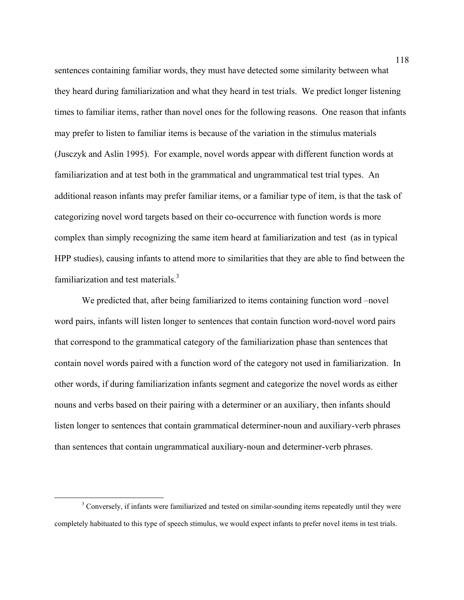sentences containing familiar words, they must have detected some similarity between what they heard during familiarization and what they heard in test trials. We predict longer listening times to familiar items, rather than novel ones for the following reasons. One reason that infants may prefer to listen to familiar items is because of the variation in the stimulus materials (Jusczyk and Aslin 1995). For example, novel words appear with different function words at familiarization and at test both in the grammatical and ungrammatical test trial types. An additional reason infants may prefer familiar items, or a familiar type of item, is that the task of categorizing novel word targets based on their co-occurrence with function words is more complex than simply recognizing the same item heard at familiarization and test (as in typical HPP studies), causing infants to attend more to similarities that they are able to find between the familiarization and test materials.<sup>3</sup>

We predicted that, after being familiarized to items containing function word –novel word pairs, infants will listen longer to sentences that contain function word-novel word pairs that correspond to the grammatical category of the familiarization phase than sentences that contain novel words paired with a function word of the category not used in familiarization. In other words, if during familiarization infants segment and categorize the novel words as either nouns and verbs based on their pairing with a determiner or an auxiliary, then infants should listen longer to sentences that contain grammatical determiner-noun and auxiliary-verb phrases than sentences that contain ungrammatical auxiliary-noun and determiner-verb phrases.

 <sup>3</sup> <sup>3</sup> Conversely, if infants were familiarized and tested on similar-sounding items repeatedly until they were completely habituated to this type of speech stimulus, we would expect infants to prefer novel items in test trials.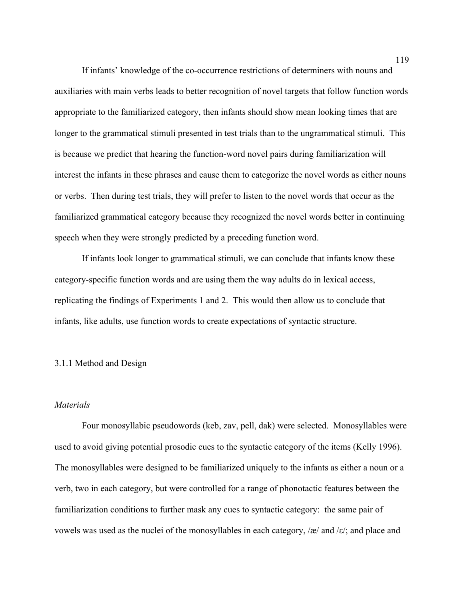If infants' knowledge of the co-occurrence restrictions of determiners with nouns and auxiliaries with main verbs leads to better recognition of novel targets that follow function words appropriate to the familiarized category, then infants should show mean looking times that are longer to the grammatical stimuli presented in test trials than to the ungrammatical stimuli. This is because we predict that hearing the function-word novel pairs during familiarization will interest the infants in these phrases and cause them to categorize the novel words as either nouns or verbs. Then during test trials, they will prefer to listen to the novel words that occur as the familiarized grammatical category because they recognized the novel words better in continuing speech when they were strongly predicted by a preceding function word.

If infants look longer to grammatical stimuli, we can conclude that infants know these category-specific function words and are using them the way adults do in lexical access, replicating the findings of Experiments 1 and 2. This would then allow us to conclude that infants, like adults, use function words to create expectations of syntactic structure.

# 3.1.1 Method and Design

# *Materials*

Four monosyllabic pseudowords (keb, zav, pell, dak) were selected. Monosyllables were used to avoid giving potential prosodic cues to the syntactic category of the items (Kelly 1996). The monosyllables were designed to be familiarized uniquely to the infants as either a noun or a verb, two in each category, but were controlled for a range of phonotactic features between the familiarization conditions to further mask any cues to syntactic category: the same pair of vowels was used as the nuclei of the monosyllables in each category,  $\alpha/$  and  $\alpha/$ ; and place and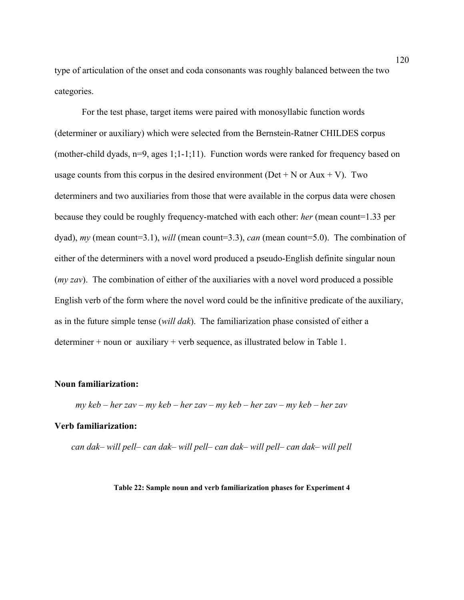type of articulation of the onset and coda consonants was roughly balanced between the two categories.

 For the test phase, target items were paired with monosyllabic function words (determiner or auxiliary) which were selected from the Bernstein-Ratner CHILDES corpus (mother-child dyads, n=9, ages 1;1-1;11). Function words were ranked for frequency based on usage counts from this corpus in the desired environment ( $Det + N$  or  $Aux + V$ ). Two determiners and two auxiliaries from those that were available in the corpus data were chosen because they could be roughly frequency-matched with each other: *her* (mean count=1.33 per dyad), *my* (mean count=3.1), *will* (mean count=3.3), *can* (mean count=5.0). The combination of either of the determiners with a novel word produced a pseudo-English definite singular noun (*my zav*). The combination of either of the auxiliaries with a novel word produced a possible English verb of the form where the novel word could be the infinitive predicate of the auxiliary, as in the future simple tense (*will dak*). The familiarization phase consisted of either a determiner + noun or auxiliary + verb sequence, as illustrated below in Table 1.

# **Noun familiarization:**

*my keb – her zav – my keb – her zav – my keb – her zav – my keb – her zav* 

### **Verb familiarization:**

*can dak– will pell– can dak– will pell– can dak– will pell– can dak– will pell* 

**Table 22: Sample noun and verb familiarization phases for Experiment 4**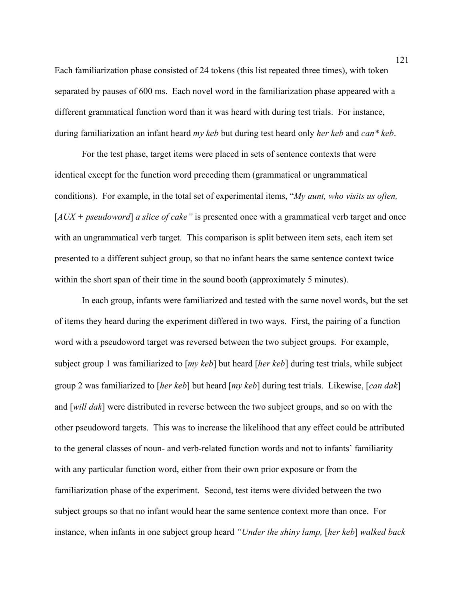Each familiarization phase consisted of 24 tokens (this list repeated three times), with token separated by pauses of 600 ms. Each novel word in the familiarization phase appeared with a different grammatical function word than it was heard with during test trials. For instance, during familiarization an infant heard *my keb* but during test heard only *her keb* and *can\* keb*.

For the test phase, target items were placed in sets of sentence contexts that were identical except for the function word preceding them (grammatical or ungrammatical conditions). For example, in the total set of experimental items, "*My aunt, who visits us often,*  [*AUX + pseudoword*] *a slice of cake"* is presented once with a grammatical verb target and once with an ungrammatical verb target. This comparison is split between item sets, each item set presented to a different subject group, so that no infant hears the same sentence context twice within the short span of their time in the sound booth (approximately 5 minutes).

In each group, infants were familiarized and tested with the same novel words, but the set of items they heard during the experiment differed in two ways. First, the pairing of a function word with a pseudoword target was reversed between the two subject groups. For example, subject group 1 was familiarized to [*my keb*] but heard [*her keb*] during test trials, while subject group 2 was familiarized to [*her keb*] but heard [*my keb*] during test trials. Likewise, [*can dak*] and [*will dak*] were distributed in reverse between the two subject groups, and so on with the other pseudoword targets. This was to increase the likelihood that any effect could be attributed to the general classes of noun- and verb-related function words and not to infants' familiarity with any particular function word, either from their own prior exposure or from the familiarization phase of the experiment. Second, test items were divided between the two subject groups so that no infant would hear the same sentence context more than once. For instance, when infants in one subject group heard *"Under the shiny lamp,* [*her keb*] *walked back*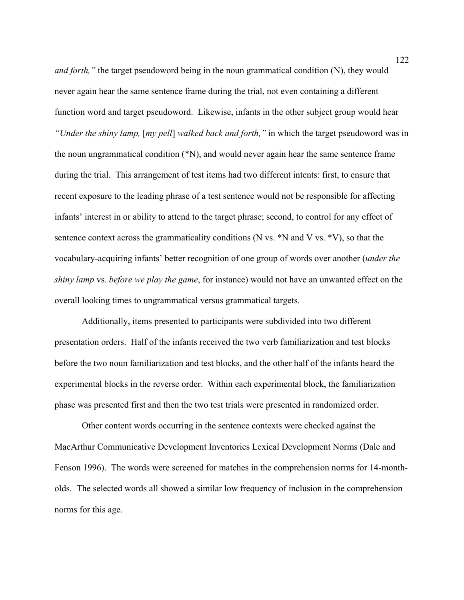*and forth,*" the target pseudoword being in the noun grammatical condition (N), they would never again hear the same sentence frame during the trial, not even containing a different function word and target pseudoword. Likewise, infants in the other subject group would hear *"Under the shiny lamp,* [*my pell*] *walked back and forth,"* in which the target pseudoword was in the noun ungrammatical condition (\*N), and would never again hear the same sentence frame during the trial. This arrangement of test items had two different intents: first, to ensure that recent exposure to the leading phrase of a test sentence would not be responsible for affecting infants' interest in or ability to attend to the target phrase; second, to control for any effect of sentence context across the grammaticality conditions (N vs. \*N and V vs. \*V), so that the vocabulary-acquiring infants' better recognition of one group of words over another (*under the shiny lamp* vs. *before we play the game*, for instance) would not have an unwanted effect on the overall looking times to ungrammatical versus grammatical targets.

Additionally, items presented to participants were subdivided into two different presentation orders. Half of the infants received the two verb familiarization and test blocks before the two noun familiarization and test blocks, and the other half of the infants heard the experimental blocks in the reverse order. Within each experimental block, the familiarization phase was presented first and then the two test trials were presented in randomized order.

Other content words occurring in the sentence contexts were checked against the MacArthur Communicative Development Inventories Lexical Development Norms (Dale and Fenson 1996). The words were screened for matches in the comprehension norms for 14-montholds. The selected words all showed a similar low frequency of inclusion in the comprehension norms for this age.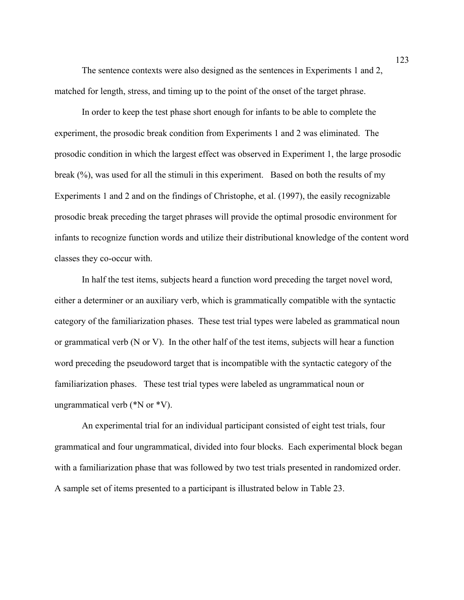The sentence contexts were also designed as the sentences in Experiments 1 and 2, matched for length, stress, and timing up to the point of the onset of the target phrase.

In order to keep the test phase short enough for infants to be able to complete the experiment, the prosodic break condition from Experiments 1 and 2 was eliminated. The prosodic condition in which the largest effect was observed in Experiment 1, the large prosodic break (%), was used for all the stimuli in this experiment. Based on both the results of my Experiments 1 and 2 and on the findings of Christophe, et al. (1997), the easily recognizable prosodic break preceding the target phrases will provide the optimal prosodic environment for infants to recognize function words and utilize their distributional knowledge of the content word classes they co-occur with.

In half the test items, subjects heard a function word preceding the target novel word, either a determiner or an auxiliary verb, which is grammatically compatible with the syntactic category of the familiarization phases. These test trial types were labeled as grammatical noun or grammatical verb (N or V). In the other half of the test items, subjects will hear a function word preceding the pseudoword target that is incompatible with the syntactic category of the familiarization phases. These test trial types were labeled as ungrammatical noun or ungrammatical verb (\*N or \*V).

An experimental trial for an individual participant consisted of eight test trials, four grammatical and four ungrammatical, divided into four blocks. Each experimental block began with a familiarization phase that was followed by two test trials presented in randomized order. A sample set of items presented to a participant is illustrated below in Table 23.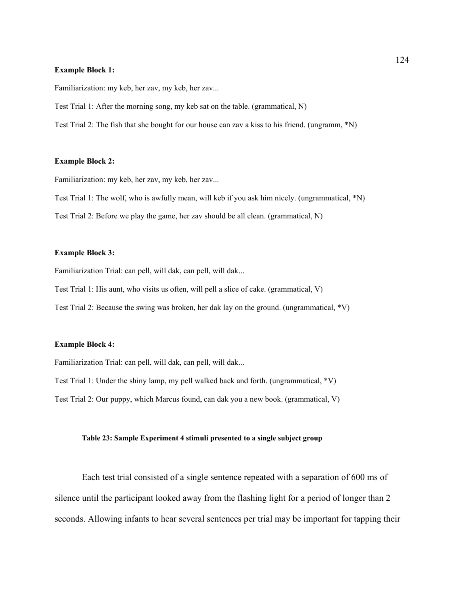#### **Example Block 1:**

Familiarization: my keb, her zav, my keb, her zav...

Test Trial 1: After the morning song, my keb sat on the table. (grammatical, N)

Test Trial 2: The fish that she bought for our house can zav a kiss to his friend. (ungramm, \*N)

#### **Example Block 2:**

Familiarization: my keb, her zav, my keb, her zav...

Test Trial 1: The wolf, who is awfully mean, will keb if you ask him nicely. (ungrammatical, \*N) Test Trial 2: Before we play the game, her zav should be all clean. (grammatical, N)

#### **Example Block 3:**

Familiarization Trial: can pell, will dak, can pell, will dak...

Test Trial 1: His aunt, who visits us often, will pell a slice of cake. (grammatical, V)

Test Trial 2: Because the swing was broken, her dak lay on the ground. (ungrammatical, \*V)

#### **Example Block 4:**

Familiarization Trial: can pell, will dak, can pell, will dak...

Test Trial 1: Under the shiny lamp, my pell walked back and forth. (ungrammatical, \*V)

Test Trial 2: Our puppy, which Marcus found, can dak you a new book. (grammatical, V)

### **Table 23: Sample Experiment 4 stimuli presented to a single subject group**

Each test trial consisted of a single sentence repeated with a separation of 600 ms of silence until the participant looked away from the flashing light for a period of longer than 2 seconds. Allowing infants to hear several sentences per trial may be important for tapping their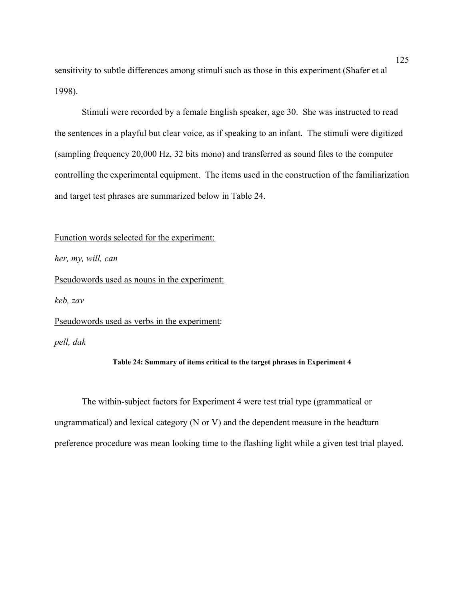sensitivity to subtle differences among stimuli such as those in this experiment (Shafer et al 1998).

Stimuli were recorded by a female English speaker, age 30. She was instructed to read the sentences in a playful but clear voice, as if speaking to an infant. The stimuli were digitized (sampling frequency 20,000 Hz, 32 bits mono) and transferred as sound files to the computer controlling the experimental equipment. The items used in the construction of the familiarization and target test phrases are summarized below in Table 24.

Function words selected for the experiment:

*her, my, will, can*

Pseudowords used as nouns in the experiment:

*keb, zav* 

Pseudowords used as verbs in the experiment:

*pell, dak*

### **Table 24: Summary of items critical to the target phrases in Experiment 4**

The within-subject factors for Experiment 4 were test trial type (grammatical or ungrammatical) and lexical category (N or V) and the dependent measure in the headturn preference procedure was mean looking time to the flashing light while a given test trial played.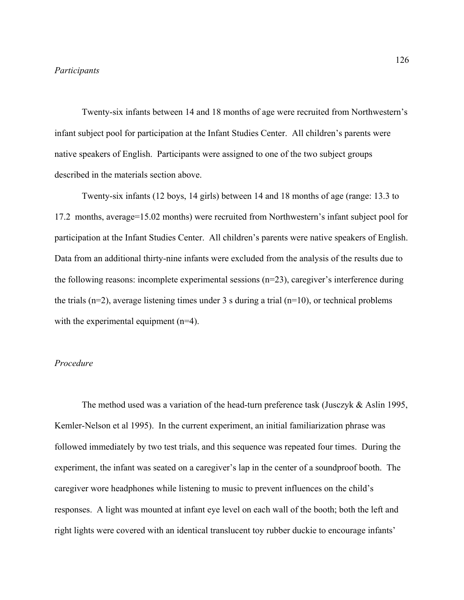### *Participants*

Twenty-six infants between 14 and 18 months of age were recruited from Northwestern's infant subject pool for participation at the Infant Studies Center. All children's parents were native speakers of English. Participants were assigned to one of the two subject groups described in the materials section above.

Twenty-six infants (12 boys, 14 girls) between 14 and 18 months of age (range: 13.3 to 17.2 months, average=15.02 months) were recruited from Northwestern's infant subject pool for participation at the Infant Studies Center. All children's parents were native speakers of English. Data from an additional thirty-nine infants were excluded from the analysis of the results due to the following reasons: incomplete experimental sessions (n=23), caregiver's interference during the trials ( $n=2$ ), average listening times under 3 s during a trial ( $n=10$ ), or technical problems with the experimental equipment (n=4).

# *Procedure*

The method used was a variation of the head-turn preference task (Jusczyk & Aslin 1995, Kemler-Nelson et al 1995). In the current experiment, an initial familiarization phrase was followed immediately by two test trials, and this sequence was repeated four times. During the experiment, the infant was seated on a caregiver's lap in the center of a soundproof booth. The caregiver wore headphones while listening to music to prevent influences on the child's responses. A light was mounted at infant eye level on each wall of the booth; both the left and right lights were covered with an identical translucent toy rubber duckie to encourage infants'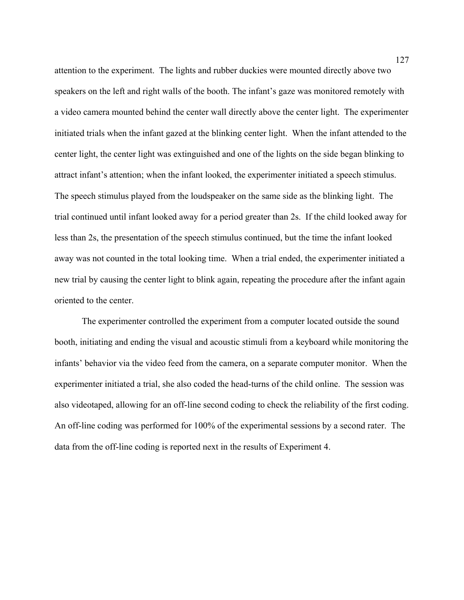attention to the experiment. The lights and rubber duckies were mounted directly above two speakers on the left and right walls of the booth. The infant's gaze was monitored remotely with a video camera mounted behind the center wall directly above the center light. The experimenter initiated trials when the infant gazed at the blinking center light. When the infant attended to the center light, the center light was extinguished and one of the lights on the side began blinking to attract infant's attention; when the infant looked, the experimenter initiated a speech stimulus. The speech stimulus played from the loudspeaker on the same side as the blinking light. The trial continued until infant looked away for a period greater than 2s. If the child looked away for less than 2s, the presentation of the speech stimulus continued, but the time the infant looked away was not counted in the total looking time. When a trial ended, the experimenter initiated a new trial by causing the center light to blink again, repeating the procedure after the infant again oriented to the center.

The experimenter controlled the experiment from a computer located outside the sound booth, initiating and ending the visual and acoustic stimuli from a keyboard while monitoring the infants' behavior via the video feed from the camera, on a separate computer monitor. When the experimenter initiated a trial, she also coded the head-turns of the child online. The session was also videotaped, allowing for an off-line second coding to check the reliability of the first coding. An off-line coding was performed for 100% of the experimental sessions by a second rater. The data from the off-line coding is reported next in the results of Experiment 4.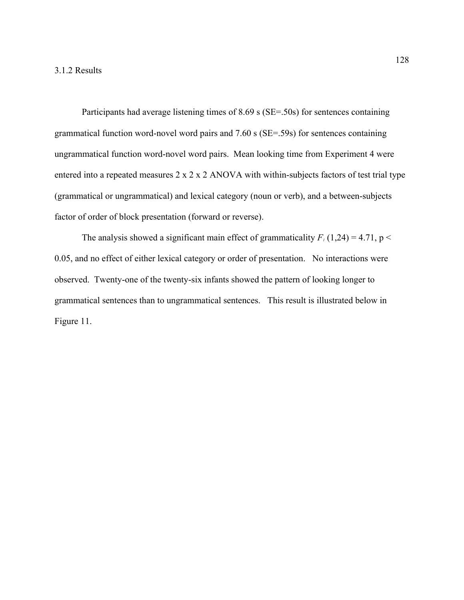Participants had average listening times of 8.69 s (SE=.50s) for sentences containing grammatical function word-novel word pairs and 7.60 s (SE=.59s) for sentences containing ungrammatical function word-novel word pairs. Mean looking time from Experiment 4 were entered into a repeated measures 2 x 2 x 2 ANOVA with within-subjects factors of test trial type (grammatical or ungrammatical) and lexical category (noun or verb), and a between-subjects factor of order of block presentation (forward or reverse).

The analysis showed a significant main effect of grammaticality  $F_1(1,24) = 4.71$ , p < 0.05, and no effect of either lexical category or order of presentation. No interactions were observed. Twenty-one of the twenty-six infants showed the pattern of looking longer to grammatical sentences than to ungrammatical sentences. This result is illustrated below in Figure 11.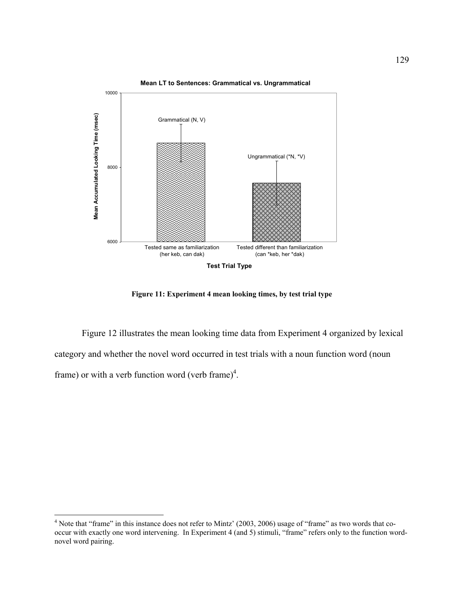

**Mean LT to Sentences: Grammatical vs. Ungrammatical**

**Figure 11: Experiment 4 mean looking times, by test trial type**

 Figure 12 illustrates the mean looking time data from Experiment 4 organized by lexical category and whether the novel word occurred in test trials with a noun function word (noun frame) or with a verb function word (verb frame)<sup>4</sup>.

1

<sup>&</sup>lt;sup>4</sup> Note that "frame" in this instance does not refer to Mintz' (2003, 2006) usage of "frame" as two words that cooccur with exactly one word intervening. In Experiment 4 (and 5) stimuli, "frame" refers only to the function wordnovel word pairing.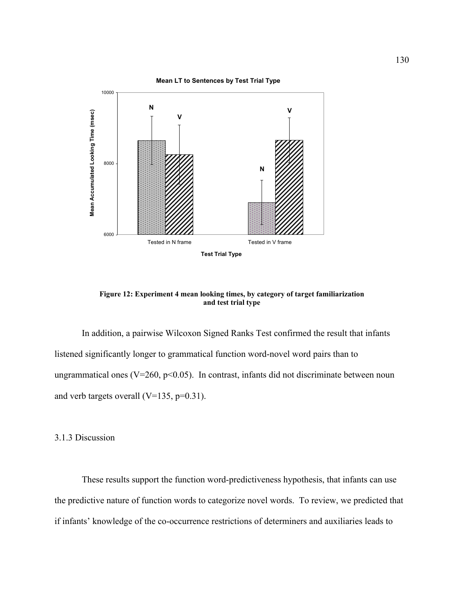

**Figure 12: Experiment 4 mean looking times, by category of target familiarization and test trial type**

 In addition, a pairwise Wilcoxon Signed Ranks Test confirmed the result that infants listened significantly longer to grammatical function word-novel word pairs than to ungrammatical ones ( $V=260$ ,  $p<0.05$ ). In contrast, infants did not discriminate between noun and verb targets overall  $(V=135, p=0.31)$ .

# 3.1.3 Discussion

These results support the function word-predictiveness hypothesis, that infants can use the predictive nature of function words to categorize novel words. To review, we predicted that if infants' knowledge of the co-occurrence restrictions of determiners and auxiliaries leads to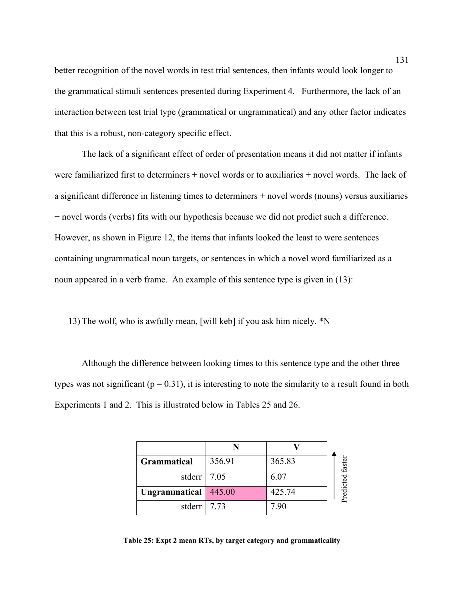better recognition of the novel words in test trial sentences, then infants would look longer to the grammatical stimuli sentences presented during Experiment 4. Furthermore, the lack of an interaction between test trial type (grammatical or ungrammatical) and any other factor indicates that this is a robust, non-category specific effect.

The lack of a significant effect of order of presentation means it did not matter if infants were familiarized first to determiners + novel words or to auxiliaries + novel words. The lack of a significant difference in listening times to determiners + novel words (nouns) versus auxiliaries + novel words (verbs) fits with our hypothesis because we did not predict such a difference. However, as shown in Figure 12, the items that infants looked the least to were sentences containing ungrammatical noun targets, or sentences in which a novel word familiarized as a noun appeared in a verb frame. An example of this sentence type is given in (13):

13) The wolf, who is awfully mean, [will keb] if you ask him nicely. \*N

Although the difference between looking times to this sentence type and the other three types was not significant ( $p = 0.31$ ), it is interesting to note the similarity to a result found in both Experiments 1 and 2. This is illustrated below in Tables 25 and 26.

| <b>Grammatical</b> | 356.91 | 365.83 | faster    |
|--------------------|--------|--------|-----------|
| stderr             | 7.05   | 6.07   |           |
| Ungrammatical      | 445.00 | 425.74 | Predicted |
| stderr             | 7.73   | 7 90   |           |

**Table 25: Expt 2 mean RTs, by target category and grammaticality**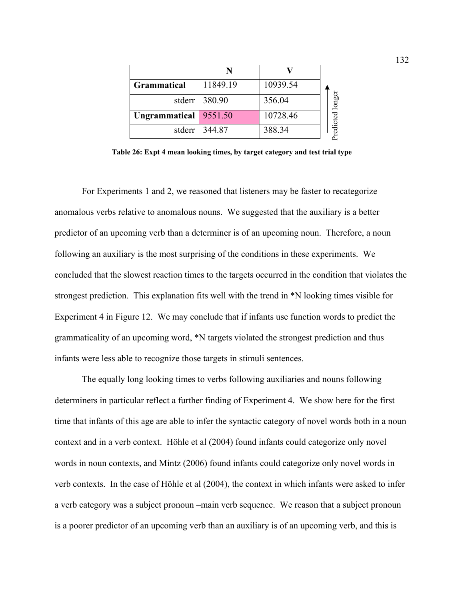| <b>Grammatical</b> | 11849.19        | 10939.54 |                 |
|--------------------|-----------------|----------|-----------------|
|                    | stderr 380.90   | 356.04   | redicted longer |
| Ungrammatical      | 9551.50         | 10728.46 |                 |
|                    | stderr   344.87 | 388.34   |                 |

**Table 26: Expt 4 mean looking times, by target category and test trial type** 

For Experiments 1 and 2, we reasoned that listeners may be faster to recategorize anomalous verbs relative to anomalous nouns. We suggested that the auxiliary is a better predictor of an upcoming verb than a determiner is of an upcoming noun. Therefore, a noun following an auxiliary is the most surprising of the conditions in these experiments. We concluded that the slowest reaction times to the targets occurred in the condition that violates the strongest prediction. This explanation fits well with the trend in \*N looking times visible for Experiment 4 in Figure 12. We may conclude that if infants use function words to predict the grammaticality of an upcoming word, \*N targets violated the strongest prediction and thus infants were less able to recognize those targets in stimuli sentences. **Experimention of a poorer prediction** and the state of an upcoming verb change is a poorer predictor of an upcoming verb than an auxiliary is a better experimental and 2, we reasoned that listeners may be firster to reca

The equally long looking times to verbs following auxiliaries and nouns following determiners in particular reflect a further finding of Experiment 4. We show here for the first time that infants of this age are able to infer the syntactic category of novel words both in a noun context and in a verb context. Höhle et al (2004) found infants could categorize only novel words in noun contexts, and Mintz (2006) found infants could categorize only novel words in verb contexts. In the case of Höhle et al (2004), the context in which infants were asked to infer a verb category was a subject pronoun –main verb sequence. We reason that a subject pronoun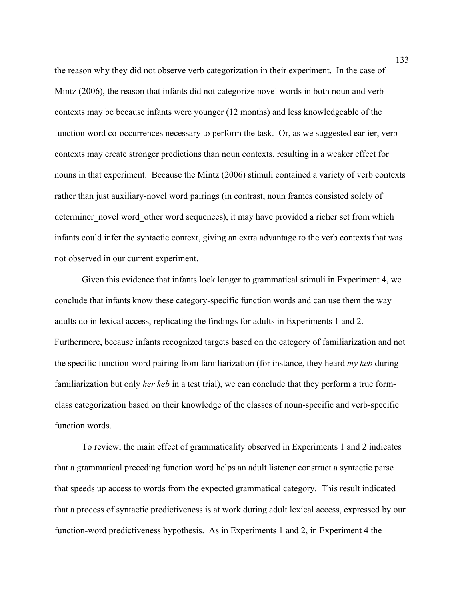the reason why they did not observe verb categorization in their experiment. In the case of Mintz (2006), the reason that infants did not categorize novel words in both noun and verb contexts may be because infants were younger (12 months) and less knowledgeable of the function word co-occurrences necessary to perform the task. Or, as we suggested earlier, verb contexts may create stronger predictions than noun contexts, resulting in a weaker effect for nouns in that experiment. Because the Mintz (2006) stimuli contained a variety of verb contexts rather than just auxiliary-novel word pairings (in contrast, noun frames consisted solely of determiner novel word other word sequences), it may have provided a richer set from which infants could infer the syntactic context, giving an extra advantage to the verb contexts that was not observed in our current experiment.

Given this evidence that infants look longer to grammatical stimuli in Experiment 4, we conclude that infants know these category-specific function words and can use them the way adults do in lexical access, replicating the findings for adults in Experiments 1 and 2. Furthermore, because infants recognized targets based on the category of familiarization and not the specific function-word pairing from familiarization (for instance, they heard *my keb* during familiarization but only *her keb* in a test trial), we can conclude that they perform a true formclass categorization based on their knowledge of the classes of noun-specific and verb-specific function words.

To review, the main effect of grammaticality observed in Experiments 1 and 2 indicates that a grammatical preceding function word helps an adult listener construct a syntactic parse that speeds up access to words from the expected grammatical category. This result indicated that a process of syntactic predictiveness is at work during adult lexical access, expressed by our function-word predictiveness hypothesis. As in Experiments 1 and 2, in Experiment 4 the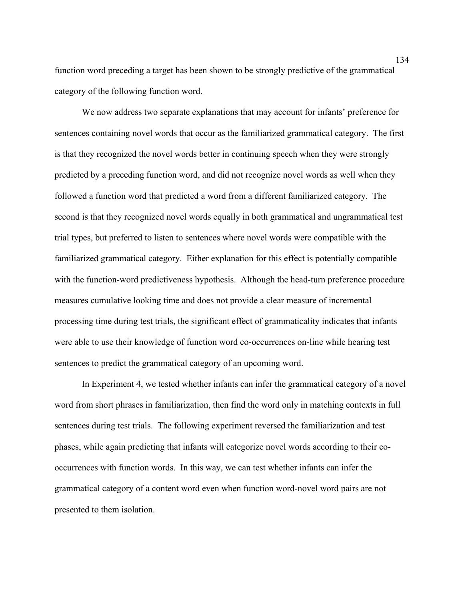function word preceding a target has been shown to be strongly predictive of the grammatical category of the following function word.

We now address two separate explanations that may account for infants' preference for sentences containing novel words that occur as the familiarized grammatical category. The first is that they recognized the novel words better in continuing speech when they were strongly predicted by a preceding function word, and did not recognize novel words as well when they followed a function word that predicted a word from a different familiarized category. The second is that they recognized novel words equally in both grammatical and ungrammatical test trial types, but preferred to listen to sentences where novel words were compatible with the familiarized grammatical category. Either explanation for this effect is potentially compatible with the function-word predictiveness hypothesis. Although the head-turn preference procedure measures cumulative looking time and does not provide a clear measure of incremental processing time during test trials, the significant effect of grammaticality indicates that infants were able to use their knowledge of function word co-occurrences on-line while hearing test sentences to predict the grammatical category of an upcoming word.

In Experiment 4, we tested whether infants can infer the grammatical category of a novel word from short phrases in familiarization, then find the word only in matching contexts in full sentences during test trials. The following experiment reversed the familiarization and test phases, while again predicting that infants will categorize novel words according to their cooccurrences with function words. In this way, we can test whether infants can infer the grammatical category of a content word even when function word-novel word pairs are not presented to them isolation.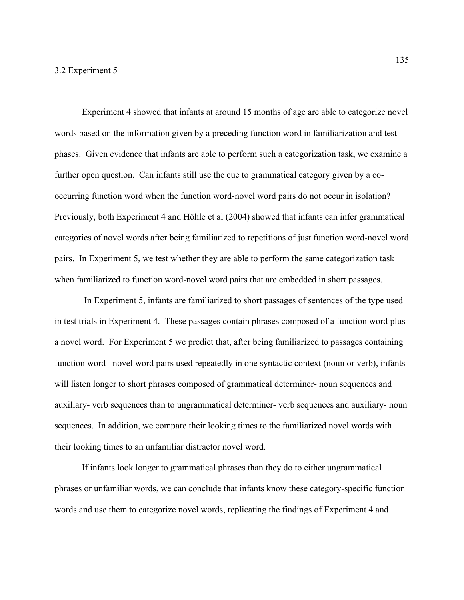Experiment 4 showed that infants at around 15 months of age are able to categorize novel words based on the information given by a preceding function word in familiarization and test phases. Given evidence that infants are able to perform such a categorization task, we examine a further open question. Can infants still use the cue to grammatical category given by a cooccurring function word when the function word-novel word pairs do not occur in isolation? Previously, both Experiment 4 and Höhle et al (2004) showed that infants can infer grammatical categories of novel words after being familiarized to repetitions of just function word-novel word pairs. In Experiment 5, we test whether they are able to perform the same categorization task when familiarized to function word-novel word pairs that are embedded in short passages.

 In Experiment 5, infants are familiarized to short passages of sentences of the type used in test trials in Experiment 4. These passages contain phrases composed of a function word plus a novel word. For Experiment 5 we predict that, after being familiarized to passages containing function word –novel word pairs used repeatedly in one syntactic context (noun or verb), infants will listen longer to short phrases composed of grammatical determiner- noun sequences and auxiliary- verb sequences than to ungrammatical determiner- verb sequences and auxiliary- noun sequences. In addition, we compare their looking times to the familiarized novel words with their looking times to an unfamiliar distractor novel word.

If infants look longer to grammatical phrases than they do to either ungrammatical phrases or unfamiliar words, we can conclude that infants know these category-specific function words and use them to categorize novel words, replicating the findings of Experiment 4 and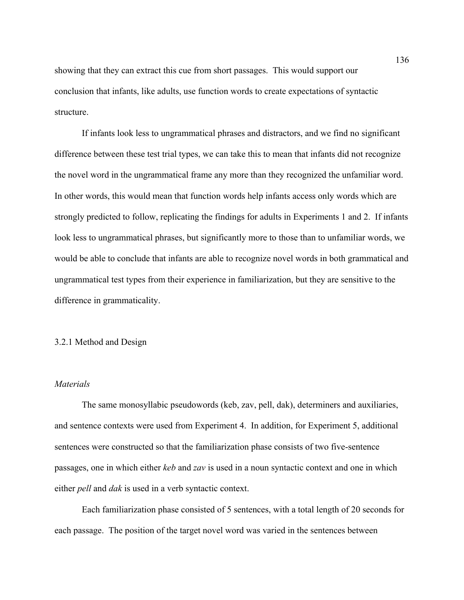showing that they can extract this cue from short passages. This would support our conclusion that infants, like adults, use function words to create expectations of syntactic structure.

If infants look less to ungrammatical phrases and distractors, and we find no significant difference between these test trial types, we can take this to mean that infants did not recognize the novel word in the ungrammatical frame any more than they recognized the unfamiliar word. In other words, this would mean that function words help infants access only words which are strongly predicted to follow, replicating the findings for adults in Experiments 1 and 2. If infants look less to ungrammatical phrases, but significantly more to those than to unfamiliar words, we would be able to conclude that infants are able to recognize novel words in both grammatical and ungrammatical test types from their experience in familiarization, but they are sensitive to the difference in grammaticality.

### 3.2.1 Method and Design

# *Materials*

The same monosyllabic pseudowords (keb, zav, pell, dak), determiners and auxiliaries, and sentence contexts were used from Experiment 4. In addition, for Experiment 5, additional sentences were constructed so that the familiarization phase consists of two five-sentence passages, one in which either *keb* and *zav* is used in a noun syntactic context and one in which either *pell* and *dak* is used in a verb syntactic context.

Each familiarization phase consisted of 5 sentences, with a total length of 20 seconds for each passage. The position of the target novel word was varied in the sentences between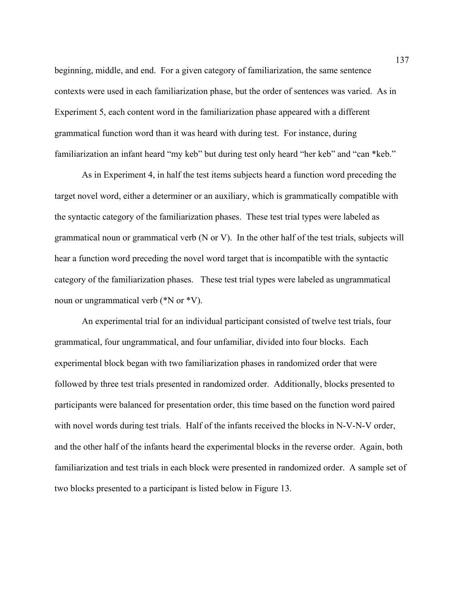beginning, middle, and end. For a given category of familiarization, the same sentence contexts were used in each familiarization phase, but the order of sentences was varied. As in Experiment 5, each content word in the familiarization phase appeared with a different grammatical function word than it was heard with during test. For instance, during familiarization an infant heard "my keb" but during test only heard "her keb" and "can \*keb."

As in Experiment 4, in half the test items subjects heard a function word preceding the target novel word, either a determiner or an auxiliary, which is grammatically compatible with the syntactic category of the familiarization phases. These test trial types were labeled as grammatical noun or grammatical verb (N or V). In the other half of the test trials, subjects will hear a function word preceding the novel word target that is incompatible with the syntactic category of the familiarization phases. These test trial types were labeled as ungrammatical noun or ungrammatical verb (\*N or \*V).

An experimental trial for an individual participant consisted of twelve test trials, four grammatical, four ungrammatical, and four unfamiliar, divided into four blocks. Each experimental block began with two familiarization phases in randomized order that were followed by three test trials presented in randomized order. Additionally, blocks presented to participants were balanced for presentation order, this time based on the function word paired with novel words during test trials. Half of the infants received the blocks in N-V-N-V order, and the other half of the infants heard the experimental blocks in the reverse order. Again, both familiarization and test trials in each block were presented in randomized order. A sample set of two blocks presented to a participant is listed below in Figure 13.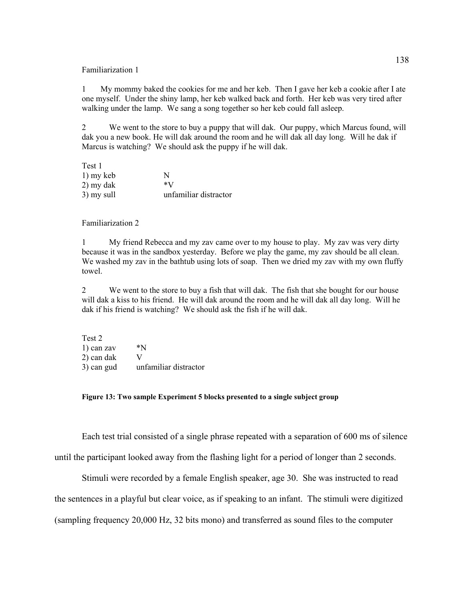#### Familiarization 1

1 My mommy baked the cookies for me and her keb. Then I gave her keb a cookie after I ate one myself. Under the shiny lamp, her keb walked back and forth. Her keb was very tired after walking under the lamp. We sang a song together so her keb could fall asleep.

2 We went to the store to buy a puppy that will dak. Our puppy, which Marcus found, will dak you a new book. He will dak around the room and he will dak all day long. Will he dak if Marcus is watching? We should ask the puppy if he will dak.

| Test 1     |                       |
|------------|-----------------------|
| 1) my keb  | N                     |
| 2) my dak  | $*V$                  |
| 3) my sull | unfamiliar distractor |

### Familiarization 2

1 My friend Rebecca and my zav came over to my house to play. My zav was very dirty because it was in the sandbox yesterday. Before we play the game, my zav should be all clean. We washed my zav in the bathtub using lots of soap. Then we dried my zav with my own fluffy towel.

2 We went to the store to buy a fish that will dak. The fish that she bought for our house will dak a kiss to his friend. He will dak around the room and he will dak all day long. Will he dak if his friend is watching? We should ask the fish if he will dak.

| Test 2     |                       |
|------------|-----------------------|
| 1) can zav | *N                    |
| 2) can dak | V                     |
| 3) can gud | unfamiliar distractor |

### **Figure 13: Two sample Experiment 5 blocks presented to a single subject group**

Each test trial consisted of a single phrase repeated with a separation of 600 ms of silence

until the participant looked away from the flashing light for a period of longer than 2 seconds.

Stimuli were recorded by a female English speaker, age 30. She was instructed to read

the sentences in a playful but clear voice, as if speaking to an infant. The stimuli were digitized

(sampling frequency 20,000 Hz, 32 bits mono) and transferred as sound files to the computer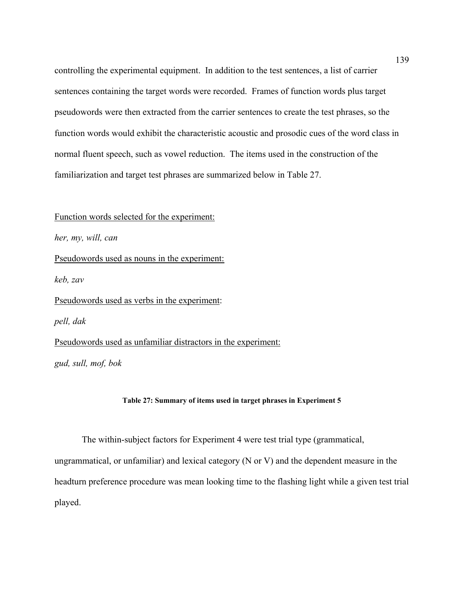controlling the experimental equipment. In addition to the test sentences, a list of carrier sentences containing the target words were recorded. Frames of function words plus target pseudowords were then extracted from the carrier sentences to create the test phrases, so the function words would exhibit the characteristic acoustic and prosodic cues of the word class in normal fluent speech, such as vowel reduction. The items used in the construction of the familiarization and target test phrases are summarized below in Table 27.

# Function words selected for the experiment:

*her, my, will, can*

Pseudowords used as nouns in the experiment:

*keb, zav* 

Pseudowords used as verbs in the experiment:

*pell, dak*

Pseudowords used as unfamiliar distractors in the experiment:

*gud, sull, mof, bok* 

# **Table 27: Summary of items used in target phrases in Experiment 5**

The within-subject factors for Experiment 4 were test trial type (grammatical,

ungrammatical, or unfamiliar) and lexical category (N or V) and the dependent measure in the headturn preference procedure was mean looking time to the flashing light while a given test trial played.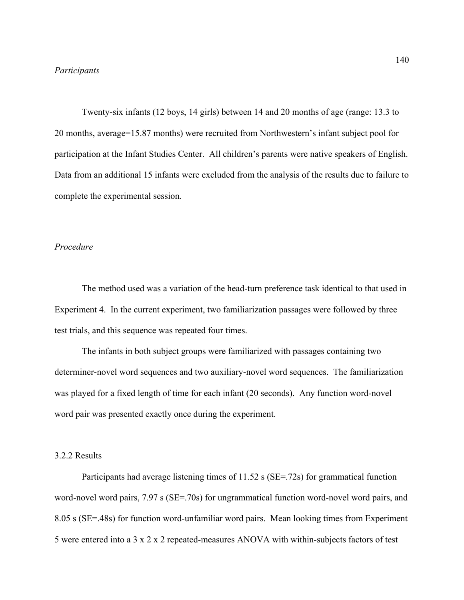Twenty-six infants (12 boys, 14 girls) between 14 and 20 months of age (range: 13.3 to 20 months, average=15.87 months) were recruited from Northwestern's infant subject pool for participation at the Infant Studies Center. All children's parents were native speakers of English. Data from an additional 15 infants were excluded from the analysis of the results due to failure to complete the experimental session.

# *Procedure*

The method used was a variation of the head-turn preference task identical to that used in Experiment 4. In the current experiment, two familiarization passages were followed by three test trials, and this sequence was repeated four times.

 The infants in both subject groups were familiarized with passages containing two determiner-novel word sequences and two auxiliary-novel word sequences. The familiarization was played for a fixed length of time for each infant (20 seconds). Any function word-novel word pair was presented exactly once during the experiment.

# 3.2.2 Results

Participants had average listening times of 11.52 s (SE=.72s) for grammatical function word-novel word pairs, 7.97 s (SE=.70s) for ungrammatical function word-novel word pairs, and 8.05 s (SE=.48s) for function word-unfamiliar word pairs. Mean looking times from Experiment 5 were entered into a 3 x 2 x 2 repeated-measures ANOVA with within-subjects factors of test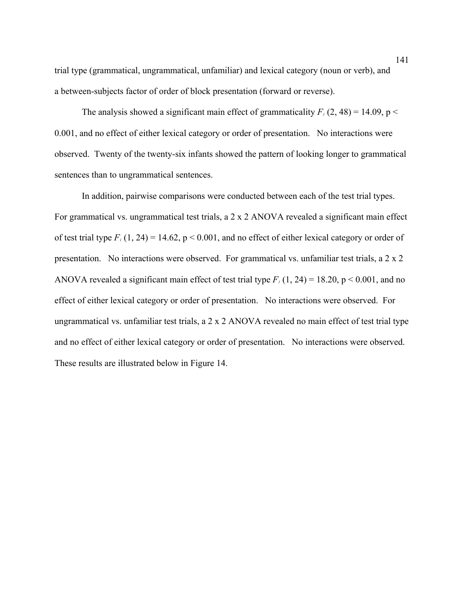trial type (grammatical, ungrammatical, unfamiliar) and lexical category (noun or verb), and a between-subjects factor of order of block presentation (forward or reverse).

The analysis showed a significant main effect of grammaticality  $F_1$  (2, 48) = 14.09, p < 0.001, and no effect of either lexical category or order of presentation. No interactions were observed. Twenty of the twenty-six infants showed the pattern of looking longer to grammatical sentences than to ungrammatical sentences.

In addition, pairwise comparisons were conducted between each of the test trial types. For grammatical vs. ungrammatical test trials, a 2 x 2 ANOVA revealed a significant main effect of test trial type  $F_1(1, 24) = 14.62$ ,  $p \le 0.001$ , and no effect of either lexical category or order of presentation. No interactions were observed. For grammatical vs. unfamiliar test trials, a 2 x 2 ANOVA revealed a significant main effect of test trial type  $F_1(1, 24) = 18.20$ , p < 0.001, and no effect of either lexical category or order of presentation. No interactions were observed. For ungrammatical vs. unfamiliar test trials, a 2 x 2 ANOVA revealed no main effect of test trial type and no effect of either lexical category or order of presentation. No interactions were observed. These results are illustrated below in Figure 14.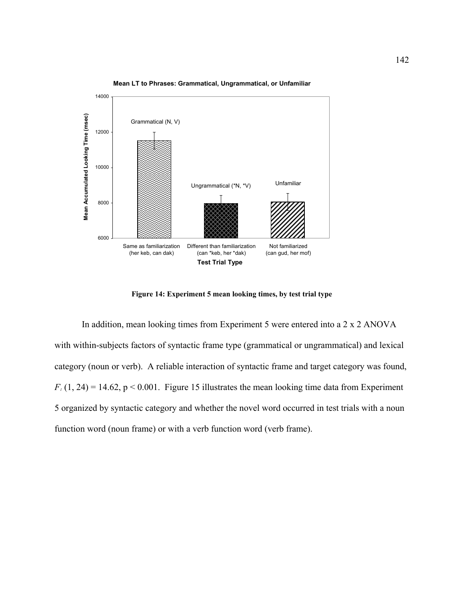

**Mean LT to Phrases: Grammatical, Ungrammatical, or Unfamiliar**

**Figure 14: Experiment 5 mean looking times, by test trial type** 

In addition, mean looking times from Experiment 5 were entered into a 2 x 2 ANOVA with within-subjects factors of syntactic frame type (grammatical or ungrammatical) and lexical category (noun or verb). A reliable interaction of syntactic frame and target category was found,  $F_1(1, 24) = 14.62$ ,  $p < 0.001$ . Figure 15 illustrates the mean looking time data from Experiment 5 organized by syntactic category and whether the novel word occurred in test trials with a noun function word (noun frame) or with a verb function word (verb frame).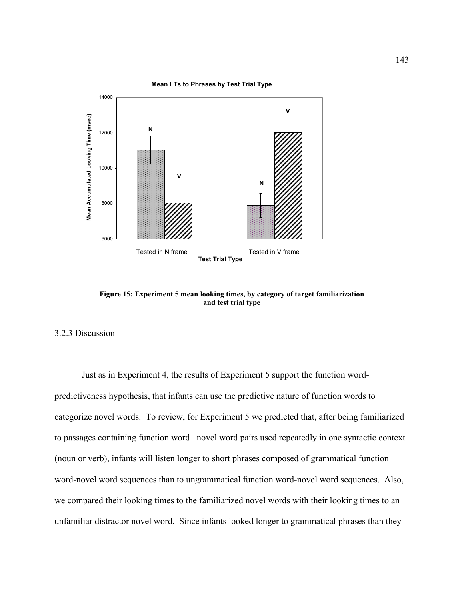

**Figure 15: Experiment 5 mean looking times, by category of target familiarization and test trial type** 

# 3.2.3 Discussion

Just as in Experiment 4, the results of Experiment 5 support the function wordpredictiveness hypothesis, that infants can use the predictive nature of function words to categorize novel words. To review, for Experiment 5 we predicted that, after being familiarized to passages containing function word –novel word pairs used repeatedly in one syntactic context (noun or verb), infants will listen longer to short phrases composed of grammatical function word-novel word sequences than to ungrammatical function word-novel word sequences. Also, we compared their looking times to the familiarized novel words with their looking times to an unfamiliar distractor novel word. Since infants looked longer to grammatical phrases than they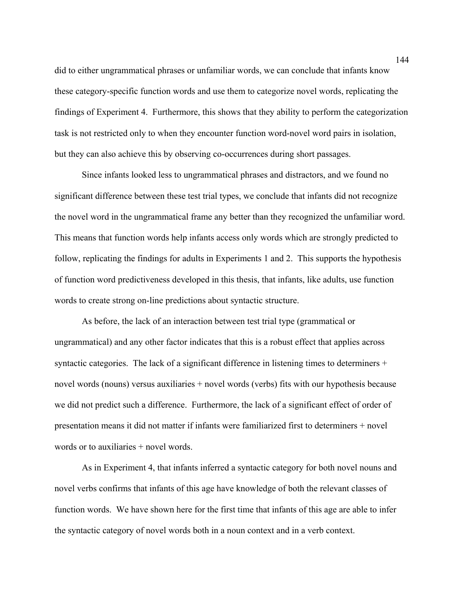did to either ungrammatical phrases or unfamiliar words, we can conclude that infants know these category-specific function words and use them to categorize novel words, replicating the findings of Experiment 4. Furthermore, this shows that they ability to perform the categorization task is not restricted only to when they encounter function word-novel word pairs in isolation, but they can also achieve this by observing co-occurrences during short passages.

Since infants looked less to ungrammatical phrases and distractors, and we found no significant difference between these test trial types, we conclude that infants did not recognize the novel word in the ungrammatical frame any better than they recognized the unfamiliar word. This means that function words help infants access only words which are strongly predicted to follow, replicating the findings for adults in Experiments 1 and 2. This supports the hypothesis of function word predictiveness developed in this thesis, that infants, like adults, use function words to create strong on-line predictions about syntactic structure.

As before, the lack of an interaction between test trial type (grammatical or ungrammatical) and any other factor indicates that this is a robust effect that applies across syntactic categories. The lack of a significant difference in listening times to determiners + novel words (nouns) versus auxiliaries + novel words (verbs) fits with our hypothesis because we did not predict such a difference. Furthermore, the lack of a significant effect of order of presentation means it did not matter if infants were familiarized first to determiners + novel words or to auxiliaries + novel words.

As in Experiment 4, that infants inferred a syntactic category for both novel nouns and novel verbs confirms that infants of this age have knowledge of both the relevant classes of function words. We have shown here for the first time that infants of this age are able to infer the syntactic category of novel words both in a noun context and in a verb context.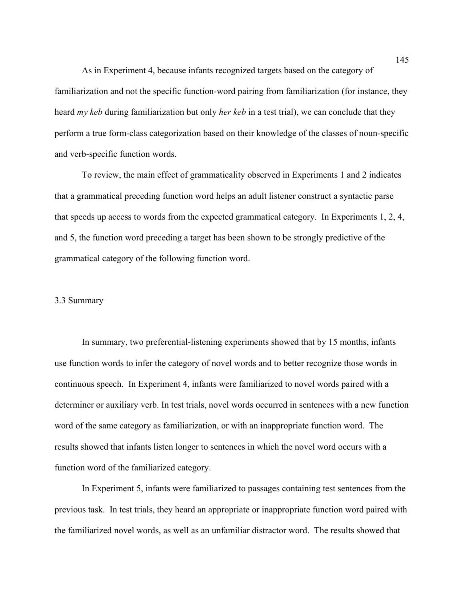As in Experiment 4, because infants recognized targets based on the category of familiarization and not the specific function-word pairing from familiarization (for instance, they heard *my keb* during familiarization but only *her keb* in a test trial), we can conclude that they perform a true form-class categorization based on their knowledge of the classes of noun-specific and verb-specific function words.

To review, the main effect of grammaticality observed in Experiments 1 and 2 indicates that a grammatical preceding function word helps an adult listener construct a syntactic parse that speeds up access to words from the expected grammatical category. In Experiments 1, 2, 4, and 5, the function word preceding a target has been shown to be strongly predictive of the grammatical category of the following function word.

## 3.3 Summary

In summary, two preferential-listening experiments showed that by 15 months, infants use function words to infer the category of novel words and to better recognize those words in continuous speech. In Experiment 4, infants were familiarized to novel words paired with a determiner or auxiliary verb. In test trials, novel words occurred in sentences with a new function word of the same category as familiarization, or with an inappropriate function word. The results showed that infants listen longer to sentences in which the novel word occurs with a function word of the familiarized category.

In Experiment 5, infants were familiarized to passages containing test sentences from the previous task. In test trials, they heard an appropriate or inappropriate function word paired with the familiarized novel words, as well as an unfamiliar distractor word. The results showed that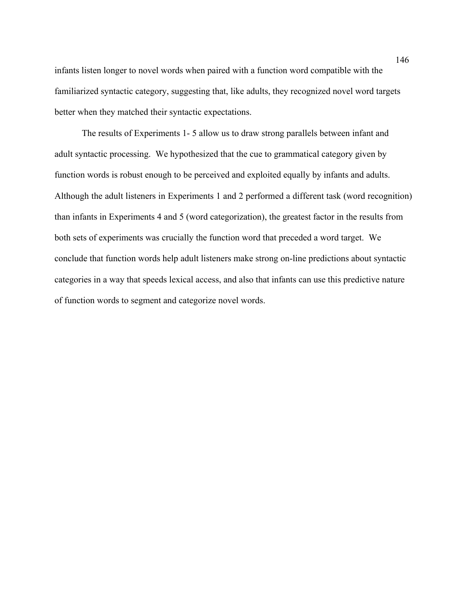infants listen longer to novel words when paired with a function word compatible with the familiarized syntactic category, suggesting that, like adults, they recognized novel word targets better when they matched their syntactic expectations.

The results of Experiments 1- 5 allow us to draw strong parallels between infant and adult syntactic processing. We hypothesized that the cue to grammatical category given by function words is robust enough to be perceived and exploited equally by infants and adults. Although the adult listeners in Experiments 1 and 2 performed a different task (word recognition) than infants in Experiments 4 and 5 (word categorization), the greatest factor in the results from both sets of experiments was crucially the function word that preceded a word target. We conclude that function words help adult listeners make strong on-line predictions about syntactic categories in a way that speeds lexical access, and also that infants can use this predictive nature of function words to segment and categorize novel words.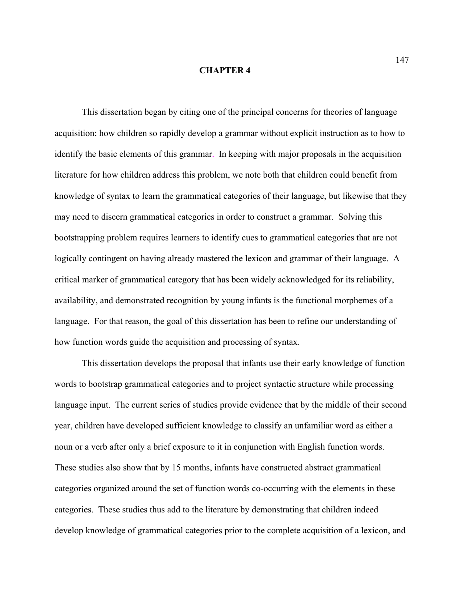#### **CHAPTER 4**

This dissertation began by citing one of the principal concerns for theories of language acquisition: how children so rapidly develop a grammar without explicit instruction as to how to identify the basic elements of this grammar. In keeping with major proposals in the acquisition literature for how children address this problem, we note both that children could benefit from knowledge of syntax to learn the grammatical categories of their language, but likewise that they may need to discern grammatical categories in order to construct a grammar. Solving this bootstrapping problem requires learners to identify cues to grammatical categories that are not logically contingent on having already mastered the lexicon and grammar of their language. A critical marker of grammatical category that has been widely acknowledged for its reliability, availability, and demonstrated recognition by young infants is the functional morphemes of a language. For that reason, the goal of this dissertation has been to refine our understanding of how function words guide the acquisition and processing of syntax.

This dissertation develops the proposal that infants use their early knowledge of function words to bootstrap grammatical categories and to project syntactic structure while processing language input. The current series of studies provide evidence that by the middle of their second year, children have developed sufficient knowledge to classify an unfamiliar word as either a noun or a verb after only a brief exposure to it in conjunction with English function words. These studies also show that by 15 months, infants have constructed abstract grammatical categories organized around the set of function words co-occurring with the elements in these categories. These studies thus add to the literature by demonstrating that children indeed develop knowledge of grammatical categories prior to the complete acquisition of a lexicon, and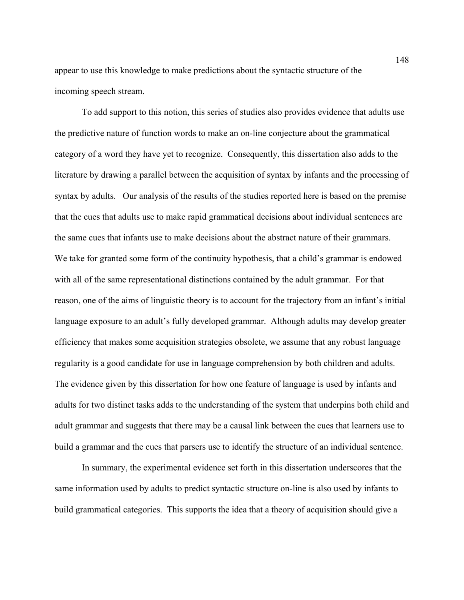appear to use this knowledge to make predictions about the syntactic structure of the incoming speech stream.

To add support to this notion, this series of studies also provides evidence that adults use the predictive nature of function words to make an on-line conjecture about the grammatical category of a word they have yet to recognize. Consequently, this dissertation also adds to the literature by drawing a parallel between the acquisition of syntax by infants and the processing of syntax by adults. Our analysis of the results of the studies reported here is based on the premise that the cues that adults use to make rapid grammatical decisions about individual sentences are the same cues that infants use to make decisions about the abstract nature of their grammars. We take for granted some form of the continuity hypothesis, that a child's grammar is endowed with all of the same representational distinctions contained by the adult grammar. For that reason, one of the aims of linguistic theory is to account for the trajectory from an infant's initial language exposure to an adult's fully developed grammar. Although adults may develop greater efficiency that makes some acquisition strategies obsolete, we assume that any robust language regularity is a good candidate for use in language comprehension by both children and adults. The evidence given by this dissertation for how one feature of language is used by infants and adults for two distinct tasks adds to the understanding of the system that underpins both child and adult grammar and suggests that there may be a causal link between the cues that learners use to build a grammar and the cues that parsers use to identify the structure of an individual sentence.

In summary, the experimental evidence set forth in this dissertation underscores that the same information used by adults to predict syntactic structure on-line is also used by infants to build grammatical categories. This supports the idea that a theory of acquisition should give a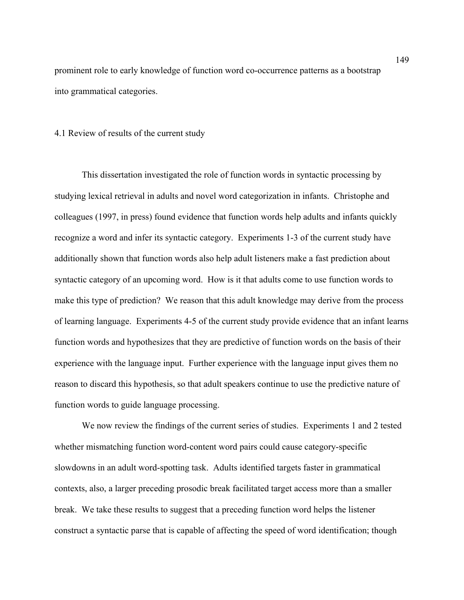prominent role to early knowledge of function word co-occurrence patterns as a bootstrap into grammatical categories.

## 4.1 Review of results of the current study

This dissertation investigated the role of function words in syntactic processing by studying lexical retrieval in adults and novel word categorization in infants. Christophe and colleagues (1997, in press) found evidence that function words help adults and infants quickly recognize a word and infer its syntactic category. Experiments 1-3 of the current study have additionally shown that function words also help adult listeners make a fast prediction about syntactic category of an upcoming word. How is it that adults come to use function words to make this type of prediction? We reason that this adult knowledge may derive from the process of learning language. Experiments 4-5 of the current study provide evidence that an infant learns function words and hypothesizes that they are predictive of function words on the basis of their experience with the language input. Further experience with the language input gives them no reason to discard this hypothesis, so that adult speakers continue to use the predictive nature of function words to guide language processing.

We now review the findings of the current series of studies. Experiments 1 and 2 tested whether mismatching function word-content word pairs could cause category-specific slowdowns in an adult word-spotting task. Adults identified targets faster in grammatical contexts, also, a larger preceding prosodic break facilitated target access more than a smaller break. We take these results to suggest that a preceding function word helps the listener construct a syntactic parse that is capable of affecting the speed of word identification; though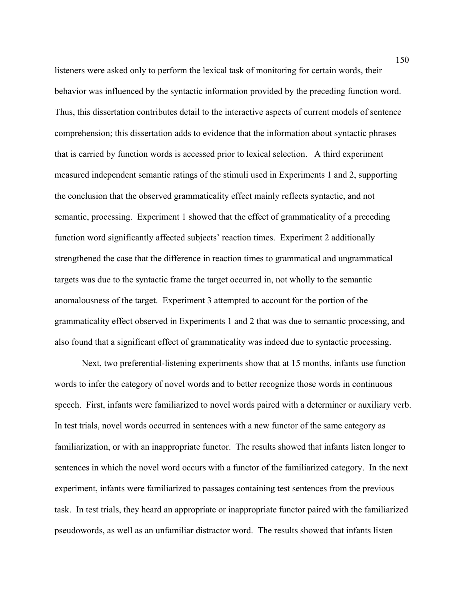listeners were asked only to perform the lexical task of monitoring for certain words, their behavior was influenced by the syntactic information provided by the preceding function word. Thus, this dissertation contributes detail to the interactive aspects of current models of sentence comprehension; this dissertation adds to evidence that the information about syntactic phrases that is carried by function words is accessed prior to lexical selection. A third experiment measured independent semantic ratings of the stimuli used in Experiments 1 and 2, supporting the conclusion that the observed grammaticality effect mainly reflects syntactic, and not semantic, processing. Experiment 1 showed that the effect of grammaticality of a preceding function word significantly affected subjects' reaction times. Experiment 2 additionally strengthened the case that the difference in reaction times to grammatical and ungrammatical targets was due to the syntactic frame the target occurred in, not wholly to the semantic anomalousness of the target. Experiment 3 attempted to account for the portion of the grammaticality effect observed in Experiments 1 and 2 that was due to semantic processing, and also found that a significant effect of grammaticality was indeed due to syntactic processing.

Next, two preferential-listening experiments show that at 15 months, infants use function words to infer the category of novel words and to better recognize those words in continuous speech. First, infants were familiarized to novel words paired with a determiner or auxiliary verb. In test trials, novel words occurred in sentences with a new functor of the same category as familiarization, or with an inappropriate functor. The results showed that infants listen longer to sentences in which the novel word occurs with a functor of the familiarized category. In the next experiment, infants were familiarized to passages containing test sentences from the previous task. In test trials, they heard an appropriate or inappropriate functor paired with the familiarized pseudowords, as well as an unfamiliar distractor word. The results showed that infants listen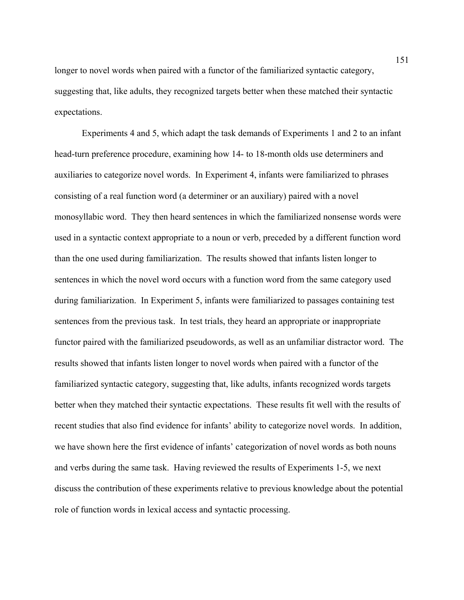longer to novel words when paired with a functor of the familiarized syntactic category, suggesting that, like adults, they recognized targets better when these matched their syntactic expectations.

Experiments 4 and 5, which adapt the task demands of Experiments 1 and 2 to an infant head-turn preference procedure, examining how 14- to 18-month olds use determiners and auxiliaries to categorize novel words. In Experiment 4, infants were familiarized to phrases consisting of a real function word (a determiner or an auxiliary) paired with a novel monosyllabic word. They then heard sentences in which the familiarized nonsense words were used in a syntactic context appropriate to a noun or verb, preceded by a different function word than the one used during familiarization. The results showed that infants listen longer to sentences in which the novel word occurs with a function word from the same category used during familiarization. In Experiment 5, infants were familiarized to passages containing test sentences from the previous task. In test trials, they heard an appropriate or inappropriate functor paired with the familiarized pseudowords, as well as an unfamiliar distractor word. The results showed that infants listen longer to novel words when paired with a functor of the familiarized syntactic category, suggesting that, like adults, infants recognized words targets better when they matched their syntactic expectations. These results fit well with the results of recent studies that also find evidence for infants' ability to categorize novel words. In addition, we have shown here the first evidence of infants' categorization of novel words as both nouns and verbs during the same task. Having reviewed the results of Experiments 1-5, we next discuss the contribution of these experiments relative to previous knowledge about the potential role of function words in lexical access and syntactic processing.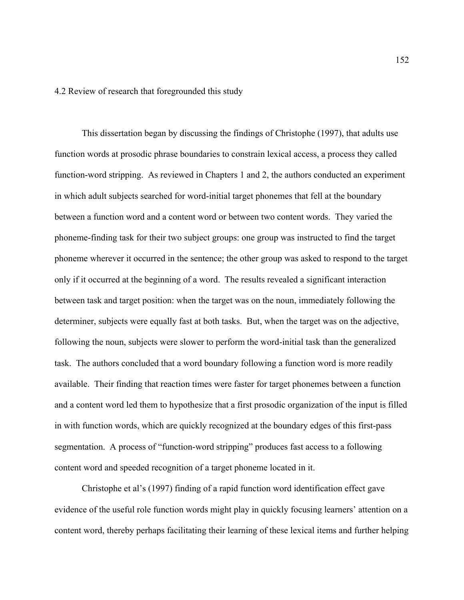4.2 Review of research that foregrounded this study

This dissertation began by discussing the findings of Christophe (1997), that adults use function words at prosodic phrase boundaries to constrain lexical access, a process they called function-word stripping. As reviewed in Chapters 1 and 2, the authors conducted an experiment in which adult subjects searched for word-initial target phonemes that fell at the boundary between a function word and a content word or between two content words. They varied the phoneme-finding task for their two subject groups: one group was instructed to find the target phoneme wherever it occurred in the sentence; the other group was asked to respond to the target only if it occurred at the beginning of a word. The results revealed a significant interaction between task and target position: when the target was on the noun, immediately following the determiner, subjects were equally fast at both tasks. But, when the target was on the adjective, following the noun, subjects were slower to perform the word-initial task than the generalized task. The authors concluded that a word boundary following a function word is more readily available. Their finding that reaction times were faster for target phonemes between a function and a content word led them to hypothesize that a first prosodic organization of the input is filled in with function words, which are quickly recognized at the boundary edges of this first-pass segmentation. A process of "function-word stripping" produces fast access to a following content word and speeded recognition of a target phoneme located in it.

Christophe et al's (1997) finding of a rapid function word identification effect gave evidence of the useful role function words might play in quickly focusing learners' attention on a content word, thereby perhaps facilitating their learning of these lexical items and further helping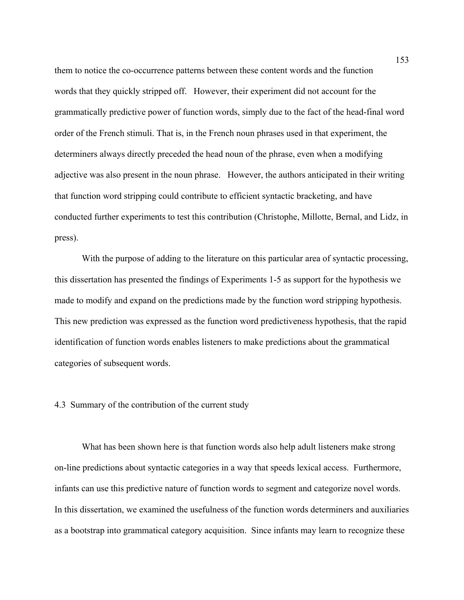them to notice the co-occurrence patterns between these content words and the function words that they quickly stripped off. However, their experiment did not account for the grammatically predictive power of function words, simply due to the fact of the head-final word order of the French stimuli. That is, in the French noun phrases used in that experiment, the determiners always directly preceded the head noun of the phrase, even when a modifying adjective was also present in the noun phrase. However, the authors anticipated in their writing that function word stripping could contribute to efficient syntactic bracketing, and have conducted further experiments to test this contribution (Christophe, Millotte, Bernal, and Lidz, in press).

With the purpose of adding to the literature on this particular area of syntactic processing, this dissertation has presented the findings of Experiments 1-5 as support for the hypothesis we made to modify and expand on the predictions made by the function word stripping hypothesis. This new prediction was expressed as the function word predictiveness hypothesis, that the rapid identification of function words enables listeners to make predictions about the grammatical categories of subsequent words.

## 4.3 Summary of the contribution of the current study

What has been shown here is that function words also help adult listeners make strong on-line predictions about syntactic categories in a way that speeds lexical access. Furthermore, infants can use this predictive nature of function words to segment and categorize novel words. In this dissertation, we examined the usefulness of the function words determiners and auxiliaries as a bootstrap into grammatical category acquisition. Since infants may learn to recognize these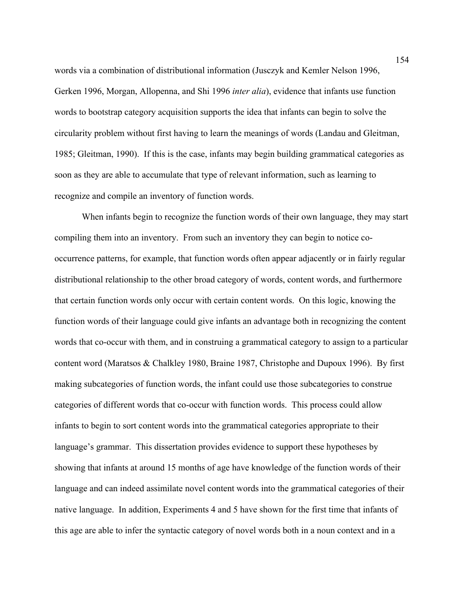words via a combination of distributional information (Jusczyk and Kemler Nelson 1996, Gerken 1996, Morgan, Allopenna, and Shi 1996 *inter alia*), evidence that infants use function words to bootstrap category acquisition supports the idea that infants can begin to solve the circularity problem without first having to learn the meanings of words (Landau and Gleitman, 1985; Gleitman, 1990). If this is the case, infants may begin building grammatical categories as soon as they are able to accumulate that type of relevant information, such as learning to recognize and compile an inventory of function words.

When infants begin to recognize the function words of their own language, they may start compiling them into an inventory. From such an inventory they can begin to notice cooccurrence patterns, for example, that function words often appear adjacently or in fairly regular distributional relationship to the other broad category of words, content words, and furthermore that certain function words only occur with certain content words. On this logic, knowing the function words of their language could give infants an advantage both in recognizing the content words that co-occur with them, and in construing a grammatical category to assign to a particular content word (Maratsos & Chalkley 1980, Braine 1987, Christophe and Dupoux 1996). By first making subcategories of function words, the infant could use those subcategories to construe categories of different words that co-occur with function words. This process could allow infants to begin to sort content words into the grammatical categories appropriate to their language's grammar. This dissertation provides evidence to support these hypotheses by showing that infants at around 15 months of age have knowledge of the function words of their language and can indeed assimilate novel content words into the grammatical categories of their native language. In addition, Experiments 4 and 5 have shown for the first time that infants of this age are able to infer the syntactic category of novel words both in a noun context and in a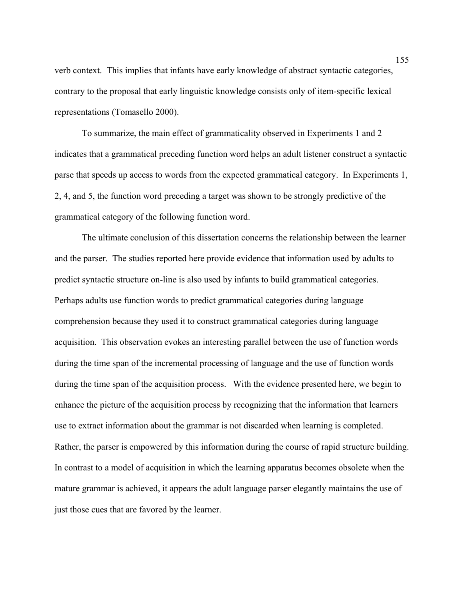verb context. This implies that infants have early knowledge of abstract syntactic categories, contrary to the proposal that early linguistic knowledge consists only of item-specific lexical representations (Tomasello 2000).

To summarize, the main effect of grammaticality observed in Experiments 1 and 2 indicates that a grammatical preceding function word helps an adult listener construct a syntactic parse that speeds up access to words from the expected grammatical category. In Experiments 1, 2, 4, and 5, the function word preceding a target was shown to be strongly predictive of the grammatical category of the following function word.

 The ultimate conclusion of this dissertation concerns the relationship between the learner and the parser. The studies reported here provide evidence that information used by adults to predict syntactic structure on-line is also used by infants to build grammatical categories. Perhaps adults use function words to predict grammatical categories during language comprehension because they used it to construct grammatical categories during language acquisition. This observation evokes an interesting parallel between the use of function words during the time span of the incremental processing of language and the use of function words during the time span of the acquisition process. With the evidence presented here, we begin to enhance the picture of the acquisition process by recognizing that the information that learners use to extract information about the grammar is not discarded when learning is completed. Rather, the parser is empowered by this information during the course of rapid structure building. In contrast to a model of acquisition in which the learning apparatus becomes obsolete when the mature grammar is achieved, it appears the adult language parser elegantly maintains the use of just those cues that are favored by the learner.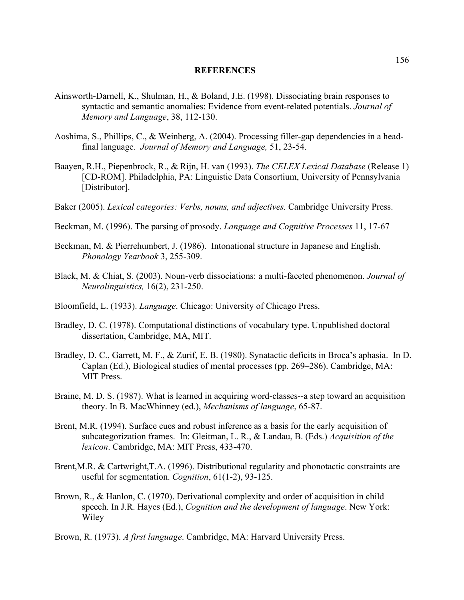## **REFERENCES**

- Ainsworth-Darnell, K., Shulman, H., & Boland, J.E. (1998). Dissociating brain responses to syntactic and semantic anomalies: Evidence from event-related potentials. *Journal of Memory and Language*, 38, 112-130.
- Aoshima, S., Phillips, C., & Weinberg, A. (2004). Processing filler-gap dependencies in a headfinal language. *Journal of Memory and Language,* 51, 23-54.
- Baayen, R.H., Piepenbrock, R., & Rijn, H. van (1993). *The CELEX Lexical Database* (Release 1) [CD-ROM]. Philadelphia, PA: Linguistic Data Consortium, University of Pennsylvania [Distributor].
- Baker (2005). *Lexical categories: Verbs, nouns, and adjectives.* Cambridge University Press.
- Beckman, M. (1996). The parsing of prosody. *Language and Cognitive Processes* 11, 17-67
- Beckman, M. & Pierrehumbert, J. (1986). Intonational structure in Japanese and English. *Phonology Yearbook* 3, 255-309.
- Black, M. & Chiat, S. (2003). Noun-verb dissociations: a multi-faceted phenomenon. *Journal of Neurolinguistics,* 16(2), 231-250.
- Bloomfield, L. (1933). *Language*. Chicago: University of Chicago Press.
- Bradley, D. C. (1978). Computational distinctions of vocabulary type. Unpublished doctoral dissertation, Cambridge, MA, MIT.
- Bradley, D. C., Garrett, M. F., & Zurif, E. B. (1980). Synatactic deficits in Broca's aphasia. In D. Caplan (Ed.), Biological studies of mental processes (pp. 269–286). Cambridge, MA: MIT Press.
- Braine, M. D. S. (1987). What is learned in acquiring word-classes--a step toward an acquisition theory. In B. MacWhinney (ed.), *Mechanisms of language*, 65-87.
- Brent, M.R. (1994). Surface cues and robust inference as a basis for the early acquisition of subcategorization frames. In: Gleitman, L. R., & Landau, B. (Eds.) *Acquisition of the lexicon*. Cambridge, MA: MIT Press, 433-470.
- Brent, M.R. & Cartwright, T.A. (1996). Distributional regularity and phonotactic constraints are useful for segmentation. *Cognition*, 61(1-2), 93-125.
- Brown, R., & Hanlon, C. (1970). Derivational complexity and order of acquisition in child speech. In J.R. Hayes (Ed.), *Cognition and the development of language*. New York: Wiley
- Brown, R. (1973). *A first language*. Cambridge, MA: Harvard University Press.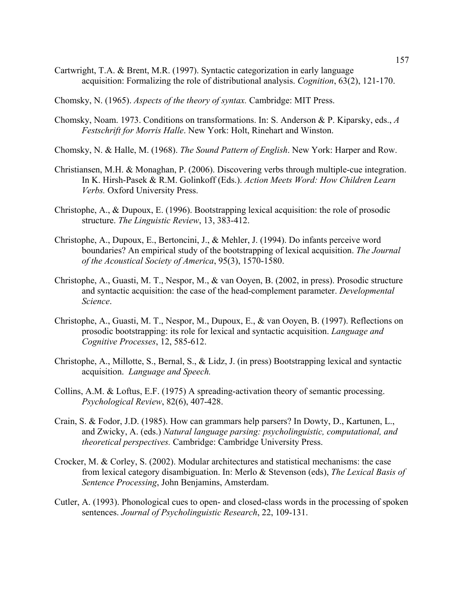- Cartwright, T.A. & Brent, M.R. (1997). Syntactic categorization in early language acquisition: Formalizing the role of distributional analysis. *Cognition*, 63(2), 121-170.
- Chomsky, N. (1965). *Aspects of the theory of syntax.* Cambridge: MIT Press.
- Chomsky, Noam. 1973. Conditions on transformations. In: S. Anderson & P. Kiparsky, eds., *A Festschrift for Morris Halle*. New York: Holt, Rinehart and Winston.
- Chomsky, N. & Halle, M. (1968). *The Sound Pattern of English*. New York: Harper and Row.
- Christiansen, M.H. & Monaghan, P. (2006). Discovering verbs through multiple-cue integration. In K. Hirsh-Pasek & R.M. Golinkoff (Eds.). *Action Meets Word: How Children Learn Verbs.* Oxford University Press.
- Christophe, A., & Dupoux, E. (1996). Bootstrapping lexical acquisition: the role of prosodic structure. *The Linguistic Review*, 13, 383-412.
- Christophe, A., Dupoux, E., Bertoncini, J., & Mehler, J. (1994). Do infants perceive word boundaries? An empirical study of the bootstrapping of lexical acquisition. *The Journal of the Acoustical Society of America*, 95(3), 1570-1580.
- Christophe, A., Guasti, M. T., Nespor, M., & van Ooyen, B. (2002, in press). Prosodic structure and syntactic acquisition: the case of the head-complement parameter. *Developmental Science*.
- Christophe, A., Guasti, M. T., Nespor, M., Dupoux, E., & van Ooyen, B. (1997). Reflections on prosodic bootstrapping: its role for lexical and syntactic acquisition. *Language and Cognitive Processes*, 12, 585-612.
- Christophe, A., Millotte, S., Bernal, S., & Lidz, J. (in press) Bootstrapping lexical and syntactic acquisition. *Language and Speech.*
- Collins, A.M. & Loftus, E.F. (1975) A spreading-activation theory of semantic processing. *Psychological Review*, 82(6), 407-428.
- Crain, S. & Fodor, J.D. (1985). How can grammars help parsers? In Dowty, D., Kartunen, L., and Zwicky, A. (eds.) *Natural language parsing: psycholinguistic, computational, and theoretical perspectives.* Cambridge: Cambridge University Press.
- Crocker, M. & Corley, S. (2002). Modular architectures and statistical mechanisms: the case from lexical category disambiguation. In: Merlo & Stevenson (eds), *The Lexical Basis of Sentence Processing*, John Benjamins, Amsterdam.
- Cutler, A. (1993). Phonological cues to open- and closed-class words in the processing of spoken sentences. *Journal of Psycholinguistic Research*, 22, 109-131.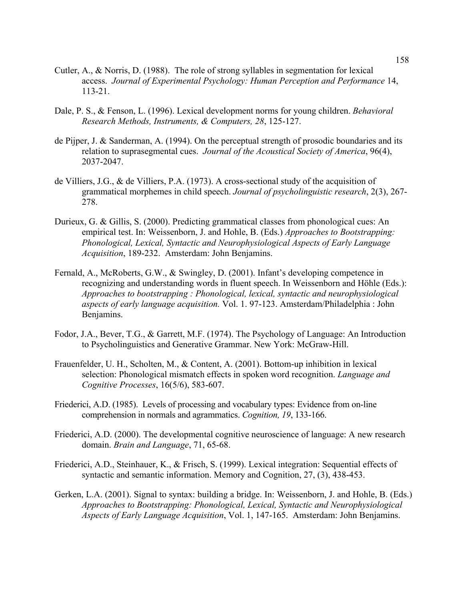- Cutler, A., & Norris, D. (1988). The role of strong syllables in segmentation for lexical access. *Journal of Experimental Psychology: Human Perception and Performance* 14, 113-21.
- Dale, P. S., & Fenson, L. (1996). Lexical development norms for young children. *Behavioral Research Methods, Instruments, & Computers, 28*, 125-127.
- de Pijper, J. & Sanderman, A. (1994). On the perceptual strength of prosodic boundaries and its relation to suprasegmental cues. *Journal of the Acoustical Society of America*, 96(4), 2037-2047.
- de Villiers, J.G., & de Villiers, P.A. (1973). A cross-sectional study of the acquisition of grammatical morphemes in child speech. *Journal of psycholinguistic research*, 2(3), 267- 278.
- Durieux, G. & Gillis, S. (2000). Predicting grammatical classes from phonological cues: An empirical test. In: Weissenborn, J. and Hohle, B. (Eds.) *Approaches to Bootstrapping: Phonological, Lexical, Syntactic and Neurophysiological Aspects of Early Language Acquisition*, 189-232. Amsterdam: John Benjamins.
- Fernald, A., McRoberts, G.W., & Swingley, D. (2001). Infant's developing competence in recognizing and understanding words in fluent speech. In Weissenborn and Höhle (Eds.): *Approaches to bootstrapping : Phonological, lexical, syntactic and neurophysiological aspects of early language acquisition.* Vol. 1. 97-123. Amsterdam/Philadelphia : John Benjamins.
- Fodor, J.A., Bever, T.G., & Garrett, M.F. (1974). The Psychology of Language: An Introduction to Psycholinguistics and Generative Grammar. New York: McGraw-Hill.
- Frauenfelder, U. H., Scholten, M., & Content, A. (2001). Bottom-up inhibition in lexical selection: Phonological mismatch effects in spoken word recognition. *Language and Cognitive Processes*, 16(5/6), 583-607.
- Friederici, A.D. (1985). Levels of processing and vocabulary types: Evidence from on-line comprehension in normals and agrammatics. *Cognition, 19*, 133-166.
- Friederici, A.D. (2000). The developmental cognitive neuroscience of language: A new research domain. *Brain and Language*, 71, 65-68.
- Friederici, A.D., Steinhauer, K., & Frisch, S. (1999). Lexical integration: Sequential effects of syntactic and semantic information. Memory and Cognition, 27, (3), 438-453.
- Gerken, L.A. (2001). Signal to syntax: building a bridge. In: Weissenborn, J. and Hohle, B. (Eds.) *Approaches to Bootstrapping: Phonological, Lexical, Syntactic and Neurophysiological Aspects of Early Language Acquisition*, Vol. 1, 147-165. Amsterdam: John Benjamins.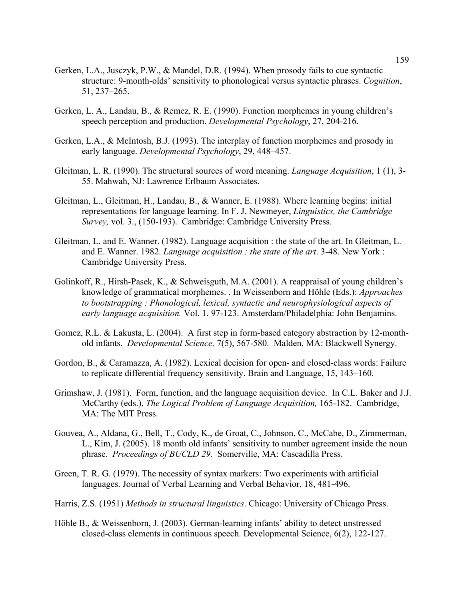- Gerken, L.A., Jusczyk, P.W., & Mandel, D.R. (1994). When prosody fails to cue syntactic structure: 9-month-olds' sensitivity to phonological versus syntactic phrases. *Cognition*, 51, 237–265.
- Gerken, L. A., Landau, B., & Remez, R. E. (1990). Function morphemes in young children's speech perception and production. *Developmental Psychology*, 27, 204-216.
- Gerken, L.A., & McIntosh, B.J. (1993). The interplay of function morphemes and prosody in early language. *Developmental Psychology*, 29, 448–457.
- Gleitman, L. R. (1990). The structural sources of word meaning. *Language Acquisition*, 1 (1), 3- 55. Mahwah, NJ: Lawrence Erlbaum Associates.
- Gleitman, L., Gleitman, H., Landau, B., & Wanner, E. (1988). Where learning begins: initial representations for language learning. In F. J. Newmeyer, *Linguistics, the Cambridge Survey,* vol. 3., (150-193). Cambridge: Cambridge University Press.
- Gleitman, L. and E. Wanner. (1982). Language acquisition : the state of the art. In Gleitman, L. and E. Wanner. 1982. *Language acquisition : the state of the art*. 3-48. New York : Cambridge University Press.
- Golinkoff, R., Hirsh-Pasek, K., & Schweisguth, M.A. (2001). A reappraisal of young children's knowledge of grammatical morphemes. . In Weissenborn and Höhle (Eds.): *Approaches to bootstrapping : Phonological, lexical, syntactic and neurophysiological aspects of early language acquisition.* Vol. 1. 97-123. Amsterdam/Philadelphia: John Benjamins.
- Gomez, R.L. & Lakusta, L. (2004). A first step in form-based category abstraction by 12-monthold infants. *Developmental Science,* 7(5), 567-580. Malden, MA: Blackwell Synergy.
- Gordon, B., & Caramazza, A. (1982). Lexical decision for open- and closed-class words: Failure to replicate differential frequency sensitivity. Brain and Language, 15, 143–160.
- Grimshaw, J. (1981). Form, function, and the language acquisition device. In C.L. Baker and J.J. McCarthy (eds.), *The Logical Problem of Language Acquisition,* 165-182. Cambridge, MA: The MIT Press.
- Gouvea, A., Aldana, G., Bell, T., Cody, K., de Groat, C., Johnson, C., McCabe, D., Zimmerman, L., Kim, J. (2005). 18 month old infants' sensitivity to number agreement inside the noun phrase. *Proceedings of BUCLD 29.* Somerville, MA: Cascadilla Press.
- Green, T. R. G. (1979). The necessity of syntax markers: Two experiments with artificial languages. Journal of Verbal Learning and Verbal Behavior, 18, 481-496.
- Harris, Z.S. (1951) *Methods in structural linguistics*. Chicago: University of Chicago Press.
- Höhle B., & Weissenborn, J. (2003). German-learning infants' ability to detect unstressed closed-class elements in continuous speech. Developmental Science, 6(2), 122-127.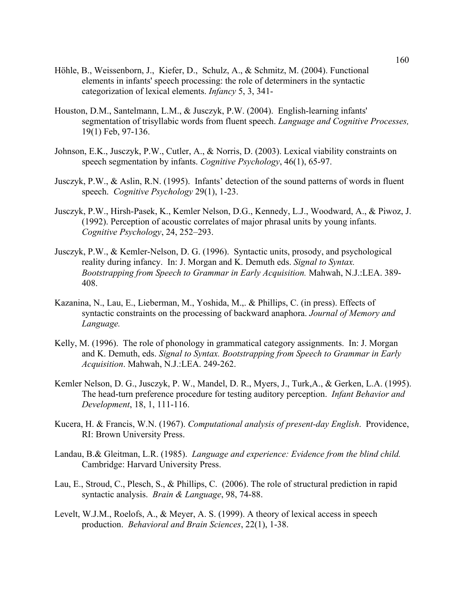- Höhle, B., Weissenborn, J., Kiefer, D., Schulz, A., & Schmitz, M. (2004). Functional elements in infants' speech processing: the role of determiners in the syntactic categorization of lexical elements. *Infancy* 5, 3, 341-
- Houston, D.M., Santelmann, L.M., & Jusczyk, P.W. (2004). English-learning infants' segmentation of trisyllabic words from fluent speech. *Language and Cognitive Processes,* 19(1) Feb, 97-136.
- Johnson, E.K., Jusczyk, P.W., Cutler, A., & Norris, D. (2003). Lexical viability constraints on speech segmentation by infants. *Cognitive Psychology*, 46(1), 65-97.
- Jusczyk, P.W., & Aslin, R.N. (1995). Infants' detection of the sound patterns of words in fluent speech. *Cognitive Psychology* 29(1), 1-23.
- Jusczyk, P.W., Hirsh-Pasek, K., Kemler Nelson, D.G., Kennedy, L.J., Woodward, A., & Piwoz, J. (1992). Perception of acoustic correlates of major phrasal units by young infants. *Cognitive Psychology*, 24, 252–293.
- Jusczyk, P.W., & Kemler-Nelson, D. G. (1996). Syntactic units, prosody, and psychological reality during infancy. In: J. Morgan and K. Demuth eds. *Signal to Syntax. Bootstrapping from Speech to Grammar in Early Acquisition.* Mahwah, N.J.:LEA. 389- 408.
- Kazanina, N., Lau, E., Lieberman, M., Yoshida, M.,. & Phillips, C. (in press). Effects of syntactic constraints on the processing of backward anaphora. *Journal of Memory and Language.*
- Kelly, M. (1996). The role of phonology in grammatical category assignments. In: J. Morgan and K. Demuth, eds. *Signal to Syntax. Bootstrapping from Speech to Grammar in Early Acquisition*. Mahwah, N.J.:LEA. 249-262.
- Kemler Nelson, D. G., Jusczyk, P. W., Mandel, D. R., Myers, J., Turk,A., & Gerken, L.A. (1995). The head-turn preference procedure for testing auditory perception. *Infant Behavior and Development*, 18, 1, 111-116.
- Kucera, H. & Francis, W.N. (1967). *Computational analysis of present-day English*. Providence, RI: Brown University Press.
- Landau, B.& Gleitman, L.R. (1985). *Language and experience: Evidence from the blind child.* Cambridge: Harvard University Press.
- Lau, E., Stroud, C., Plesch, S., & Phillips, C. (2006). The role of structural prediction in rapid syntactic analysis. *Brain & Language*, 98, 74-88.
- Levelt, W.J.M., Roelofs, A., & Meyer, A. S. (1999). A theory of lexical access in speech production. *Behavioral and Brain Sciences*, 22(1), 1-38.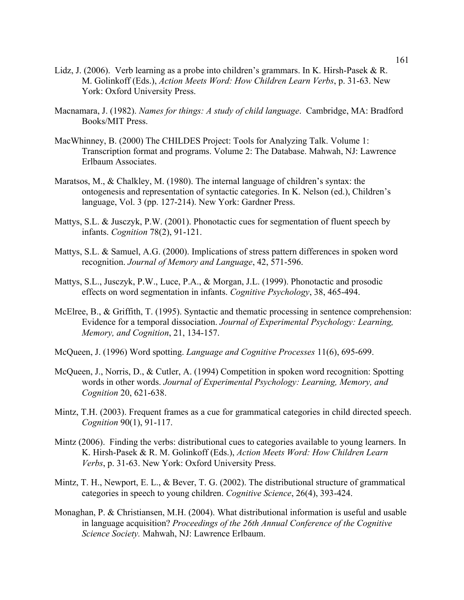- Lidz, J. (2006). Verb learning as a probe into children's grammars. In K. Hirsh-Pasek & R. M. Golinkoff (Eds.), *Action Meets Word: How Children Learn Verbs*, p. 31-63. New York: Oxford University Press.
- Macnamara, J. (1982). *Names for things: A study of child language*. Cambridge, MA: Bradford Books/MIT Press.
- MacWhinney, B. (2000) The CHILDES Project: Tools for Analyzing Talk. Volume 1: Transcription format and programs. Volume 2: The Database. Mahwah, NJ: Lawrence Erlbaum Associates.
- Maratsos, M., & Chalkley, M. (1980). The internal language of children's syntax: the ontogenesis and representation of syntactic categories. In K. Nelson (ed.), Children's language, Vol. 3 (pp. 127-214). New York: Gardner Press.
- Mattys, S.L. & Jusczyk, P.W. (2001). Phonotactic cues for segmentation of fluent speech by infants. *Cognition* 78(2), 91-121.
- Mattys, S.L. & Samuel, A.G. (2000). Implications of stress pattern differences in spoken word recognition. *Journal of Memory and Language*, 42, 571-596.
- Mattys, S.L., Jusczyk, P.W., Luce, P.A., & Morgan, J.L. (1999). Phonotactic and prosodic effects on word segmentation in infants. *Cognitive Psychology*, 38, 465-494.
- McElree, B., & Griffith, T. (1995). Syntactic and thematic processing in sentence comprehension: Evidence for a temporal dissociation. *Journal of Experimental Psychology: Learning, Memory, and Cognition*, 21, 134-157.
- McQueen, J. (1996) Word spotting. *Language and Cognitive Processes* 11(6), 695-699.
- McQueen, J., Norris, D., & Cutler, A. (1994) Competition in spoken word recognition: Spotting words in other words. *Journal of Experimental Psychology: Learning, Memory, and Cognition* 20, 621-638.
- Mintz, T.H. (2003). Frequent frames as a cue for grammatical categories in child directed speech. *Cognition* 90(1), 91-117.
- Mintz (2006). Finding the verbs: distributional cues to categories available to young learners. In K. Hirsh-Pasek & R. M. Golinkoff (Eds.), *Action Meets Word: How Children Learn Verbs*, p. 31-63. New York: Oxford University Press.
- Mintz, T. H., Newport, E. L., & Bever, T. G. (2002). The distributional structure of grammatical categories in speech to young children. *Cognitive Science*, 26(4), 393-424.
- Monaghan, P. & Christiansen, M.H. (2004). What distributional information is useful and usable in language acquisition? *Proceedings of the 26th Annual Conference of the Cognitive Science Society.* Mahwah, NJ: Lawrence Erlbaum.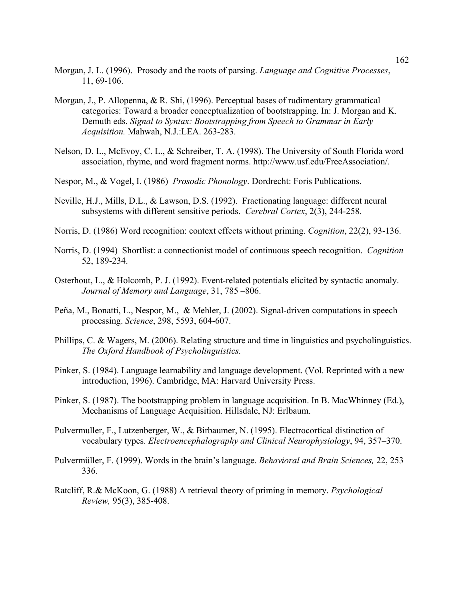- Morgan, J. L. (1996). Prosody and the roots of parsing. *Language and Cognitive Processes*, 11, 69-106.
- Morgan, J., P. Allopenna, & R. Shi, (1996). Perceptual bases of rudimentary grammatical categories: Toward a broader conceptualization of bootstrapping. In: J. Morgan and K. Demuth eds. *Signal to Syntax: Bootstrapping from Speech to Grammar in Early Acquisition.* Mahwah, N.J.:LEA. 263-283.
- Nelson, D. L., McEvoy, C. L., & Schreiber, T. A. (1998). The University of South Florida word association, rhyme, and word fragment norms. http://www.usf.edu/FreeAssociation/.
- Nespor, M., & Vogel, I. (1986) *Prosodic Phonology*. Dordrecht: Foris Publications.
- Neville, H.J., Mills, D.L., & Lawson, D.S. (1992). Fractionating language: different neural subsystems with different sensitive periods. *Cerebral Cortex*, 2(3), 244-258.
- Norris, D. (1986) Word recognition: context effects without priming. *Cognition*, 22(2), 93-136.
- Norris, D. (1994) Shortlist: a connectionist model of continuous speech recognition. *Cognition*  52, 189-234.
- Osterhout, L., & Holcomb, P. J. (1992). Event-related potentials elicited by syntactic anomaly. *Journal of Memory and Language*, 31, 785 –806.
- Peña, M., Bonatti, L., Nespor, M., & Mehler, J. (2002). Signal-driven computations in speech processing. *Science*, 298, 5593, 604-607.
- Phillips, C. & Wagers, M. (2006). Relating structure and time in linguistics and psycholinguistics. *The Oxford Handbook of Psycholinguistics.*
- Pinker, S. (1984). Language learnability and language development. (Vol. Reprinted with a new introduction, 1996). Cambridge, MA: Harvard University Press.
- Pinker, S. (1987). The bootstrapping problem in language acquisition. In B. MacWhinney (Ed.), Mechanisms of Language Acquisition. Hillsdale, NJ: Erlbaum.
- Pulvermuller, F., Lutzenberger, W., & Birbaumer, N. (1995). Electrocortical distinction of vocabulary types. *Electroencephalography and Clinical Neurophysiology*, 94, 357–370.
- Pulvermüller, F. (1999). Words in the brain's language. *Behavioral and Brain Sciences,* 22, 253– 336.
- Ratcliff, R.& McKoon, G. (1988) A retrieval theory of priming in memory. *Psychological Review,* 95(3), 385-408.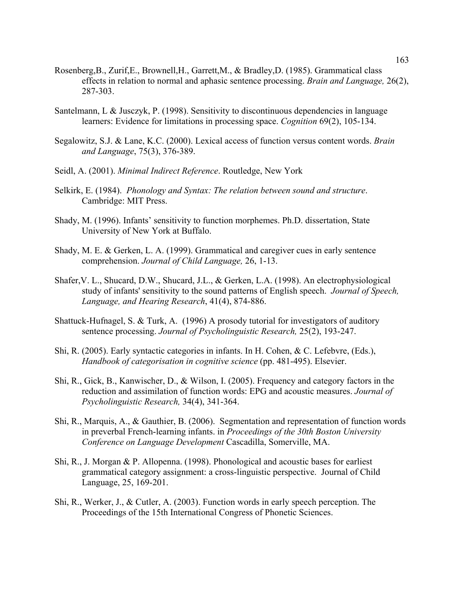- Rosenberg,B., Zurif,E., Brownell,H., Garrett,M., & Bradley,D. (1985). Grammatical class effects in relation to normal and aphasic sentence processing. *Brain and Language,* 26(2), 287-303.
- Santelmann, L & Jusczyk, P. (1998). Sensitivity to discontinuous dependencies in language learners: Evidence for limitations in processing space. *Cognition* 69(2), 105-134.
- Segalowitz, S.J. & Lane, K.C. (2000). Lexical access of function versus content words. *Brain and Language*, 75(3), 376-389.
- Seidl, A. (2001). *Minimal Indirect Reference*. Routledge, New York
- Selkirk, E. (1984). *Phonology and Syntax: The relation between sound and structure*. Cambridge: MIT Press.
- Shady, M. (1996). Infants' sensitivity to function morphemes. Ph.D. dissertation, State University of New York at Buffalo.
- Shady, M. E. & Gerken, L. A. (1999). Grammatical and caregiver cues in early sentence comprehension. *Journal of Child Language,* 26, 1-13.
- Shafer,V. L., Shucard, D.W., Shucard, J.L., & Gerken, L.A. (1998). An electrophysiological study of infants' sensitivity to the sound patterns of English speech. *Journal of Speech, Language, and Hearing Research*, 41(4), 874-886.
- Shattuck-Hufnagel, S. & Turk, A. (1996) A prosody tutorial for investigators of auditory sentence processing. *Journal of Psycholinguistic Research,* 25(2), 193-247.
- Shi, R. (2005). Early syntactic categories in infants. In H. Cohen, & C. Lefebvre, (Eds.), *Handbook of categorisation in cognitive science* (pp. 481-495). Elsevier.
- Shi, R., Gick, B., Kanwischer, D., & Wilson, I. (2005). Frequency and category factors in the reduction and assimilation of function words: EPG and acoustic measures. *Journal of Psycholinguistic Research,* 34(4), 341-364.
- Shi, R., Marquis, A., & Gauthier, B. (2006). Segmentation and representation of function words in preverbal French-learning infants. in *Proceedings of the 30th Boston University Conference on Language Development* Cascadilla, Somerville, MA.
- Shi, R., J. Morgan & P. Allopenna. (1998). Phonological and acoustic bases for earliest grammatical category assignment: a cross-linguistic perspective. Journal of Child Language, 25, 169-201.
- Shi, R., Werker, J., & Cutler, A. (2003). Function words in early speech perception. The Proceedings of the 15th International Congress of Phonetic Sciences.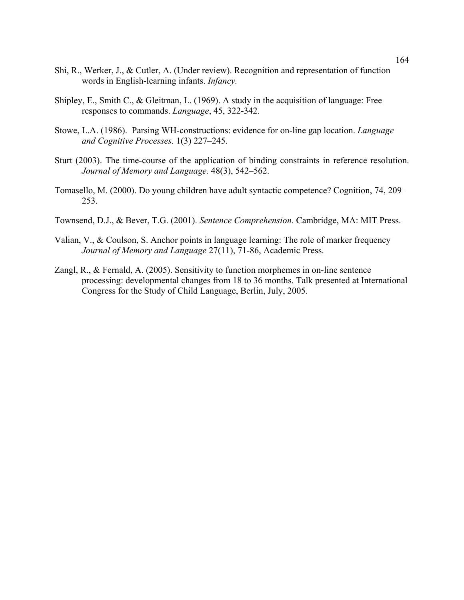- Shi, R., Werker, J., & Cutler, A. (Under review). Recognition and representation of function words in English-learning infants. *Infancy.*
- Shipley, E., Smith C., & Gleitman, L. (1969). A study in the acquisition of language: Free responses to commands. *Language*, 45, 322-342.
- Stowe, L.A. (1986). Parsing WH-constructions: evidence for on-line gap location. *Language and Cognitive Processes.* 1(3) 227–245.
- Sturt (2003). The time-course of the application of binding constraints in reference resolution. *Journal of Memory and Language.* 48(3), 542–562.
- Tomasello, M. (2000). Do young children have adult syntactic competence? Cognition, 74, 209– 253.
- Townsend, D.J., & Bever, T.G. (2001). *Sentence Comprehension*. Cambridge, MA: MIT Press.
- Valian, V., & Coulson, S. Anchor points in language learning: The role of marker frequency *Journal of Memory and Language* 27(11), 71-86, Academic Press.
- Zangl, R., & Fernald, A. (2005). Sensitivity to function morphemes in on-line sentence processing: developmental changes from 18 to 36 months. Talk presented at International Congress for the Study of Child Language, Berlin, July, 2005.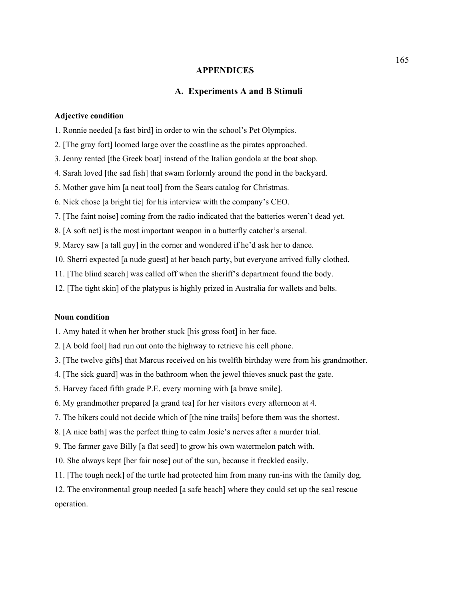### **APPENDICES**

## **A. Experiments A and B Stimuli**

### **Adjective condition**

1. Ronnie needed [a fast bird] in order to win the school's Pet Olympics.

- 2. [The gray fort] loomed large over the coastline as the pirates approached.
- 3. Jenny rented [the Greek boat] instead of the Italian gondola at the boat shop.
- 4. Sarah loved [the sad fish] that swam forlornly around the pond in the backyard.
- 5. Mother gave him [a neat tool] from the Sears catalog for Christmas.
- 6. Nick chose [a bright tie] for his interview with the company's CEO.
- 7. [The faint noise] coming from the radio indicated that the batteries weren't dead yet.
- 8. [A soft net] is the most important weapon in a butterfly catcher's arsenal.
- 9. Marcy saw [a tall guy] in the corner and wondered if he'd ask her to dance.
- 10. Sherri expected [a nude guest] at her beach party, but everyone arrived fully clothed.
- 11. [The blind search] was called off when the sheriff's department found the body.
- 12. [The tight skin] of the platypus is highly prized in Australia for wallets and belts.

## **Noun condition**

- 1. Amy hated it when her brother stuck [his gross foot] in her face.
- 2. [A bold fool] had run out onto the highway to retrieve his cell phone.
- 3. [The twelve gifts] that Marcus received on his twelfth birthday were from his grandmother.
- 4. [The sick guard] was in the bathroom when the jewel thieves snuck past the gate.
- 5. Harvey faced fifth grade P.E. every morning with [a brave smile].
- 6. My grandmother prepared [a grand tea] for her visitors every afternoon at 4.
- 7. The hikers could not decide which of [the nine trails] before them was the shortest.
- 8. [A nice bath] was the perfect thing to calm Josie's nerves after a murder trial.
- 9. The farmer gave Billy [a flat seed] to grow his own watermelon patch with.
- 10. She always kept [her fair nose] out of the sun, because it freckled easily.
- 11. [The tough neck] of the turtle had protected him from many run-ins with the family dog.

12. The environmental group needed [a safe beach] where they could set up the seal rescue operation.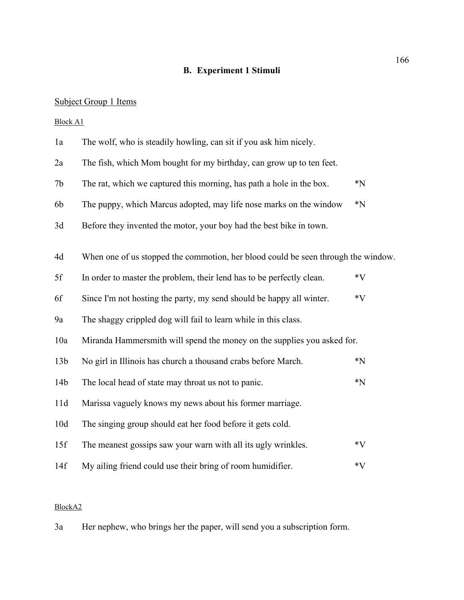# **B. Experiment 1 Stimuli**

# Subject Group 1 Items

Block A1

| 1a              | The wolf, who is steadily howling, can sit if you ask him nicely.                 |         |
|-----------------|-----------------------------------------------------------------------------------|---------|
| 2a              | The fish, which Mom bought for my birthday, can grow up to ten feet.              |         |
| 7 <sub>b</sub>  | The rat, which we captured this morning, has path a hole in the box.              | $*_{N}$ |
| 6b              | The puppy, which Marcus adopted, may life nose marks on the window                | $^*N$   |
| 3d              | Before they invented the motor, your boy had the best bike in town.               |         |
| 4d              | When one of us stopped the commotion, her blood could be seen through the window. |         |
| 5f              | In order to master the problem, their lend has to be perfectly clean.             | $*V$    |
| 6f              | Since I'm not hosting the party, my send should be happy all winter.              | $*V$    |
| 9a              | The shaggy crippled dog will fail to learn while in this class.                   |         |
| 10a             | Miranda Hammersmith will spend the money on the supplies you asked for.           |         |
| 13 <sub>b</sub> | No girl in Illinois has church a thousand crabs before March.                     | $^*N$   |
| 14 <sub>b</sub> | The local head of state may throat us not to panic.                               | $^*N$   |
| 11d             | Marissa vaguely knows my news about his former marriage.                          |         |
| 10d             | The singing group should eat her food before it gets cold.                        |         |
| 15f             | The meanest gossips saw your warn with all its ugly wrinkles.                     | $*V$    |
| 14f             | My ailing friend could use their bring of room humidifier.                        | $*V$    |

# BlockA2

3a Her nephew, who brings her the paper, will send you a subscription form.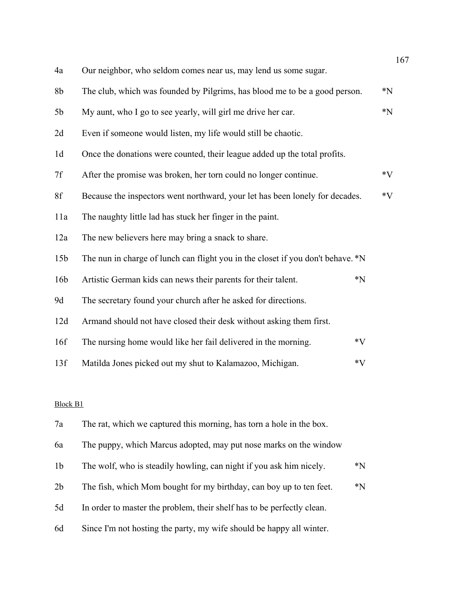|                 |                                                                                 | 167     |
|-----------------|---------------------------------------------------------------------------------|---------|
| 4a              | Our neighbor, who seldom comes near us, may lend us some sugar.                 |         |
| 8 <sub>b</sub>  | The club, which was founded by Pilgrims, has blood me to be a good person.      | $*_{N}$ |
| 5 <sub>b</sub>  | My aunt, who I go to see yearly, will girl me drive her car.                    | $^*N$   |
| 2d              | Even if someone would listen, my life would still be chaotic.                   |         |
| 1 <sub>d</sub>  | Once the donations were counted, their league added up the total profits.       |         |
| 7f              | After the promise was broken, her torn could no longer continue.                | $*V$    |
| 8f              | Because the inspectors went northward, your let has been lonely for decades.    | $*V$    |
| 11a             | The naughty little lad has stuck her finger in the paint.                       |         |
| 12a             | The new believers here may bring a snack to share.                              |         |
| 15 <sub>b</sub> | The nun in charge of lunch can flight you in the closet if you don't behave. *N |         |
| 16 <sub>b</sub> | Artistic German kids can news their parents for their talent.<br>$^*N$          |         |
| 9d              | The secretary found your church after he asked for directions.                  |         |
| 12d             | Armand should not have closed their desk without asking them first.             |         |
| 16f             | The nursing home would like her fail delivered in the morning.<br>$*V$          |         |
| 13f             | Matilda Jones picked out my shut to Kalamazoo, Michigan.<br>$*V$                |         |
|                 |                                                                                 |         |

## Block B1

| 7a             | The rat, which we captured this morning, has torn a hole in the box.   |       |
|----------------|------------------------------------------------------------------------|-------|
| 6a             | The puppy, which Marcus adopted, may put nose marks on the window      |       |
| 1 <sub>b</sub> | The wolf, who is steadily howling, can night if you ask him nicely.    | $^*N$ |
| 2 <sub>b</sub> | The fish, which Mom bought for my birthday, can boy up to ten feet.    | $^*N$ |
| 5d             | In order to master the problem, their shelf has to be perfectly clean. |       |
| 6d             | Since I'm not hosting the party, my wife should be happy all winter.   |       |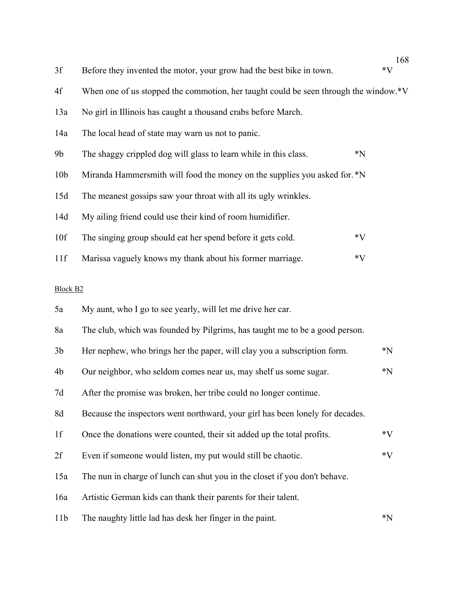| 3f              | Before they invented the motor, your grow had the best bike in town.                 | 108<br>$*V$ |
|-----------------|--------------------------------------------------------------------------------------|-------------|
| 4f              | When one of us stopped the commotion, her taught could be seen through the window.*V |             |
| 13a             | No girl in Illinois has caught a thousand crabs before March.                        |             |
| 14a             | The local head of state may warn us not to panic.                                    |             |
| 9 <sub>b</sub>  | The shaggy crippled dog will glass to learn while in this class.                     | $^*N$       |
| 10 <sub>b</sub> | Miranda Hammersmith will food the money on the supplies you asked for. *N            |             |
| 15d             | The meanest gossips saw your throat with all its ugly wrinkles.                      |             |
| 14d             | My ailing friend could use their kind of room humidifier.                            |             |
| 10f             | The singing group should eat her spend before it gets cold.                          | $*V$        |
| 11f             | Marissa vaguely knows my thank about his former marriage.                            | $*V$        |
| <b>Block B2</b> |                                                                                      |             |
| 5a              | My aunt, who I go to see yearly, will let me drive her car.                          |             |
| 8a              | The club, which was founded by Pilgrims, has taught me to be a good person.          |             |
| 3 <sub>b</sub>  | Her nephew, who brings her the paper, will clay you a subscription form.             | $^*N$       |
| 4b              | Our neighbor, who seldom comes near us, may shelf us some sugar.                     | $^*N$       |
| 7d              | After the promise was broken, her tribe could no longer continue.                    |             |
| 8d              | Because the inspectors went northward, your girl has been lonely for decades.        |             |
| 1f              | Once the donations were counted, their sit added up the total profits.               | $*V$        |
| 2f              | Even if someone would listen, my put would still be chaotic.                         | $*V$        |
| 15a             | The nun in charge of lunch can shut you in the closet if you don't behave.           |             |
| 16a             | Artistic German kids can thank their parents for their talent.                       |             |
| 11 <sub>b</sub> | The naughty little lad has desk her finger in the paint.                             | $^*N$       |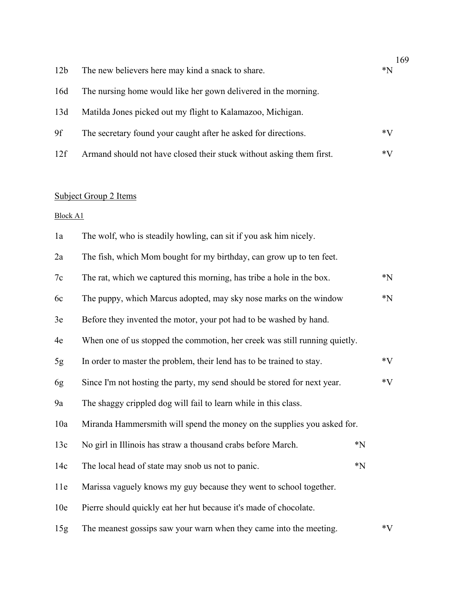|                 |                                                                      | 169 |
|-----------------|----------------------------------------------------------------------|-----|
| 12 <sub>b</sub> | The new believers here may kind a snack to share.                    | *N  |
| 16d             | The nursing home would like her gown delivered in the morning.       |     |
| 13d             | Matilda Jones picked out my flight to Kalamazoo, Michigan.           |     |
| 9f              | The secretary found your caught after he asked for directions.       | *V  |
| 12f             | Armand should not have closed their stuck without asking them first. | *V  |

## Subject Group 2 Items

Block A1

| 1a  | The wolf, who is steadily howling, can sit if you ask him nicely.          |         |         |
|-----|----------------------------------------------------------------------------|---------|---------|
| 2a  | The fish, which Mom bought for my birthday, can grow up to ten feet.       |         |         |
| 7c  | The rat, which we captured this morning, has tribe a hole in the box.      |         | $*_{N}$ |
| 6c  | The puppy, which Marcus adopted, may sky nose marks on the window          |         | $^*N$   |
| 3e  | Before they invented the motor, your pot had to be washed by hand.         |         |         |
| 4e  | When one of us stopped the commotion, her creek was still running quietly. |         |         |
| 5g  | In order to master the problem, their lend has to be trained to stay.      |         | $*V$    |
| 6g  | Since I'm not hosting the party, my send should be stored for next year.   |         | $*V$    |
| 9a  | The shaggy crippled dog will fail to learn while in this class.            |         |         |
| 10a | Miranda Hammersmith will spend the money on the supplies you asked for.    |         |         |
| 13c | No girl in Illinois has straw a thousand crabs before March.               | $^*N$   |         |
| 14c | The local head of state may snob us not to panic.                          | $*_{N}$ |         |
| 11e | Marissa vaguely knows my guy because they went to school together.         |         |         |
| 10e | Pierre should quickly eat her hut because it's made of chocolate.          |         |         |
| 15g | The meanest gossips saw your warn when they came into the meeting.         |         | $*V$    |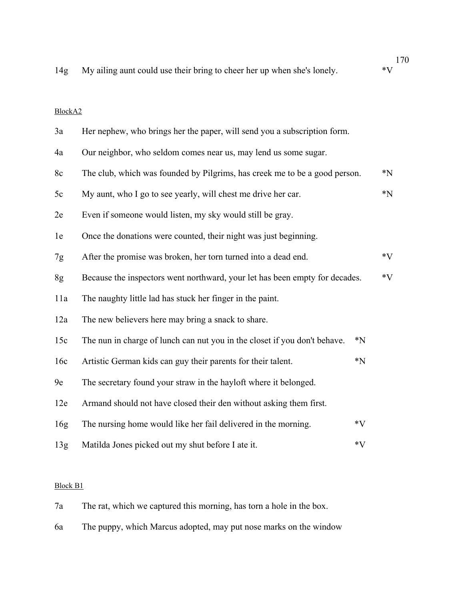170 14g My ailing aunt could use their bring to cheer her up when she's lonely.  $*V$ 

## BlockA2

| 3a  | Her nephew, who brings her the paper, will send you a subscription form.    |       |       |
|-----|-----------------------------------------------------------------------------|-------|-------|
| 4a  | Our neighbor, who seldom comes near us, may lend us some sugar.             |       |       |
| 8c  | The club, which was founded by Pilgrims, has creek me to be a good person.  |       | $^*N$ |
| 5c  | My aunt, who I go to see yearly, will chest me drive her car.               |       | $^*N$ |
| 2e  | Even if someone would listen, my sky would still be gray.                   |       |       |
| 1e  | Once the donations were counted, their night was just beginning.            |       |       |
| 7g  | After the promise was broken, her torn turned into a dead end.              |       | $*V$  |
| 8g  | Because the inspectors went northward, your let has been empty for decades. |       | $*V$  |
| 11a | The naughty little lad has stuck her finger in the paint.                   |       |       |
| 12a | The new believers here may bring a snack to share.                          |       |       |
| 15c | The nun in charge of lunch can nut you in the closet if you don't behave.   | $^*N$ |       |
| 16c | Artistic German kids can guy their parents for their talent.                | $^*N$ |       |
| 9e  | The secretary found your straw in the hayloft where it belonged.            |       |       |
| 12e | Armand should not have closed their den without asking them first.          |       |       |
| 16g | The nursing home would like her fail delivered in the morning.              | $*V$  |       |
| 13g | Matilda Jones picked out my shut before I ate it.                           | $*V$  |       |

### Block B1

- 7a The rat, which we captured this morning, has torn a hole in the box.
- 6a The puppy, which Marcus adopted, may put nose marks on the window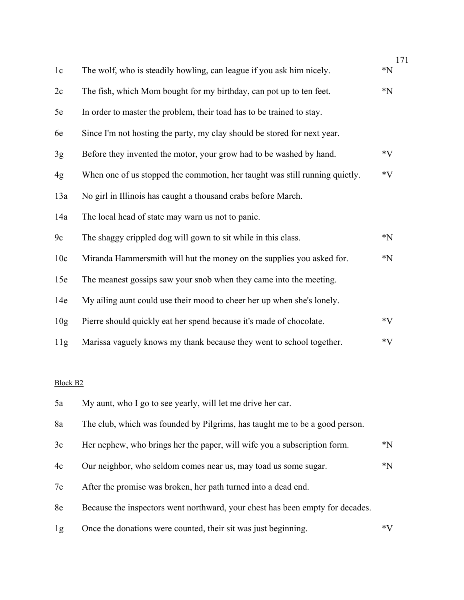|                 |                                                                               | 171   |
|-----------------|-------------------------------------------------------------------------------|-------|
| 1c              | The wolf, who is steadily howling, can league if you ask him nicely.          | $^*N$ |
| 2c              | The fish, which Mom bought for my birthday, can pot up to ten feet.           | $^*N$ |
| 5e              | In order to master the problem, their toad has to be trained to stay.         |       |
| 6e              | Since I'm not hosting the party, my clay should be stored for next year.      |       |
| 3g              | Before they invented the motor, your grow had to be washed by hand.           | $*V$  |
| 4g              | When one of us stopped the commotion, her taught was still running quietly.   | $*V$  |
| 13a             | No girl in Illinois has caught a thousand crabs before March.                 |       |
| 14a             | The local head of state may warn us not to panic.                             |       |
| 9c              | The shaggy crippled dog will gown to sit while in this class.                 | $^*N$ |
| 10c             | Miranda Hammersmith will hut the money on the supplies you asked for.         | $^*N$ |
| 15e             | The meanest gossips saw your snob when they came into the meeting.            |       |
| 14e             | My ailing aunt could use their mood to cheer her up when she's lonely.        |       |
| 10 <sub>g</sub> | Pierre should quickly eat her spend because it's made of chocolate.           | $*V$  |
| 11g             | Marissa vaguely knows my thank because they went to school together.          | $*V$  |
| <b>Block B2</b> |                                                                               |       |
| 5a              | My aunt, who I go to see yearly, will let me drive her car.                   |       |
| 8a              | The club, which was founded by Pilgrims, has taught me to be a good person.   |       |
| 3c              | Her nephew, who brings her the paper, will wife you a subscription form.      | $^*N$ |
| 4c              | Our neighbor, who seldom comes near us, may toad us some sugar.               | $^*N$ |
| 7e              | After the promise was broken, her path turned into a dead end.                |       |
| 8e              | Because the inspectors went northward, your chest has been empty for decades. |       |
| 1g              | Once the donations were counted, their sit was just beginning.                | $*V$  |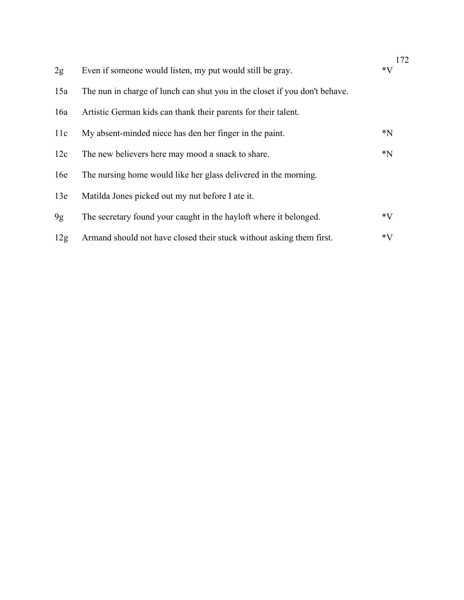|     |                                                                            | 172   |
|-----|----------------------------------------------------------------------------|-------|
| 2g  | Even if someone would listen, my put would still be gray.                  | $*V$  |
| 15a | The nun in charge of lunch can shut you in the closet if you don't behave. |       |
| 16a | Artistic German kids can thank their parents for their talent.             |       |
| 11c | My absent-minded niece has den her finger in the paint.                    | $^*N$ |
| 12c | The new believers here may mood a snack to share.                          | $^*N$ |
| 16e | The nursing home would like her glass delivered in the morning.            |       |
| 13e | Matilda Jones picked out my nut before I ate it.                           |       |
| 9g  | The secretary found your caught in the hayloft where it belonged.          | $*V$  |
| 12g | Armand should not have closed their stuck without asking them first.       | $*V$  |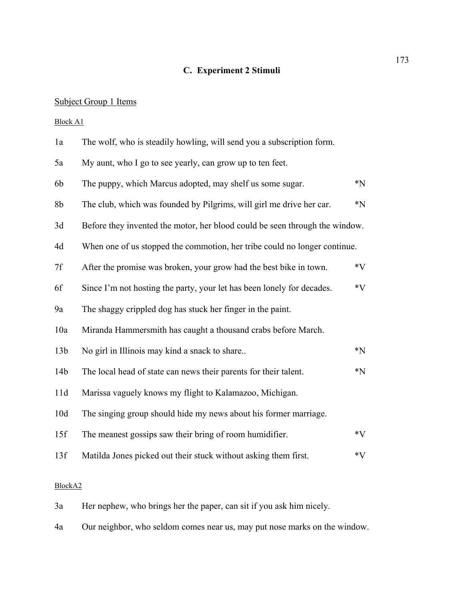# **C. Experiment 2 Stimuli**

# Subject Group 1 Items

Block A1

| 1a              | The wolf, who is steadily howling, will send you a subscription form.       |                            |
|-----------------|-----------------------------------------------------------------------------|----------------------------|
| 5a              | My aunt, who I go to see yearly, can grow up to ten feet.                   |                            |
| 6b              | The puppy, which Marcus adopted, may shelf us some sugar.                   | $*_{N}$                    |
| 8b              | The club, which was founded by Pilgrims, will girl me drive her car.        | $*_{N}$                    |
| 3d              | Before they invented the motor, her blood could be seen through the window. |                            |
| 4d              | When one of us stopped the commotion, her tribe could no longer continue.   |                            |
| 7f              | After the promise was broken, your grow had the best bike in town.          | $*V$                       |
| 6f              | Since I'm not hosting the party, your let has been lonely for decades.      | $*V$                       |
| 9a              | The shaggy crippled dog has stuck her finger in the paint.                  |                            |
| 10a             | Miranda Hammersmith has caught a thousand crabs before March.               |                            |
| 13 <sub>b</sub> | No girl in Illinois may kind a snack to share                               | $\boldsymbol{*}\mathbf{N}$ |
| 14 <sub>b</sub> | The local head of state can news their parents for their talent.            | $*_{N}$                    |
| 11d             | Marissa vaguely knows my flight to Kalamazoo, Michigan.                     |                            |
| 10d             | The singing group should hide my news about his former marriage.            |                            |
| 15f             | The meanest gossips saw their bring of room humidifier.                     | $*V$                       |
| 13f             | Matilda Jones picked out their stuck without asking them first.             | $*V$                       |
|                 |                                                                             |                            |

# BlockA2

- 3a Her nephew, who brings her the paper, can sit if you ask him nicely.
- 4a Our neighbor, who seldom comes near us, may put nose marks on the window.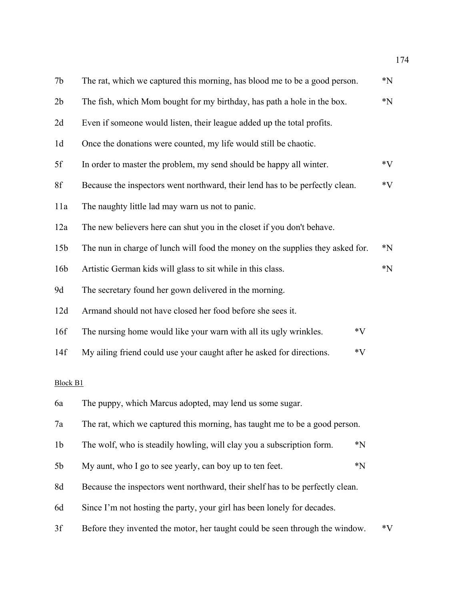| 7b              | The rat, which we captured this morning, has blood me to be a good person.     | $*_{N}$ |
|-----------------|--------------------------------------------------------------------------------|---------|
| 2b              | The fish, which Mom bought for my birthday, has path a hole in the box.        | $^*N$   |
| 2d              | Even if someone would listen, their league added up the total profits.         |         |
| 1 <sub>d</sub>  | Once the donations were counted, my life would still be chaotic.               |         |
| 5f              | In order to master the problem, my send should be happy all winter.            | $*V$    |
| 8f              | Because the inspectors went northward, their lend has to be perfectly clean.   | $*V$    |
| 11a             | The naughty little lad may warn us not to panic.                               |         |
| 12a             | The new believers here can shut you in the closet if you don't behave.         |         |
| 15 <sub>b</sub> | The nun in charge of lunch will food the money on the supplies they asked for. | $^*N$   |
| 16 <sub>b</sub> | Artistic German kids will glass to sit while in this class.                    | $*_{N}$ |
| 9d              | The secretary found her gown delivered in the morning.                         |         |
| 12d             | Armand should not have closed her food before she sees it.                     |         |
| 16f             | The nursing home would like your warn with all its ugly wrinkles.<br>$*V$      |         |
| 14f             | $*V$<br>My ailing friend could use your caught after he asked for directions.  |         |
| <b>Block B1</b> |                                                                                |         |
| 6a              | The puppy, which Marcus adopted, may lend us some sugar.                       |         |
| 7a              | The rat, which we captured this morning, has taught me to be a good person.    |         |
| 1 <sub>b</sub>  | The wolf, who is steadily howling, will clay you a subscription form.<br>$^*N$ |         |
| 5b              | $^*N$<br>My aunt, who I go to see yearly, can boy up to ten feet.              |         |
| 8d              | Because the inspectors went northward, their shelf has to be perfectly clean.  |         |
| 6d              | Since I'm not hosting the party, your girl has been lonely for decades.        |         |
| 3f              | Before they invented the motor, her taught could be seen through the window.   | $*V$    |
|                 |                                                                                |         |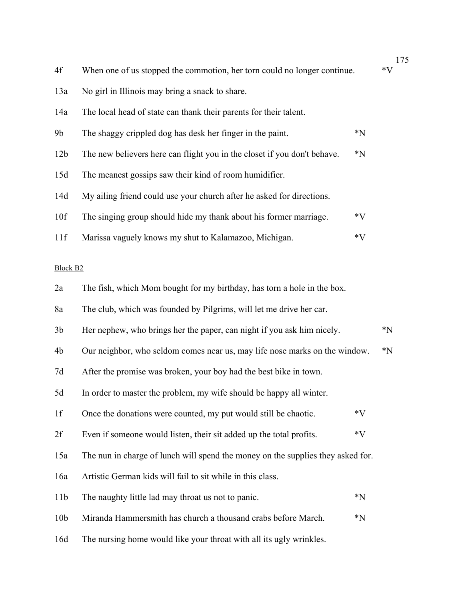| 4f              | When one of us stopped the commotion, her torn could no longer continue.        |       | $*V$  |
|-----------------|---------------------------------------------------------------------------------|-------|-------|
| 13a             | No girl in Illinois may bring a snack to share.                                 |       |       |
| 14a             | The local head of state can thank their parents for their talent.               |       |       |
| 9b              | The shaggy crippled dog has desk her finger in the paint.                       | $^*N$ |       |
| 12 <sub>b</sub> | The new believers here can flight you in the closet if you don't behave.        | $^*N$ |       |
| 15d             | The meanest gossips saw their kind of room humidifier.                          |       |       |
| 14d             | My ailing friend could use your church after he asked for directions.           |       |       |
| 10f             | The singing group should hide my thank about his former marriage.               | $*V$  |       |
| 11f             | Marissa vaguely knows my shut to Kalamazoo, Michigan.                           | $*V$  |       |
| <b>Block B2</b> |                                                                                 |       |       |
| 2a              | The fish, which Mom bought for my birthday, has torn a hole in the box.         |       |       |
| 8a              | The club, which was founded by Pilgrims, will let me drive her car.             |       |       |
| 3 <sub>b</sub>  | Her nephew, who brings her the paper, can night if you ask him nicely.          |       | $^*N$ |
| 4b              | Our neighbor, who seldom comes near us, may life nose marks on the window.      |       | $^*N$ |
| 7d              | After the promise was broken, your boy had the best bike in town.               |       |       |
| 5d              | In order to master the problem, my wife should be happy all winter.             |       |       |
| 1f              | Once the donations were counted, my put would still be chaotic.                 | $*V$  |       |
| 2f              | Even if someone would listen, their sit added up the total profits.             | $*V$  |       |
| 15a             | The nun in charge of lunch will spend the money on the supplies they asked for. |       |       |
| 16a             | Artistic German kids will fail to sit while in this class.                      |       |       |
| 11 <sub>b</sub> | The naughty little lad may throat us not to panic.                              | $^*N$ |       |
| 10 <sub>b</sub> | Miranda Hammersmith has church a thousand crabs before March.                   | $^*N$ |       |
| 16d             | The nursing home would like your throat with all its ugly wrinkles.             |       |       |

 $\frac{175}{V}$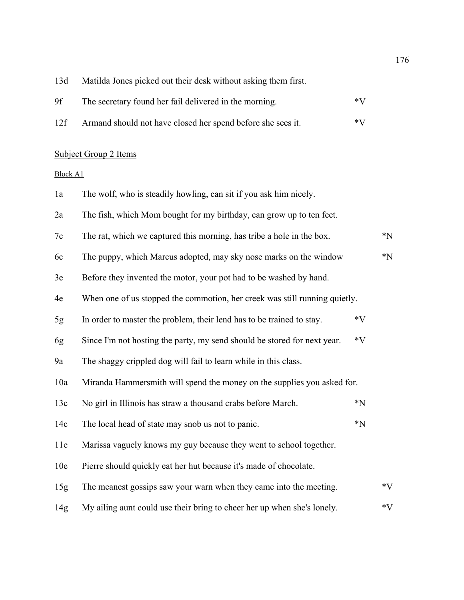13d Matilda Jones picked out their desk without asking them first.

| 9f | The secretary found her fail delivered in the morning. | $*V$ |
|----|--------------------------------------------------------|------|
|    |                                                        |      |

12f Armand should not have closed her spend before she sees it.  $*V$ 

### Subject Group 2 Items

Block A1

1a The wolf, who is steadily howling, can sit if you ask him nicely. 2a The fish, which Mom bought for my birthday, can grow up to ten feet. 7c The rat, which we captured this morning, has tribe a hole in the box.  $*N$ 6c The puppy, which Marcus adopted, may sky nose marks on the window  $*N$ 3e Before they invented the motor, your pot had to be washed by hand. 4e When one of us stopped the commotion, her creek was still running quietly. 5g In order to master the problem, their lend has to be trained to stay.  $*V$ 6g Since I'm not hosting the party, my send should be stored for next year. \*V 9a The shaggy crippled dog will fail to learn while in this class. 10a Miranda Hammersmith will spend the money on the supplies you asked for. 13c No girl in Illinois has straw a thousand crabs before March.  $*N$ 14c The local head of state may snob us not to panic.  $*N$ 11e Marissa vaguely knows my guy because they went to school together. 10e Pierre should quickly eat her hut because it's made of chocolate. 15g The meanest gossips saw your warn when they came into the meeting.  $*V$ 14g My ailing aunt could use their bring to cheer her up when she's lonely.  $*V$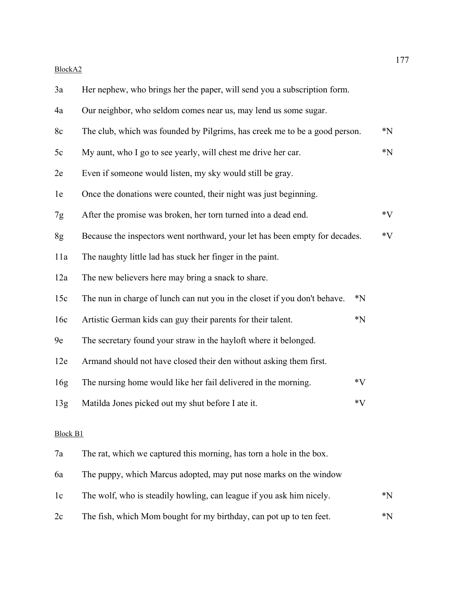## BlockA2

| 3a  | Her nephew, who brings her the paper, will send you a subscription form.           |                            |
|-----|------------------------------------------------------------------------------------|----------------------------|
| 4a  | Our neighbor, who seldom comes near us, may lend us some sugar.                    |                            |
| 8c  | The club, which was founded by Pilgrims, has creek me to be a good person.         | $*_{N}$                    |
| 5c  | My aunt, who I go to see yearly, will chest me drive her car.                      | $\boldsymbol{*}\mathbf{N}$ |
| 2e  | Even if someone would listen, my sky would still be gray.                          |                            |
| 1e  | Once the donations were counted, their night was just beginning.                   |                            |
| 7g  | After the promise was broken, her torn turned into a dead end.                     | $*V$                       |
| 8g  | Because the inspectors went northward, your let has been empty for decades.        | $*V$                       |
| 11a | The naughty little lad has stuck her finger in the paint.                          |                            |
| 12a | The new believers here may bring a snack to share.                                 |                            |
| 15c | The nun in charge of lunch can nut you in the closet if you don't behave.<br>$^*N$ |                            |
| 16c | Artistic German kids can guy their parents for their talent.<br>$^*N$              |                            |
| 9e  | The secretary found your straw in the hayloft where it belonged.                   |                            |
| 12e | Armand should not have closed their den without asking them first.                 |                            |

| 16g | The nursing home would like her fail delivered in the morning. | $*V$ |
|-----|----------------------------------------------------------------|------|
|     |                                                                |      |

# 13g Matilda Jones picked out my shut before I ate it.  $*V$

### Block B1

| 7a | The rat, which we captured this morning, has torn a hole in the box. |             |
|----|----------------------------------------------------------------------|-------------|
| 6a | The puppy, which Marcus adopted, may put nose marks on the window    |             |
| 1c | The wolf, who is steadily howling, can league if you ask him nicely. | $^*N$       |
| 2c | The fish, which Mom bought for my birthday, can pot up to ten feet.  | $*_{\rm N}$ |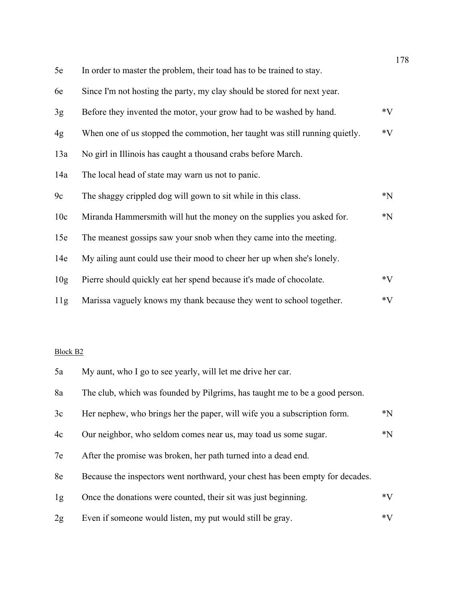| 5e              | In order to master the problem, their toad has to be trained to stay.       |         |
|-----------------|-----------------------------------------------------------------------------|---------|
| 6e              | Since I'm not hosting the party, my clay should be stored for next year.    |         |
| 3g              | Before they invented the motor, your grow had to be washed by hand.         | $*V$    |
| 4g              | When one of us stopped the commotion, her taught was still running quietly. | $*V$    |
| 13a             | No girl in Illinois has caught a thousand crabs before March.               |         |
| 14a             | The local head of state may warn us not to panic.                           |         |
| 9c              | The shaggy crippled dog will gown to sit while in this class.               | $^*N$   |
| 10c             | Miranda Hammersmith will hut the money on the supplies you asked for.       | $*_{N}$ |
| 15e             | The meanest gossips saw your snob when they came into the meeting.          |         |
| 14e             | My ailing aunt could use their mood to cheer her up when she's lonely.      |         |
| 10 <sub>g</sub> | Pierre should quickly eat her spend because it's made of chocolate.         | $*V$    |
| 11g             | Marissa vaguely knows my thank because they went to school together.        | $*V$    |

## Block B2

| 5a | My aunt, who I go to see yearly, will let me drive her car.                   |       |
|----|-------------------------------------------------------------------------------|-------|
| 8a | The club, which was founded by Pilgrims, has taught me to be a good person.   |       |
| 3c | Her nephew, who brings her the paper, will wife you a subscription form.      | $^*N$ |
| 4c | Our neighbor, who seldom comes near us, may toad us some sugar.               | $^*N$ |
| 7e | After the promise was broken, her path turned into a dead end.                |       |
| 8e | Because the inspectors went northward, your chest has been empty for decades. |       |
| 1g | Once the donations were counted, their sit was just beginning.                | $*V$  |
| 2g | Even if someone would listen, my put would still be gray.                     | $*V$  |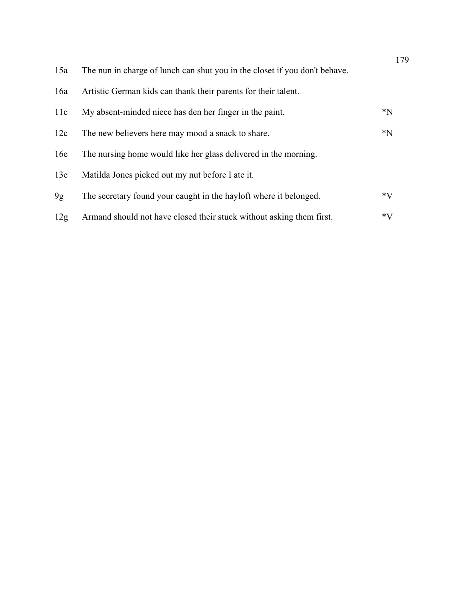|     |                                                                            | 179   |
|-----|----------------------------------------------------------------------------|-------|
| 15a | The nun in charge of lunch can shut you in the closet if you don't behave. |       |
| 16a | Artistic German kids can thank their parents for their talent.             |       |
| 11c | My absent-minded niece has den her finger in the paint.                    | $^*N$ |
| 12c | The new believers here may mood a snack to share.                          | $^*N$ |
| 16e | The nursing home would like her glass delivered in the morning.            |       |
| 13e | Matilda Jones picked out my nut before I ate it.                           |       |
| 9g  | The secretary found your caught in the hayloft where it belonged.          | $*V$  |
| 12g | Armand should not have closed their stuck without asking them first.       | $*V$  |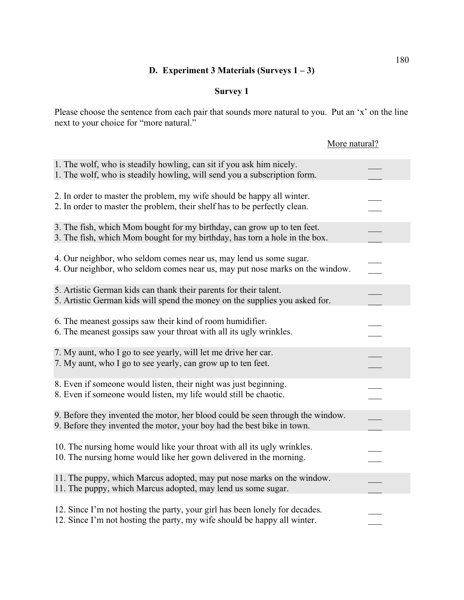# **D. Experiment 3 Materials (Surveys 1 – 3)**

## **Survey 1**

Please choose the sentence from each pair that sounds more natural to you. Put an 'x' on the line next to your choice for "more natural."

|                                                                                                                                                          | More natural? |
|----------------------------------------------------------------------------------------------------------------------------------------------------------|---------------|
| 1. The wolf, who is steadily howling, can sit if you ask him nicely.<br>1. The wolf, who is steadily howling, will send you a subscription form.         |               |
| 2. In order to master the problem, my wife should be happy all winter.<br>2. In order to master the problem, their shelf has to be perfectly clean.      |               |
| 3. The fish, which Mom bought for my birthday, can grow up to ten feet.<br>3. The fish, which Mom bought for my birthday, has torn a hole in the box.    |               |
| 4. Our neighbor, who seldom comes near us, may lend us some sugar.<br>4. Our neighbor, who seldom comes near us, may put nose marks on the window.       |               |
| 5. Artistic German kids can thank their parents for their talent.<br>5. Artistic German kids will spend the money on the supplies you asked for.         |               |
| 6. The meanest gossips saw their kind of room humidifier.<br>6. The meanest gossips saw your throat with all its ugly wrinkles.                          |               |
| 7. My aunt, who I go to see yearly, will let me drive her car.<br>7. My aunt, who I go to see yearly, can grow up to ten feet.                           |               |
| 8. Even if someone would listen, their night was just beginning.<br>8. Even if someone would listen, my life would still be chaotic.                     |               |
| 9. Before they invented the motor, her blood could be seen through the window.<br>9. Before they invented the motor, your boy had the best bike in town. |               |
| 10. The nursing home would like your throat with all its ugly wrinkles.<br>10. The nursing home would like her gown delivered in the morning.            |               |
| 11. The puppy, which Marcus adopted, may put nose marks on the window.<br>11. The puppy, which Marcus adopted, may lend us some sugar.                   |               |
| 12. Since I'm not hosting the party, your girl has been lonely for decades.<br>12. Since I'm not hosting the party, my wife should be happy all winter.  |               |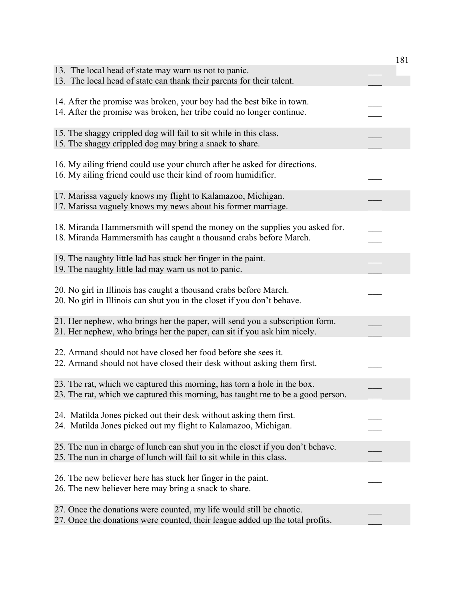|                                                                                                                                                             | 181 |
|-------------------------------------------------------------------------------------------------------------------------------------------------------------|-----|
| 13. The local head of state may warn us not to panic.<br>13. The local head of state can thank their parents for their talent.                              |     |
| 14. After the promise was broken, your boy had the best bike in town.<br>14. After the promise was broken, her tribe could no longer continue.              |     |
| 15. The shaggy crippled dog will fail to sit while in this class.<br>15. The shaggy crippled dog may bring a snack to share.                                |     |
| 16. My ailing friend could use your church after he asked for directions.<br>16. My ailing friend could use their kind of room humidifier.                  |     |
| 17. Marissa vaguely knows my flight to Kalamazoo, Michigan.<br>17. Marissa vaguely knows my news about his former marriage.                                 |     |
| 18. Miranda Hammersmith will spend the money on the supplies you asked for.<br>18. Miranda Hammersmith has caught a thousand crabs before March.            |     |
| 19. The naughty little lad has stuck her finger in the paint.<br>19. The naughty little lad may warn us not to panic.                                       |     |
| 20. No girl in Illinois has caught a thousand crabs before March.<br>20. No girl in Illinois can shut you in the closet if you don't behave.                |     |
| 21. Her nephew, who brings her the paper, will send you a subscription form.<br>21. Her nephew, who brings her the paper, can sit if you ask him nicely.    |     |
| 22. Armand should not have closed her food before she sees it.<br>22. Armand should not have closed their desk without asking them first.                   |     |
| 23. The rat, which we captured this morning, has torn a hole in the box.<br>23. The rat, which we captured this morning, has taught me to be a good person. |     |
| 24. Matilda Jones picked out their desk without asking them first.<br>24. Matilda Jones picked out my flight to Kalamazoo, Michigan.                        |     |
| 25. The nun in charge of lunch can shut you in the closet if you don't behave.<br>25. The nun in charge of lunch will fail to sit while in this class.      |     |
| 26. The new believer here has stuck her finger in the paint.<br>26. The new believer here may bring a snack to share.                                       |     |
| 27. Once the donations were counted, my life would still be chaotic.<br>27. Once the donations were counted, their league added up the total profits.       |     |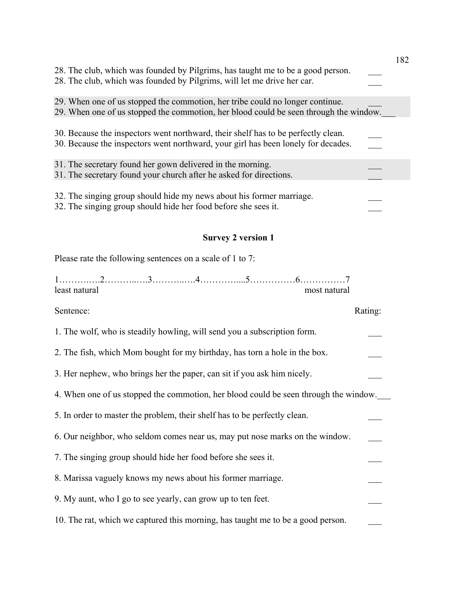|                                                                                                                                                                        | 182 |
|------------------------------------------------------------------------------------------------------------------------------------------------------------------------|-----|
| 28. The club, which was founded by Pilgrims, has taught me to be a good person.<br>28. The club, which was founded by Pilgrims, will let me drive her car.             |     |
| 29. When one of us stopped the commotion, her tribe could no longer continue.<br>29. When one of us stopped the commotion, her blood could be seen through the window. |     |
| 30. Because the inspectors went northward, their shelf has to be perfectly clean.<br>30. Because the inspectors went northward, your girl has been lonely for decades. |     |
| 31. The secretary found her gown delivered in the morning.<br>31. The secretary found your church after he asked for directions.                                       |     |
| 32. The singing group should hide my news about his former marriage.<br>32. The singing group should hide her food before she sees it.                                 |     |
| <b>Survey 2 version 1</b>                                                                                                                                              |     |
| Please rate the following sentences on a scale of 1 to 7:                                                                                                              |     |

| least natural |                                                                           |  |                                                                                 | most natural                                                                         |
|---------------|---------------------------------------------------------------------------|--|---------------------------------------------------------------------------------|--------------------------------------------------------------------------------------|
| Sentence:     |                                                                           |  |                                                                                 | Rating:                                                                              |
|               | 1. The wolf, who is steadily howling, will send you a subscription form.  |  |                                                                                 |                                                                                      |
|               |                                                                           |  | 2. The fish, which Mom bought for my birthday, has torn a hole in the box.      |                                                                                      |
|               | 3. Her nephew, who brings her the paper, can sit if you ask him nicely.   |  |                                                                                 |                                                                                      |
|               |                                                                           |  |                                                                                 | 4. When one of us stopped the commotion, her blood could be seen through the window. |
|               | 5. In order to master the problem, their shelf has to be perfectly clean. |  |                                                                                 |                                                                                      |
|               |                                                                           |  | 6. Our neighbor, who seldom comes near us, may put nose marks on the window.    |                                                                                      |
|               | 7. The singing group should hide her food before she sees it.             |  |                                                                                 |                                                                                      |
|               | 8. Marissa vaguely knows my news about his former marriage.               |  |                                                                                 |                                                                                      |
|               | 9. My aunt, who I go to see yearly, can grow up to ten feet.              |  |                                                                                 |                                                                                      |
|               |                                                                           |  | 10. The rat, which we captured this morning, has taught me to be a good person. |                                                                                      |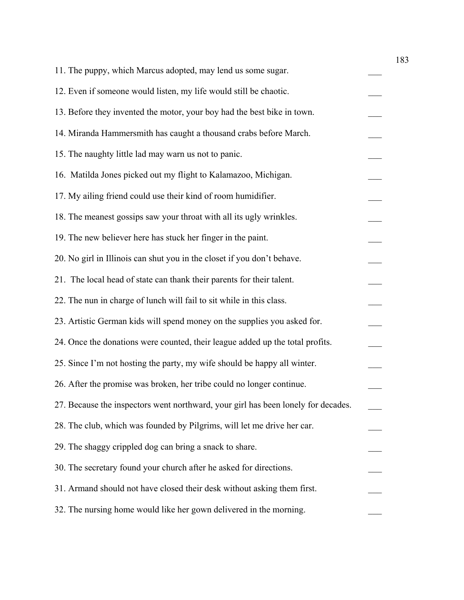| 11. The puppy, which Marcus adopted, may lend us some sugar.                      |  |
|-----------------------------------------------------------------------------------|--|
| 12. Even if someone would listen, my life would still be chaotic.                 |  |
| 13. Before they invented the motor, your boy had the best bike in town.           |  |
| 14. Miranda Hammersmith has caught a thousand crabs before March.                 |  |
| 15. The naughty little lad may warn us not to panic.                              |  |
| 16. Matilda Jones picked out my flight to Kalamazoo, Michigan.                    |  |
| 17. My ailing friend could use their kind of room humidifier.                     |  |
| 18. The meanest gossips saw your throat with all its ugly wrinkles.               |  |
| 19. The new believer here has stuck her finger in the paint.                      |  |
| 20. No girl in Illinois can shut you in the closet if you don't behave.           |  |
| 21. The local head of state can thank their parents for their talent.             |  |
| 22. The nun in charge of lunch will fail to sit while in this class.              |  |
| 23. Artistic German kids will spend money on the supplies you asked for.          |  |
| 24. Once the donations were counted, their league added up the total profits.     |  |
| 25. Since I'm not hosting the party, my wife should be happy all winter.          |  |
| 26. After the promise was broken, her tribe could no longer continue.             |  |
| 27. Because the inspectors went northward, your girl has been lonely for decades. |  |
| 28. The club, which was founded by Pilgrims, will let me drive her car.           |  |
| 29. The shaggy crippled dog can bring a snack to share.                           |  |
| 30. The secretary found your church after he asked for directions.                |  |
| 31. Armand should not have closed their desk without asking them first.           |  |
| 32. The nursing home would like her gown delivered in the morning.                |  |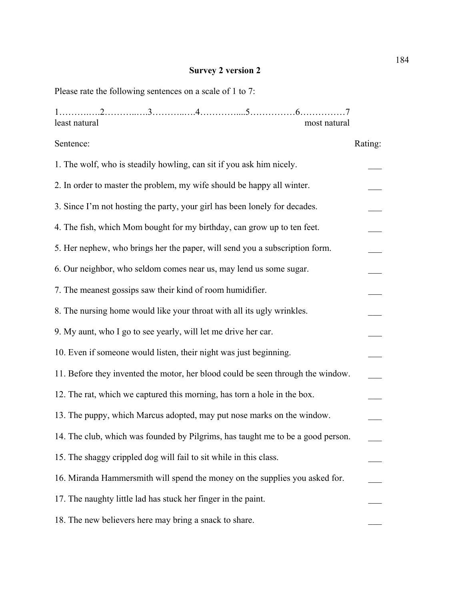#### **Survey 2 version 2**

Please rate the following sentences on a scale of 1 to 7:

| least natural |  |  | most natural |
|---------------|--|--|--------------|

# Sentence: Rating: 1. The wolf, who is steadily howling, can sit if you ask him nicely. 2. In order to master the problem, my wife should be happy all winter. 3. Since I'm not hosting the party, your girl has been lonely for decades. 4. The fish, which Mom bought for my birthday, can grow up to ten feet. 5. Her nephew, who brings her the paper, will send you a subscription form. 6. Our neighbor, who seldom comes near us, may lend us some sugar. \_\_\_ 7. The meanest gossips saw their kind of room humidifier. 8. The nursing home would like your throat with all its ugly wrinkles. 9. My aunt, who I go to see yearly, will let me drive her car. 10. Even if someone would listen, their night was just beginning. 11. Before they invented the motor, her blood could be seen through the window. \_\_\_ 12. The rat, which we captured this morning, has torn a hole in the box. 13. The puppy, which Marcus adopted, may put nose marks on the window. 14. The club, which was founded by Pilgrims, has taught me to be a good person. 15. The shaggy crippled dog will fail to sit while in this class. \_\_\_ 16. Miranda Hammersmith will spend the money on the supplies you asked for. \_\_\_ 17. The naughty little lad has stuck her finger in the paint. 18. The new believers here may bring a snack to share.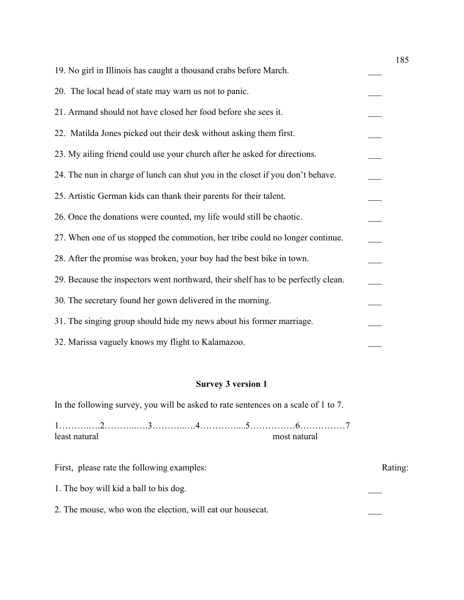| 19. No girl in Illinois has caught a thousand crabs before March.                 |  |
|-----------------------------------------------------------------------------------|--|
| 20. The local head of state may warn us not to panic.                             |  |
| 21. Armand should not have closed her food before she sees it.                    |  |
| 22. Matilda Jones picked out their desk without asking them first.                |  |
| 23. My ailing friend could use your church after he asked for directions.         |  |
| 24. The nun in charge of lunch can shut you in the closet if you don't behave.    |  |
| 25. Artistic German kids can thank their parents for their talent.                |  |
| 26. Once the donations were counted, my life would still be chaotic.              |  |
| 27. When one of us stopped the commotion, her tribe could no longer continue.     |  |
| 28. After the promise was broken, your boy had the best bike in town.             |  |
| 29. Because the inspectors went northward, their shelf has to be perfectly clean. |  |
| 30. The secretary found her gown delivered in the morning.                        |  |
| 31. The singing group should hide my news about his former marriage.              |  |
| 32. Marissa vaguely knows my flight to Kalamazoo.                                 |  |

## **Survey 3 version 1**

In the following survey, you will be asked to rate sentences on a scale of 1 to 7.

1……….….2………..….3………..….4…………....5……………6……………7 least natural most natural most natural

First, please rate the following examples: Rating: Rating: 1. The boy will kid a ball to his dog. 2. The mouse, who won the election, will eat our housecat.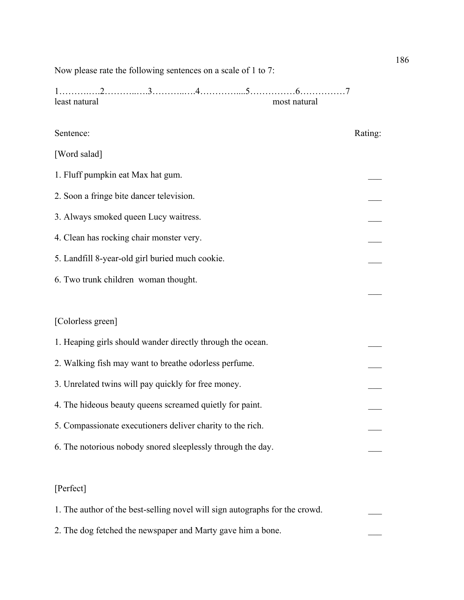Now please rate the following sentences on a scale of 1 to 7:

1……….….2………..….3………..….4…………....5……………6……………7 least natural most natural

# Sentence: Rating: [Word salad] 1. Fluff pumpkin eat Max hat gum. 2. Soon a fringe bite dancer television. 3. Always smoked queen Lucy waitress. 4. Clean has rocking chair monster very. 5. Landfill 8-year-old girl buried much cookie. 6. Two trunk children woman thought.  $\overline{\phantom{a}}$ [Colorless green] 1. Heaping girls should wander directly through the ocean. 2. Walking fish may want to breathe odorless perfume. 3. Unrelated twins will pay quickly for free money. 4. The hideous beauty queens screamed quietly for paint. 5. Compassionate executioners deliver charity to the rich. \_\_\_ 6. The notorious nobody snored sleeplessly through the day. [Perfect] 1. The author of the best-selling novel will sign autographs for the crowd.

2. The dog fetched the newspaper and Marty gave him a bone.

186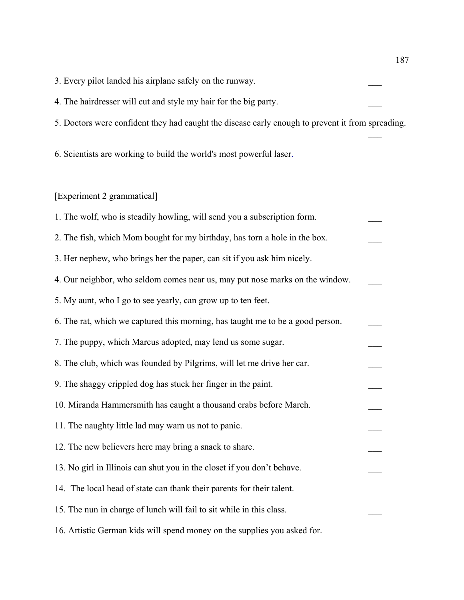| 3. Every pilot landed his airplane safely on the runway.                                         |  |
|--------------------------------------------------------------------------------------------------|--|
| 4. The hairdresser will cut and style my hair for the big party.                                 |  |
| 5. Doctors were confident they had caught the disease early enough to prevent it from spreading. |  |
| 6. Scientists are working to build the world's most powerful laser.                              |  |
| [Experiment 2 grammatical]                                                                       |  |
| 1. The wolf, who is steadily howling, will send you a subscription form.                         |  |
| 2. The fish, which Mom bought for my birthday, has torn a hole in the box.                       |  |
| 3. Her nephew, who brings her the paper, can sit if you ask him nicely.                          |  |
| 4. Our neighbor, who seldom comes near us, may put nose marks on the window.                     |  |
| 5. My aunt, who I go to see yearly, can grow up to ten feet.                                     |  |
| 6. The rat, which we captured this morning, has taught me to be a good person.                   |  |
| 7. The puppy, which Marcus adopted, may lend us some sugar.                                      |  |
| 8. The club, which was founded by Pilgrims, will let me drive her car.                           |  |
| 9. The shaggy crippled dog has stuck her finger in the paint.                                    |  |
| 10. Miranda Hammersmith has caught a thousand crabs before March.                                |  |
| 11. The naughty little lad may warn us not to panic.                                             |  |
| 12. The new believers here may bring a snack to share.                                           |  |
| 13. No girl in Illinois can shut you in the closet if you don't behave.                          |  |
| 14. The local head of state can thank their parents for their talent.                            |  |
| 15. The nun in charge of lunch will fail to sit while in this class.                             |  |
| 16. Artistic German kids will spend money on the supplies you asked for.                         |  |

187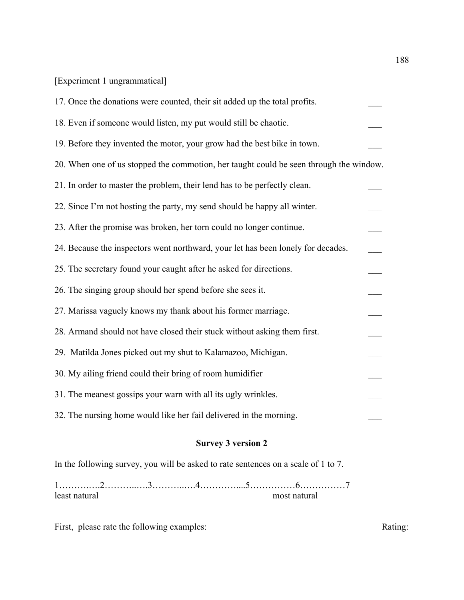# [Experiment 1 ungrammatical]

| 17. Once the donations were counted, their sit added up the total profits.             |  |
|----------------------------------------------------------------------------------------|--|
| 18. Even if someone would listen, my put would still be chaotic.                       |  |
| 19. Before they invented the motor, your grow had the best bike in town.               |  |
| 20. When one of us stopped the commotion, her taught could be seen through the window. |  |
| 21. In order to master the problem, their lend has to be perfectly clean.              |  |
| 22. Since I'm not hosting the party, my send should be happy all winter.               |  |
| 23. After the promise was broken, her torn could no longer continue.                   |  |
| 24. Because the inspectors went northward, your let has been lonely for decades.       |  |
| 25. The secretary found your caught after he asked for directions.                     |  |
| 26. The singing group should her spend before she sees it.                             |  |
| 27. Marissa vaguely knows my thank about his former marriage.                          |  |
| 28. Armand should not have closed their stuck without asking them first.               |  |
| 29. Matilda Jones picked out my shut to Kalamazoo, Michigan.                           |  |
| 30. My ailing friend could their bring of room humidifier                              |  |
| 31. The meanest gossips your warn with all its ugly wrinkles.                          |  |
| 32. The nursing home would like her fail delivered in the morning.                     |  |

# **Survey 3 version 2**

In the following survey, you will be asked to rate sentences on a scale of 1 to 7.

1……….….2………..….3………..….4…………....5……………6……………7 least natural most natural most natural

First, please rate the following examples: Rating: Rating: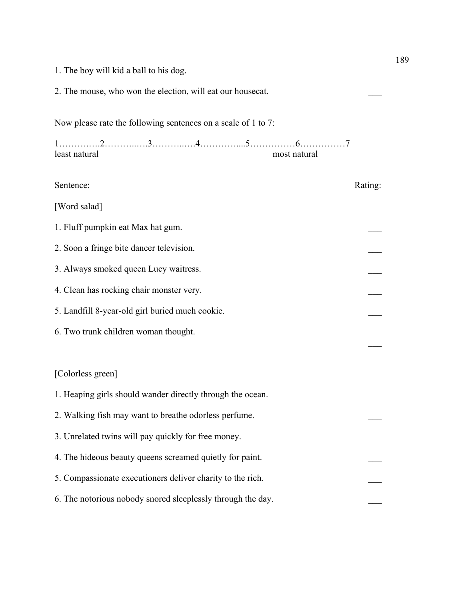|                                                               |         | 189 |
|---------------------------------------------------------------|---------|-----|
| 1. The boy will kid a ball to his dog.                        |         |     |
| 2. The mouse, who won the election, will eat our housecat.    |         |     |
| Now please rate the following sentences on a scale of 1 to 7: |         |     |
| least natural<br>most natural                                 |         |     |
| Sentence:                                                     | Rating: |     |
| [Word salad]                                                  |         |     |
| 1. Fluff pumpkin eat Max hat gum.                             |         |     |
| 2. Soon a fringe bite dancer television.                      |         |     |
| 3. Always smoked queen Lucy waitress.                         |         |     |
| 4. Clean has rocking chair monster very.                      |         |     |
| 5. Landfill 8-year-old girl buried much cookie.               |         |     |
| 6. Two trunk children woman thought.                          |         |     |
|                                                               |         |     |
| [Colorless green]                                             |         |     |
| 1. Heaping girls should wander directly through the ocean.    |         |     |
| 2. Walking fish may want to breathe odorless perfume.         |         |     |
| 3. Unrelated twins will pay quickly for free money.           |         |     |
| 4. The hideous beauty queens screamed quietly for paint.      |         |     |
| 5. Compassionate executioners deliver charity to the rich.    |         |     |
| 6. The notorious nobody snored sleeplessly through the day.   |         |     |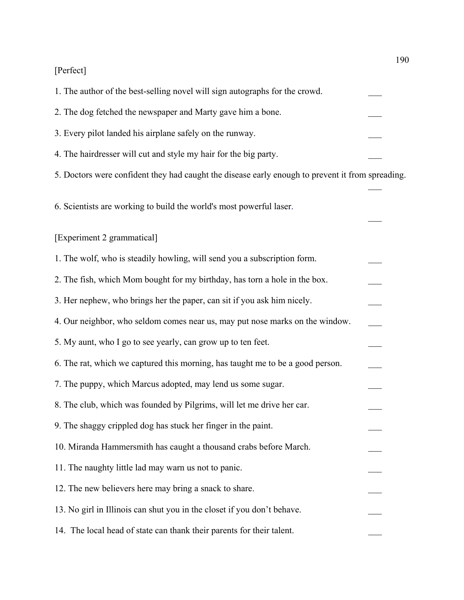# [Perfect]

| 1. The author of the best-selling novel will sign autographs for the crowd.                      |  |
|--------------------------------------------------------------------------------------------------|--|
| 2. The dog fetched the newspaper and Marty gave him a bone.                                      |  |
| 3. Every pilot landed his airplane safely on the runway.                                         |  |
| 4. The hairdresser will cut and style my hair for the big party.                                 |  |
| 5. Doctors were confident they had caught the disease early enough to prevent it from spreading. |  |
| 6. Scientists are working to build the world's most powerful laser.                              |  |
| [Experiment 2 grammatical]                                                                       |  |
| 1. The wolf, who is steadily howling, will send you a subscription form.                         |  |
| 2. The fish, which Mom bought for my birthday, has torn a hole in the box.                       |  |
| 3. Her nephew, who brings her the paper, can sit if you ask him nicely.                          |  |
| 4. Our neighbor, who seldom comes near us, may put nose marks on the window.                     |  |
| 5. My aunt, who I go to see yearly, can grow up to ten feet.                                     |  |
| 6. The rat, which we captured this morning, has taught me to be a good person.                   |  |
| 7. The puppy, which Marcus adopted, may lend us some sugar.                                      |  |
| 8. The club, which was founded by Pilgrims, will let me drive her car.                           |  |
| 9. The shaggy crippled dog has stuck her finger in the paint.                                    |  |
| 10. Miranda Hammersmith has caught a thousand crabs before March.                                |  |
| 11. The naughty little lad may warn us not to panic.                                             |  |
| 12. The new believers here may bring a snack to share.                                           |  |
| 13. No girl in Illinois can shut you in the closet if you don't behave.                          |  |
| 14. The local head of state can thank their parents for their talent.                            |  |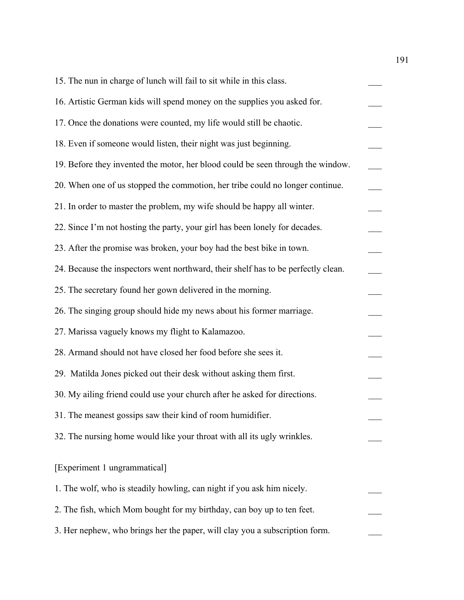| 15. The nun in charge of lunch will fail to sit while in this class.              |  |
|-----------------------------------------------------------------------------------|--|
| 16. Artistic German kids will spend money on the supplies you asked for.          |  |
| 17. Once the donations were counted, my life would still be chaotic.              |  |
| 18. Even if someone would listen, their night was just beginning.                 |  |
| 19. Before they invented the motor, her blood could be seen through the window.   |  |
| 20. When one of us stopped the commotion, her tribe could no longer continue.     |  |
| 21. In order to master the problem, my wife should be happy all winter.           |  |
| 22. Since I'm not hosting the party, your girl has been lonely for decades.       |  |
| 23. After the promise was broken, your boy had the best bike in town.             |  |
| 24. Because the inspectors went northward, their shelf has to be perfectly clean. |  |
| 25. The secretary found her gown delivered in the morning.                        |  |
| 26. The singing group should hide my news about his former marriage.              |  |
| 27. Marissa vaguely knows my flight to Kalamazoo.                                 |  |
| 28. Armand should not have closed her food before she sees it.                    |  |
| 29. Matilda Jones picked out their desk without asking them first.                |  |
| 30. My ailing friend could use your church after he asked for directions.         |  |
| 31. The meanest gossips saw their kind of room humidifier.                        |  |
| 32. The nursing home would like your throat with all its ugly wrinkles.           |  |
| [Experiment 1 ungrammatical]                                                      |  |
| 1. The wolf, who is steadily howling, can night if you ask him nicely.            |  |
| 2. The fish, which Mom bought for my birthday, can boy up to ten feet.            |  |
| 3. Her nephew, who brings her the paper, will clay you a subscription form.       |  |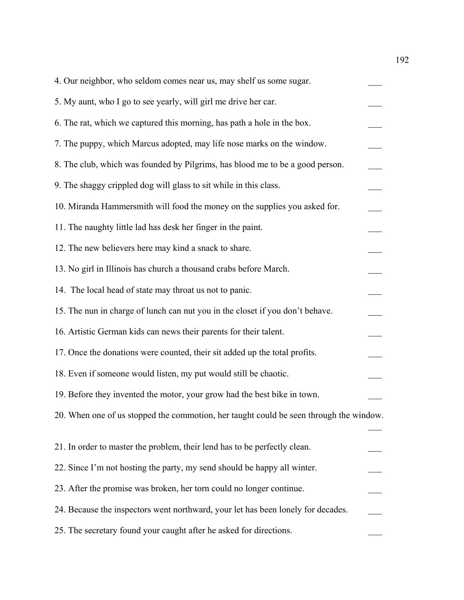| 4. Our neighbor, who seldom comes near us, may shelf us some sugar.                    |  |
|----------------------------------------------------------------------------------------|--|
| 5. My aunt, who I go to see yearly, will girl me drive her car.                        |  |
| 6. The rat, which we captured this morning, has path a hole in the box.                |  |
| 7. The puppy, which Marcus adopted, may life nose marks on the window.                 |  |
| 8. The club, which was founded by Pilgrims, has blood me to be a good person.          |  |
| 9. The shaggy crippled dog will glass to sit while in this class.                      |  |
| 10. Miranda Hammersmith will food the money on the supplies you asked for.             |  |
| 11. The naughty little lad has desk her finger in the paint.                           |  |
| 12. The new believers here may kind a snack to share.                                  |  |
| 13. No girl in Illinois has church a thousand crabs before March.                      |  |
| 14. The local head of state may throat us not to panic.                                |  |
| 15. The nun in charge of lunch can nut you in the closet if you don't behave.          |  |
| 16. Artistic German kids can news their parents for their talent.                      |  |
| 17. Once the donations were counted, their sit added up the total profits.             |  |
| 18. Even if someone would listen, my put would still be chaotic.                       |  |
| 19. Before they invented the motor, your grow had the best bike in town.               |  |
| 20. When one of us stopped the commotion, her taught could be seen through the window. |  |
|                                                                                        |  |
| 21. In order to master the problem, their lend has to be perfectly clean.              |  |
| 22. Since I'm not hosting the party, my send should be happy all winter.               |  |
| 23. After the promise was broken, her torn could no longer continue.                   |  |
| 24. Because the inspectors went northward, your let has been lonely for decades.       |  |
| 25. The secretary found your caught after he asked for directions.                     |  |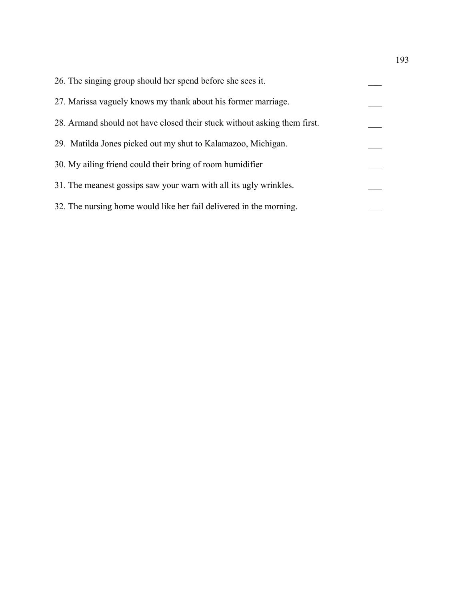| 26. The singing group should her spend before she sees it.               |  |
|--------------------------------------------------------------------------|--|
| 27. Marissa vaguely knows my thank about his former marriage.            |  |
| 28. Armand should not have closed their stuck without asking them first. |  |
| 29. Matilda Jones picked out my shut to Kalamazoo, Michigan.             |  |
| 30. My ailing friend could their bring of room humidifier                |  |
| 31. The meanest gossips saw your warn with all its ugly wrinkles.        |  |
| 32. The nursing home would like her fail delivered in the morning.       |  |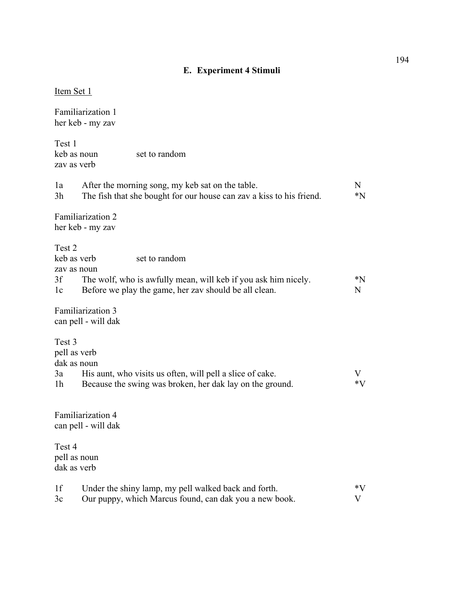# **E. Experiment 4 Stimuli**

| Item Set 1                                                                                                                                                                                   |            |
|----------------------------------------------------------------------------------------------------------------------------------------------------------------------------------------------|------------|
| Familiarization 1<br>her keb - my zav                                                                                                                                                        |            |
| Test 1<br>keb as noun<br>set to random<br>zav as verb                                                                                                                                        |            |
| After the morning song, my keb sat on the table.<br>1a<br>3h<br>The fish that she bought for our house can zav a kiss to his friend.                                                         | N<br>$^*N$ |
| Familiarization 2<br>her keb - my zav                                                                                                                                                        |            |
| Test 2<br>keb as verb<br>set to random<br>zav as noun<br>3f<br>The wolf, who is awfully mean, will keb if you ask him nicely.<br>Before we play the game, her zav should be all clean.<br>1c | $^*N$<br>N |
| Familiarization 3<br>can pell - will dak                                                                                                                                                     |            |
| Test 3<br>pell as verb<br>dak as noun<br>His aunt, who visits us often, will pell a slice of cake.<br>3a<br>Because the swing was broken, her dak lay on the ground.<br>1 <sub>h</sub>       | V<br>$*V$  |
| Familiarization 4<br>can pell - will dak                                                                                                                                                     |            |
| Test 4<br>pell as noun<br>dak as verb                                                                                                                                                        |            |
| 1f<br>Under the shiny lamp, my pell walked back and forth.<br>Our puppy, which Marcus found, can dak you a new book.<br>3c                                                                   | $*V$<br>V  |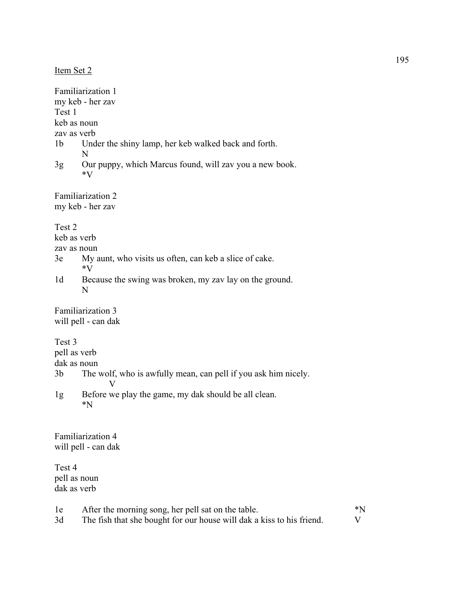|  | Item Set |  |  |
|--|----------|--|--|
|--|----------|--|--|

Familiarization 1 my keb - her zav Test 1 keb as noun zav as verb 1b Under the shiny lamp, her keb walked back and forth. N 3g Our puppy, which Marcus found, will zav you a new book. \*V Familiarization 2 my keb - her zav Test 2 keb as verb zav as noun 3e My aunt, who visits us often, can keb a slice of cake. \*V 1d Because the swing was broken, my zav lay on the ground. N Familiarization 3 will pell - can dak Test 3 pell as verb dak as noun 3b The wolf, who is awfully mean, can pell if you ask him nicely. V 1g Before we play the game, my dak should be all clean. \*N Familiarization 4 will pell - can dak Test 4 pell as noun dak as verb 1e After the morning song, her pell sat on the table.  $*N$ 

3d The fish that she bought for our house will dak a kiss to his friend. V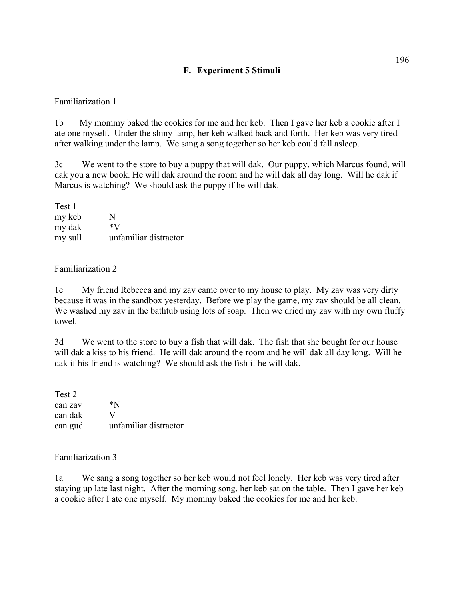### **F. Experiment 5 Stimuli**

#### Familiarization 1

1b My mommy baked the cookies for me and her keb. Then I gave her keb a cookie after I ate one myself. Under the shiny lamp, her keb walked back and forth. Her keb was very tired after walking under the lamp. We sang a song together so her keb could fall asleep.

3c We went to the store to buy a puppy that will dak. Our puppy, which Marcus found, will dak you a new book. He will dak around the room and he will dak all day long. Will he dak if Marcus is watching? We should ask the puppy if he will dak.

| Test 1  |                       |
|---------|-----------------------|
| my keb  | N                     |
| my dak  | *V                    |
| my sull | unfamiliar distractor |

#### Familiarization 2

1c My friend Rebecca and my zav came over to my house to play. My zav was very dirty because it was in the sandbox yesterday. Before we play the game, my zav should be all clean. We washed my zav in the bathtub using lots of soap. Then we dried my zav with my own fluffy towel.

3d We went to the store to buy a fish that will dak. The fish that she bought for our house will dak a kiss to his friend. He will dak around the room and he will dak all day long. Will he dak if his friend is watching? We should ask the fish if he will dak.

Test 2 can zav  $*N$ can dak V can gud unfamiliar distractor

#### Familiarization 3

1a We sang a song together so her keb would not feel lonely. Her keb was very tired after staying up late last night. After the morning song, her keb sat on the table. Then I gave her keb a cookie after I ate one myself. My mommy baked the cookies for me and her keb.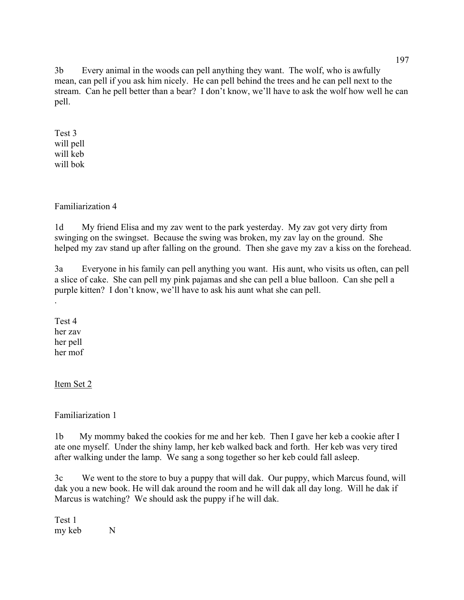3b Every animal in the woods can pell anything they want. The wolf, who is awfully mean, can pell if you ask him nicely. He can pell behind the trees and he can pell next to the stream. Can he pell better than a bear? I don't know, we'll have to ask the wolf how well he can pell.

Test 3 will pell will keb will bok

## Familiarization 4

1d My friend Elisa and my zav went to the park yesterday. My zav got very dirty from swinging on the swingset. Because the swing was broken, my zav lay on the ground. She helped my zav stand up after falling on the ground. Then she gave my zav a kiss on the forehead.

3a Everyone in his family can pell anything you want. His aunt, who visits us often, can pell a slice of cake. She can pell my pink pajamas and she can pell a blue balloon. Can she pell a purple kitten? I don't know, we'll have to ask his aunt what she can pell.

Test 4 her zav her pell her mof

.

Item Set 2

Familiarization 1

1b My mommy baked the cookies for me and her keb. Then I gave her keb a cookie after I ate one myself. Under the shiny lamp, her keb walked back and forth. Her keb was very tired after walking under the lamp. We sang a song together so her keb could fall asleep.

3c We went to the store to buy a puppy that will dak. Our puppy, which Marcus found, will dak you a new book. He will dak around the room and he will dak all day long. Will he dak if Marcus is watching? We should ask the puppy if he will dak.

Test 1 my keb N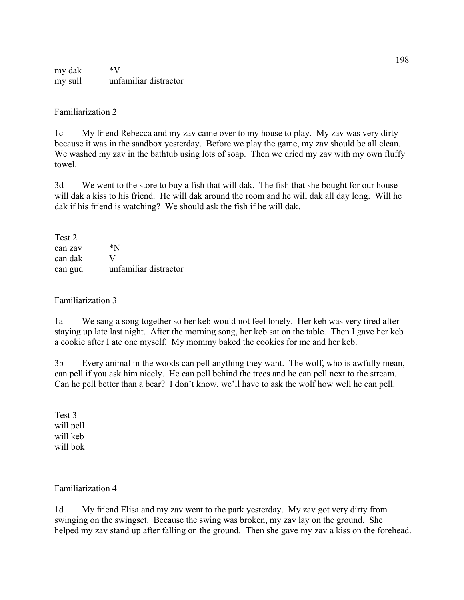my dak \*V my sull unfamiliar distractor

Familiarization 2

1c My friend Rebecca and my zav came over to my house to play. My zav was very dirty because it was in the sandbox yesterday. Before we play the game, my zav should be all clean. We washed my zav in the bathtub using lots of soap. Then we dried my zav with my own fluffy towel.

3d We went to the store to buy a fish that will dak. The fish that she bought for our house will dak a kiss to his friend. He will dak around the room and he will dak all day long. Will he dak if his friend is watching? We should ask the fish if he will dak.

Test 2 can zav \*N can dak V can gud unfamiliar distractor

Familiarization 3

1a We sang a song together so her keb would not feel lonely. Her keb was very tired after staying up late last night. After the morning song, her keb sat on the table. Then I gave her keb a cookie after I ate one myself. My mommy baked the cookies for me and her keb.

3b Every animal in the woods can pell anything they want. The wolf, who is awfully mean, can pell if you ask him nicely. He can pell behind the trees and he can pell next to the stream. Can he pell better than a bear? I don't know, we'll have to ask the wolf how well he can pell.

Test 3 will pell will keb will bok

Familiarization 4

1d My friend Elisa and my zav went to the park yesterday. My zav got very dirty from swinging on the swingset. Because the swing was broken, my zav lay on the ground. She helped my zav stand up after falling on the ground. Then she gave my zav a kiss on the forehead.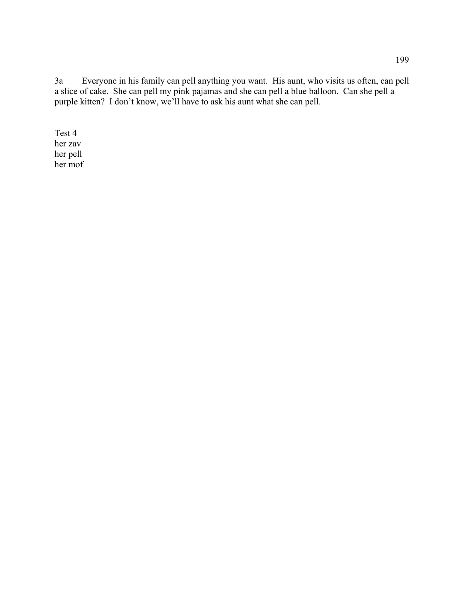3a Everyone in his family can pell anything you want. His aunt, who visits us often, can pell a slice of cake. She can pell my pink pajamas and she can pell a blue balloon. Can she pell a purple kitten? I don't know, we'll have to ask his aunt what she can pell.

Test 4 her zav her pell her mof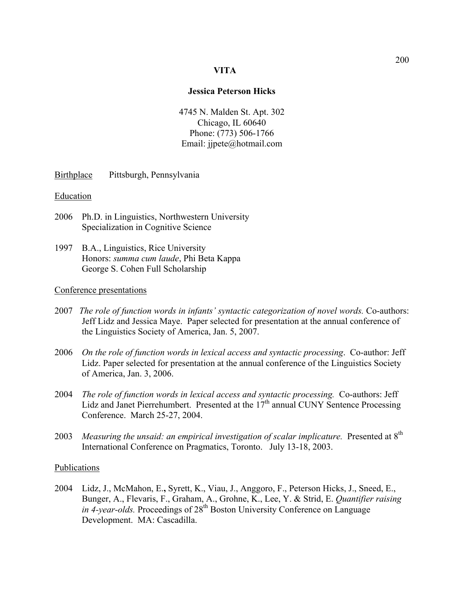#### **VITA**

#### **Jessica Peterson Hicks**

4745 N. Malden St. Apt. 302 Chicago, IL 60640 Phone: (773) 506-1766 Email: jjpete@hotmail.com

Birthplace Pittsburgh, Pennsylvania

#### **Education**

- 2006 Ph.D. in Linguistics, Northwestern University Specialization in Cognitive Science
- 1997 B.A., Linguistics, Rice University Honors: *summa cum laude*, Phi Beta Kappa George S. Cohen Full Scholarship

#### Conference presentations

- 2007 *The role of function words in infants' syntactic categorization of novel words.* Co-authors: Jeff Lidz and Jessica Maye. Paper selected for presentation at the annual conference of the Linguistics Society of America, Jan. 5, 2007.
- 2006 *On the role of function words in lexical access and syntactic processing*. Co-author: Jeff Lidz. Paper selected for presentation at the annual conference of the Linguistics Society of America, Jan. 3, 2006.
- 2004 *The role of function words in lexical access and syntactic processing.* Co-authors: Jeff Lidz and Janet Pierrehumbert. Presented at the  $17<sup>th</sup>$  annual CUNY Sentence Processing Conference. March 25-27, 2004.
- 2003 *Measuring the unsaid: an empirical investigation of scalar implicature.* Presented at 8<sup>th</sup> International Conference on Pragmatics, Toronto. July 13-18, 2003.

#### Publications

2004 Lidz, J., McMahon, E.**,** Syrett, K., Viau, J., Anggoro, F., Peterson Hicks, J., Sneed, E., Bunger, A., Flevaris, F., Graham, A., Grohne, K., Lee, Y. & Strid, E. *Quantifier raising in 4-year-olds.* Proceedings of  $28^{th}$  Boston University Conference on Language Development. MA: Cascadilla.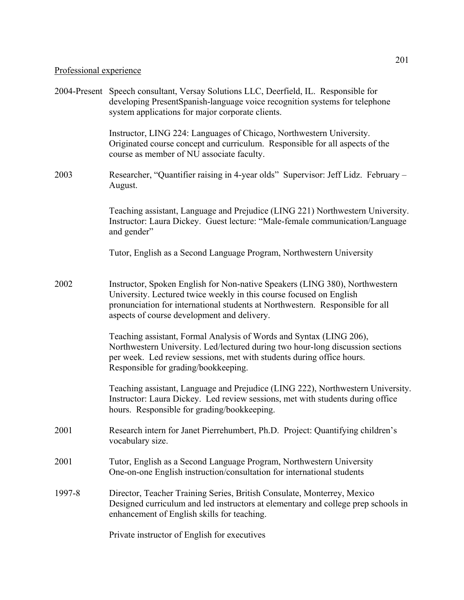# Professional experience

|        | 2004-Present Speech consultant, Versay Solutions LLC, Deerfield, IL. Responsible for<br>developing PresentSpanish-language voice recognition systems for telephone<br>system applications for major corporate clients.                                                             |
|--------|------------------------------------------------------------------------------------------------------------------------------------------------------------------------------------------------------------------------------------------------------------------------------------|
|        | Instructor, LING 224: Languages of Chicago, Northwestern University.<br>Originated course concept and curriculum. Responsible for all aspects of the<br>course as member of NU associate faculty.                                                                                  |
| 2003   | Researcher, "Quantifier raising in 4-year olds" Supervisor: Jeff Lidz. February -<br>August.                                                                                                                                                                                       |
|        | Teaching assistant, Language and Prejudice (LING 221) Northwestern University.<br>Instructor: Laura Dickey. Guest lecture: "Male-female communication/Language<br>and gender"                                                                                                      |
|        | Tutor, English as a Second Language Program, Northwestern University                                                                                                                                                                                                               |
| 2002   | Instructor, Spoken English for Non-native Speakers (LING 380), Northwestern<br>University. Lectured twice weekly in this course focused on English<br>pronunciation for international students at Northwestern. Responsible for all<br>aspects of course development and delivery. |
|        | Teaching assistant, Formal Analysis of Words and Syntax (LING 206),<br>Northwestern University. Led/lectured during two hour-long discussion sections<br>per week. Led review sessions, met with students during office hours.<br>Responsible for grading/bookkeeping.             |
|        | Teaching assistant, Language and Prejudice (LING 222), Northwestern University.<br>Instructor: Laura Dickey. Led review sessions, met with students during office<br>hours. Responsible for grading/bookkeeping.                                                                   |
| 2001   | Research intern for Janet Pierrehumbert, Ph.D. Project: Quantifying children's<br>vocabulary size.                                                                                                                                                                                 |
| 2001   | Tutor, English as a Second Language Program, Northwestern University<br>One-on-one English instruction/consultation for international students                                                                                                                                     |
| 1997-8 | Director, Teacher Training Series, British Consulate, Monterrey, Mexico<br>Designed curriculum and led instructors at elementary and college prep schools in<br>enhancement of English skills for teaching.                                                                        |
|        | Private instructor of English for executives                                                                                                                                                                                                                                       |